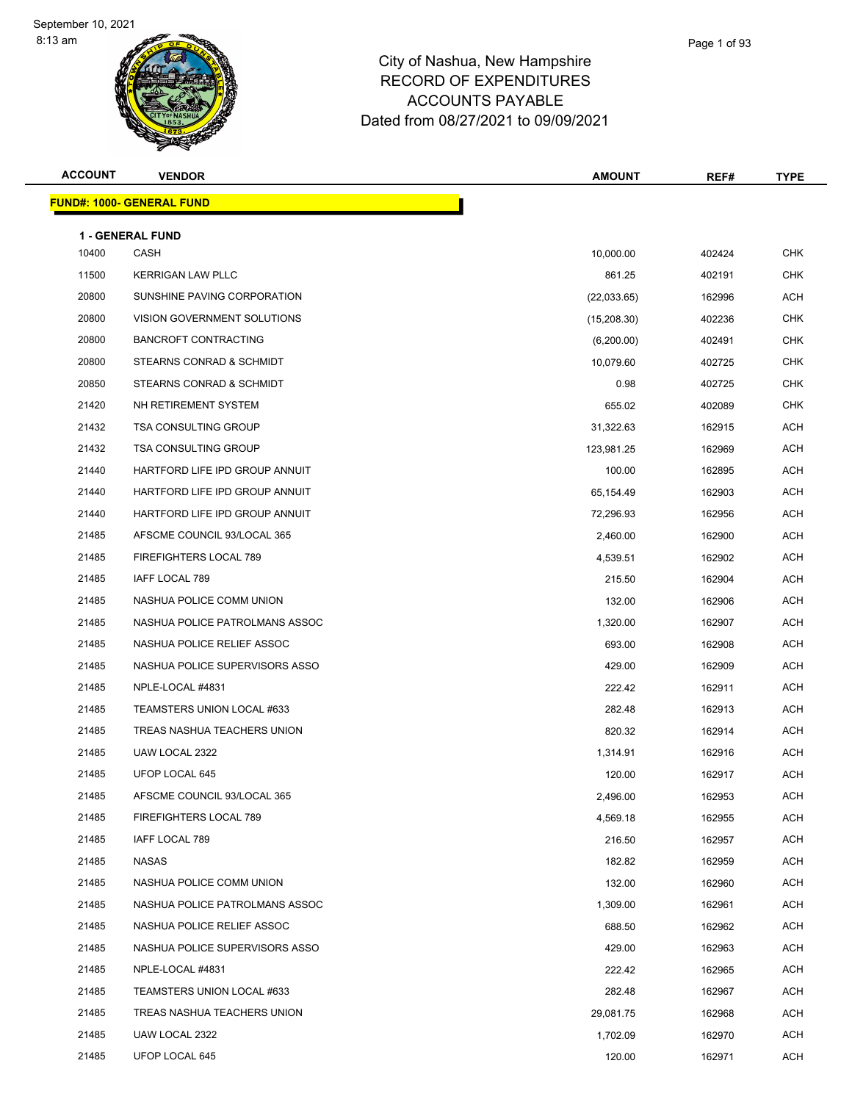

| Page 1 of 93 |  |
|--------------|--|
|              |  |

| <b>ACCOUNT</b> | <b>VENDOR</b>                    | AMOUNT      | REF#   | <b>TYPE</b> |
|----------------|----------------------------------|-------------|--------|-------------|
|                | <b>FUND#: 1000- GENERAL FUND</b> |             |        |             |
|                | <b>1 - GENERAL FUND</b>          |             |        |             |
| 10400          | <b>CASH</b>                      | 10,000.00   | 402424 | <b>CHK</b>  |
| 11500          | <b>KERRIGAN LAW PLLC</b>         | 861.25      | 402191 | <b>CHK</b>  |
| 20800          | SUNSHINE PAVING CORPORATION      | (22,033.65) | 162996 | ACH         |
| 20800          | VISION GOVERNMENT SOLUTIONS      | (15,208.30) | 402236 | <b>CHK</b>  |
| 20800          | <b>BANCROFT CONTRACTING</b>      | (6,200.00)  | 402491 | CHK         |
| 20800          | STEARNS CONRAD & SCHMIDT         | 10,079.60   | 402725 | <b>CHK</b>  |
| 20850          | STEARNS CONRAD & SCHMIDT         | 0.98        | 402725 | <b>CHK</b>  |
| 21420          | NH RETIREMENT SYSTEM             | 655.02      | 402089 | <b>CHK</b>  |
| 21432          | <b>TSA CONSULTING GROUP</b>      | 31,322.63   | 162915 | <b>ACH</b>  |
| 21432          | <b>TSA CONSULTING GROUP</b>      | 123,981.25  | 162969 | ACH         |
| 21440          | HARTFORD LIFE IPD GROUP ANNUIT   | 100.00      | 162895 | ACH         |
| 21440          | HARTFORD LIFE IPD GROUP ANNUIT   | 65,154.49   | 162903 | ACH         |
| 21440          | HARTFORD LIFE IPD GROUP ANNUIT   | 72,296.93   | 162956 | ACH         |
| 21485          | AFSCME COUNCIL 93/LOCAL 365      | 2,460.00    | 162900 | ACH         |
| 21485          | <b>FIREFIGHTERS LOCAL 789</b>    | 4,539.51    | 162902 | ACH         |
| 21485          | IAFF LOCAL 789                   | 215.50      | 162904 | <b>ACH</b>  |
| 21485          | NASHUA POLICE COMM UNION         | 132.00      | 162906 | ACH         |
| 21485          | NASHUA POLICE PATROLMANS ASSOC   | 1,320.00    | 162907 | ACH         |
| 21485          | NASHUA POLICE RELIEF ASSOC       | 693.00      | 162908 | ACH         |
| 21485          | NASHUA POLICE SUPERVISORS ASSO   | 429.00      | 162909 | ACH         |
| 21485          | NPLE-LOCAL #4831                 | 222.42      | 162911 | <b>ACH</b>  |
| 21485          | TEAMSTERS UNION LOCAL #633       | 282.48      | 162913 | ACH         |
| 21485          | TREAS NASHUA TEACHERS UNION      | 820.32      | 162914 | ACH         |
| 21485          | UAW LOCAL 2322                   | 1,314.91    | 162916 | <b>ACH</b>  |
| 21485          | UFOP LOCAL 645                   | 120.00      | 162917 | ACH         |
| 21485          | AFSCME COUNCIL 93/LOCAL 365      | 2,496.00    | 162953 | ACH         |
| 21485          | FIREFIGHTERS LOCAL 789           | 4,569.18    | 162955 | ACH         |
| 21485          | IAFF LOCAL 789                   | 216.50      | 162957 | ACH         |
| 21485          | NASAS                            | 182.82      | 162959 | ACH         |
| 21485          | NASHUA POLICE COMM UNION         | 132.00      | 162960 | ACH         |
| 21485          | NASHUA POLICE PATROLMANS ASSOC   | 1,309.00    | 162961 | ACH         |
| 21485          | NASHUA POLICE RELIEF ASSOC       | 688.50      | 162962 | ACH         |
| 21485          | NASHUA POLICE SUPERVISORS ASSO   | 429.00      | 162963 | ACH         |
| 21485          | NPLE-LOCAL #4831                 | 222.42      | 162965 | <b>ACH</b>  |
| 21485          | TEAMSTERS UNION LOCAL #633       | 282.48      | 162967 | ACH         |
| 21485          | TREAS NASHUA TEACHERS UNION      | 29,081.75   | 162968 | ACH         |
| 21485          | UAW LOCAL 2322                   | 1,702.09    | 162970 | ACH         |
| 21485          | UFOP LOCAL 645                   | 120.00      | 162971 | ACH         |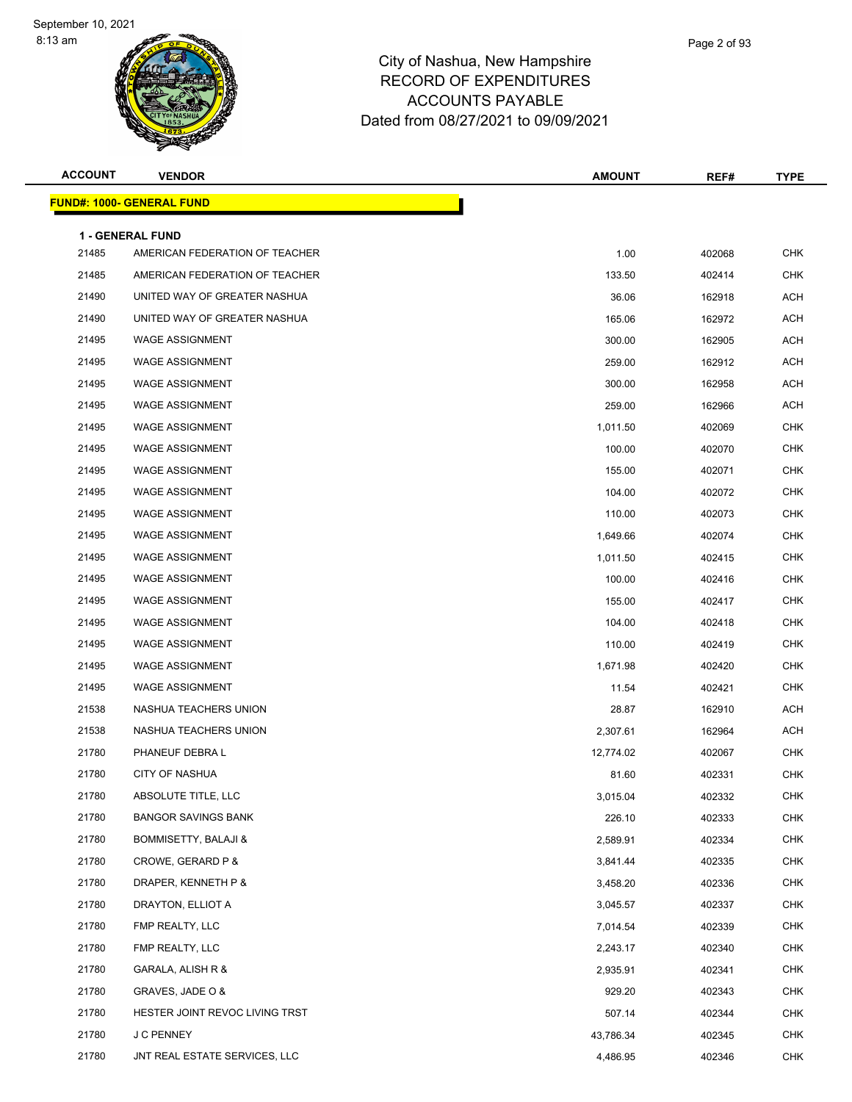8:13 am



| <b>ACCOUNT</b> | <b>VENDOR</b>                                             | <b>AMOUNT</b> | REF#   | <b>TYPE</b> |
|----------------|-----------------------------------------------------------|---------------|--------|-------------|
|                | <u> FUND#: 1000- GENERAL FUND</u>                         |               |        |             |
|                |                                                           |               |        |             |
| 21485          | <b>1 - GENERAL FUND</b><br>AMERICAN FEDERATION OF TEACHER | 1.00          | 402068 | <b>CHK</b>  |
| 21485          | AMERICAN FEDERATION OF TEACHER                            | 133.50        | 402414 | <b>CHK</b>  |
| 21490          | UNITED WAY OF GREATER NASHUA                              | 36.06         | 162918 | <b>ACH</b>  |
| 21490          | UNITED WAY OF GREATER NASHUA                              | 165.06        | 162972 | <b>ACH</b>  |
| 21495          | <b>WAGE ASSIGNMENT</b>                                    | 300.00        | 162905 | <b>ACH</b>  |
| 21495          | <b>WAGE ASSIGNMENT</b>                                    | 259.00        | 162912 | <b>ACH</b>  |
| 21495          | <b>WAGE ASSIGNMENT</b>                                    | 300.00        | 162958 | <b>ACH</b>  |
| 21495          | <b>WAGE ASSIGNMENT</b>                                    | 259.00        | 162966 | <b>ACH</b>  |
| 21495          | <b>WAGE ASSIGNMENT</b>                                    | 1,011.50      | 402069 | <b>CHK</b>  |
| 21495          | <b>WAGE ASSIGNMENT</b>                                    | 100.00        | 402070 | <b>CHK</b>  |
| 21495          | <b>WAGE ASSIGNMENT</b>                                    | 155.00        | 402071 | <b>CHK</b>  |
| 21495          | <b>WAGE ASSIGNMENT</b>                                    | 104.00        | 402072 | <b>CHK</b>  |
| 21495          | <b>WAGE ASSIGNMENT</b>                                    | 110.00        | 402073 | <b>CHK</b>  |
| 21495          | <b>WAGE ASSIGNMENT</b>                                    | 1,649.66      | 402074 | <b>CHK</b>  |
| 21495          | <b>WAGE ASSIGNMENT</b>                                    | 1,011.50      | 402415 | <b>CHK</b>  |
| 21495          | <b>WAGE ASSIGNMENT</b>                                    | 100.00        | 402416 | <b>CHK</b>  |
| 21495          | <b>WAGE ASSIGNMENT</b>                                    | 155.00        | 402417 | <b>CHK</b>  |
| 21495          | <b>WAGE ASSIGNMENT</b>                                    | 104.00        | 402418 | <b>CHK</b>  |
| 21495          | <b>WAGE ASSIGNMENT</b>                                    | 110.00        | 402419 | <b>CHK</b>  |
| 21495          | <b>WAGE ASSIGNMENT</b>                                    | 1,671.98      | 402420 | <b>CHK</b>  |
| 21495          | <b>WAGE ASSIGNMENT</b>                                    | 11.54         | 402421 | <b>CHK</b>  |
| 21538          | NASHUA TEACHERS UNION                                     | 28.87         | 162910 | <b>ACH</b>  |
| 21538          | NASHUA TEACHERS UNION                                     | 2,307.61      | 162964 | <b>ACH</b>  |
| 21780          | PHANEUF DEBRA L                                           | 12,774.02     | 402067 | <b>CHK</b>  |
| 21780          | <b>CITY OF NASHUA</b>                                     | 81.60         | 402331 | <b>CHK</b>  |
| 21780          | ABSOLUTE TITLE, LLC                                       | 3,015.04      | 402332 | CHK         |
| 21780          | <b>BANGOR SAVINGS BANK</b>                                | 226.10        | 402333 | <b>CHK</b>  |
| 21780          | <b>BOMMISETTY, BALAJI &amp;</b>                           | 2,589.91      | 402334 | <b>CHK</b>  |
| 21780          | CROWE, GERARD P &                                         | 3,841.44      | 402335 | <b>CHK</b>  |
| 21780          | DRAPER, KENNETH P &                                       | 3,458.20      | 402336 | <b>CHK</b>  |
| 21780          | DRAYTON, ELLIOT A                                         | 3,045.57      | 402337 | <b>CHK</b>  |
| 21780          | FMP REALTY, LLC                                           | 7,014.54      | 402339 | <b>CHK</b>  |
| 21780          | FMP REALTY, LLC                                           | 2,243.17      | 402340 | <b>CHK</b>  |
| 21780          | GARALA, ALISH R &                                         | 2,935.91      | 402341 | <b>CHK</b>  |
| 21780          | GRAVES, JADE O &                                          | 929.20        | 402343 | <b>CHK</b>  |
| 21780          | HESTER JOINT REVOC LIVING TRST                            | 507.14        | 402344 | <b>CHK</b>  |
| 21780          | J C PENNEY                                                | 43,786.34     | 402345 | <b>CHK</b>  |
| 21780          | JNT REAL ESTATE SERVICES, LLC                             | 4,486.95      | 402346 | CHK         |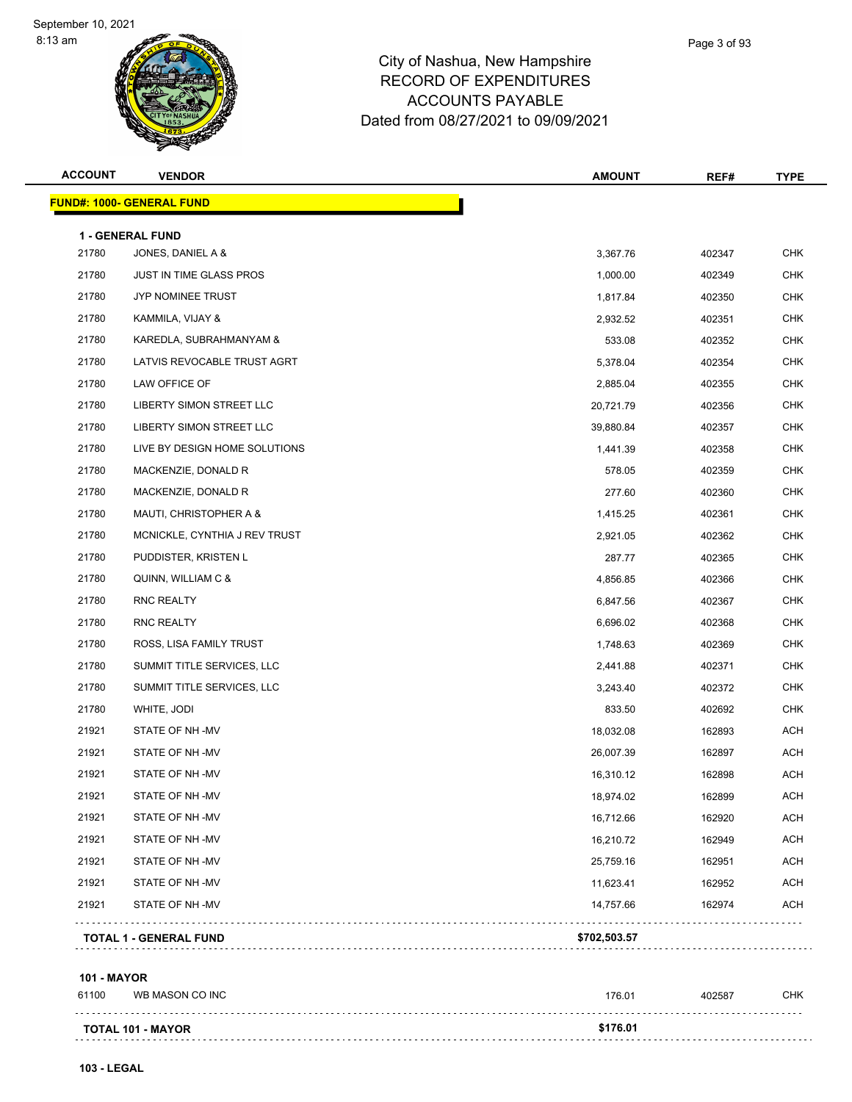

# City of Nashua, New Hampshire RECORD OF EXPENDITURES ACCOUNTS PAYABLE Dated from 08/27/2021 to 09/09/2021

| Page 3 of 93 |
|--------------|
|              |

| <b>ACCOUNT</b> | <b>VENDOR</b>                                       | <b>AMOUNT</b> | REF#   | <b>TYPE</b>              |
|----------------|-----------------------------------------------------|---------------|--------|--------------------------|
|                | <b>FUND#: 1000- GENERAL FUND</b>                    |               |        |                          |
|                |                                                     |               |        |                          |
| 21780          | <b>1 - GENERAL FUND</b>                             | 3,367.76      | 402347 | <b>CHK</b>               |
| 21780          | JONES, DANIEL A &<br><b>JUST IN TIME GLASS PROS</b> |               |        | <b>CHK</b>               |
| 21780          |                                                     | 1,000.00      | 402349 | <b>CHK</b>               |
|                | JYP NOMINEE TRUST                                   | 1,817.84      | 402350 |                          |
| 21780<br>21780 | KAMMILA, VIJAY &                                    | 2,932.52      | 402351 | <b>CHK</b><br><b>CHK</b> |
|                | KAREDLA, SUBRAHMANYAM &                             | 533.08        | 402352 |                          |
| 21780          | LATVIS REVOCABLE TRUST AGRT                         | 5,378.04      | 402354 | <b>CHK</b>               |
| 21780          | LAW OFFICE OF                                       | 2,885.04      | 402355 | <b>CHK</b>               |
| 21780          | LIBERTY SIMON STREET LLC                            | 20,721.79     | 402356 | <b>CHK</b>               |
| 21780          | LIBERTY SIMON STREET LLC                            | 39,880.84     | 402357 | <b>CHK</b>               |
| 21780          | LIVE BY DESIGN HOME SOLUTIONS                       | 1,441.39      | 402358 | <b>CHK</b>               |
| 21780          | MACKENZIE, DONALD R                                 | 578.05        | 402359 | <b>CHK</b>               |
| 21780          | MACKENZIE, DONALD R                                 | 277.60        | 402360 | <b>CHK</b>               |
| 21780          | MAUTI, CHRISTOPHER A &                              | 1,415.25      | 402361 | <b>CHK</b>               |
| 21780          | MCNICKLE, CYNTHIA J REV TRUST                       | 2,921.05      | 402362 | <b>CHK</b>               |
| 21780          | PUDDISTER, KRISTEN L                                | 287.77        | 402365 | <b>CHK</b>               |
| 21780          | QUINN, WILLIAM C &                                  | 4,856.85      | 402366 | <b>CHK</b>               |
| 21780          | RNC REALTY                                          | 6,847.56      | 402367 | <b>CHK</b>               |
| 21780          | RNC REALTY                                          | 6,696.02      | 402368 | <b>CHK</b>               |
| 21780          | ROSS, LISA FAMILY TRUST                             | 1,748.63      | 402369 | <b>CHK</b>               |
| 21780          | SUMMIT TITLE SERVICES, LLC                          | 2,441.88      | 402371 | <b>CHK</b>               |
| 21780          | SUMMIT TITLE SERVICES, LLC                          | 3,243.40      | 402372 | <b>CHK</b>               |
| 21780          | WHITE, JODI                                         | 833.50        | 402692 | <b>CHK</b>               |
| 21921          | STATE OF NH-MV                                      | 18,032.08     | 162893 | ACH                      |
| 21921          | STATE OF NH-MV                                      | 26,007.39     | 162897 | ACH                      |
| 21921          | STATE OF NH-MV                                      | 16,310.12     | 162898 | ACH                      |
| 21921          | STATE OF NH-MV                                      | 18,974.02     | 162899 | <b>ACH</b>               |
| 21921          | STATE OF NH-MV                                      | 16,712.66     | 162920 | <b>ACH</b>               |
| 21921          | STATE OF NH-MV                                      | 16,210.72     | 162949 | <b>ACH</b>               |
| 21921          | STATE OF NH-MV                                      | 25,759.16     | 162951 | <b>ACH</b>               |
| 21921          | STATE OF NH-MV                                      | 11,623.41     | 162952 | <b>ACH</b>               |
| 21921          | STATE OF NH-MV                                      | 14,757.66     | 162974 | <b>ACH</b>               |
|                | <b>TOTAL 1 - GENERAL FUND</b>                       | \$702,503.57  |        |                          |
|                |                                                     |               |        |                          |

#### **101 - MAYOR**

| 61100 | WB MASON CO INC          | 176.01   | 402587 | CHK |
|-------|--------------------------|----------|--------|-----|
|       | <b>TOTAL 101 - MAYOR</b> | \$176.01 |        |     |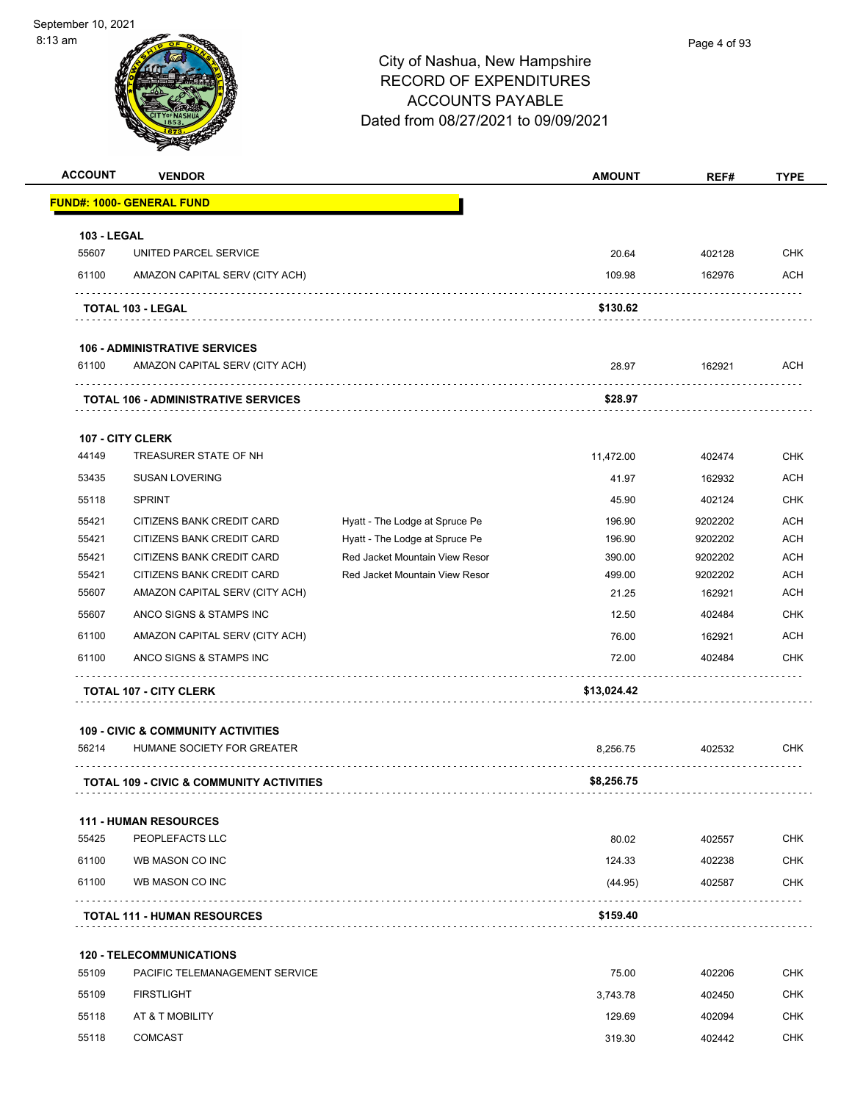

| <b>ACCOUNT</b>     | <b>VENDOR</b>                                       |                                | <b>AMOUNT</b> | REF#    | <b>TYPE</b> |
|--------------------|-----------------------------------------------------|--------------------------------|---------------|---------|-------------|
|                    | <b>FUND#: 1000- GENERAL FUND</b>                    |                                |               |         |             |
| <b>103 - LEGAL</b> |                                                     |                                |               |         |             |
| 55607              | UNITED PARCEL SERVICE                               |                                | 20.64         | 402128  | <b>CHK</b>  |
| 61100              | AMAZON CAPITAL SERV (CITY ACH)                      |                                | 109.98        | 162976  | ACH         |
|                    | <b>TOTAL 103 - LEGAL</b>                            |                                | \$130.62      |         |             |
|                    | <b>106 - ADMINISTRATIVE SERVICES</b>                |                                |               |         |             |
| 61100              | AMAZON CAPITAL SERV (CITY ACH)                      |                                | 28.97         | 162921  | <b>ACH</b>  |
|                    | <b>TOTAL 106 - ADMINISTRATIVE SERVICES</b>          |                                | \$28.97       |         |             |
|                    | 107 - CITY CLERK                                    |                                |               |         |             |
| 44149              | TREASURER STATE OF NH                               |                                | 11,472.00     | 402474  | <b>CHK</b>  |
| 53435              | <b>SUSAN LOVERING</b>                               |                                | 41.97         | 162932  | <b>ACH</b>  |
| 55118              | <b>SPRINT</b>                                       |                                | 45.90         | 402124  | <b>CHK</b>  |
| 55421              | CITIZENS BANK CREDIT CARD                           | Hyatt - The Lodge at Spruce Pe | 196.90        | 9202202 | <b>ACH</b>  |
| 55421              | CITIZENS BANK CREDIT CARD                           | Hyatt - The Lodge at Spruce Pe | 196.90        | 9202202 | <b>ACH</b>  |
| 55421              | CITIZENS BANK CREDIT CARD                           | Red Jacket Mountain View Resor | 390.00        | 9202202 | <b>ACH</b>  |
| 55421              | CITIZENS BANK CREDIT CARD                           | Red Jacket Mountain View Resor | 499.00        | 9202202 | <b>ACH</b>  |
| 55607              | AMAZON CAPITAL SERV (CITY ACH)                      |                                | 21.25         | 162921  | <b>ACH</b>  |
| 55607              | ANCO SIGNS & STAMPS INC                             |                                | 12.50         | 402484  | <b>CHK</b>  |
| 61100              | AMAZON CAPITAL SERV (CITY ACH)                      |                                | 76.00         | 162921  | <b>ACH</b>  |
| 61100              | ANCO SIGNS & STAMPS INC                             |                                | 72.00         | 402484  | <b>CHK</b>  |
|                    | <b>TOTAL 107 - CITY CLERK</b>                       |                                | \$13,024.42   |         |             |
|                    | <b>109 - CIVIC &amp; COMMUNITY ACTIVITIES</b>       |                                |               |         |             |
| 56214              | HUMANE SOCIETY FOR GREATER                          |                                | 8,256.75      | 402532  | CHK         |
|                    | <b>TOTAL 109 - CIVIC &amp; COMMUNITY ACTIVITIES</b> |                                | \$8,256.75    |         |             |
|                    | <b>111 - HUMAN RESOURCES</b>                        |                                |               |         |             |
| 55425              | PEOPLEFACTS LLC                                     |                                | 80.02         | 402557  | <b>CHK</b>  |
| 61100              | WB MASON CO INC                                     |                                | 124.33        | 402238  | <b>CHK</b>  |
| 61100              | WB MASON CO INC                                     |                                | (44.95)       | 402587  | <b>CHK</b>  |
|                    | <b>TOTAL 111 - HUMAN RESOURCES</b>                  |                                | \$159.40      |         |             |
|                    | <b>120 - TELECOMMUNICATIONS</b>                     |                                |               |         |             |
| 55109              | PACIFIC TELEMANAGEMENT SERVICE                      |                                | 75.00         | 402206  | <b>CHK</b>  |
| 55109              | <b>FIRSTLIGHT</b>                                   |                                | 3,743.78      | 402450  | <b>CHK</b>  |
| 55118              | AT & T MOBILITY                                     |                                | 129.69        | 402094  | <b>CHK</b>  |
|                    |                                                     |                                |               |         | CHK         |
| 55118              | <b>COMCAST</b>                                      |                                | 319.30        | 402442  |             |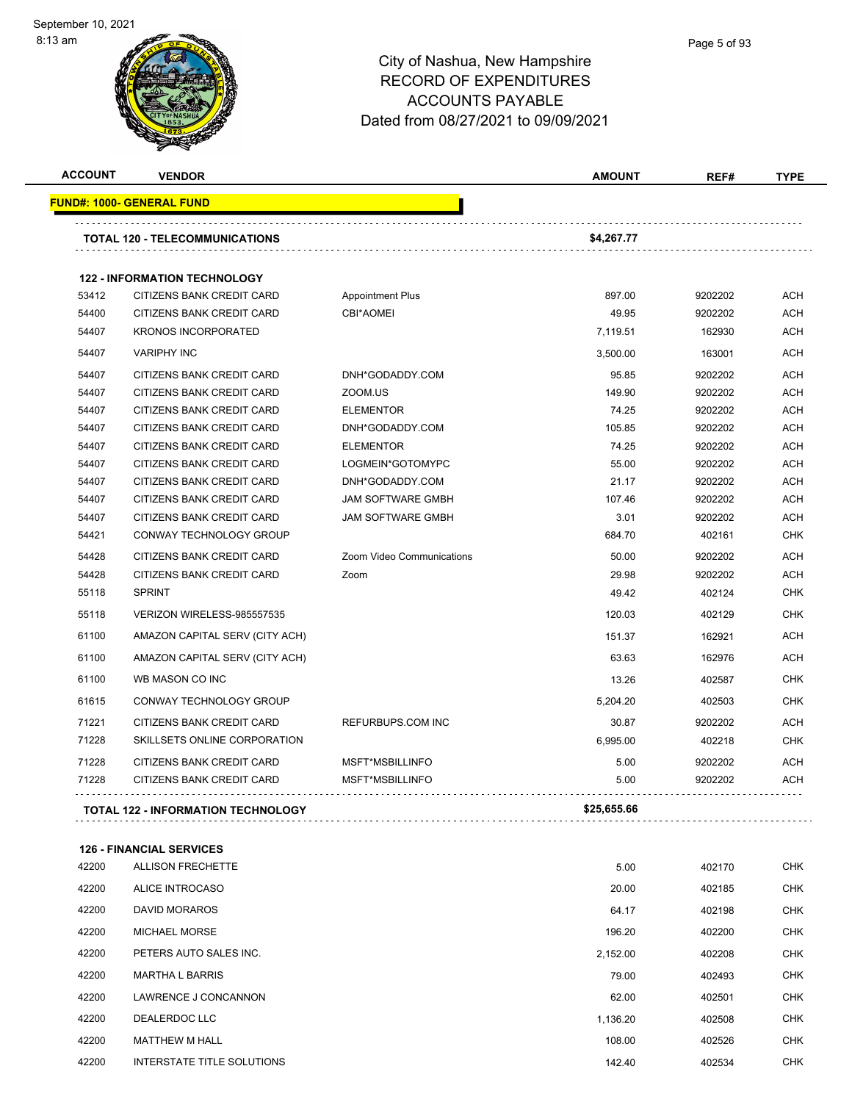

# City of Nashua, New Hampshire RECORD OF EXPENDITURES ACCOUNTS PAYABLE Dated from 08/27/2021 to 09/09/2021

| <b>ACCOUNT</b> | <b>VENDOR</b>                             |                           | <b>AMOUNT</b> | REF#    | <b>TYPE</b> |
|----------------|-------------------------------------------|---------------------------|---------------|---------|-------------|
|                | FUND#: 1000- GENERAL FUND                 |                           |               |         |             |
|                | <b>TOTAL 120 - TELECOMMUNICATIONS</b>     |                           | \$4,267.77    |         |             |
|                |                                           |                           |               |         |             |
|                | <b>122 - INFORMATION TECHNOLOGY</b>       |                           |               |         |             |
| 53412          | CITIZENS BANK CREDIT CARD                 | <b>Appointment Plus</b>   | 897.00        | 9202202 | <b>ACH</b>  |
| 54400          | CITIZENS BANK CREDIT CARD                 | <b>CBI*AOMEI</b>          | 49.95         | 9202202 | <b>ACH</b>  |
| 54407          | <b>KRONOS INCORPORATED</b>                |                           | 7,119.51      | 162930  | <b>ACH</b>  |
| 54407          | <b>VARIPHY INC</b>                        |                           | 3,500.00      | 163001  | <b>ACH</b>  |
| 54407          | <b>CITIZENS BANK CREDIT CARD</b>          | DNH*GODADDY.COM           | 95.85         | 9202202 | <b>ACH</b>  |
| 54407          | CITIZENS BANK CREDIT CARD                 | ZOOM.US                   | 149.90        | 9202202 | <b>ACH</b>  |
| 54407          | CITIZENS BANK CREDIT CARD                 | <b>ELEMENTOR</b>          | 74.25         | 9202202 | <b>ACH</b>  |
| 54407          | CITIZENS BANK CREDIT CARD                 | DNH*GODADDY.COM           | 105.85        | 9202202 | <b>ACH</b>  |
| 54407          | CITIZENS BANK CREDIT CARD                 | <b>ELEMENTOR</b>          | 74.25         | 9202202 | <b>ACH</b>  |
| 54407          | CITIZENS BANK CREDIT CARD                 | LOGMEIN*GOTOMYPC          | 55.00         | 9202202 | <b>ACH</b>  |
| 54407          | CITIZENS BANK CREDIT CARD                 | DNH*GODADDY.COM           | 21.17         | 9202202 | <b>ACH</b>  |
| 54407          | CITIZENS BANK CREDIT CARD                 | <b>JAM SOFTWARE GMBH</b>  | 107.46        | 9202202 | <b>ACH</b>  |
| 54407          | CITIZENS BANK CREDIT CARD                 | <b>JAM SOFTWARE GMBH</b>  | 3.01          | 9202202 | <b>ACH</b>  |
| 54421          | CONWAY TECHNOLOGY GROUP                   |                           | 684.70        | 402161  | <b>CHK</b>  |
| 54428          | CITIZENS BANK CREDIT CARD                 | Zoom Video Communications | 50.00         | 9202202 | <b>ACH</b>  |
| 54428          | CITIZENS BANK CREDIT CARD                 | Zoom                      | 29.98         | 9202202 | <b>ACH</b>  |
| 55118          | <b>SPRINT</b>                             |                           | 49.42         | 402124  | <b>CHK</b>  |
| 55118          | VERIZON WIRELESS-985557535                |                           | 120.03        | 402129  | <b>CHK</b>  |
| 61100          | AMAZON CAPITAL SERV (CITY ACH)            |                           | 151.37        | 162921  | <b>ACH</b>  |
| 61100          | AMAZON CAPITAL SERV (CITY ACH)            |                           | 63.63         | 162976  | <b>ACH</b>  |
| 61100          | WB MASON CO INC                           |                           | 13.26         | 402587  | <b>CHK</b>  |
| 61615          | CONWAY TECHNOLOGY GROUP                   |                           | 5,204.20      | 402503  | <b>CHK</b>  |
| 71221          | CITIZENS BANK CREDIT CARD                 | REFURBUPS.COM INC         | 30.87         | 9202202 | <b>ACH</b>  |
| 71228          | SKILLSETS ONLINE CORPORATION              |                           | 6.995.00      | 402218  | <b>CHK</b>  |
| 71228          | CITIZENS BANK CREDIT CARD                 | MSFT*MSBILLINFO           | 5.00          | 9202202 | <b>ACH</b>  |
| 71228          | CITIZENS BANK CREDIT CARD                 | MSFT*MSBILLINFO           | 5.00          | 9202202 | <b>ACH</b>  |
|                | <b>TOTAL 122 - INFORMATION TECHNOLOGY</b> |                           |               |         |             |

**126 - FINANCIAL SERVICES**

| 42200 | <b>ALLISON FRECHETTE</b>   | 5.00     | 402170 | <b>CHK</b> |
|-------|----------------------------|----------|--------|------------|
| 42200 | ALICE INTROCASO            | 20.00    | 402185 | CHK        |
| 42200 | <b>DAVID MORAROS</b>       | 64.17    | 402198 | <b>CHK</b> |
| 42200 | <b>MICHAEL MORSE</b>       | 196.20   | 402200 | <b>CHK</b> |
| 42200 | PETERS AUTO SALES INC.     | 2,152.00 | 402208 | <b>CHK</b> |
| 42200 | <b>MARTHA L BARRIS</b>     | 79.00    | 402493 | <b>CHK</b> |
| 42200 | LAWRENCE J CONCANNON       | 62.00    | 402501 | <b>CHK</b> |
| 42200 | DEALERDOC LLC              | 1,136.20 | 402508 | <b>CHK</b> |
| 42200 | <b>MATTHEW M HALL</b>      | 108.00   | 402526 | <b>CHK</b> |
| 42200 | INTERSTATE TITLE SOLUTIONS | 142.40   | 402534 | <b>CHK</b> |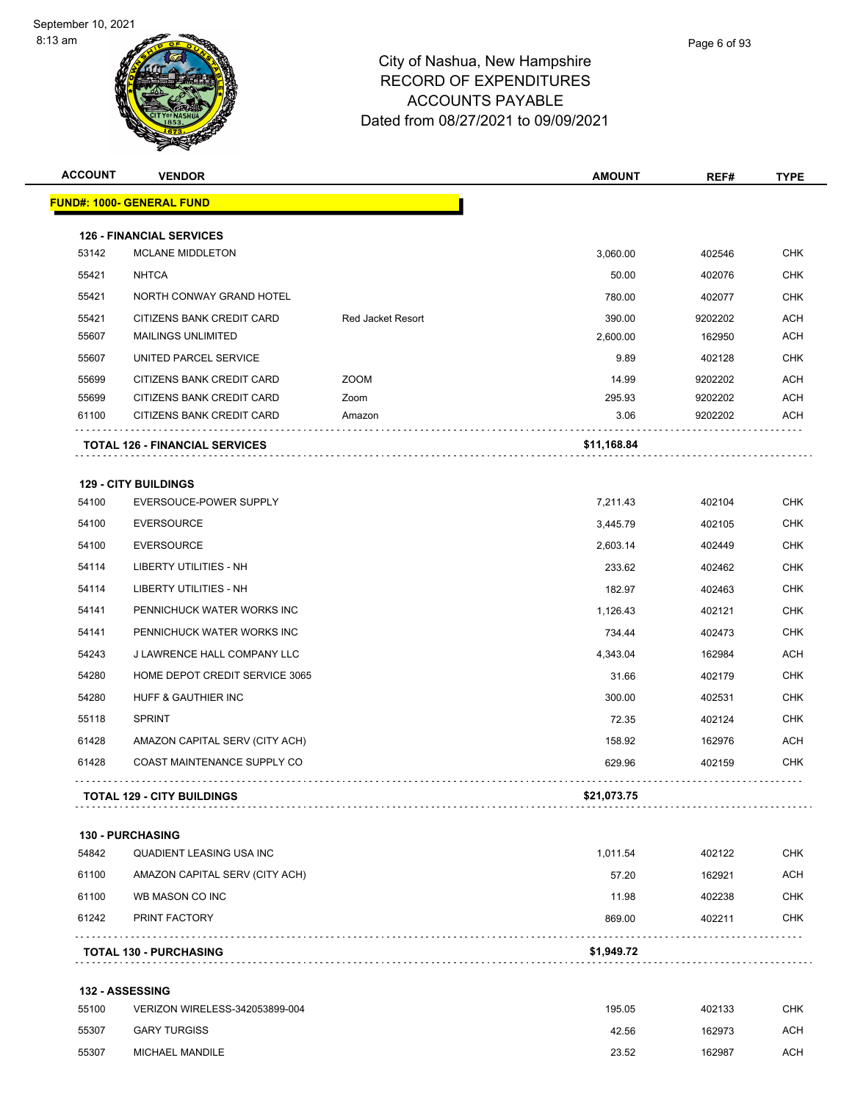

# City of Nashua, New Hampshire RECORD OF EXPENDITURES ACCOUNTS PAYABLE Dated from 08/27/2021 to 09/09/2021

| <b>ACCOUNT</b> | <b>VENDOR</b>                         |                          | <b>AMOUNT</b> | REF#    | <b>TYPE</b> |
|----------------|---------------------------------------|--------------------------|---------------|---------|-------------|
|                | <u> FUND#: 1000- GENERAL FUND</u>     |                          |               |         |             |
|                | <b>126 - FINANCIAL SERVICES</b>       |                          |               |         |             |
| 53142          | <b>MCLANE MIDDLETON</b>               |                          | 3,060.00      | 402546  | <b>CHK</b>  |
| 55421          | <b>NHTCA</b>                          |                          | 50.00         | 402076  | <b>CHK</b>  |
| 55421          | NORTH CONWAY GRAND HOTEL              |                          | 780.00        | 402077  | <b>CHK</b>  |
| 55421          | CITIZENS BANK CREDIT CARD             | <b>Red Jacket Resort</b> | 390.00        | 9202202 | ACH         |
| 55607          | <b>MAILINGS UNLIMITED</b>             |                          | 2,600.00      | 162950  | <b>ACH</b>  |
| 55607          | UNITED PARCEL SERVICE                 |                          | 9.89          | 402128  | <b>CHK</b>  |
| 55699          | CITIZENS BANK CREDIT CARD             | <b>ZOOM</b>              | 14.99         | 9202202 | <b>ACH</b>  |
| 55699          | CITIZENS BANK CREDIT CARD             | Zoom                     | 295.93        | 9202202 | <b>ACH</b>  |
| 61100          | CITIZENS BANK CREDIT CARD             | Amazon                   | 3.06          | 9202202 | ACH         |
|                | <b>TOTAL 126 - FINANCIAL SERVICES</b> |                          | \$11,168.84   |         |             |
|                | <b>129 - CITY BUILDINGS</b>           |                          |               |         |             |
| 54100          | EVERSOUCE-POWER SUPPLY                |                          | 7,211.43      | 402104  | <b>CHK</b>  |
| 54100          | <b>EVERSOURCE</b>                     |                          | 3,445.79      | 402105  | <b>CHK</b>  |
| 54100          | <b>EVERSOURCE</b>                     |                          | 2,603.14      | 402449  | <b>CHK</b>  |
| 54114          | <b>LIBERTY UTILITIES - NH</b>         |                          | 233.62        | 402462  | <b>CHK</b>  |
| 54114          | <b>LIBERTY UTILITIES - NH</b>         |                          | 182.97        | 402463  | <b>CHK</b>  |
| 54141          | PENNICHUCK WATER WORKS INC            |                          | 1,126.43      | 402121  | <b>CHK</b>  |
| 54141          | PENNICHUCK WATER WORKS INC            |                          | 734.44        | 402473  | CHK         |
| 54243          | J LAWRENCE HALL COMPANY LLC           |                          | 4,343.04      | 162984  | <b>ACH</b>  |
| 54280          | HOME DEPOT CREDIT SERVICE 3065        |                          | 31.66         | 402179  | <b>CHK</b>  |
| 54280          | HUFF & GAUTHIER INC                   |                          | 300.00        | 402531  | <b>CHK</b>  |
| 55118          | <b>SPRINT</b>                         |                          | 72.35         | 402124  | <b>CHK</b>  |
| 61428          | AMAZON CAPITAL SERV (CITY ACH)        |                          | 158.92        | 162976  | ACH         |
| 61428          | COAST MAINTENANCE SUPPLY CO           |                          | 629.96        | 402159  | CHK         |
|                | <b>TOTAL 129 - CITY BUILDINGS</b>     |                          | \$21,073.75   |         |             |
|                | 130 - PURCHASING                      |                          |               |         |             |
| 54842          | QUADIENT LEASING USA INC              |                          | 1,011.54      | 402122  | <b>CHK</b>  |
| 61100          | AMAZON CAPITAL SERV (CITY ACH)        |                          | 57.20         | 162921  | <b>ACH</b>  |
| 61100          | WB MASON CO INC                       |                          | 11.98         | 402238  | <b>CHK</b>  |
| 61242          | PRINT FACTORY                         |                          | 869.00        | 402211  | <b>CHK</b>  |
|                | <b>TOTAL 130 - PURCHASING</b>         |                          | \$1,949.72    |         |             |
|                | 132 - ASSESSING                       |                          |               |         |             |
| 55100          | VERIZON WIRELESS-342053899-004        |                          | 195.05        | 402133  | <b>CHK</b>  |

 55307 GARY TURGISS 42.56 162973 ACH 55307 MICHAEL MANDILE 23.52 162987 ACH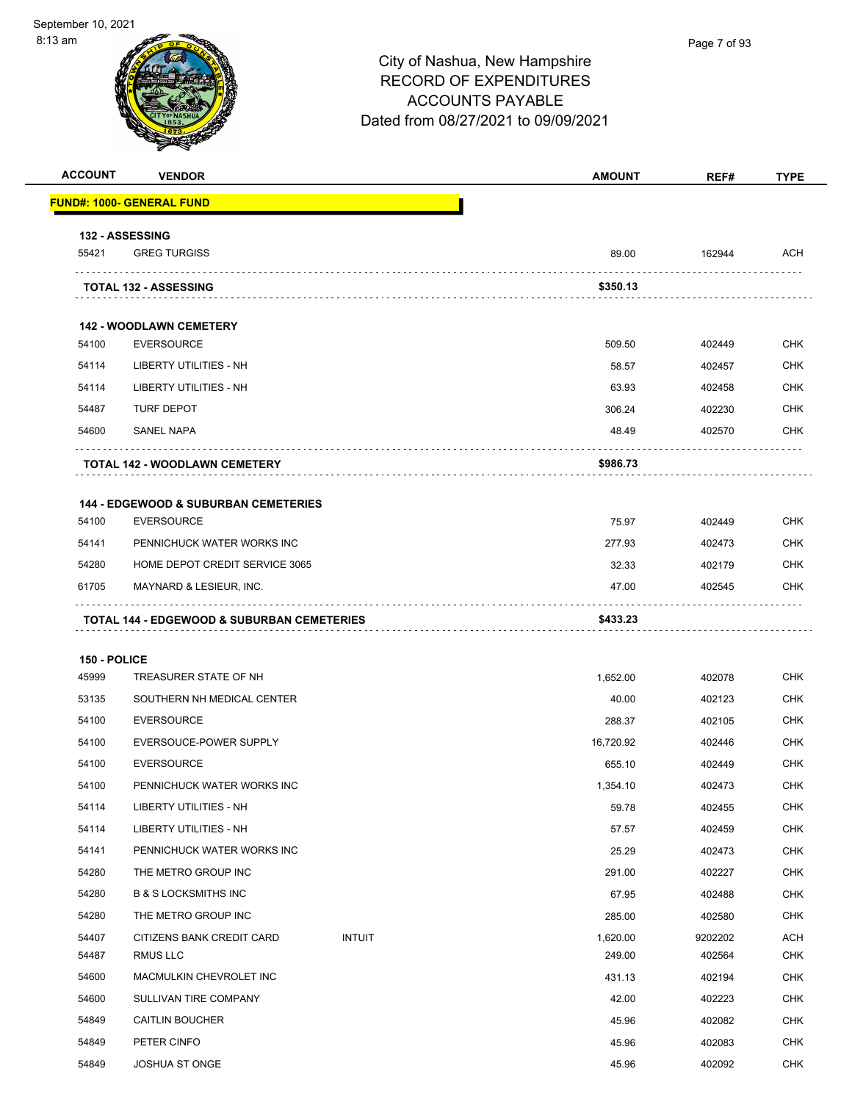

| <b>ACCOUNT</b> | <b>VENDOR</b>                                                        |               | <b>AMOUNT</b>      | REF#              | <b>TYPE</b>              |
|----------------|----------------------------------------------------------------------|---------------|--------------------|-------------------|--------------------------|
|                | <u> FUND#: 1000- GENERAL FUND</u>                                    |               |                    |                   |                          |
|                | 132 - ASSESSING                                                      |               |                    |                   |                          |
| 55421          | <b>GREG TURGISS</b>                                                  |               | 89.00              | 162944            | <b>ACH</b>               |
|                | <b>TOTAL 132 - ASSESSING</b>                                         |               | \$350.13           |                   |                          |
|                |                                                                      |               |                    |                   |                          |
| 54100          | <b>142 - WOODLAWN CEMETERY</b><br><b>EVERSOURCE</b>                  |               | 509.50             | 402449            | <b>CHK</b>               |
| 54114          | LIBERTY UTILITIES - NH                                               |               | 58.57              | 402457            | <b>CHK</b>               |
| 54114          | LIBERTY UTILITIES - NH                                               |               | 63.93              | 402458            | <b>CHK</b>               |
| 54487          | <b>TURF DEPOT</b>                                                    |               | 306.24             | 402230            | <b>CHK</b>               |
| 54600          | <b>SANEL NAPA</b>                                                    |               | 48.49              | 402570            | <b>CHK</b>               |
|                | TOTAL 142 - WOODLAWN CEMETERY                                        |               | \$986.73           |                   |                          |
|                |                                                                      |               |                    |                   |                          |
| 54100          | <b>144 - EDGEWOOD &amp; SUBURBAN CEMETERIES</b><br><b>EVERSOURCE</b> |               | 75.97              | 402449            | <b>CHK</b>               |
| 54141          | PENNICHUCK WATER WORKS INC                                           |               | 277.93             | 402473            | <b>CHK</b>               |
| 54280          | HOME DEPOT CREDIT SERVICE 3065                                       |               | 32.33              | 402179            | <b>CHK</b>               |
| 61705          | MAYNARD & LESIEUR, INC.                                              |               | 47.00              | 402545            | <b>CHK</b>               |
|                | <b>TOTAL 144 - EDGEWOOD &amp; SUBURBAN CEMETERIES</b>                |               | \$433.23           |                   |                          |
|                |                                                                      |               |                    |                   |                          |
| 150 - POLICE   |                                                                      |               |                    |                   |                          |
| 45999          | TREASURER STATE OF NH                                                |               | 1,652.00           | 402078            | <b>CHK</b>               |
| 53135          | SOUTHERN NH MEDICAL CENTER                                           |               | 40.00              | 402123            | <b>CHK</b>               |
| 54100          | <b>EVERSOURCE</b><br>EVERSOUCE-POWER SUPPLY                          |               | 288.37             | 402105            | <b>CHK</b>               |
| 54100          |                                                                      |               | 16,720.92          | 402446            | <b>CHK</b>               |
| 54100          | <b>EVERSOURCE</b>                                                    |               | 655.10             | 402449            | <b>CHK</b>               |
| 54100          | PENNICHUCK WATER WORKS INC                                           |               | 1,354.10           | 402473            | <b>CHK</b>               |
| 54114          | LIBERTY UTILITIES - NH                                               |               | 59.78              | 402455            | <b>CHK</b>               |
| 54114          | LIBERTY UTILITIES - NH<br>PENNICHUCK WATER WORKS INC                 |               | 57.57              | 402459            | CHK                      |
| 54141          |                                                                      |               | 25.29              | 402473            | <b>CHK</b>               |
| 54280          | THE METRO GROUP INC                                                  |               | 291.00             | 402227            | <b>CHK</b>               |
| 54280          | <b>B &amp; S LOCKSMITHS INC</b>                                      |               | 67.95              | 402488            | <b>CHK</b>               |
| 54280          | THE METRO GROUP INC                                                  |               | 285.00             | 402580            | <b>CHK</b>               |
| 54407<br>54487 | CITIZENS BANK CREDIT CARD<br>RMUS LLC                                | <b>INTUIT</b> | 1,620.00<br>249.00 | 9202202<br>402564 | <b>ACH</b><br><b>CHK</b> |
| 54600          | MACMULKIN CHEVROLET INC                                              |               | 431.13             | 402194            | CHK                      |
| 54600          | SULLIVAN TIRE COMPANY                                                |               | 42.00              | 402223            | <b>CHK</b>               |
| 54849          | <b>CAITLIN BOUCHER</b>                                               |               | 45.96              | 402082            | <b>CHK</b>               |
| 54849          | PETER CINFO                                                          |               |                    |                   |                          |
| 54849          |                                                                      |               | 45.96              | 402083            | <b>CHK</b><br><b>CHK</b> |
|                | <b>JOSHUA ST ONGE</b>                                                |               | 45.96              | 402092            |                          |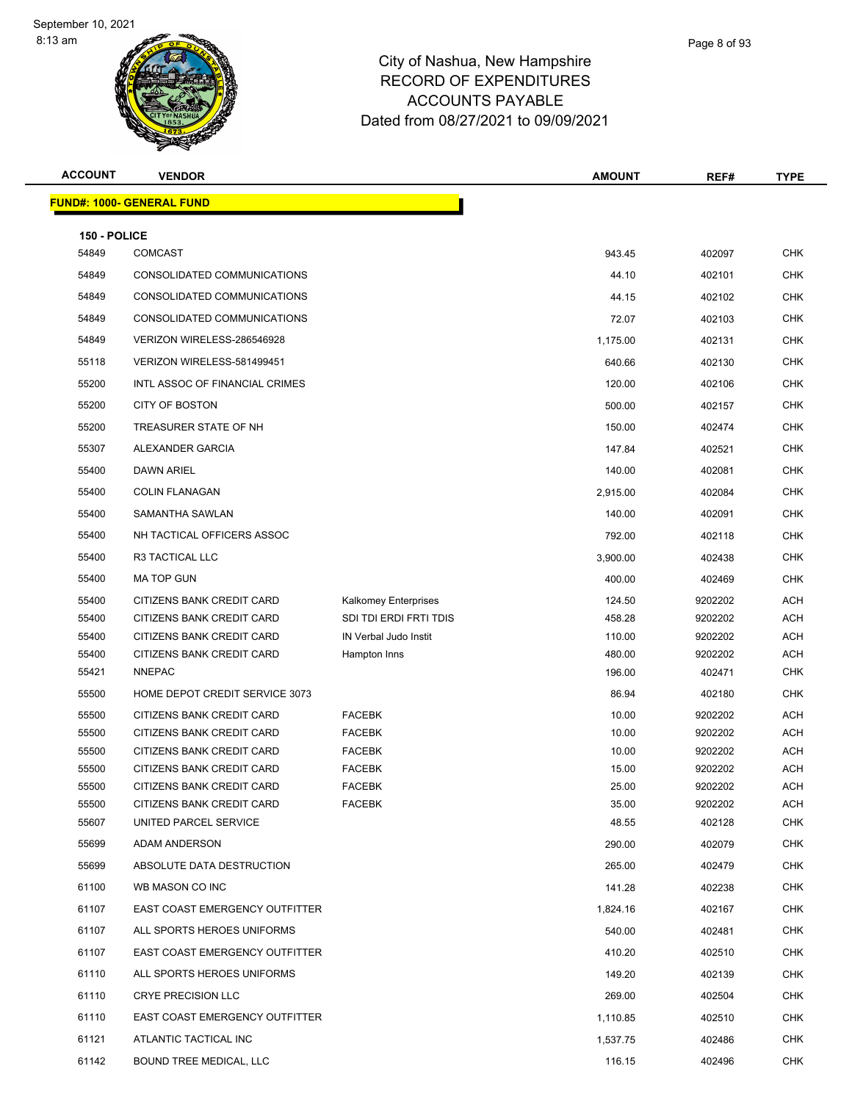

| Page 8 of 93 |  |
|--------------|--|
|              |  |

| <b>ACCOUNT</b>        | <b>VENDOR</b>                                          |                                                | <b>AMOUNT</b>    | REF#               | <b>TYPE</b>              |
|-----------------------|--------------------------------------------------------|------------------------------------------------|------------------|--------------------|--------------------------|
|                       | <b>FUND#: 1000- GENERAL FUND</b>                       |                                                |                  |                    |                          |
|                       |                                                        |                                                |                  |                    |                          |
| 150 - POLICE<br>54849 | <b>COMCAST</b>                                         |                                                | 943.45           | 402097             | <b>CHK</b>               |
| 54849                 | CONSOLIDATED COMMUNICATIONS                            |                                                | 44.10            | 402101             | <b>CHK</b>               |
| 54849                 | CONSOLIDATED COMMUNICATIONS                            |                                                | 44.15            | 402102             | <b>CHK</b>               |
| 54849                 | CONSOLIDATED COMMUNICATIONS                            |                                                | 72.07            | 402103             | <b>CHK</b>               |
| 54849                 | VERIZON WIRELESS-286546928                             |                                                | 1,175.00         | 402131             | <b>CHK</b>               |
| 55118                 | VERIZON WIRELESS-581499451                             |                                                | 640.66           | 402130             | <b>CHK</b>               |
| 55200                 | INTL ASSOC OF FINANCIAL CRIMES                         |                                                | 120.00           | 402106             | <b>CHK</b>               |
| 55200                 | CITY OF BOSTON                                         |                                                | 500.00           | 402157             | <b>CHK</b>               |
| 55200                 | TREASURER STATE OF NH                                  |                                                | 150.00           | 402474             | <b>CHK</b>               |
| 55307                 | ALEXANDER GARCIA                                       |                                                | 147.84           | 402521             | <b>CHK</b>               |
| 55400                 | <b>DAWN ARIEL</b>                                      |                                                | 140.00           | 402081             | <b>CHK</b>               |
| 55400                 | <b>COLIN FLANAGAN</b>                                  |                                                | 2,915.00         | 402084             | <b>CHK</b>               |
| 55400                 | SAMANTHA SAWLAN                                        |                                                |                  |                    | <b>CHK</b>               |
|                       | NH TACTICAL OFFICERS ASSOC                             |                                                | 140.00           | 402091             |                          |
| 55400                 |                                                        |                                                | 792.00           | 402118             | <b>CHK</b>               |
| 55400                 | R3 TACTICAL LLC                                        |                                                | 3,900.00         | 402438             | <b>CHK</b>               |
| 55400                 | <b>MA TOP GUN</b>                                      |                                                | 400.00           | 402469             | <b>CHK</b>               |
| 55400<br>55400        | CITIZENS BANK CREDIT CARD<br>CITIZENS BANK CREDIT CARD | Kalkomey Enterprises<br>SDI TDI ERDI FRTI TDIS | 124.50<br>458.28 | 9202202<br>9202202 | <b>ACH</b><br><b>ACH</b> |
| 55400                 | CITIZENS BANK CREDIT CARD                              | IN Verbal Judo Instit                          | 110.00           | 9202202            | <b>ACH</b>               |
| 55400                 | CITIZENS BANK CREDIT CARD                              | Hampton Inns                                   | 480.00           | 9202202            | <b>ACH</b>               |
| 55421                 | <b>NNEPAC</b>                                          |                                                | 196.00           | 402471             | <b>CHK</b>               |
| 55500                 | HOME DEPOT CREDIT SERVICE 3073                         |                                                | 86.94            | 402180             | <b>CHK</b>               |
| 55500                 | <b>CITIZENS BANK CREDIT CARD</b>                       | <b>FACEBK</b>                                  | 10.00            | 9202202            | <b>ACH</b>               |
| 55500                 | CITIZENS BANK CREDIT CARD                              | <b>FACEBK</b>                                  | 10.00            | 9202202            | <b>ACH</b>               |
| 55500                 | CITIZENS BANK CREDIT CARD                              | <b>FACEBK</b>                                  | 10.00            | 9202202            | <b>ACH</b>               |
| 55500<br>55500        | CITIZENS BANK CREDIT CARD<br>CITIZENS BANK CREDIT CARD | <b>FACEBK</b><br><b>FACEBK</b>                 | 15.00<br>25.00   | 9202202<br>9202202 | <b>ACH</b><br><b>ACH</b> |
| 55500                 | CITIZENS BANK CREDIT CARD                              | <b>FACEBK</b>                                  | 35.00            | 9202202            | <b>ACH</b>               |
| 55607                 | UNITED PARCEL SERVICE                                  |                                                | 48.55            | 402128             | <b>CHK</b>               |
| 55699                 | ADAM ANDERSON                                          |                                                | 290.00           | 402079             | <b>CHK</b>               |
| 55699                 | ABSOLUTE DATA DESTRUCTION                              |                                                | 265.00           | 402479             | <b>CHK</b>               |
| 61100                 | WB MASON CO INC                                        |                                                | 141.28           | 402238             | CHK                      |
| 61107                 | EAST COAST EMERGENCY OUTFITTER                         |                                                | 1,824.16         | 402167             | <b>CHK</b>               |
| 61107                 | ALL SPORTS HEROES UNIFORMS                             |                                                | 540.00           | 402481             | <b>CHK</b>               |
| 61107                 | EAST COAST EMERGENCY OUTFITTER                         |                                                | 410.20           | 402510             | <b>CHK</b>               |
| 61110                 | ALL SPORTS HEROES UNIFORMS                             |                                                | 149.20           | 402139             | <b>CHK</b>               |
| 61110                 | <b>CRYE PRECISION LLC</b>                              |                                                | 269.00           | 402504             | <b>CHK</b>               |
| 61110                 | EAST COAST EMERGENCY OUTFITTER                         |                                                | 1,110.85         | 402510             | <b>CHK</b>               |
| 61121                 | ATLANTIC TACTICAL INC                                  |                                                | 1,537.75         | 402486             | CHK                      |
| 61142                 | BOUND TREE MEDICAL, LLC                                |                                                | 116.15           | 402496             | <b>CHK</b>               |
|                       |                                                        |                                                |                  |                    |                          |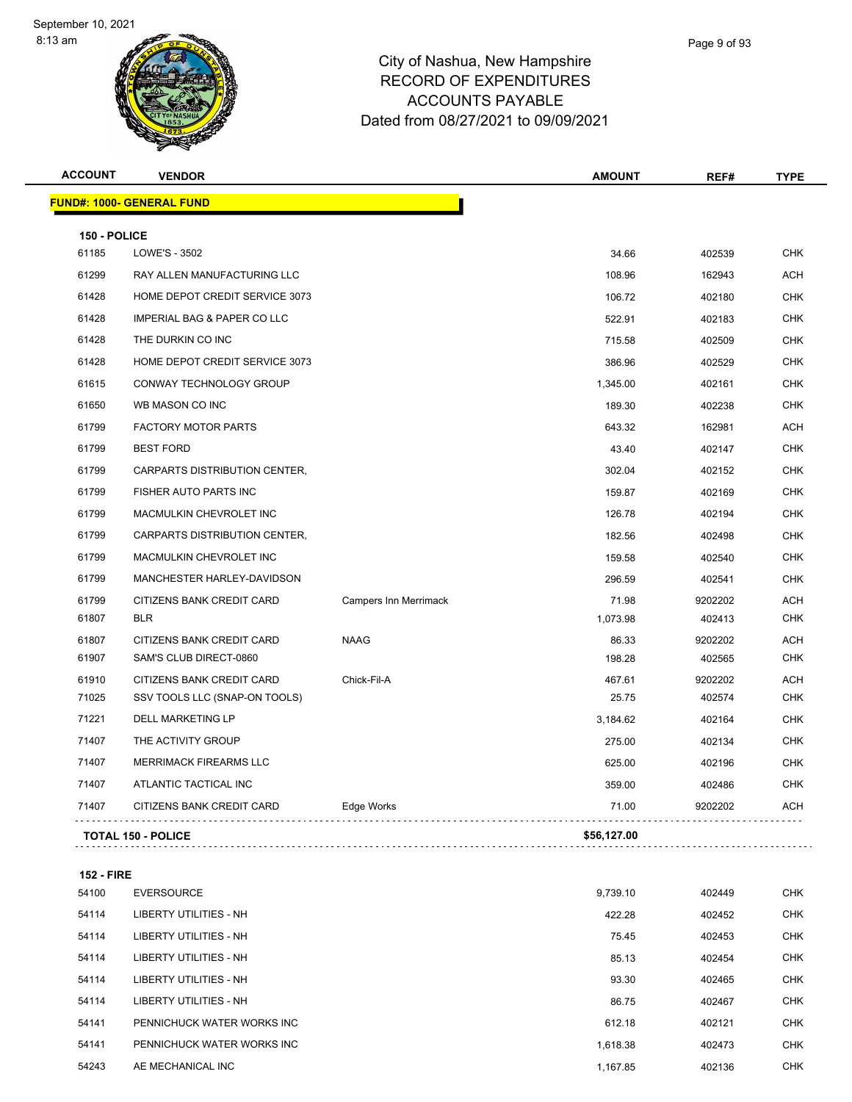

| Page 9 of 93 |
|--------------|
|              |

| <b>ACCOUNT</b> | <b>VENDOR</b>                          |                              | <b>AMOUNT</b> | REF#    | <b>TYPE</b> |
|----------------|----------------------------------------|------------------------------|---------------|---------|-------------|
|                | <u> FUND#: 1000- GENERAL FUND</u>      |                              |               |         |             |
| 150 - POLICE   |                                        |                              |               |         |             |
| 61185          | LOWE'S - 3502                          |                              | 34.66         | 402539  | <b>CHK</b>  |
| 61299          | RAY ALLEN MANUFACTURING LLC            |                              | 108.96        | 162943  | <b>ACH</b>  |
| 61428          | HOME DEPOT CREDIT SERVICE 3073         |                              | 106.72        | 402180  | <b>CHK</b>  |
| 61428          | <b>IMPERIAL BAG &amp; PAPER CO LLC</b> |                              | 522.91        | 402183  | <b>CHK</b>  |
| 61428          | THE DURKIN CO INC                      |                              | 715.58        | 402509  | <b>CHK</b>  |
| 61428          | HOME DEPOT CREDIT SERVICE 3073         |                              | 386.96        | 402529  | <b>CHK</b>  |
| 61615          | CONWAY TECHNOLOGY GROUP                |                              | 1,345.00      | 402161  | <b>CHK</b>  |
| 61650          | WB MASON CO INC                        |                              | 189.30        | 402238  | <b>CHK</b>  |
| 61799          | <b>FACTORY MOTOR PARTS</b>             |                              | 643.32        | 162981  | <b>ACH</b>  |
| 61799          | <b>BEST FORD</b>                       |                              | 43.40         | 402147  | <b>CHK</b>  |
| 61799          | CARPARTS DISTRIBUTION CENTER,          |                              | 302.04        | 402152  | <b>CHK</b>  |
| 61799          | FISHER AUTO PARTS INC                  |                              | 159.87        | 402169  | <b>CHK</b>  |
| 61799          | MACMULKIN CHEVROLET INC                |                              | 126.78        | 402194  | <b>CHK</b>  |
| 61799          | CARPARTS DISTRIBUTION CENTER,          |                              | 182.56        | 402498  | <b>CHK</b>  |
| 61799          | MACMULKIN CHEVROLET INC                |                              | 159.58        | 402540  | <b>CHK</b>  |
| 61799          | MANCHESTER HARLEY-DAVIDSON             |                              | 296.59        | 402541  | <b>CHK</b>  |
| 61799          | CITIZENS BANK CREDIT CARD              | <b>Campers Inn Merrimack</b> | 71.98         | 9202202 | <b>ACH</b>  |
| 61807          | <b>BLR</b>                             |                              | 1,073.98      | 402413  | <b>CHK</b>  |
| 61807          | <b>CITIZENS BANK CREDIT CARD</b>       | <b>NAAG</b>                  | 86.33         | 9202202 | <b>ACH</b>  |
| 61907          | SAM'S CLUB DIRECT-0860                 |                              | 198.28        | 402565  | <b>CHK</b>  |
| 61910          | CITIZENS BANK CREDIT CARD              | Chick-Fil-A                  | 467.61        | 9202202 | <b>ACH</b>  |
| 71025          | SSV TOOLS LLC (SNAP-ON TOOLS)          |                              | 25.75         | 402574  | <b>CHK</b>  |
| 71221          | <b>DELL MARKETING LP</b>               |                              | 3,184.62      | 402164  | <b>CHK</b>  |
| 71407          | THE ACTIVITY GROUP                     |                              | 275.00        | 402134  | <b>CHK</b>  |
| 71407          | <b>MERRIMACK FIREARMS LLC</b>          |                              | 625.00        | 402196  | <b>CHK</b>  |
| 71407          | ATLANTIC TACTICAL INC                  |                              | 359.00        | 402486  | <b>CHK</b>  |
| 71407          | CITIZENS BANK CREDIT CARD              | Edge Works                   | 71.00         | 9202202 | <b>ACH</b>  |
|                | <b>TOTAL 150 - POLICE</b>              |                              | \$56,127.00   |         |             |
|                |                                        |                              |               |         |             |

| 54100 | <b>EVERSOURCE</b>          | 9,739.10 | 402449 | <b>CHK</b> |
|-------|----------------------------|----------|--------|------------|
| 54114 | LIBERTY UTILITIES - NH     | 422.28   | 402452 | <b>CHK</b> |
| 54114 | LIBERTY UTILITIES - NH     | 75.45    | 402453 | <b>CHK</b> |
| 54114 | LIBERTY UTILITIES - NH     | 85.13    | 402454 | <b>CHK</b> |
| 54114 | LIBERTY UTILITIES - NH     | 93.30    | 402465 | <b>CHK</b> |
| 54114 | LIBERTY UTILITIES - NH     | 86.75    | 402467 | <b>CHK</b> |
| 54141 | PENNICHUCK WATER WORKS INC | 612.18   | 402121 | <b>CHK</b> |
| 54141 | PENNICHUCK WATER WORKS INC | 1.618.38 | 402473 | <b>CHK</b> |
| 54243 | AE MECHANICAL INC          | 1.167.85 | 402136 | <b>CHK</b> |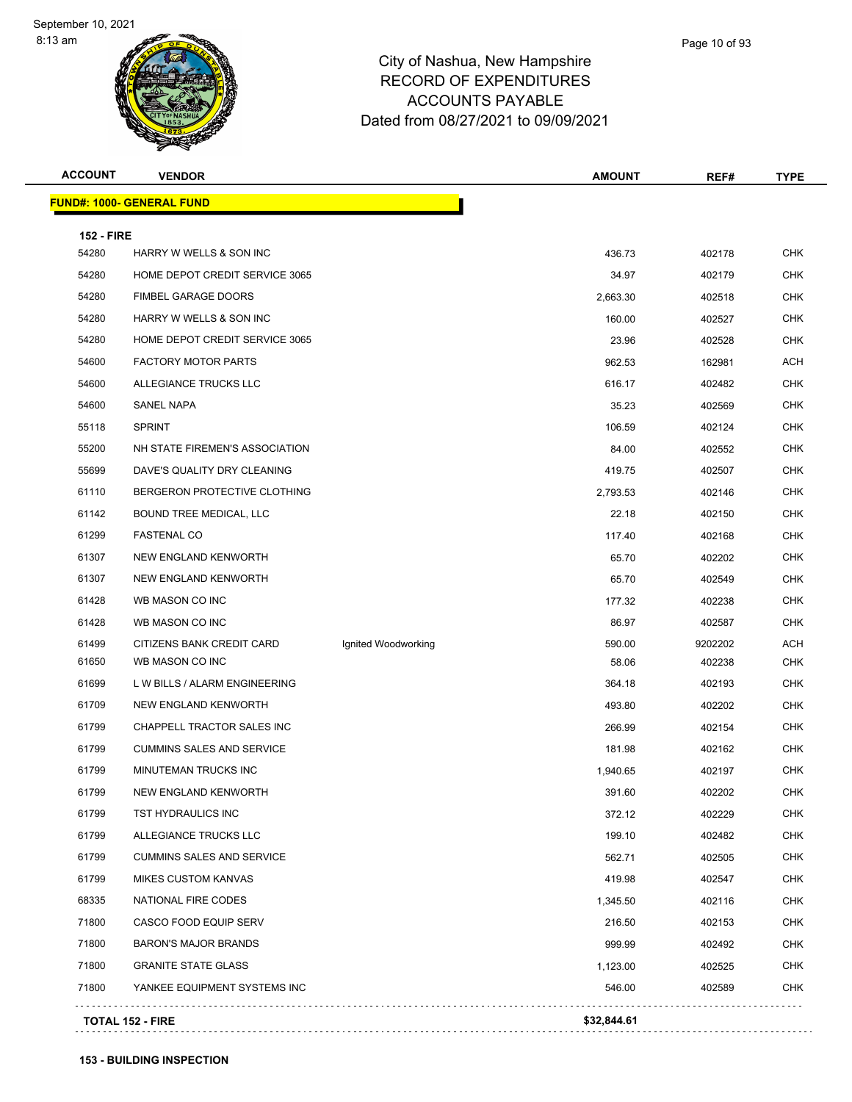

**FUND#: 1000- GENERAL FUND**

# City of Nashua, New Hampshire RECORD OF EXPENDITURES ACCOUNTS PAYABLE

|                   | ЙÏ                                 | <b>ACCOUNTS PAYABLE</b><br>Dated from 08/27/2021 to 09/09/2021 |               |              |             |  |
|-------------------|------------------------------------|----------------------------------------------------------------|---------------|--------------|-------------|--|
| <b>ACCOUNT</b>    | <b>VENDOR</b>                      |                                                                | <b>AMOUNT</b> | REF#         | <b>TYPE</b> |  |
|                   | <u> IND#: 1000- GENERAL FUND</u>   |                                                                |               |              |             |  |
| <b>152 - FIRE</b> |                                    |                                                                |               |              |             |  |
| 54280             | <b>HARRY W WELLS &amp; SON INC</b> |                                                                | 436.73        | 402178       | <b>CHK</b>  |  |
| 54280             | HOME DEPOT CREDIT SERVICE 3065     |                                                                | 34.97         | 402179       | <b>CHK</b>  |  |
| 54280             | FIMREL GARAGE DOORS                |                                                                | 26220         | $A\cap 2518$ | <b>CHK</b>  |  |

| <b>152 - FIRE</b> |                                  |                     |          |         |            |
|-------------------|----------------------------------|---------------------|----------|---------|------------|
| 54280             | HARRY W WELLS & SON INC          |                     | 436.73   | 402178  | <b>CHK</b> |
| 54280             | HOME DEPOT CREDIT SERVICE 3065   |                     | 34.97    | 402179  | CHK        |
| 54280             | <b>FIMBEL GARAGE DOORS</b>       |                     | 2,663.30 | 402518  | <b>CHK</b> |
| 54280             | HARRY W WELLS & SON INC          |                     | 160.00   | 402527  | CHK        |
| 54280             | HOME DEPOT CREDIT SERVICE 3065   |                     | 23.96    | 402528  | CHK        |
| 54600             | <b>FACTORY MOTOR PARTS</b>       |                     | 962.53   | 162981  | ACH        |
| 54600             | ALLEGIANCE TRUCKS LLC            |                     | 616.17   | 402482  | <b>CHK</b> |
| 54600             | SANEL NAPA                       |                     | 35.23    | 402569  | <b>CHK</b> |
| 55118             | <b>SPRINT</b>                    |                     | 106.59   | 402124  | CHK        |
| 55200             | NH STATE FIREMEN'S ASSOCIATION   |                     | 84.00    | 402552  | CHK        |
| 55699             | DAVE'S QUALITY DRY CLEANING      |                     | 419.75   | 402507  | CHK        |
| 61110             | BERGERON PROTECTIVE CLOTHING     |                     | 2,793.53 | 402146  | CHK        |
| 61142             | <b>BOUND TREE MEDICAL, LLC</b>   |                     | 22.18    | 402150  | <b>CHK</b> |
| 61299             | <b>FASTENAL CO</b>               |                     | 117.40   | 402168  | CHK        |
| 61307             | NEW ENGLAND KENWORTH             |                     | 65.70    | 402202  | CHK        |
| 61307             | NEW ENGLAND KENWORTH             |                     | 65.70    | 402549  | CHK        |
| 61428             | WB MASON CO INC                  |                     | 177.32   | 402238  | <b>CHK</b> |
| 61428             | WB MASON CO INC                  |                     | 86.97    | 402587  | <b>CHK</b> |
| 61499             | CITIZENS BANK CREDIT CARD        | Ignited Woodworking | 590.00   | 9202202 | ACH        |
| 61650             | WB MASON CO INC                  |                     | 58.06    | 402238  | <b>CHK</b> |
| 61699             | L W BILLS / ALARM ENGINEERING    |                     | 364.18   | 402193  | CHK        |
| 61709             | NEW ENGLAND KENWORTH             |                     | 493.80   | 402202  | CHK        |
| 61799             | CHAPPELL TRACTOR SALES INC       |                     | 266.99   | 402154  | CHK        |
| 61799             | <b>CUMMINS SALES AND SERVICE</b> |                     | 181.98   | 402162  | <b>CHK</b> |
| 61799             | MINUTEMAN TRUCKS INC             |                     | 1,940.65 | 402197  | CHK        |
| 61799             | NEW ENGLAND KENWORTH             |                     | 391.60   | 402202  | CHK        |
| 61799             | TST HYDRAULICS INC               |                     | 372.12   | 402229  | CHK        |
| 61799             | ALLEGIANCE TRUCKS LLC            |                     | 199.10   | 402482  | CHK        |
| 61799             | <b>CUMMINS SALES AND SERVICE</b> |                     | 562.71   | 402505  | <b>CHK</b> |
| 61799             | <b>MIKES CUSTOM KANVAS</b>       |                     | 419.98   | 402547  | <b>CHK</b> |
| 68335             | NATIONAL FIRE CODES              |                     | 1,345.50 | 402116  | <b>CHK</b> |
| 71800             | CASCO FOOD EQUIP SERV            |                     | 216.50   | 402153  | <b>CHK</b> |
| 71800             | <b>BARON'S MAJOR BRANDS</b>      |                     | 999.99   | 402492  | CHK        |
| 71800             | <b>GRANITE STATE GLASS</b>       |                     | 1,123.00 | 402525  | CHK        |
| 71800             | YANKEE EQUIPMENT SYSTEMS INC     |                     | 546.00   | 402589  | <b>CHK</b> |

**153 - BUILDING INSPECTION**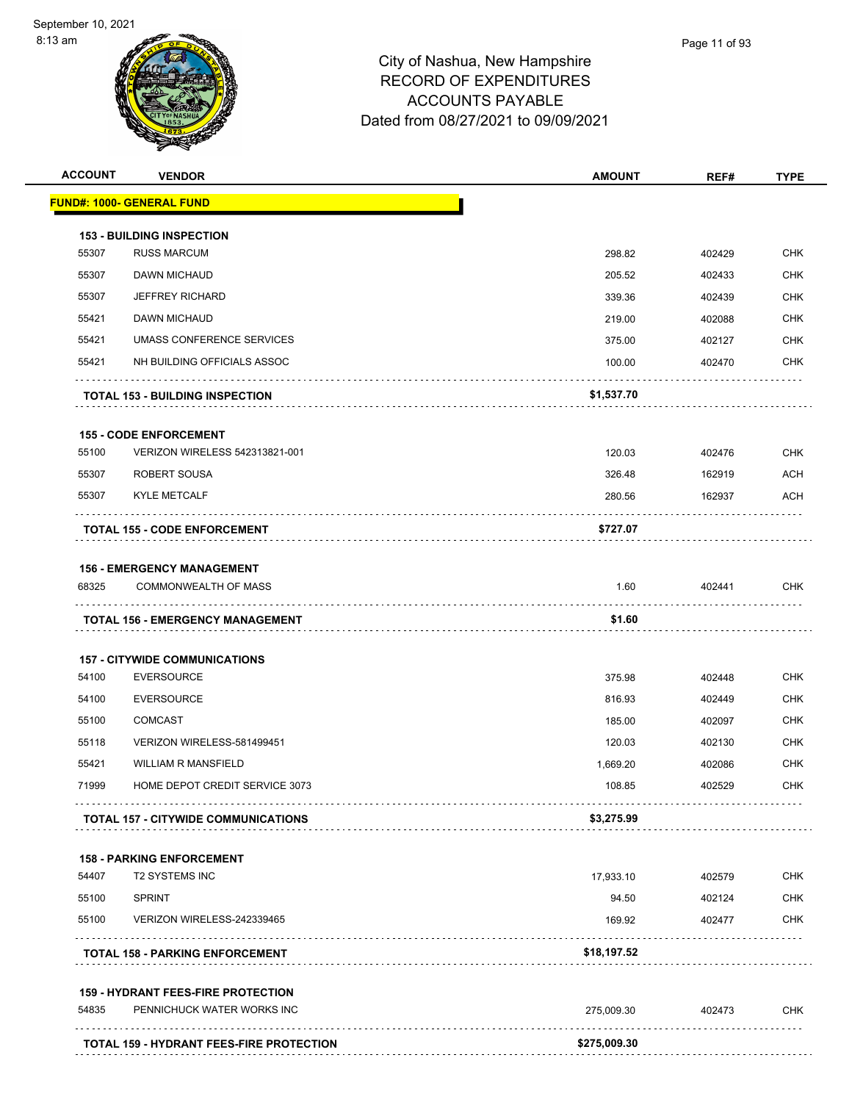

| <b>ACCOUNT</b> | <b>VENDOR</b>                              | <b>AMOUNT</b> | REF#   | <b>TYPE</b> |
|----------------|--------------------------------------------|---------------|--------|-------------|
|                | <b>FUND#: 1000- GENERAL FUND</b>           |               |        |             |
|                | <b>153 - BUILDING INSPECTION</b>           |               |        |             |
| 55307          | <b>RUSS MARCUM</b>                         | 298.82        | 402429 | <b>CHK</b>  |
| 55307          | DAWN MICHAUD                               | 205.52        | 402433 | <b>CHK</b>  |
| 55307          | <b>JEFFREY RICHARD</b>                     | 339.36        | 402439 | <b>CHK</b>  |
| 55421          | DAWN MICHAUD                               | 219.00        | 402088 | <b>CHK</b>  |
| 55421          | UMASS CONFERENCE SERVICES                  | 375.00        | 402127 | <b>CHK</b>  |
| 55421          | NH BUILDING OFFICIALS ASSOC                | 100.00        | 402470 | <b>CHK</b>  |
|                | <b>TOTAL 153 - BUILDING INSPECTION</b>     | \$1,537.70    |        |             |
|                | <b>155 - CODE ENFORCEMENT</b>              |               |        |             |
| 55100          | VERIZON WIRELESS 542313821-001             | 120.03        | 402476 | <b>CHK</b>  |
| 55307          | <b>ROBERT SOUSA</b>                        | 326.48        | 162919 | <b>ACH</b>  |
| 55307          | <b>KYLE METCALF</b>                        | 280.56        | 162937 | ACH         |
|                | <b>TOTAL 155 - CODE ENFORCEMENT</b>        | \$727.07      |        |             |
|                | <b>156 - EMERGENCY MANAGEMENT</b>          |               |        |             |
| 68325          | <b>COMMONWEALTH OF MASS</b>                | 1.60          | 402441 | <b>CHK</b>  |
|                | <b>TOTAL 156 - EMERGENCY MANAGEMENT</b>    | \$1.60        |        |             |
|                | <b>157 - CITYWIDE COMMUNICATIONS</b>       |               |        |             |
| 54100          | <b>EVERSOURCE</b>                          | 375.98        | 402448 | <b>CHK</b>  |
| 54100          | <b>EVERSOURCE</b>                          | 816.93        | 402449 | <b>CHK</b>  |
| 55100          | <b>COMCAST</b>                             | 185.00        | 402097 | <b>CHK</b>  |
| 55118          | VERIZON WIRELESS-581499451                 | 120.03        | 402130 | <b>CHK</b>  |
| 55421          | <b>WILLIAM R MANSFIELD</b>                 | 1.669.20      | 402086 | <b>CHK</b>  |
| 71999          | HOME DEPOT CREDIT SERVICE 3073             | 108.85        | 402529 | <b>CHK</b>  |
|                | <b>TOTAL 157 - CITYWIDE COMMUNICATIONS</b> | \$3,275.99    |        |             |
|                | <b>158 - PARKING ENFORCEMENT</b>           |               |        |             |
| 54407          | <b>T2 SYSTEMS INC</b>                      | 17,933.10     | 402579 | <b>CHK</b>  |
| 55100          | <b>SPRINT</b>                              | 94.50         | 402124 | <b>CHK</b>  |
| 55100          | VERIZON WIRELESS-242339465                 | 169.92        | 402477 | CHK         |
|                | <b>TOTAL 158 - PARKING ENFORCEMENT</b>     | \$18,197.52   |        |             |
|                | <b>159 - HYDRANT FEES-FIRE PROTECTION</b>  |               |        |             |
|                | PENNICHUCK WATER WORKS INC                 | 275,009.30    | 402473 | <b>CHK</b>  |
| 54835          |                                            |               |        |             |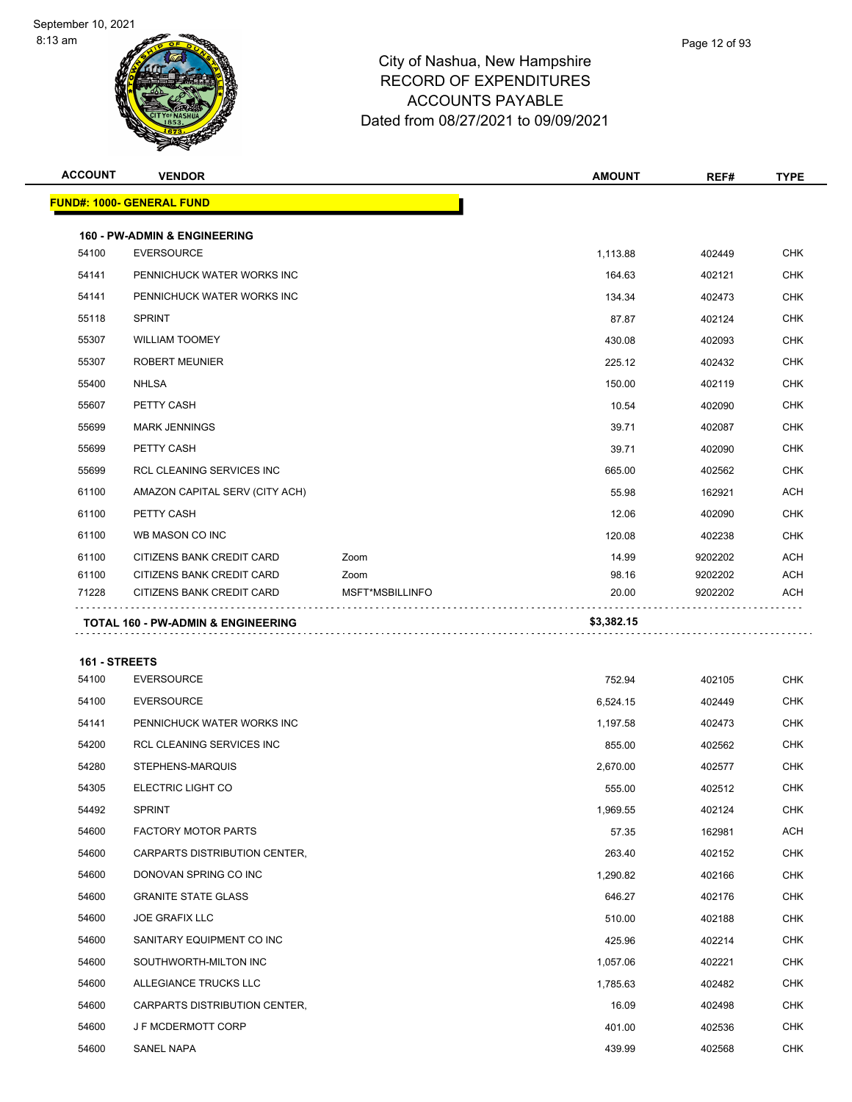

| <b>ACCOUNT</b> | <b>VENDOR</b>                                 |                 | <b>AMOUNT</b> | REF#    | <b>TYPE</b> |
|----------------|-----------------------------------------------|-----------------|---------------|---------|-------------|
|                | <b>FUND#: 1000- GENERAL FUND</b>              |                 |               |         |             |
|                | <b>160 - PW-ADMIN &amp; ENGINEERING</b>       |                 |               |         |             |
| 54100          | <b>EVERSOURCE</b>                             |                 | 1,113.88      | 402449  | <b>CHK</b>  |
| 54141          | PENNICHUCK WATER WORKS INC                    |                 | 164.63        | 402121  | <b>CHK</b>  |
| 54141          | PENNICHUCK WATER WORKS INC                    |                 | 134.34        | 402473  | <b>CHK</b>  |
| 55118          | <b>SPRINT</b>                                 |                 | 87.87         | 402124  | <b>CHK</b>  |
| 55307          | <b>WILLIAM TOOMEY</b>                         |                 | 430.08        | 402093  | <b>CHK</b>  |
| 55307          | <b>ROBERT MEUNIER</b>                         |                 | 225.12        | 402432  | <b>CHK</b>  |
| 55400          | <b>NHLSA</b>                                  |                 | 150.00        | 402119  | CHK         |
| 55607          | PETTY CASH                                    |                 | 10.54         | 402090  | <b>CHK</b>  |
| 55699          | <b>MARK JENNINGS</b>                          |                 | 39.71         | 402087  | <b>CHK</b>  |
| 55699          | PETTY CASH                                    |                 | 39.71         | 402090  | <b>CHK</b>  |
| 55699          | RCL CLEANING SERVICES INC                     |                 | 665.00        | 402562  | <b>CHK</b>  |
| 61100          | AMAZON CAPITAL SERV (CITY ACH)                |                 | 55.98         | 162921  | ACH         |
| 61100          | PETTY CASH                                    |                 | 12.06         | 402090  | <b>CHK</b>  |
| 61100          | WB MASON CO INC                               |                 | 120.08        | 402238  | <b>CHK</b>  |
| 61100          | CITIZENS BANK CREDIT CARD                     | Zoom            | 14.99         | 9202202 | <b>ACH</b>  |
| 61100          | CITIZENS BANK CREDIT CARD                     | Zoom            | 98.16         | 9202202 | <b>ACH</b>  |
| 71228          | CITIZENS BANK CREDIT CARD                     | MSFT*MSBILLINFO | 20.00         | 9202202 | <b>ACH</b>  |
|                | <b>TOTAL 160 - PW-ADMIN &amp; ENGINEERING</b> |                 | \$3,382.15    |         |             |
|                |                                               |                 |               |         |             |
| 161 - STREETS  |                                               |                 |               |         |             |
| 54100          | <b>EVERSOURCE</b>                             |                 | 752.94        | 402105  | <b>CHK</b>  |
| 54100          | <b>EVERSOURCE</b>                             |                 | 6,524.15      | 402449  | <b>CHK</b>  |
| 54141          | PENNICHUCK WATER WORKS INC                    |                 | 1,197.58      | 402473  | <b>CHK</b>  |
| 54200          | RCL CLEANING SERVICES INC                     |                 | 855.00        | 402562  | <b>CHK</b>  |
| 54280          | STEPHENS-MARQUIS                              |                 | 2,670.00      | 402577  | <b>CHK</b>  |
| 54305          | <b>ELECTRIC LIGHT CO</b>                      |                 | 555.00        | 402512  | <b>CHK</b>  |
| 54492          | <b>SPRINT</b>                                 |                 | 1,969.55      | 402124  | <b>CHK</b>  |
| 54600          | <b>FACTORY MOTOR PARTS</b>                    |                 | 57.35         | 162981  | ACH         |
| 54600          | CARPARTS DISTRIBUTION CENTER,                 |                 | 263.40        | 402152  | <b>CHK</b>  |
| 54600          | DONOVAN SPRING CO INC                         |                 | 1,290.82      | 402166  | <b>CHK</b>  |
| 54600          | <b>GRANITE STATE GLASS</b>                    |                 | 646.27        | 402176  | <b>CHK</b>  |
| 54600          | <b>JOE GRAFIX LLC</b>                         |                 | 510.00        | 402188  | <b>CHK</b>  |
| 54600          | SANITARY EQUIPMENT CO INC                     |                 | 425.96        | 402214  | <b>CHK</b>  |
| 54600          | SOUTHWORTH-MILTON INC                         |                 | 1,057.06      | 402221  | <b>CHK</b>  |
| 54600          | ALLEGIANCE TRUCKS LLC                         |                 | 1,785.63      | 402482  | <b>CHK</b>  |
| 54600          | CARPARTS DISTRIBUTION CENTER,                 |                 | 16.09         | 402498  | <b>CHK</b>  |
| 54600          | J F MCDERMOTT CORP                            |                 | 401.00        | 402536  | <b>CHK</b>  |
| 54600          | SANEL NAPA                                    |                 | 439.99        | 402568  | <b>CHK</b>  |
|                |                                               |                 |               |         |             |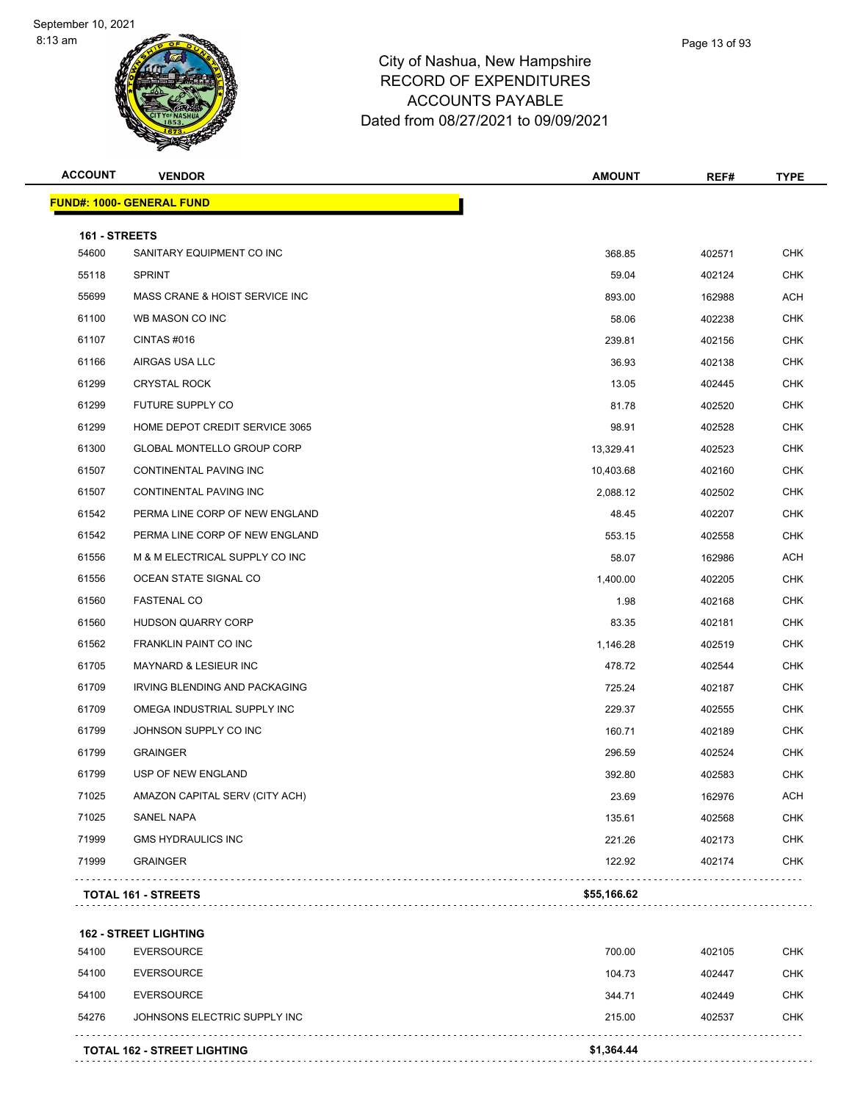

# City of Nashua, New Hampshire RECORD OF EXPENDITURES ACCOUNTS PAYABLE Dated from 08/27/2021 to 09/09/2021

| Page 13 of 93 |
|---------------|
|               |

| <b>FUND#: 1000- GENERAL FUND</b><br>161 - STREETS<br>54600<br>368.85<br>SANITARY EQUIPMENT CO INC<br>402571<br>55118<br><b>SPRINT</b><br>59.04<br>402124<br>55699<br>MASS CRANE & HOIST SERVICE INC<br>162988<br>893.00<br>61100<br>WB MASON CO INC<br>58.06<br>402238<br>61107<br>CINTAS #016<br>239.81<br>402156<br>61166<br>36.93<br>AIRGAS USA LLC<br>402138<br>61299<br><b>CRYSTAL ROCK</b><br>13.05<br>402445<br>FUTURE SUPPLY CO<br>61299<br>81.78<br>402520<br>61299<br>HOME DEPOT CREDIT SERVICE 3065<br>98.91<br>402528<br>61300<br>GLOBAL MONTELLO GROUP CORP<br>13,329.41<br>402523<br>61507<br><b>CONTINENTAL PAVING INC</b><br>10,403.68<br>402160<br>61507<br>CONTINENTAL PAVING INC<br>2,088.12<br>402502<br>61542<br>PERMA LINE CORP OF NEW ENGLAND<br>48.45<br>402207<br>61542<br>PERMA LINE CORP OF NEW ENGLAND<br>553.15<br>402558<br>61556<br>M & M ELECTRICAL SUPPLY CO INC<br>58.07<br>162986<br>61556<br>1,400.00<br>OCEAN STATE SIGNAL CO<br>402205<br>61560<br><b>FASTENAL CO</b><br>1.98<br>402168<br>61560<br>HUDSON QUARRY CORP<br>83.35<br>402181<br>61562<br>FRANKLIN PAINT CO INC<br>1,146.28<br>402519<br>61705<br>MAYNARD & LESIEUR INC<br>478.72<br>402544<br>61709<br>725.24<br>IRVING BLENDING AND PACKAGING<br>402187<br>61709<br>OMEGA INDUSTRIAL SUPPLY INC<br>229.37<br>402555<br>JOHNSON SUPPLY CO INC<br>61799<br>160.71<br>402189<br>61799<br><b>GRAINGER</b><br>296.59<br>402524<br>61799<br>USP OF NEW ENGLAND<br>392.80<br>402583<br>71025<br>AMAZON CAPITAL SERV (CITY ACH)<br>23.69<br>162976<br>71025<br>SANEL NAPA<br>135.61<br>402568<br>71999<br><b>GMS HYDRAULICS INC</b><br>221.26<br>402173<br>71999<br><b>GRAINGER</b><br>122.92<br>402174<br>.<br>\$55,166.62<br><b>TOTAL 161 - STREETS</b> | <b>ACCOUNT</b> | <b>VENDOR</b> | <b>AMOUNT</b> | REF# | <b>TYPE</b> |
|-------------------------------------------------------------------------------------------------------------------------------------------------------------------------------------------------------------------------------------------------------------------------------------------------------------------------------------------------------------------------------------------------------------------------------------------------------------------------------------------------------------------------------------------------------------------------------------------------------------------------------------------------------------------------------------------------------------------------------------------------------------------------------------------------------------------------------------------------------------------------------------------------------------------------------------------------------------------------------------------------------------------------------------------------------------------------------------------------------------------------------------------------------------------------------------------------------------------------------------------------------------------------------------------------------------------------------------------------------------------------------------------------------------------------------------------------------------------------------------------------------------------------------------------------------------------------------------------------------------------------------------------------------------------------------------------------------------------------------------------------------|----------------|---------------|---------------|------|-------------|
|                                                                                                                                                                                                                                                                                                                                                                                                                                                                                                                                                                                                                                                                                                                                                                                                                                                                                                                                                                                                                                                                                                                                                                                                                                                                                                                                                                                                                                                                                                                                                                                                                                                                                                                                                       |                |               |               |      |             |
|                                                                                                                                                                                                                                                                                                                                                                                                                                                                                                                                                                                                                                                                                                                                                                                                                                                                                                                                                                                                                                                                                                                                                                                                                                                                                                                                                                                                                                                                                                                                                                                                                                                                                                                                                       |                |               |               |      |             |
|                                                                                                                                                                                                                                                                                                                                                                                                                                                                                                                                                                                                                                                                                                                                                                                                                                                                                                                                                                                                                                                                                                                                                                                                                                                                                                                                                                                                                                                                                                                                                                                                                                                                                                                                                       |                |               |               |      | <b>CHK</b>  |
|                                                                                                                                                                                                                                                                                                                                                                                                                                                                                                                                                                                                                                                                                                                                                                                                                                                                                                                                                                                                                                                                                                                                                                                                                                                                                                                                                                                                                                                                                                                                                                                                                                                                                                                                                       |                |               |               |      | <b>CHK</b>  |
|                                                                                                                                                                                                                                                                                                                                                                                                                                                                                                                                                                                                                                                                                                                                                                                                                                                                                                                                                                                                                                                                                                                                                                                                                                                                                                                                                                                                                                                                                                                                                                                                                                                                                                                                                       |                |               |               |      | <b>ACH</b>  |
|                                                                                                                                                                                                                                                                                                                                                                                                                                                                                                                                                                                                                                                                                                                                                                                                                                                                                                                                                                                                                                                                                                                                                                                                                                                                                                                                                                                                                                                                                                                                                                                                                                                                                                                                                       |                |               |               |      | <b>CHK</b>  |
|                                                                                                                                                                                                                                                                                                                                                                                                                                                                                                                                                                                                                                                                                                                                                                                                                                                                                                                                                                                                                                                                                                                                                                                                                                                                                                                                                                                                                                                                                                                                                                                                                                                                                                                                                       |                |               |               |      | <b>CHK</b>  |
|                                                                                                                                                                                                                                                                                                                                                                                                                                                                                                                                                                                                                                                                                                                                                                                                                                                                                                                                                                                                                                                                                                                                                                                                                                                                                                                                                                                                                                                                                                                                                                                                                                                                                                                                                       |                |               |               |      | <b>CHK</b>  |
|                                                                                                                                                                                                                                                                                                                                                                                                                                                                                                                                                                                                                                                                                                                                                                                                                                                                                                                                                                                                                                                                                                                                                                                                                                                                                                                                                                                                                                                                                                                                                                                                                                                                                                                                                       |                |               |               |      | <b>CHK</b>  |
|                                                                                                                                                                                                                                                                                                                                                                                                                                                                                                                                                                                                                                                                                                                                                                                                                                                                                                                                                                                                                                                                                                                                                                                                                                                                                                                                                                                                                                                                                                                                                                                                                                                                                                                                                       |                |               |               |      | <b>CHK</b>  |
|                                                                                                                                                                                                                                                                                                                                                                                                                                                                                                                                                                                                                                                                                                                                                                                                                                                                                                                                                                                                                                                                                                                                                                                                                                                                                                                                                                                                                                                                                                                                                                                                                                                                                                                                                       |                |               |               |      | <b>CHK</b>  |
|                                                                                                                                                                                                                                                                                                                                                                                                                                                                                                                                                                                                                                                                                                                                                                                                                                                                                                                                                                                                                                                                                                                                                                                                                                                                                                                                                                                                                                                                                                                                                                                                                                                                                                                                                       |                |               |               |      | <b>CHK</b>  |
|                                                                                                                                                                                                                                                                                                                                                                                                                                                                                                                                                                                                                                                                                                                                                                                                                                                                                                                                                                                                                                                                                                                                                                                                                                                                                                                                                                                                                                                                                                                                                                                                                                                                                                                                                       |                |               |               |      | <b>CHK</b>  |
|                                                                                                                                                                                                                                                                                                                                                                                                                                                                                                                                                                                                                                                                                                                                                                                                                                                                                                                                                                                                                                                                                                                                                                                                                                                                                                                                                                                                                                                                                                                                                                                                                                                                                                                                                       |                |               |               |      | <b>CHK</b>  |
|                                                                                                                                                                                                                                                                                                                                                                                                                                                                                                                                                                                                                                                                                                                                                                                                                                                                                                                                                                                                                                                                                                                                                                                                                                                                                                                                                                                                                                                                                                                                                                                                                                                                                                                                                       |                |               |               |      | <b>CHK</b>  |
|                                                                                                                                                                                                                                                                                                                                                                                                                                                                                                                                                                                                                                                                                                                                                                                                                                                                                                                                                                                                                                                                                                                                                                                                                                                                                                                                                                                                                                                                                                                                                                                                                                                                                                                                                       |                |               |               |      | <b>CHK</b>  |
|                                                                                                                                                                                                                                                                                                                                                                                                                                                                                                                                                                                                                                                                                                                                                                                                                                                                                                                                                                                                                                                                                                                                                                                                                                                                                                                                                                                                                                                                                                                                                                                                                                                                                                                                                       |                |               |               |      | ACH         |
|                                                                                                                                                                                                                                                                                                                                                                                                                                                                                                                                                                                                                                                                                                                                                                                                                                                                                                                                                                                                                                                                                                                                                                                                                                                                                                                                                                                                                                                                                                                                                                                                                                                                                                                                                       |                |               |               |      | <b>CHK</b>  |
|                                                                                                                                                                                                                                                                                                                                                                                                                                                                                                                                                                                                                                                                                                                                                                                                                                                                                                                                                                                                                                                                                                                                                                                                                                                                                                                                                                                                                                                                                                                                                                                                                                                                                                                                                       |                |               |               |      | <b>CHK</b>  |
|                                                                                                                                                                                                                                                                                                                                                                                                                                                                                                                                                                                                                                                                                                                                                                                                                                                                                                                                                                                                                                                                                                                                                                                                                                                                                                                                                                                                                                                                                                                                                                                                                                                                                                                                                       |                |               |               |      | <b>CHK</b>  |
|                                                                                                                                                                                                                                                                                                                                                                                                                                                                                                                                                                                                                                                                                                                                                                                                                                                                                                                                                                                                                                                                                                                                                                                                                                                                                                                                                                                                                                                                                                                                                                                                                                                                                                                                                       |                |               |               |      | <b>CHK</b>  |
|                                                                                                                                                                                                                                                                                                                                                                                                                                                                                                                                                                                                                                                                                                                                                                                                                                                                                                                                                                                                                                                                                                                                                                                                                                                                                                                                                                                                                                                                                                                                                                                                                                                                                                                                                       |                |               |               |      | <b>CHK</b>  |
|                                                                                                                                                                                                                                                                                                                                                                                                                                                                                                                                                                                                                                                                                                                                                                                                                                                                                                                                                                                                                                                                                                                                                                                                                                                                                                                                                                                                                                                                                                                                                                                                                                                                                                                                                       |                |               |               |      | <b>CHK</b>  |
|                                                                                                                                                                                                                                                                                                                                                                                                                                                                                                                                                                                                                                                                                                                                                                                                                                                                                                                                                                                                                                                                                                                                                                                                                                                                                                                                                                                                                                                                                                                                                                                                                                                                                                                                                       |                |               |               |      | <b>CHK</b>  |
|                                                                                                                                                                                                                                                                                                                                                                                                                                                                                                                                                                                                                                                                                                                                                                                                                                                                                                                                                                                                                                                                                                                                                                                                                                                                                                                                                                                                                                                                                                                                                                                                                                                                                                                                                       |                |               |               |      | <b>CHK</b>  |
|                                                                                                                                                                                                                                                                                                                                                                                                                                                                                                                                                                                                                                                                                                                                                                                                                                                                                                                                                                                                                                                                                                                                                                                                                                                                                                                                                                                                                                                                                                                                                                                                                                                                                                                                                       |                |               |               |      | <b>CHK</b>  |
|                                                                                                                                                                                                                                                                                                                                                                                                                                                                                                                                                                                                                                                                                                                                                                                                                                                                                                                                                                                                                                                                                                                                                                                                                                                                                                                                                                                                                                                                                                                                                                                                                                                                                                                                                       |                |               |               |      | <b>CHK</b>  |
|                                                                                                                                                                                                                                                                                                                                                                                                                                                                                                                                                                                                                                                                                                                                                                                                                                                                                                                                                                                                                                                                                                                                                                                                                                                                                                                                                                                                                                                                                                                                                                                                                                                                                                                                                       |                |               |               |      | <b>ACH</b>  |
|                                                                                                                                                                                                                                                                                                                                                                                                                                                                                                                                                                                                                                                                                                                                                                                                                                                                                                                                                                                                                                                                                                                                                                                                                                                                                                                                                                                                                                                                                                                                                                                                                                                                                                                                                       |                |               |               |      | <b>CHK</b>  |
|                                                                                                                                                                                                                                                                                                                                                                                                                                                                                                                                                                                                                                                                                                                                                                                                                                                                                                                                                                                                                                                                                                                                                                                                                                                                                                                                                                                                                                                                                                                                                                                                                                                                                                                                                       |                |               |               |      | <b>CHK</b>  |
|                                                                                                                                                                                                                                                                                                                                                                                                                                                                                                                                                                                                                                                                                                                                                                                                                                                                                                                                                                                                                                                                                                                                                                                                                                                                                                                                                                                                                                                                                                                                                                                                                                                                                                                                                       |                |               |               |      | <b>CHK</b>  |
|                                                                                                                                                                                                                                                                                                                                                                                                                                                                                                                                                                                                                                                                                                                                                                                                                                                                                                                                                                                                                                                                                                                                                                                                                                                                                                                                                                                                                                                                                                                                                                                                                                                                                                                                                       |                |               |               |      |             |
|                                                                                                                                                                                                                                                                                                                                                                                                                                                                                                                                                                                                                                                                                                                                                                                                                                                                                                                                                                                                                                                                                                                                                                                                                                                                                                                                                                                                                                                                                                                                                                                                                                                                                                                                                       |                |               |               |      |             |

**162 - STREET LIGHTING**

|       | <b>TOTAL 162 - STREET LIGHTING</b> | \$1,364,44 |        |            |
|-------|------------------------------------|------------|--------|------------|
| 54276 | JOHNSONS ELECTRIC SUPPLY INC       | 215.00     | 402537 | СНК        |
| 54100 | <b>EVERSOURCE</b>                  | 344.71     | 402449 | СНК        |
| 54100 | EVERSOURCE                         | 104.73     | 402447 | CHK        |
| 54100 | <b>EVERSOURCE</b>                  | 700.00     | 402105 | <b>CHK</b> |
|       |                                    |            |        |            |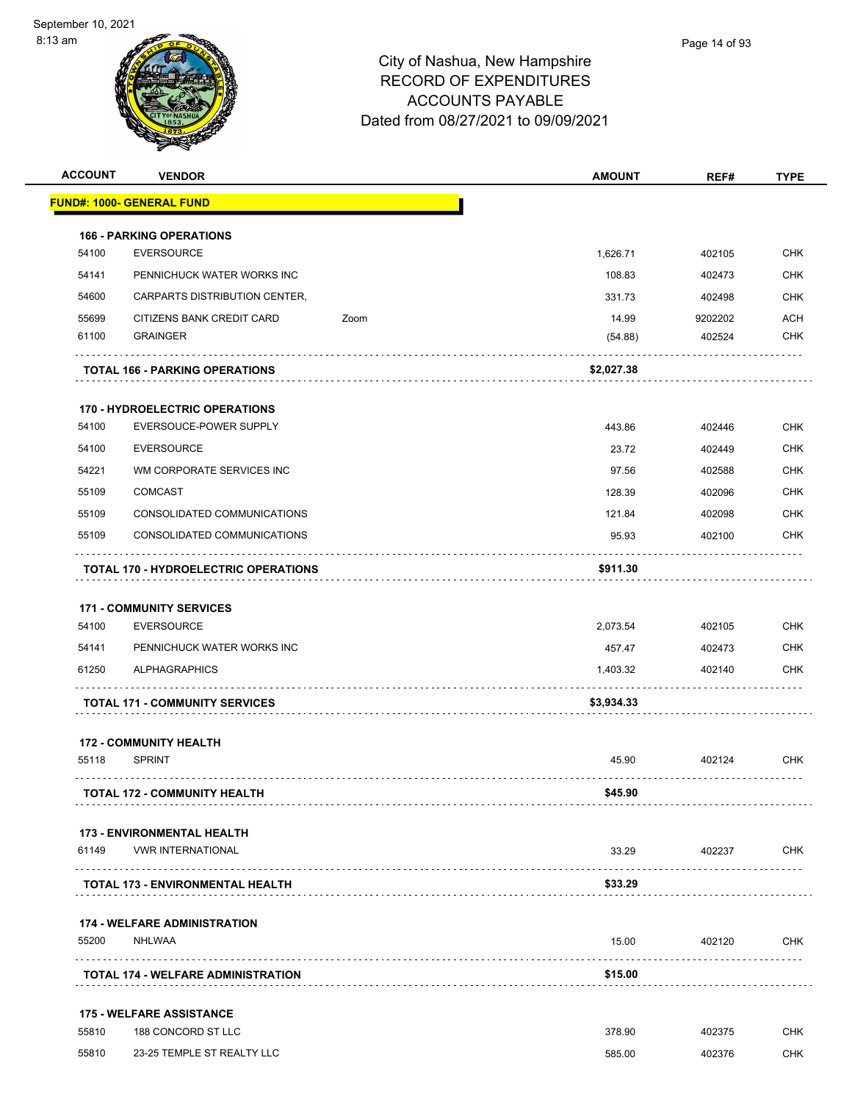

| <b>ACCOUNT</b> | <b>VENDOR</b>                                   |      | <b>AMOUNT</b>      | REF#             | <b>TYPE</b> |
|----------------|-------------------------------------------------|------|--------------------|------------------|-------------|
|                | <b>FUND#: 1000- GENERAL FUND</b>                |      |                    |                  |             |
|                | <b>166 - PARKING OPERATIONS</b>                 |      |                    |                  |             |
| 54100          | EVERSOURCE                                      |      | 1,626.71           | 402105           | <b>CHK</b>  |
| 54141          | PENNICHUCK WATER WORKS INC                      |      | 108.83             | 402473           | <b>CHK</b>  |
| 54600          | CARPARTS DISTRIBUTION CENTER,                   |      | 331.73             | 402498           | <b>CHK</b>  |
| 55699          | CITIZENS BANK CREDIT CARD                       | Zoom | 14.99              | 9202202          | <b>ACH</b>  |
| 61100          | <b>GRAINGER</b>                                 |      | (54.88)            | 402524           | <b>CHK</b>  |
|                | <b>TOTAL 166 - PARKING OPERATIONS</b>           |      | \$2,027.38         |                  |             |
|                | <b>170 - HYDROELECTRIC OPERATIONS</b>           |      |                    |                  |             |
| 54100          | EVERSOUCE-POWER SUPPLY                          |      | 443.86             | 402446           | <b>CHK</b>  |
| 54100          | <b>EVERSOURCE</b>                               |      | 23.72              | 402449           | <b>CHK</b>  |
| 54221          | WM CORPORATE SERVICES INC                       |      | 97.56              | 402588           | <b>CHK</b>  |
| 55109          | <b>COMCAST</b>                                  |      | 128.39             | 402096           | <b>CHK</b>  |
| 55109          | CONSOLIDATED COMMUNICATIONS                     |      | 121.84             | 402098           | <b>CHK</b>  |
| 55109          | CONSOLIDATED COMMUNICATIONS                     |      | 95.93              | 402100           | <b>CHK</b>  |
|                | <b>TOTAL 170 - HYDROELECTRIC OPERATIONS</b>     |      | \$911.30           |                  |             |
|                |                                                 |      |                    |                  |             |
|                | <b>171 - COMMUNITY SERVICES</b>                 |      |                    |                  | <b>CHK</b>  |
| 54100<br>54141 | <b>EVERSOURCE</b><br>PENNICHUCK WATER WORKS INC |      | 2,073.54<br>457.47 | 402105<br>402473 | <b>CHK</b>  |
| 61250          | <b>ALPHAGRAPHICS</b>                            |      | 1,403.32           | 402140           | CHK         |
|                |                                                 |      |                    |                  |             |
|                | <b>TOTAL 171 - COMMUNITY SERVICES</b>           |      | \$3,934.33         |                  |             |
|                | <b>172 - COMMUNITY HEALTH</b>                   |      |                    |                  |             |
| 55118          | <b>SPRINT</b>                                   |      | 45.90              | 402124           | <b>CHK</b>  |
|                | TOTAL 172 - COMMUNITY HEALTH                    |      | \$45.90            |                  |             |
|                |                                                 |      |                    |                  |             |
|                | <b>173 - ENVIRONMENTAL HEALTH</b>               |      |                    |                  |             |
| 61149          | <b>VWR INTERNATIONAL</b>                        |      | 33.29              | 402237<br>.      | <b>CHK</b>  |
|                | <b>TOTAL 173 - ENVIRONMENTAL HEALTH</b>         |      | \$33.29            |                  |             |
|                |                                                 |      |                    |                  |             |
| 55200          | <b>174 - WELFARE ADMINISTRATION</b><br>NHLWAA   |      | 15.00              | 402120           | <b>CHK</b>  |
|                | <b>TOTAL 174 - WELFARE ADMINISTRATION</b>       |      | \$15.00            |                  |             |
|                | <b>175 - WELFARE ASSISTANCE</b>                 |      |                    |                  |             |
| 55810          | 188 CONCORD ST LLC                              |      | 378.90             | 402375           | <b>CHK</b>  |
| 55810          | 23-25 TEMPLE ST REALTY LLC                      |      | 585.00             | 402376           | <b>CHK</b>  |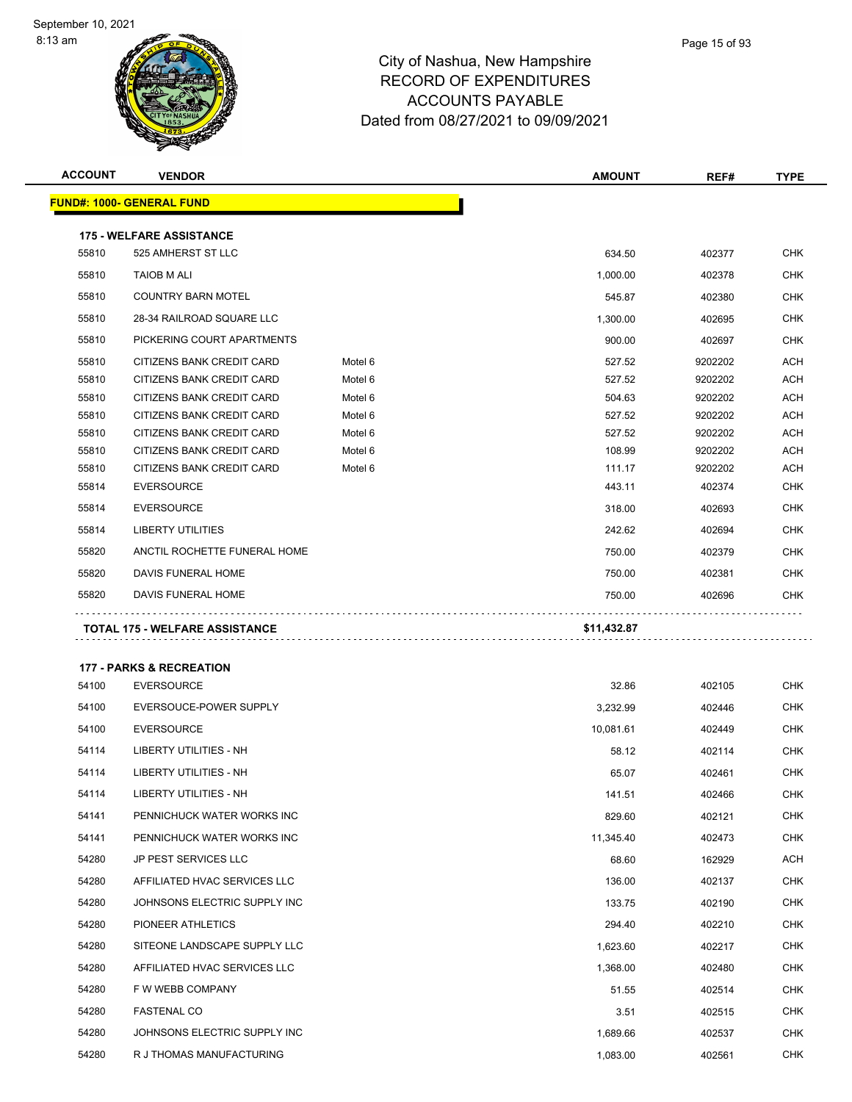

| <b>ACCOUNT</b> | <b>VENDOR</b>                                         |         | <b>AMOUNT</b> | REF#    | <b>TYPE</b> |
|----------------|-------------------------------------------------------|---------|---------------|---------|-------------|
|                | <u> FUND#: 1000- GENERAL FUND</u>                     |         |               |         |             |
|                |                                                       |         |               |         |             |
| 55810          | <b>175 - WELFARE ASSISTANCE</b><br>525 AMHERST ST LLC |         | 634.50        | 402377  | <b>CHK</b>  |
| 55810          | <b>TAIOB M ALI</b>                                    |         | 1,000.00      | 402378  | CHK         |
| 55810          | <b>COUNTRY BARN MOTEL</b>                             |         | 545.87        | 402380  | <b>CHK</b>  |
| 55810          | 28-34 RAILROAD SQUARE LLC                             |         | 1,300.00      | 402695  | <b>CHK</b>  |
| 55810          | PICKERING COURT APARTMENTS                            |         | 900.00        | 402697  | CHK         |
| 55810          | CITIZENS BANK CREDIT CARD                             | Motel 6 | 527.52        | 9202202 | <b>ACH</b>  |
| 55810          | CITIZENS BANK CREDIT CARD                             | Motel 6 | 527.52        | 9202202 | <b>ACH</b>  |
| 55810          | CITIZENS BANK CREDIT CARD                             | Motel 6 | 504.63        | 9202202 | <b>ACH</b>  |
| 55810          | CITIZENS BANK CREDIT CARD                             | Motel 6 | 527.52        | 9202202 | ACH         |
| 55810          | CITIZENS BANK CREDIT CARD                             | Motel 6 | 527.52        | 9202202 | <b>ACH</b>  |
| 55810          | CITIZENS BANK CREDIT CARD                             | Motel 6 | 108.99        | 9202202 | <b>ACH</b>  |
| 55810          | CITIZENS BANK CREDIT CARD                             | Motel 6 | 111.17        | 9202202 | ACH         |
| 55814          | <b>EVERSOURCE</b>                                     |         | 443.11        | 402374  | CHK         |
| 55814          | <b>EVERSOURCE</b>                                     |         | 318.00        | 402693  | <b>CHK</b>  |
| 55814          | LIBERTY UTILITIES                                     |         | 242.62        | 402694  | CHK         |
| 55820          | ANCTIL ROCHETTE FUNERAL HOME                          |         | 750.00        | 402379  | <b>CHK</b>  |
| 55820          | DAVIS FUNERAL HOME                                    |         | 750.00        | 402381  | <b>CHK</b>  |
| 55820          | DAVIS FUNERAL HOME                                    |         | 750.00        | 402696  | CHK         |
|                | TOTAL 175 - WELFARE ASSISTANCE                        |         | \$11,432.87   |         |             |
|                |                                                       |         |               |         |             |
|                | <b>177 - PARKS &amp; RECREATION</b>                   |         |               |         |             |
| 54100          | <b>EVERSOURCE</b>                                     |         | 32.86         | 402105  | <b>CHK</b>  |
| 54100          | EVERSOUCE-POWER SUPPLY                                |         | 3,232.99      | 402446  | CHK         |
| 54100          | <b>EVERSOURCE</b>                                     |         | 10,081.61     | 402449  | <b>CHK</b>  |
| 54114          | LIBERTY UTILITIES - NH                                |         | 58.12         | 402114  | CHK         |
| 54114          | LIBERTY UTILITIES - NH                                |         | 65.07         | 402461  | <b>CHK</b>  |
| 54114          | LIBERTY UTILITIES - NH                                |         | 141.51        | 402466  | <b>CHK</b>  |
| 54141          | PENNICHUCK WATER WORKS INC                            |         | 829.60        | 402121  | CHK         |
| 54141          | PENNICHUCK WATER WORKS INC                            |         | 11,345.40     | 402473  | <b>CHK</b>  |
| 54280          | JP PEST SERVICES LLC                                  |         | 68.60         | 162929  | ACH         |
| 54280          | AFFILIATED HVAC SERVICES LLC                          |         | 136.00        | 402137  | <b>CHK</b>  |
| 54280          | JOHNSONS ELECTRIC SUPPLY INC                          |         | 133.75        | 402190  | <b>CHK</b>  |
| 54280          | PIONEER ATHLETICS                                     |         | 294.40        | 402210  | CHK         |
| 54280          | SITEONE LANDSCAPE SUPPLY LLC                          |         | 1,623.60      | 402217  | <b>CHK</b>  |
| 54280          | AFFILIATED HVAC SERVICES LLC                          |         | 1,368.00      | 402480  | CHK         |
| 54280          | F W WEBB COMPANY                                      |         | 51.55         | 402514  | <b>CHK</b>  |
| 54280          | <b>FASTENAL CO</b>                                    |         | 3.51          | 402515  | <b>CHK</b>  |
| 54280          | JOHNSONS ELECTRIC SUPPLY INC                          |         | 1,689.66      | 402537  | CHK         |
| 54280          | R J THOMAS MANUFACTURING                              |         | 1,083.00      | 402561  | <b>CHK</b>  |
|                |                                                       |         |               |         |             |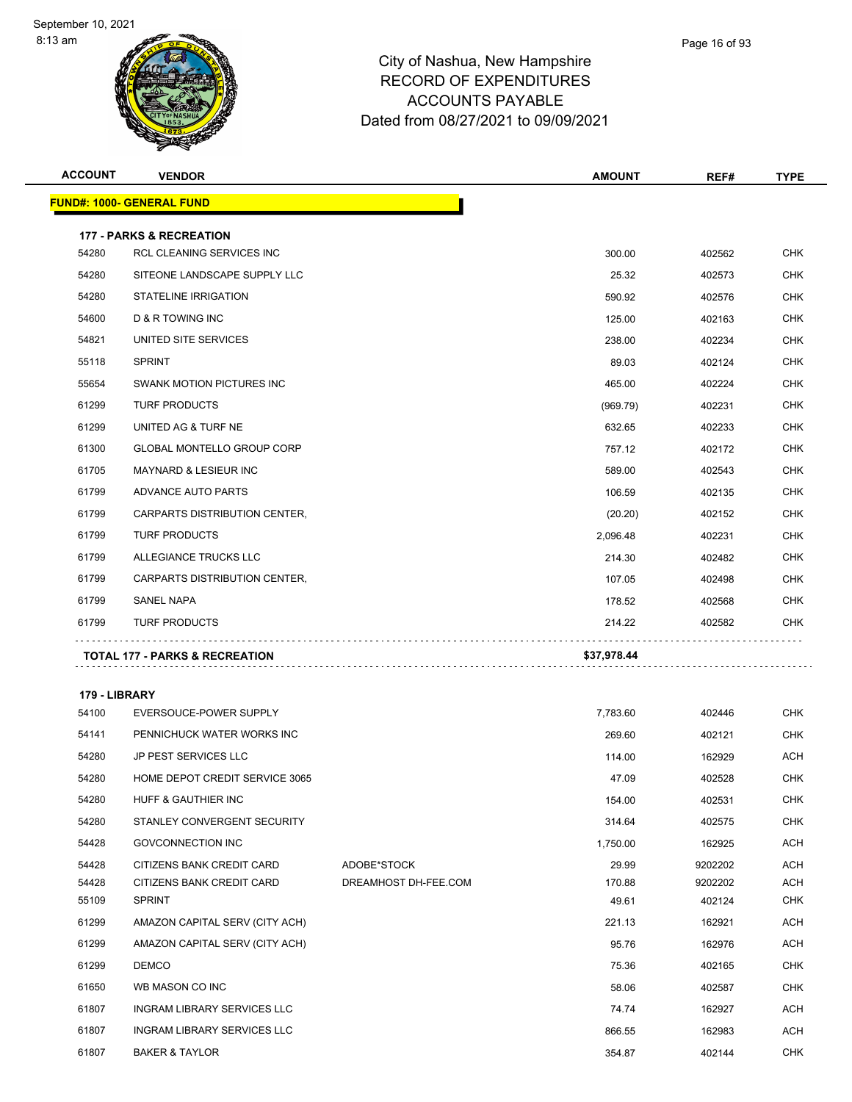8:13 am



| <b>ACCOUNT</b> | <b>VENDOR</b>                                                    |                      | <b>AMOUNT</b> | REF#    | TYPE       |
|----------------|------------------------------------------------------------------|----------------------|---------------|---------|------------|
|                | <u> FUND#: 1000- GENERAL FUND</u>                                |                      |               |         |            |
|                |                                                                  |                      |               |         |            |
| 54280          | <b>177 - PARKS &amp; RECREATION</b><br>RCL CLEANING SERVICES INC |                      | 300.00        | 402562  | <b>CHK</b> |
| 54280          | SITEONE LANDSCAPE SUPPLY LLC                                     |                      | 25.32         | 402573  | CHK        |
| 54280          | <b>STATELINE IRRIGATION</b>                                      |                      | 590.92        | 402576  | <b>CHK</b> |
| 54600          | D & R TOWING INC                                                 |                      | 125.00        | 402163  | CHK        |
| 54821          | UNITED SITE SERVICES                                             |                      | 238.00        | 402234  | <b>CHK</b> |
| 55118          | <b>SPRINT</b>                                                    |                      | 89.03         | 402124  | <b>CHK</b> |
| 55654          | <b>SWANK MOTION PICTURES INC</b>                                 |                      | 465.00        | 402224  | CHK        |
| 61299          | <b>TURF PRODUCTS</b>                                             |                      | (969.79)      | 402231  | <b>CHK</b> |
| 61299          | UNITED AG & TURF NE                                              |                      | 632.65        | 402233  | CHK        |
| 61300          | <b>GLOBAL MONTELLO GROUP CORP</b>                                |                      | 757.12        | 402172  | <b>CHK</b> |
| 61705          | MAYNARD & LESIEUR INC                                            |                      | 589.00        | 402543  | <b>CHK</b> |
| 61799          | ADVANCE AUTO PARTS                                               |                      | 106.59        | 402135  | <b>CHK</b> |
| 61799          | CARPARTS DISTRIBUTION CENTER,                                    |                      | (20.20)       | 402152  | <b>CHK</b> |
| 61799          | <b>TURF PRODUCTS</b>                                             |                      | 2,096.48      | 402231  | <b>CHK</b> |
| 61799          | ALLEGIANCE TRUCKS LLC                                            |                      | 214.30        | 402482  | <b>CHK</b> |
| 61799          | CARPARTS DISTRIBUTION CENTER,                                    |                      | 107.05        | 402498  | <b>CHK</b> |
| 61799          | SANEL NAPA                                                       |                      | 178.52        | 402568  | CHK        |
| 61799          | <b>TURF PRODUCTS</b>                                             |                      | 214.22        | 402582  | <b>CHK</b> |
|                |                                                                  |                      |               |         |            |
|                | <b>TOTAL 177 - PARKS &amp; RECREATION</b>                        |                      | \$37,978.44   |         |            |
| 179 - LIBRARY  |                                                                  |                      |               |         |            |
| 54100          | EVERSOUCE-POWER SUPPLY                                           |                      | 7.783.60      | 402446  | CHK        |
| 54141          | PENNICHUCK WATER WORKS INC                                       |                      | 269.60        | 402121  | CHK        |
| 54280          | <b>JP PEST SERVICES LLC</b>                                      |                      | 114.00        | 162929  | ACH        |
| 54280          | HOME DEPOT CREDIT SERVICE 3065                                   |                      | 47.09         | 402528  | CHK        |
| 54280          | HUFF & GAUTHIER INC                                              |                      | 154.00        | 402531  | <b>CHK</b> |
| 54280          | STANLEY CONVERGENT SECURITY                                      |                      | 314.64        | 402575  | <b>CHK</b> |
| 54428          | GOVCONNECTION INC                                                |                      | 1,750.00      | 162925  | <b>ACH</b> |
| 54428          | CITIZENS BANK CREDIT CARD                                        | ADOBE*STOCK          | 29.99         | 9202202 | <b>ACH</b> |
| 54428          | CITIZENS BANK CREDIT CARD                                        | DREAMHOST DH-FEE.COM | 170.88        | 9202202 | <b>ACH</b> |
| 55109          | <b>SPRINT</b>                                                    |                      | 49.61         | 402124  | <b>CHK</b> |
| 61299          | AMAZON CAPITAL SERV (CITY ACH)                                   |                      | 221.13        | 162921  | <b>ACH</b> |
| 61299          | AMAZON CAPITAL SERV (CITY ACH)                                   |                      | 95.76         | 162976  | <b>ACH</b> |
| 61299          | DEMCO                                                            |                      | 75.36         | 402165  | <b>CHK</b> |
| 61650          | WB MASON CO INC                                                  |                      | 58.06         | 402587  | <b>CHK</b> |
| 61807          | INGRAM LIBRARY SERVICES LLC                                      |                      | 74.74         | 162927  | <b>ACH</b> |
| 61807          | INGRAM LIBRARY SERVICES LLC                                      |                      | 866.55        | 162983  | <b>ACH</b> |
| 61807          | <b>BAKER &amp; TAYLOR</b>                                        |                      | 354.87        | 402144  | <b>CHK</b> |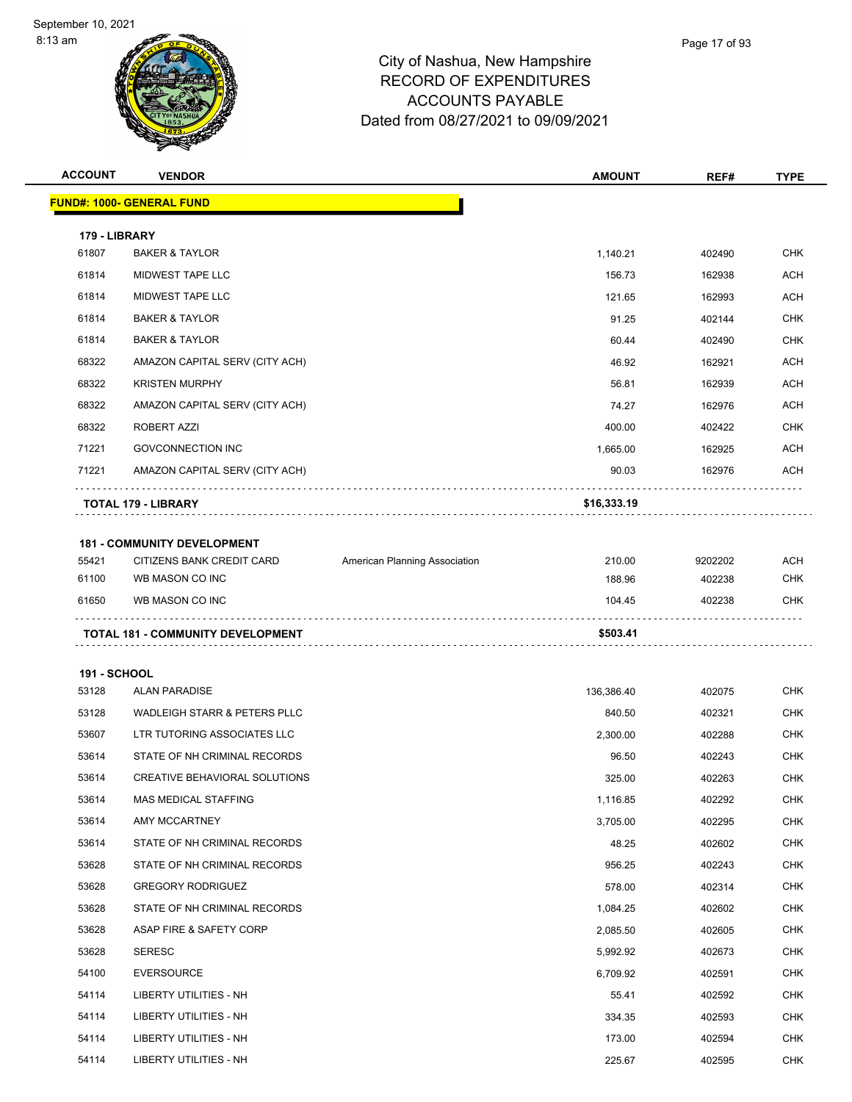

| <b>ACCOUNT</b>         | <b>VENDOR</b>                                | <b>AMOUNT</b>                                     | REF#              | <b>TYPE</b>              |
|------------------------|----------------------------------------------|---------------------------------------------------|-------------------|--------------------------|
|                        | <b>FUND#: 1000- GENERAL FUND</b>             |                                                   |                   |                          |
|                        |                                              |                                                   |                   |                          |
| 179 - LIBRARY<br>61807 | <b>BAKER &amp; TAYLOR</b>                    | 1,140.21                                          | 402490            | <b>CHK</b>               |
| 61814                  | MIDWEST TAPE LLC                             | 156.73                                            | 162938            | <b>ACH</b>               |
| 61814                  | MIDWEST TAPE LLC                             | 121.65                                            | 162993            | <b>ACH</b>               |
| 61814                  | <b>BAKER &amp; TAYLOR</b>                    | 91.25                                             | 402144            | <b>CHK</b>               |
| 61814                  | <b>BAKER &amp; TAYLOR</b>                    | 60.44                                             | 402490            | <b>CHK</b>               |
| 68322                  | AMAZON CAPITAL SERV (CITY ACH)               | 46.92                                             | 162921            | <b>ACH</b>               |
| 68322                  | <b>KRISTEN MURPHY</b>                        | 56.81                                             | 162939            | <b>ACH</b>               |
| 68322                  | AMAZON CAPITAL SERV (CITY ACH)               | 74.27                                             | 162976            | <b>ACH</b>               |
| 68322                  | ROBERT AZZI                                  | 400.00                                            | 402422            | <b>CHK</b>               |
| 71221                  | <b>GOVCONNECTION INC</b>                     | 1.665.00                                          | 162925            | <b>ACH</b>               |
| 71221                  | AMAZON CAPITAL SERV (CITY ACH)               | 90.03                                             | 162976            | ACH                      |
|                        | TOTAL 179 - LIBRARY                          | \$16,333.19                                       |                   |                          |
|                        |                                              |                                                   |                   |                          |
|                        | <b>181 - COMMUNITY DEVELOPMENT</b>           |                                                   |                   |                          |
| 55421<br>61100         | CITIZENS BANK CREDIT CARD<br>WB MASON CO INC | American Planning Association<br>210.00<br>188.96 | 9202202<br>402238 | <b>ACH</b><br><b>CHK</b> |
| 61650                  | WB MASON CO INC                              | 104.45                                            | 402238            | CHK                      |
|                        |                                              |                                                   |                   |                          |
|                        | TOTAL 181 - COMMUNITY DEVELOPMENT            | \$503.41                                          |                   |                          |
| <b>191 - SCHOOL</b>    |                                              |                                                   |                   |                          |
| 53128                  | <b>ALAN PARADISE</b>                         | 136,386.40                                        | 402075            | <b>CHK</b>               |
| 53128                  | WADLEIGH STARR & PETERS PLLC                 | 840.50                                            | 402321            | <b>CHK</b>               |
| 53607                  | LTR TUTORING ASSOCIATES LLC                  | 2,300.00                                          | 402288            | <b>CHK</b>               |
| 53614                  | STATE OF NH CRIMINAL RECORDS                 | 96.50                                             | 402243            | <b>CHK</b>               |
| 53614                  | CREATIVE BEHAVIORAL SOLUTIONS                | 325.00                                            | 402263            | CHK                      |
| 53614                  | MAS MEDICAL STAFFING                         | 1,116.85                                          | 402292            | <b>CHK</b>               |
| 53614                  | AMY MCCARTNEY                                | 3,705.00                                          | 402295            | <b>CHK</b>               |
| 53614                  | STATE OF NH CRIMINAL RECORDS                 | 48.25                                             | 402602            | <b>CHK</b>               |
| 53628                  | STATE OF NH CRIMINAL RECORDS                 | 956.25                                            | 402243            | <b>CHK</b>               |
| 53628                  | <b>GREGORY RODRIGUEZ</b>                     | 578.00                                            | 402314            | <b>CHK</b>               |
| 53628                  | STATE OF NH CRIMINAL RECORDS                 | 1,084.25                                          | 402602            | <b>CHK</b>               |
| 53628                  | ASAP FIRE & SAFETY CORP                      | 2,085.50                                          | 402605            | <b>CHK</b>               |
| 53628                  | <b>SERESC</b>                                | 5,992.92                                          | 402673            | <b>CHK</b>               |
| 54100                  | <b>EVERSOURCE</b>                            | 6,709.92                                          | 402591            | <b>CHK</b>               |
| 54114                  | LIBERTY UTILITIES - NH                       | 55.41                                             | 402592            | CHK                      |
| 54114                  | LIBERTY UTILITIES - NH                       | 334.35                                            | 402593            | <b>CHK</b>               |
| 54114                  | LIBERTY UTILITIES - NH                       | 173.00                                            | 402594            | <b>CHK</b>               |
| 54114                  | LIBERTY UTILITIES - NH                       | 225.67                                            | 402595            | <b>CHK</b>               |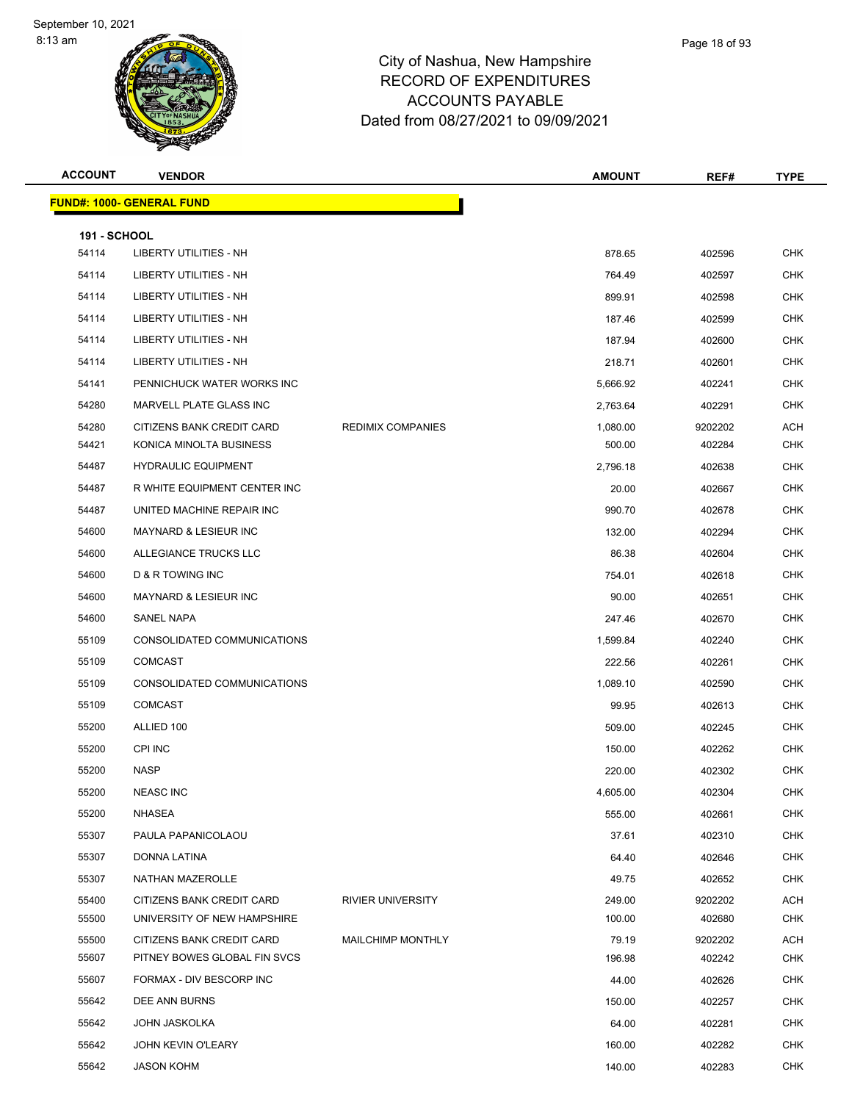

# City of Nashua, New Hampshire RECORD OF EXPENDITURES ACCOUNTS PAYABLE Dated from 08/27/2021 to 09/09/2021

| <b>ACCOUNT</b>      | <b>VENDOR</b>                    |                          | <b>AMOUNT</b> | REF#    | <b>TYPE</b> |
|---------------------|----------------------------------|--------------------------|---------------|---------|-------------|
|                     | <b>FUND#: 1000- GENERAL FUND</b> |                          |               |         |             |
| <b>191 - SCHOOL</b> |                                  |                          |               |         |             |
| 54114               | LIBERTY UTILITIES - NH           |                          | 878.65        | 402596  | <b>CHK</b>  |
| 54114               | LIBERTY UTILITIES - NH           |                          | 764.49        | 402597  | <b>CHK</b>  |
| 54114               | LIBERTY UTILITIES - NH           |                          | 899.91        | 402598  | <b>CHK</b>  |
| 54114               | LIBERTY UTILITIES - NH           |                          | 187.46        | 402599  | <b>CHK</b>  |
| 54114               | LIBERTY UTILITIES - NH           |                          | 187.94        | 402600  | <b>CHK</b>  |
| 54114               | LIBERTY UTILITIES - NH           |                          | 218.71        | 402601  | <b>CHK</b>  |
| 54141               | PENNICHUCK WATER WORKS INC       |                          | 5,666.92      | 402241  | <b>CHK</b>  |
| 54280               | MARVELL PLATE GLASS INC          |                          | 2,763.64      | 402291  | <b>CHK</b>  |
| 54280               | CITIZENS BANK CREDIT CARD        | <b>REDIMIX COMPANIES</b> | 1,080.00      | 9202202 | <b>ACH</b>  |
| 54421               | KONICA MINOLTA BUSINESS          |                          | 500.00        | 402284  | <b>CHK</b>  |
| 54487               | <b>HYDRAULIC EQUIPMENT</b>       |                          | 2,796.18      | 402638  | <b>CHK</b>  |
| 54487               | R WHITE EQUIPMENT CENTER INC     |                          | 20.00         | 402667  | <b>CHK</b>  |
| 54487               | UNITED MACHINE REPAIR INC        |                          | 990.70        | 402678  | <b>CHK</b>  |
| 54600               | MAYNARD & LESIEUR INC            |                          | 132.00        | 402294  | <b>CHK</b>  |
| 54600               | ALLEGIANCE TRUCKS LLC            |                          | 86.38         | 402604  | <b>CHK</b>  |
| 54600               | D & R TOWING INC                 |                          | 754.01        | 402618  | <b>CHK</b>  |
| 54600               | <b>MAYNARD &amp; LESIEUR INC</b> |                          | 90.00         | 402651  | <b>CHK</b>  |
| 54600               | SANEL NAPA                       |                          | 247.46        | 402670  | <b>CHK</b>  |
| 55109               | CONSOLIDATED COMMUNICATIONS      |                          | 1,599.84      | 402240  | <b>CHK</b>  |
| 55109               | <b>COMCAST</b>                   |                          | 222.56        | 402261  | <b>CHK</b>  |
| 55109               | CONSOLIDATED COMMUNICATIONS      |                          | 1,089.10      | 402590  | <b>CHK</b>  |
| 55109               | <b>COMCAST</b>                   |                          | 99.95         | 402613  | <b>CHK</b>  |
| 55200               | ALLIED 100                       |                          | 509.00        | 402245  | <b>CHK</b>  |
| 55200               | CPI INC                          |                          | 150.00        | 402262  | <b>CHK</b>  |
| 55200               | <b>NASP</b>                      |                          | 220.00        | 402302  | <b>CHK</b>  |
| 55200               | <b>NEASC INC</b>                 |                          | 4,605.00      | 402304  | <b>CHK</b>  |
| 55200               | NHASEA                           |                          | 555.00        | 402661  | <b>CHK</b>  |
| 55307               | PAULA PAPANICOLAOU               |                          | 37.61         | 402310  | <b>CHK</b>  |
| 55307               | DONNA LATINA                     |                          | 64.40         | 402646  | <b>CHK</b>  |
| 55307               | NATHAN MAZEROLLE                 |                          | 49.75         | 402652  | <b>CHK</b>  |
| 55400               | CITIZENS BANK CREDIT CARD        | <b>RIVIER UNIVERSITY</b> | 249.00        | 9202202 | ACH         |
| 55500               | UNIVERSITY OF NEW HAMPSHIRE      |                          | 100.00        | 402680  | <b>CHK</b>  |
| 55500               | CITIZENS BANK CREDIT CARD        | <b>MAILCHIMP MONTHLY</b> | 79.19         | 9202202 | ACH         |
| 55607               | PITNEY BOWES GLOBAL FIN SVCS     |                          | 196.98        | 402242  | <b>CHK</b>  |
| 55607               | FORMAX - DIV BESCORP INC         |                          | 44.00         | 402626  | CHK         |
| 55642               | DEE ANN BURNS                    |                          | 150.00        | 402257  | CHK         |
| 55642               | <b>JOHN JASKOLKA</b>             |                          | 64.00         | 402281  | <b>CHK</b>  |
| 55642               | JOHN KEVIN O'LEARY               |                          | 160.00        | 402282  | CHK         |
| 55642               | JASON KOHM                       |                          | 140.00        | 402283  | <b>CHK</b>  |

Page 18 of 93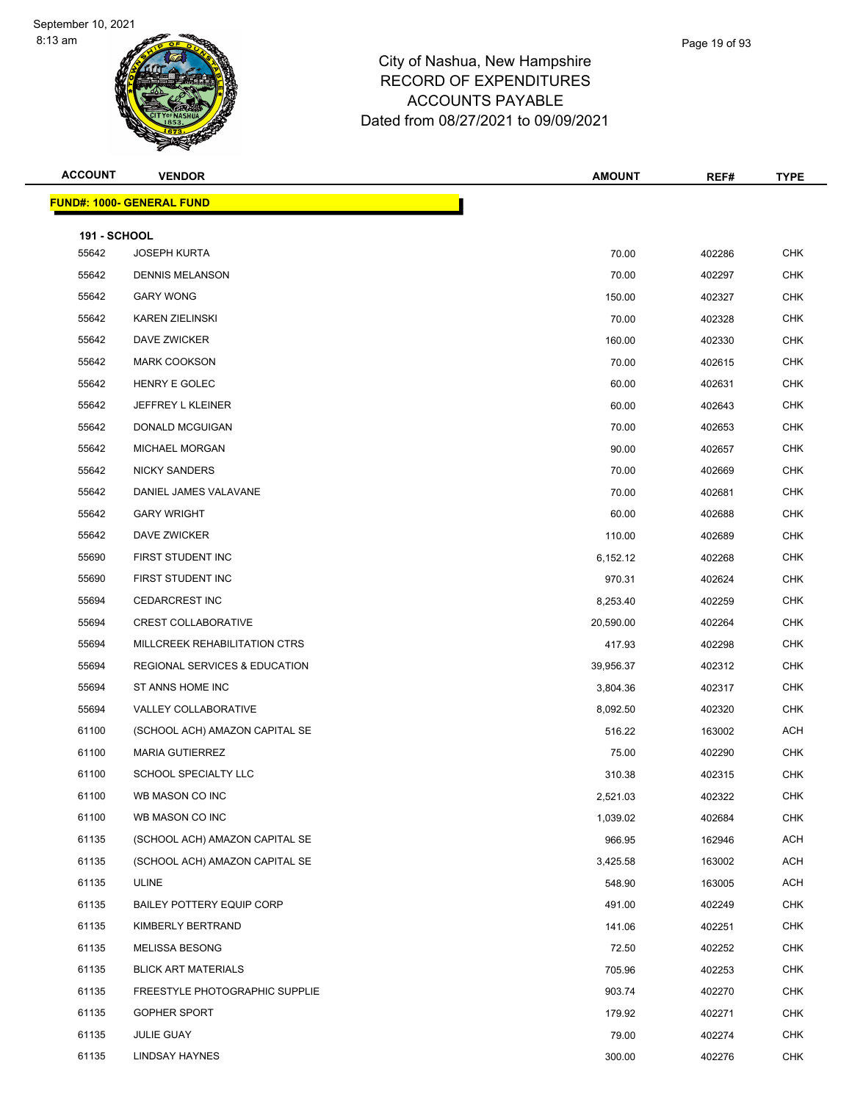**FUND#: 1000- GENE** 

8:13 am



### City of Nashua, New Hampshire RECORD OF EXPENDITURES ACCOUNTS PAYABLE Dated from 08/27/2021 to 09/09/2021

| ACCOUNT             | <b>VENDOR</b>                            | <b>AMOUNT</b> | REF#   | <b>TYPE</b> |
|---------------------|------------------------------------------|---------------|--------|-------------|
|                     | <u> IND#: 1000- GENERAL FUND</u>         |               |        |             |
| <b>191 - SCHOOL</b> |                                          |               |        |             |
| 55642               | <b>JOSEPH KURTA</b>                      | 70.00         | 402286 | <b>CHK</b>  |
| 55642               | <b>DENNIS MELANSON</b>                   | 70.00         | 402297 | <b>CHK</b>  |
| 55642               | <b>GARY WONG</b>                         | 150.00        | 402327 | <b>CHK</b>  |
| 55642               | <b>KAREN ZIELINSKI</b>                   | 70.00         | 402328 | <b>CHK</b>  |
| 55642               | DAVE ZWICKER                             | 160.00        | 402330 | <b>CHK</b>  |
| 55642               | <b>MARK COOKSON</b>                      | 70.00         | 402615 | <b>CHK</b>  |
| 55642               | HENRY E GOLEC                            | 60.00         | 402631 | <b>CHK</b>  |
| 55642               | JEFFREY L KLEINER                        | 60.00         | 402643 | <b>CHK</b>  |
| 55642               | DONALD MCGUIGAN                          | 70.00         | 402653 | <b>CHK</b>  |
| 55642               | <b>MICHAEL MORGAN</b>                    | 90.00         | 402657 | <b>CHK</b>  |
| 55642               | <b>NICKY SANDERS</b>                     | 70.00         | 402669 | <b>CHK</b>  |
| 55642               | DANIEL JAMES VALAVANE                    | 70.00         | 402681 | <b>CHK</b>  |
| 55642               | <b>GARY WRIGHT</b>                       | 60.00         | 402688 | <b>CHK</b>  |
| 55642               | DAVE ZWICKER                             | 110.00        | 402689 | <b>CHK</b>  |
| 55690               | FIRST STUDENT INC                        | 6,152.12      | 402268 | <b>CHK</b>  |
| 55690               | FIRST STUDENT INC                        | 970.31        | 402624 | <b>CHK</b>  |
| 55694               | <b>CEDARCREST INC</b>                    | 8,253.40      | 402259 | <b>CHK</b>  |
| 55694               | CREST COLLABORATIVE                      | 20,590.00     | 402264 | <b>CHK</b>  |
| 55694               | MILLCREEK REHABILITATION CTRS            | 417.93        | 402298 | <b>CHK</b>  |
| 55694               | <b>REGIONAL SERVICES &amp; EDUCATION</b> | 39,956.37     | 402312 | <b>CHK</b>  |
| 55694               | ST ANNS HOME INC                         | 3,804.36      | 402317 | <b>CHK</b>  |
| 55694               | VALLEY COLLABORATIVE                     | 8,092.50      | 402320 | <b>CHK</b>  |
| 61100               | (SCHOOL ACH) AMAZON CAPITAL SE           | 516.22        | 163002 | ACH         |
| 61100               | <b>MARIA GUTIERREZ</b>                   | 75.00         | 402290 | <b>CHK</b>  |
| 61100               | SCHOOL SPECIALTY LLC                     | 310.38        | 402315 | <b>CHK</b>  |
| 61100               | WB MASON CO INC                          | 2,521.03      | 402322 | <b>CHK</b>  |
| 61100               | WB MASON CO INC                          | 1,039.02      | 402684 | <b>CHK</b>  |
| 61135               | (SCHOOL ACH) AMAZON CAPITAL SE           | 966.95        | 162946 | ACH         |
| 61135               | (SCHOOL ACH) AMAZON CAPITAL SE           | 3,425.58      | 163002 | ACH         |
| 61135               | ULINE                                    | 548.90        | 163005 | ACH         |
| 61135               | BAILEY POTTERY EQUIP CORP                | 491.00        | 402249 | <b>CHK</b>  |
| 61135               | KIMBERLY BERTRAND                        | 141.06        | 402251 | <b>CHK</b>  |
| 61135               | <b>MELISSA BESONG</b>                    | 72.50         | 402252 | <b>CHK</b>  |

 BLICK ART MATERIALS 705.96 402253 CHK FREESTYLE PHOTOGRAPHIC SUPPLIE 903.74 402270 CHK GOPHER SPORT 179.92 402271 CHK JULIE GUAY 79.00 402274 CHK LINDSAY HAYNES 300.00 402276 CHK

Page 19 of 93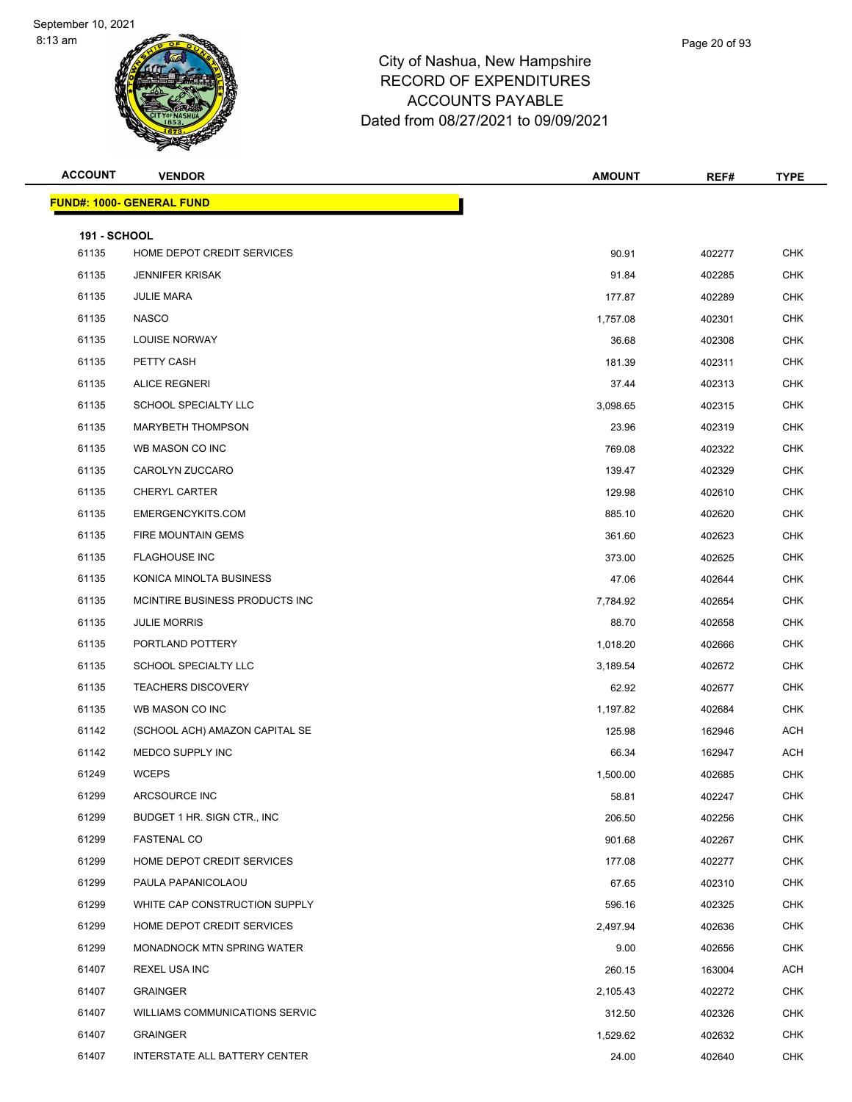

| Page 20 of 93 |
|---------------|
|               |

| <b>ACCOUNT</b>               | <b>VENDOR</b>                     | <b>AMOUNT</b> | REF#   | <b>TYPE</b> |
|------------------------------|-----------------------------------|---------------|--------|-------------|
|                              | <b>FUND#: 1000- GENERAL FUND</b>  |               |        |             |
|                              |                                   |               |        |             |
| <b>191 - SCHOOL</b><br>61135 | HOME DEPOT CREDIT SERVICES        | 90.91         | 402277 | <b>CHK</b>  |
| 61135                        | <b>JENNIFER KRISAK</b>            | 91.84         | 402285 | <b>CHK</b>  |
| 61135                        | <b>JULIE MARA</b>                 | 177.87        | 402289 | <b>CHK</b>  |
| 61135                        | <b>NASCO</b>                      | 1,757.08      | 402301 | <b>CHK</b>  |
| 61135                        | <b>LOUISE NORWAY</b>              | 36.68         | 402308 | <b>CHK</b>  |
| 61135                        | PETTY CASH                        | 181.39        | 402311 | <b>CHK</b>  |
| 61135                        | <b>ALICE REGNERI</b>              | 37.44         | 402313 | <b>CHK</b>  |
| 61135                        | SCHOOL SPECIALTY LLC              | 3,098.65      | 402315 | <b>CHK</b>  |
| 61135                        | <b>MARYBETH THOMPSON</b>          | 23.96         | 402319 | <b>CHK</b>  |
| 61135                        | WB MASON CO INC                   | 769.08        | 402322 | <b>CHK</b>  |
| 61135                        | CAROLYN ZUCCARO                   | 139.47        | 402329 | <b>CHK</b>  |
| 61135                        | <b>CHERYL CARTER</b>              | 129.98        | 402610 | <b>CHK</b>  |
| 61135                        | EMERGENCYKITS.COM                 | 885.10        | 402620 | <b>CHK</b>  |
| 61135                        | FIRE MOUNTAIN GEMS                | 361.60        | 402623 | <b>CHK</b>  |
| 61135                        | <b>FLAGHOUSE INC</b>              | 373.00        | 402625 | <b>CHK</b>  |
| 61135                        | KONICA MINOLTA BUSINESS           | 47.06         | 402644 | <b>CHK</b>  |
| 61135                        | MCINTIRE BUSINESS PRODUCTS INC    | 7,784.92      | 402654 | <b>CHK</b>  |
| 61135                        | <b>JULIE MORRIS</b>               | 88.70         | 402658 | <b>CHK</b>  |
| 61135                        | PORTLAND POTTERY                  | 1,018.20      | 402666 | <b>CHK</b>  |
| 61135                        | SCHOOL SPECIALTY LLC              | 3,189.54      | 402672 | <b>CHK</b>  |
| 61135                        | <b>TEACHERS DISCOVERY</b>         | 62.92         | 402677 | <b>CHK</b>  |
| 61135                        | WB MASON CO INC                   | 1,197.82      | 402684 | <b>CHK</b>  |
| 61142                        | (SCHOOL ACH) AMAZON CAPITAL SE    | 125.98        | 162946 | ACH         |
| 61142                        | MEDCO SUPPLY INC                  | 66.34         | 162947 | ACH         |
| 61249                        | <b>WCEPS</b>                      | 1,500.00      | 402685 | <b>CHK</b>  |
| 61299                        | ARCSOURCE INC                     | 58.81         | 402247 | <b>CHK</b>  |
| 61299                        | BUDGET 1 HR. SIGN CTR., INC.      | 206.50        | 402256 | <b>CHK</b>  |
| 61299                        | <b>FASTENAL CO</b>                | 901.68        | 402267 | <b>CHK</b>  |
| 61299                        | HOME DEPOT CREDIT SERVICES        | 177.08        | 402277 | <b>CHK</b>  |
| 61299                        | PAULA PAPANICOLAOU                | 67.65         | 402310 | <b>CHK</b>  |
| 61299                        | WHITE CAP CONSTRUCTION SUPPLY     | 596.16        | 402325 | <b>CHK</b>  |
| 61299                        | HOME DEPOT CREDIT SERVICES        | 2,497.94      | 402636 | <b>CHK</b>  |
| 61299                        | <b>MONADNOCK MTN SPRING WATER</b> | 9.00          | 402656 | <b>CHK</b>  |
| 61407                        | REXEL USA INC                     | 260.15        | 163004 | ACH         |
| 61407                        | <b>GRAINGER</b>                   | 2,105.43      | 402272 | <b>CHK</b>  |
| 61407                        | WILLIAMS COMMUNICATIONS SERVIC    | 312.50        | 402326 | <b>CHK</b>  |
| 61407                        | <b>GRAINGER</b>                   | 1,529.62      | 402632 | <b>CHK</b>  |
| 61407                        | INTERSTATE ALL BATTERY CENTER     | 24.00         | 402640 | <b>CHK</b>  |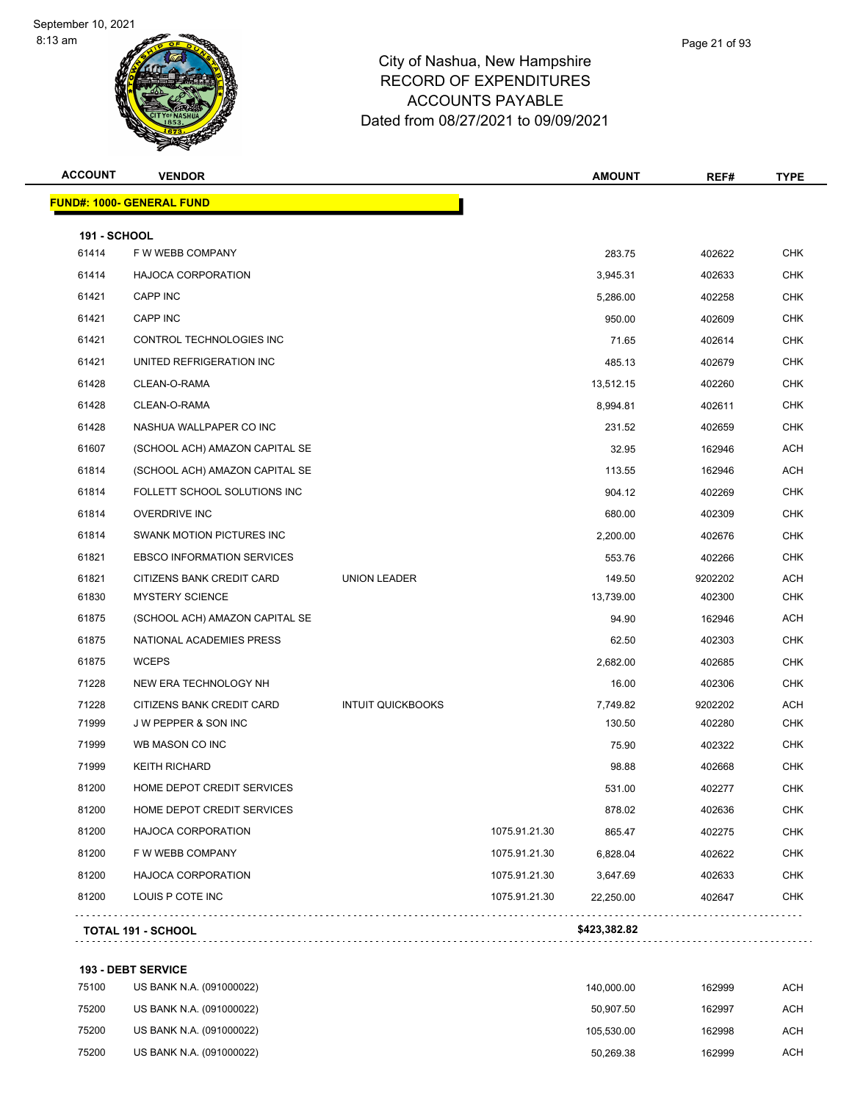

# City of Nashua, New Hampshire RECORD OF EXPENDITURES ACCOUNTS PAYABLE Dated from 08/27/2021 to 09/09/2021

| <b>ACCOUNT</b>      | <b>VENDOR</b>                     |                          |               | <b>AMOUNT</b> | REF#    | <b>TYPE</b> |
|---------------------|-----------------------------------|--------------------------|---------------|---------------|---------|-------------|
|                     | <b>FUND#: 1000- GENERAL FUND</b>  |                          |               |               |         |             |
| <b>191 - SCHOOL</b> |                                   |                          |               |               |         |             |
| 61414               | F W WEBB COMPANY                  |                          |               | 283.75        | 402622  | <b>CHK</b>  |
| 61414               | HAJOCA CORPORATION                |                          |               | 3,945.31      | 402633  | CHK         |
| 61421               | <b>CAPP INC</b>                   |                          |               | 5,286.00      | 402258  | CHK         |
| 61421               | CAPP INC                          |                          |               | 950.00        | 402609  | <b>CHK</b>  |
| 61421               | CONTROL TECHNOLOGIES INC          |                          |               | 71.65         | 402614  | CHK         |
| 61421               | UNITED REFRIGERATION INC          |                          |               | 485.13        | 402679  | <b>CHK</b>  |
| 61428               | CLEAN-O-RAMA                      |                          |               | 13,512.15     | 402260  | CHK         |
| 61428               | CLEAN-O-RAMA                      |                          |               | 8,994.81      | 402611  | CHK         |
| 61428               | NASHUA WALLPAPER CO INC           |                          |               | 231.52        | 402659  | CHK         |
| 61607               | (SCHOOL ACH) AMAZON CAPITAL SE    |                          |               | 32.95         | 162946  | ACH         |
| 61814               | (SCHOOL ACH) AMAZON CAPITAL SE    |                          |               | 113.55        | 162946  | <b>ACH</b>  |
| 61814               | FOLLETT SCHOOL SOLUTIONS INC      |                          |               | 904.12        | 402269  | <b>CHK</b>  |
| 61814               | <b>OVERDRIVE INC</b>              |                          |               | 680.00        | 402309  | CHK         |
| 61814               | SWANK MOTION PICTURES INC         |                          |               | 2,200.00      | 402676  | <b>CHK</b>  |
| 61821               | <b>EBSCO INFORMATION SERVICES</b> |                          |               | 553.76        | 402266  | <b>CHK</b>  |
| 61821               | CITIZENS BANK CREDIT CARD         | <b>UNION LEADER</b>      |               | 149.50        | 9202202 | <b>ACH</b>  |
| 61830               | <b>MYSTERY SCIENCE</b>            |                          |               | 13,739.00     | 402300  | <b>CHK</b>  |
| 61875               | (SCHOOL ACH) AMAZON CAPITAL SE    |                          |               | 94.90         | 162946  | ACH         |
| 61875               | NATIONAL ACADEMIES PRESS          |                          |               | 62.50         | 402303  | <b>CHK</b>  |
| 61875               | <b>WCEPS</b>                      |                          |               | 2,682.00      | 402685  | <b>CHK</b>  |
| 71228               | NEW ERA TECHNOLOGY NH             |                          |               | 16.00         | 402306  | <b>CHK</b>  |
| 71228               | CITIZENS BANK CREDIT CARD         | <b>INTUIT QUICKBOOKS</b> |               | 7,749.82      | 9202202 | <b>ACH</b>  |
| 71999               | <b>JW PEPPER &amp; SON INC</b>    |                          |               | 130.50        | 402280  | CHK         |
| 71999               | WB MASON CO INC                   |                          |               | 75.90         | 402322  | <b>CHK</b>  |
| 71999               | <b>KEITH RICHARD</b>              |                          |               | 98.88         | 402668  | <b>CHK</b>  |
| 81200               | HOME DEPOT CREDIT SERVICES        |                          |               | 531.00        | 402277  | CHK         |
| 81200               | HOME DEPOT CREDIT SERVICES        |                          |               | 878.02        | 402636  | <b>CHK</b>  |
| 81200               | <b>HAJOCA CORPORATION</b>         |                          | 1075.91.21.30 | 865.47        | 402275  | <b>CHK</b>  |
| 81200               | F W WEBB COMPANY                  |                          | 1075.91.21.30 | 6,828.04      | 402622  | <b>CHK</b>  |
| 81200               | HAJOCA CORPORATION                |                          | 1075.91.21.30 | 3,647.69      | 402633  | <b>CHK</b>  |
| 81200               | LOUIS P COTE INC                  |                          | 1075.91.21.30 | 22,250.00     | 402647  | <b>CHK</b>  |
|                     |                                   |                          |               |               |         |             |

**TOTAL 191 - SCHOOL \$423,382.82**

#### **193 - DEBT SERVICE**

| 75100 | US BANK N.A. (091000022) | 140.000.00 | 162999 | ACH |
|-------|--------------------------|------------|--------|-----|
| 75200 | US BANK N.A. (091000022) | 50.907.50  | 162997 | ACH |
| 75200 | US BANK N.A. (091000022) | 105.530.00 | 162998 | ACH |
| 75200 | US BANK N.A. (091000022) | 50.269.38  | 162999 | ACH |

. . . . . . . . . . . . . . . . . . . .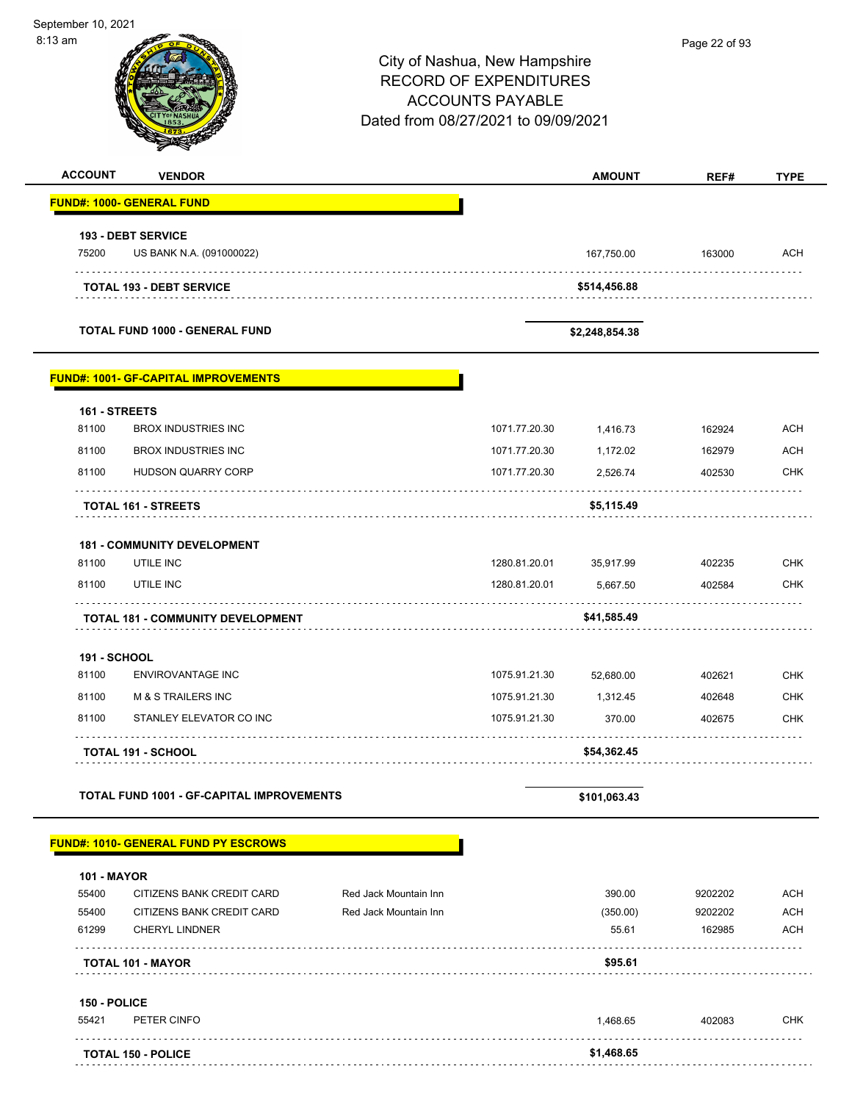| September 10, 2021<br>8:13 am |                                                             |                       | City of Nashua, New Hampshire<br><b>RECORD OF EXPENDITURES</b><br><b>ACCOUNTS PAYABLE</b><br>Dated from 08/27/2021 to 09/09/2021 |                            | Page 22 of 93 |             |  |
|-------------------------------|-------------------------------------------------------------|-----------------------|----------------------------------------------------------------------------------------------------------------------------------|----------------------------|---------------|-------------|--|
| <b>ACCOUNT</b>                | <b>VENDOR</b>                                               |                       |                                                                                                                                  | <b>AMOUNT</b>              | REF#          | <b>TYPE</b> |  |
|                               | <b>FUND#: 1000- GENERAL FUND</b>                            |                       |                                                                                                                                  |                            |               |             |  |
| 75200                         | <b>193 - DEBT SERVICE</b>                                   |                       |                                                                                                                                  |                            | 163000        | <b>ACH</b>  |  |
|                               | US BANK N.A. (091000022)<br><b>TOTAL 193 - DEBT SERVICE</b> |                       |                                                                                                                                  | 167,750.00<br>\$514,456.88 |               |             |  |
|                               |                                                             |                       |                                                                                                                                  |                            |               |             |  |
|                               | <b>TOTAL FUND 1000 - GENERAL FUND</b>                       |                       |                                                                                                                                  | \$2,248,854.38             |               |             |  |
|                               | <b>FUND#: 1001- GF-CAPITAL IMPROVEMENTS</b>                 |                       |                                                                                                                                  |                            |               |             |  |
| 161 - STREETS                 |                                                             |                       |                                                                                                                                  |                            |               |             |  |
| 81100                         | <b>BROX INDUSTRIES INC</b>                                  |                       | 1071.77.20.30                                                                                                                    | 1,416.73                   | 162924        | <b>ACH</b>  |  |
| 81100                         | <b>BROX INDUSTRIES INC</b>                                  |                       | 1071.77.20.30                                                                                                                    | 1,172.02                   | 162979        | <b>ACH</b>  |  |
| 81100                         | <b>HUDSON QUARRY CORP</b>                                   |                       | 1071.77.20.30                                                                                                                    | 2,526.74                   | 402530        | <b>CHK</b>  |  |
|                               | TOTAL 161 - STREETS                                         |                       |                                                                                                                                  | \$5,115.49                 |               |             |  |
|                               |                                                             |                       |                                                                                                                                  |                            |               |             |  |
| 81100                         | <b>181 - COMMUNITY DEVELOPMENT</b><br>UTILE INC             |                       | 1280.81.20.01                                                                                                                    | 35,917.99                  | 402235        | <b>CHK</b>  |  |
| 81100                         | UTILE INC                                                   |                       | 1280.81.20.01                                                                                                                    | 5,667.50                   | 402584        | <b>CHK</b>  |  |
|                               | <b>TOTAL 181 - COMMUNITY DEVELOPMENT</b>                    |                       |                                                                                                                                  | \$41,585.49                |               |             |  |
| <b>191 - SCHOOL</b>           |                                                             |                       |                                                                                                                                  |                            |               |             |  |
| 81100                         | ENVIROVANTAGE INC                                           |                       | 1075.91.21.30                                                                                                                    | 52,680.00                  | 402621        | <b>CHK</b>  |  |
| 81100                         | M & S TRAILERS INC                                          |                       | 1075.91.21.30                                                                                                                    | 1,312.45                   | 402648        | <b>CHK</b>  |  |
| 81100                         | STANLEY ELEVATOR CO INC                                     |                       | 1075.91.21.30                                                                                                                    | 370.00                     | 402675        | <b>CHK</b>  |  |
|                               | <b>TOTAL 191 - SCHOOL</b>                                   |                       |                                                                                                                                  | \$54,362.45                |               | .           |  |
|                               | <b>TOTAL FUND 1001 - GF-CAPITAL IMPROVEMENTS</b>            |                       |                                                                                                                                  | \$101,063.43               |               |             |  |
|                               | <b>FUND#: 1010- GENERAL FUND PY ESCROWS</b>                 |                       |                                                                                                                                  |                            |               |             |  |
|                               |                                                             |                       |                                                                                                                                  |                            |               |             |  |
| <b>101 - MAYOR</b><br>55400   | CITIZENS BANK CREDIT CARD                                   | Red Jack Mountain Inn |                                                                                                                                  | 390.00                     | 9202202       | <b>ACH</b>  |  |
| 55400                         | CITIZENS BANK CREDIT CARD                                   | Red Jack Mountain Inn |                                                                                                                                  | (350.00)                   | 9202202       | ACH         |  |
| 61299                         | <b>CHERYL LINDNER</b>                                       |                       |                                                                                                                                  | 55.61                      | 162985        | ACH         |  |
|                               | <b>TOTAL 101 - MAYOR</b>                                    |                       |                                                                                                                                  | \$95.61                    |               |             |  |
| 150 - POLICE                  |                                                             |                       |                                                                                                                                  |                            |               |             |  |
| 55421                         | PETER CINFO                                                 |                       |                                                                                                                                  | 1,468.65                   | 402083        | <b>CHK</b>  |  |
|                               |                                                             |                       |                                                                                                                                  |                            |               |             |  |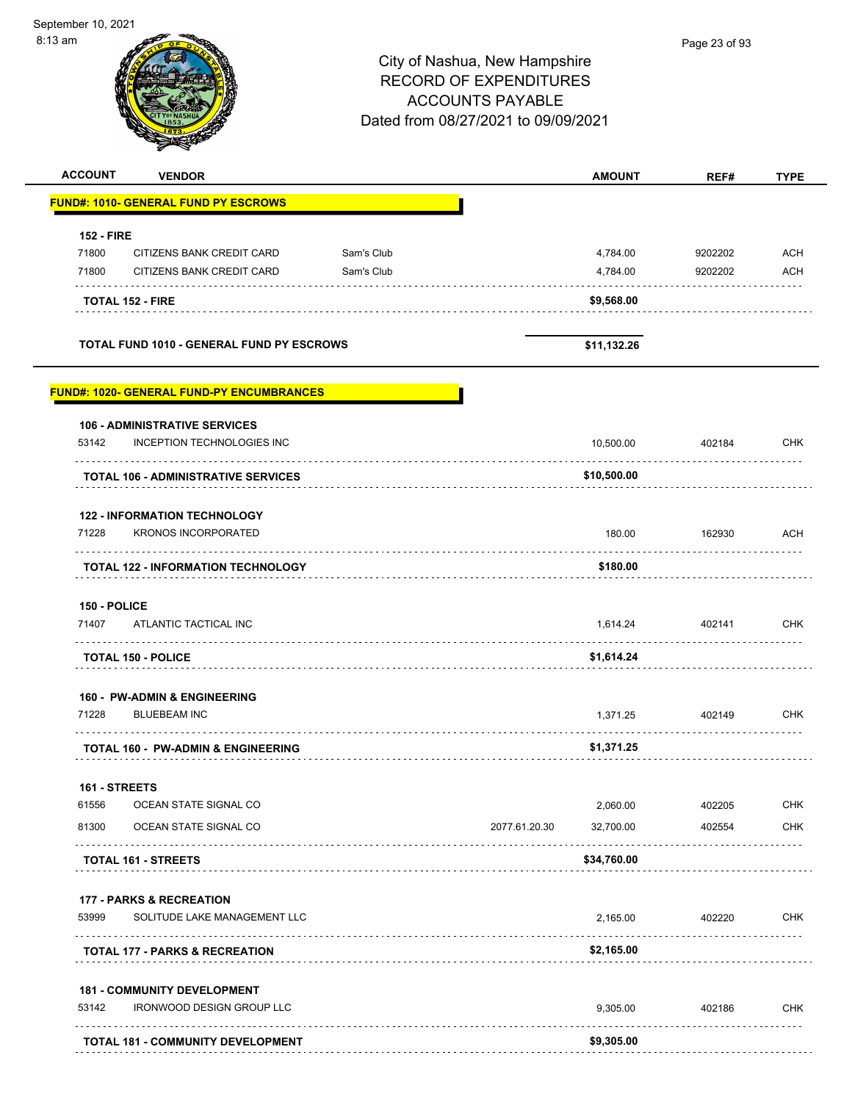September 10, 2021 8:13 am Page 23 of 93City of Nashua, New Hampshire RECORD OF EXPENDITURES ACCOUNTS PAYABLE Dated from 08/27/2021 to 09/09/2021 **ACCOUNT VENDOR AMOUNT REF# TYPE FUND#: 1010- GENERAL FUND PY ESCROWS 152 - FIRE** 71800 CITIZENS BANK CREDIT CARD Sam's Club 4,784.00 9202202 ACH 71800 CITIZENS BANK CREDIT CARD Sam's Club 4,784.00 9202202 ACH is seen seen seen se . . . . . . . . . . . . . . . . **TOTAL 152 - FIRE \$9,568.00 TOTAL FUND 1010 - GENERAL FUND PY ESCROWS \$11,132.26 FUND#: 1020- GENERAL FUND-PY ENCUMBRANCES 106 - ADMINISTRATIVE SERVICES** 53142 INCEPTION TECHNOLOGIES INC<br>
CHK . . . . . . . . . . . . . . . . . . . . . . . . **TOTAL 106 - ADMINISTRATIVE SERVICES \$10,500.00 122 - INFORMATION TECHNOLOGY** The State of the State of the State of the State of the State of the State of the State of the State of the State of the State of the State of the State of the State of the State of the State of the State of the State of t **TOTAL 122 - INFORMATION TECHNOLOGY \$180.00 150 - POLICE** THE STREAM ATLANTIC TACTICAL INC AND A REPORT OF THE STREAM OF THE STREAM OF THE STREAM OF THE STREAM OF THE STREAM OF THE STREAM OF THE STREAM OF THE STREAM OF THE STREAM OF THE STREAM OF THE STREAM OF THE STREAM OF THE S **TOTAL 150 - POLICE \$1,614.24 160 - PW-ADMIN & ENGINEERING** 71228 BLUEBEAM INC 1,371.25 402149 CHK **TOTAL 160 - PW-ADMIN & ENGINEERING \$1,371.25 161 - STREETS** 61556 OCEAN STATE SIGNAL CO 2,060.00 402205 CHK 81300 OCEAN STATE SIGNAL CO 2077.61.20.30 32,700.00 402554 CHK **TOTAL 161 - STREETS \$34,760.00 177 - PARKS & RECREATION** 53999 SOLITUDE LAKE MANAGEMENT LLC 2,165.00 402220 CHK . . . . . . . . . . . . **TOTAL 177 - PARKS & RECREATION \$2,165.00 181 - COMMUNITY DEVELOPMENT** 53142 IRONWOOD DESIGN GROUP LLC 9,305.00 402186 CHK **TOTAL 181 - COMMUNITY DEVELOPMENT \$9,305.00**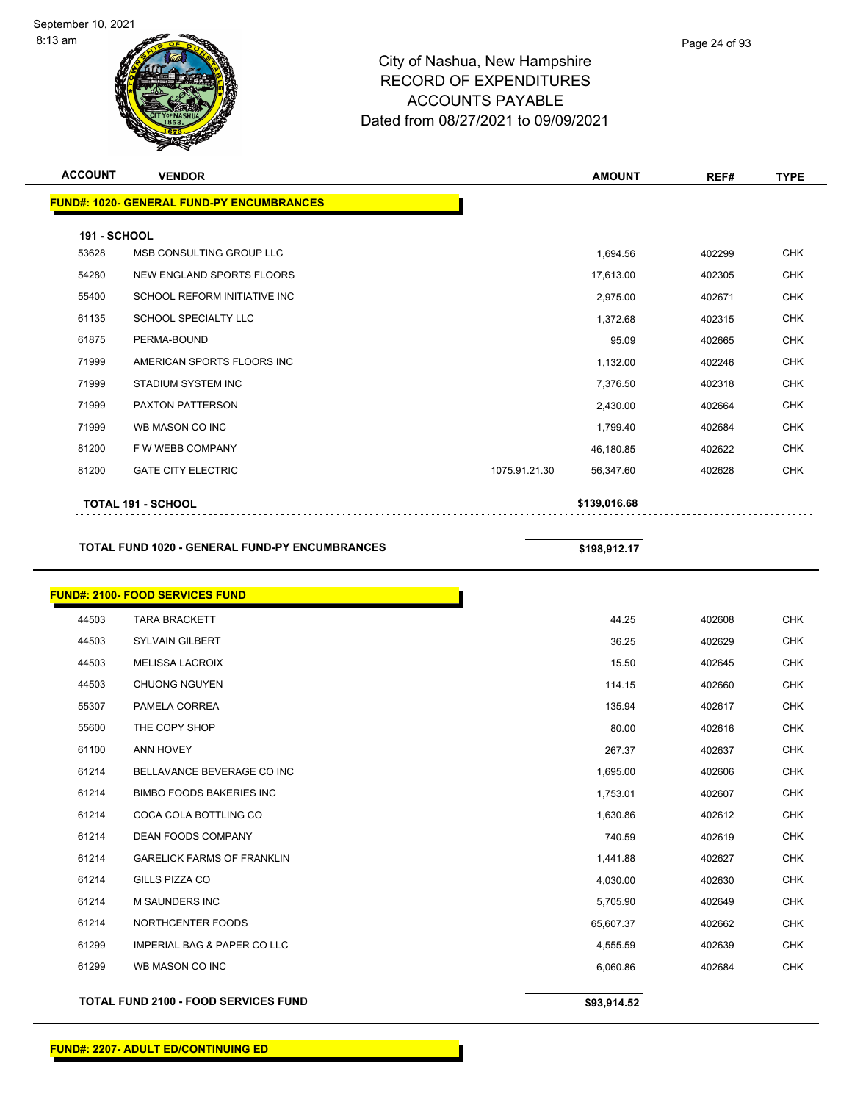

## City of Nashua, New Hampshire RECORD OF EXPENDITURES ACCOUNTS PAYABLE Dated from 08/27/2021 to 09/09/2021

| <b>ACCOUNT</b>      | <b>VENDOR</b>                                    |               | <b>AMOUNT</b> | REF#   | <b>TYPE</b> |
|---------------------|--------------------------------------------------|---------------|---------------|--------|-------------|
|                     | <b>FUND#: 1020- GENERAL FUND-PY ENCUMBRANCES</b> |               |               |        |             |
|                     |                                                  |               |               |        |             |
| <b>191 - SCHOOL</b> |                                                  |               |               |        |             |
| 53628               | MSB CONSULTING GROUP LLC                         |               | 1,694.56      | 402299 | <b>CHK</b>  |
| 54280               | NEW ENGLAND SPORTS FLOORS                        |               | 17,613.00     | 402305 | <b>CHK</b>  |
| 55400               | SCHOOL REFORM INITIATIVE INC                     |               | 2,975.00      | 402671 | <b>CHK</b>  |
| 61135               | <b>SCHOOL SPECIALTY LLC</b>                      |               | 1,372.68      | 402315 | <b>CHK</b>  |
| 61875               | PERMA-BOUND                                      |               | 95.09         | 402665 | <b>CHK</b>  |
| 71999               | AMERICAN SPORTS FLOORS INC                       |               | 1,132.00      | 402246 | <b>CHK</b>  |
| 71999               | <b>STADIUM SYSTEM INC</b>                        |               | 7,376.50      | 402318 | <b>CHK</b>  |
| 71999               | PAXTON PATTERSON                                 |               | 2,430.00      | 402664 | <b>CHK</b>  |
| 71999               | WB MASON CO INC                                  |               | 1,799.40      | 402684 | <b>CHK</b>  |
| 81200               | F W WEBB COMPANY                                 |               | 46,180.85     | 402622 | <b>CHK</b>  |
| 81200               | <b>GATE CITY ELECTRIC</b>                        | 1075.91.21.30 | 56,347.60     | 402628 | <b>CHK</b>  |
|                     | <b>TOTAL 191 - SCHOOL</b>                        |               | \$139,016.68  |        |             |
|                     |                                                  |               |               |        |             |

| <b>TOTAL FUND 1020 - GENERAL FUND-PY ENCUMBRANCES</b> | \$198,912.17 |  |
|-------------------------------------------------------|--------------|--|
|                                                       |              |  |
| <b>FUND#: 2100, FOOD SERVICES FUND.</b>               |              |  |

|       | <u><b>OND#: 2100-1 OOD OLIVIOLD I OND</b></u> |           |        |            |
|-------|-----------------------------------------------|-----------|--------|------------|
| 44503 | <b>TARA BRACKETT</b>                          | 44.25     | 402608 | <b>CHK</b> |
| 44503 | <b>SYLVAIN GILBERT</b>                        | 36.25     | 402629 | <b>CHK</b> |
| 44503 | <b>MELISSA LACROIX</b>                        | 15.50     | 402645 | <b>CHK</b> |
| 44503 | <b>CHUONG NGUYEN</b>                          | 114.15    | 402660 | <b>CHK</b> |
| 55307 | PAMELA CORREA                                 | 135.94    | 402617 | <b>CHK</b> |
| 55600 | THE COPY SHOP                                 | 80.00     | 402616 | <b>CHK</b> |
| 61100 | <b>ANN HOVEY</b>                              | 267.37    | 402637 | <b>CHK</b> |
| 61214 | BELLAVANCE BEVERAGE CO INC                    | 1,695.00  | 402606 | <b>CHK</b> |
| 61214 | <b>BIMBO FOODS BAKERIES INC</b>               | 1,753.01  | 402607 | <b>CHK</b> |
| 61214 | COCA COLA BOTTLING CO                         | 1,630.86  | 402612 | <b>CHK</b> |
| 61214 | <b>DEAN FOODS COMPANY</b>                     | 740.59    | 402619 | <b>CHK</b> |
| 61214 | <b>GARELICK FARMS OF FRANKLIN</b>             | 1,441.88  | 402627 | <b>CHK</b> |
| 61214 | <b>GILLS PIZZA CO</b>                         | 4,030.00  | 402630 | <b>CHK</b> |
| 61214 | <b>M SAUNDERS INC</b>                         | 5,705.90  | 402649 | <b>CHK</b> |
| 61214 | NORTHCENTER FOODS                             | 65,607.37 | 402662 | <b>CHK</b> |
| 61299 | <b>IMPERIAL BAG &amp; PAPER CO LLC</b>        | 4,555.59  | 402639 | <b>CHK</b> |
| 61299 | WB MASON CO INC                               | 6,060.86  | 402684 | <b>CHK</b> |
|       | ----- ----- ---- ---- --------------          |           |        |            |

**TOTAL FUND 2100 - FOOD SERVICES FUND \$93,914.52**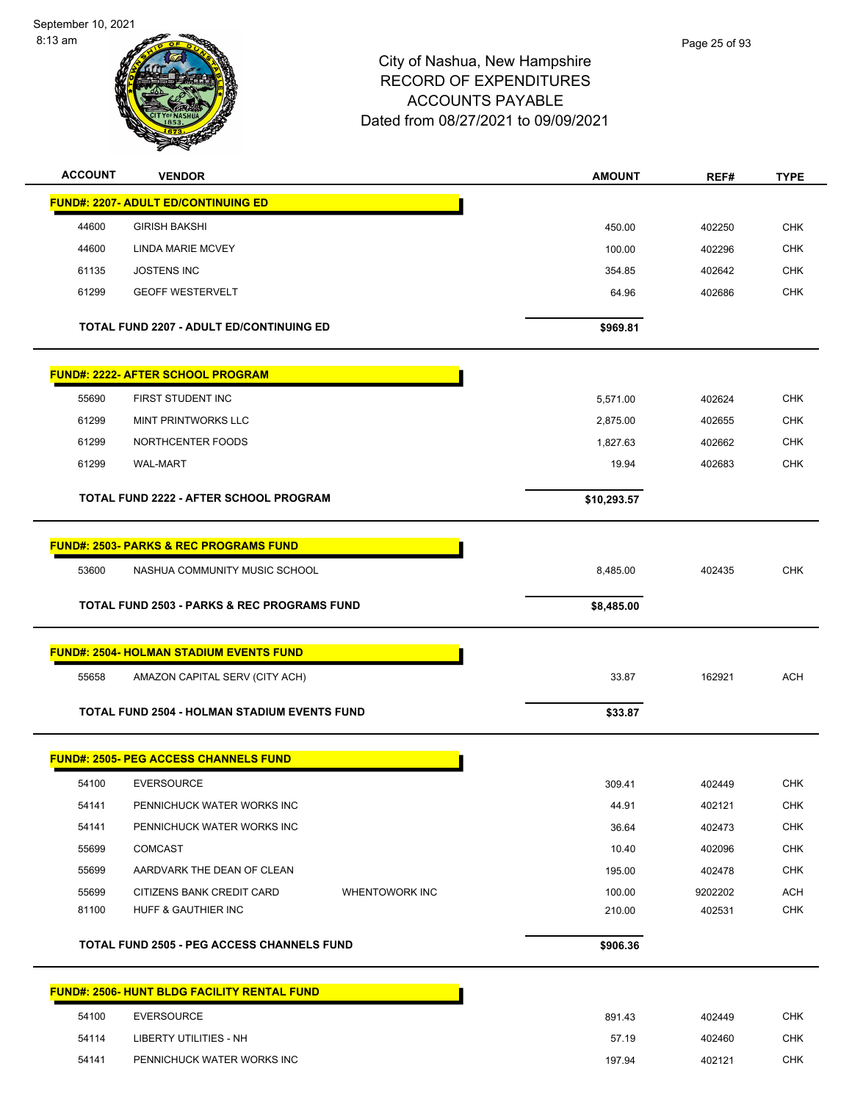8:13 am



| <b>ACCOUNT</b> | <b>VENDOR</b>                                      |                       | <b>AMOUNT</b> | REF#    | <b>TYPE</b> |
|----------------|----------------------------------------------------|-----------------------|---------------|---------|-------------|
|                | <b>FUND#: 2207- ADULT ED/CONTINUING ED</b>         |                       |               |         |             |
| 44600          | <b>GIRISH BAKSHI</b>                               |                       | 450.00        | 402250  | <b>CHK</b>  |
| 44600          | LINDA MARIE MCVEY                                  |                       | 100.00        | 402296  | <b>CHK</b>  |
| 61135          | <b>JOSTENS INC</b>                                 |                       | 354.85        | 402642  | <b>CHK</b>  |
| 61299          | <b>GEOFF WESTERVELT</b>                            |                       | 64.96         | 402686  | <b>CHK</b>  |
|                | <b>TOTAL FUND 2207 - ADULT ED/CONTINUING ED</b>    |                       | \$969.81      |         |             |
|                |                                                    |                       |               |         |             |
|                | <b>FUND#: 2222- AFTER SCHOOL PROGRAM</b>           |                       |               |         |             |
| 55690          | FIRST STUDENT INC                                  |                       | 5,571.00      | 402624  | <b>CHK</b>  |
| 61299          | <b>MINT PRINTWORKS LLC</b>                         |                       | 2,875.00      | 402655  | <b>CHK</b>  |
| 61299          | NORTHCENTER FOODS                                  |                       | 1,827.63      | 402662  | <b>CHK</b>  |
| 61299          | <b>WAL-MART</b>                                    |                       | 19.94         | 402683  | <b>CHK</b>  |
|                | TOTAL FUND 2222 - AFTER SCHOOL PROGRAM             |                       | \$10,293.57   |         |             |
|                |                                                    |                       |               |         |             |
|                | <b>FUND#: 2503- PARKS &amp; REC PROGRAMS FUND</b>  |                       |               |         |             |
| 53600          | NASHUA COMMUNITY MUSIC SCHOOL                      |                       | 8,485.00      | 402435  | <b>CHK</b>  |
|                | TOTAL FUND 2503 - PARKS & REC PROGRAMS FUND        |                       | \$8,485.00    |         |             |
|                |                                                    |                       |               |         |             |
|                | <b>FUND#: 2504- HOLMAN STADIUM EVENTS FUND</b>     |                       |               |         |             |
| 55658          | AMAZON CAPITAL SERV (CITY ACH)                     |                       | 33.87         | 162921  | ACH         |
|                | TOTAL FUND 2504 - HOLMAN STADIUM EVENTS FUND       |                       | \$33.87       |         |             |
|                |                                                    |                       |               |         |             |
|                | <b>FUND#: 2505- PEG ACCESS CHANNELS FUND</b>       |                       |               |         |             |
| 54100          | <b>EVERSOURCE</b>                                  |                       | 309.41        | 402449  | <b>CHK</b>  |
| 54141          | PENNICHUCK WATER WORKS INC                         |                       | 44.91         | 402121  | <b>CHK</b>  |
| 54141          | PENNICHUCK WATER WORKS INC                         |                       | 36.64         | 402473  | <b>CHK</b>  |
| 55699          | <b>COMCAST</b>                                     |                       | 10.40         | 402096  | <b>CHK</b>  |
| 55699          | AARDVARK THE DEAN OF CLEAN                         |                       | 195.00        | 402478  | <b>CHK</b>  |
| 55699          | CITIZENS BANK CREDIT CARD                          | <b>WHENTOWORK INC</b> | 100.00        | 9202202 | <b>ACH</b>  |
| 81100          | HUFF & GAUTHIER INC                                |                       | 210.00        | 402531  | <b>CHK</b>  |
|                | TOTAL FUND 2505 - PEG ACCESS CHANNELS FUND         |                       | \$906.36      |         |             |
|                |                                                    |                       |               |         |             |
|                | <b>FUND#: 2506- HUNT BLDG FACILITY RENTAL FUND</b> |                       |               |         |             |
| 54100          | EVERSOURCE                                         |                       | 891.43        | 402449  | CHK         |

| 54114<br>402460<br>57.19<br>LIBERTY UTILITIES - NH      | СНК<br>891.43<br>402449 |
|---------------------------------------------------------|-------------------------|
|                                                         | СНК                     |
| 54141<br>PENNICHUCK WATER WORKS INC<br>197.94<br>402121 | СНК                     |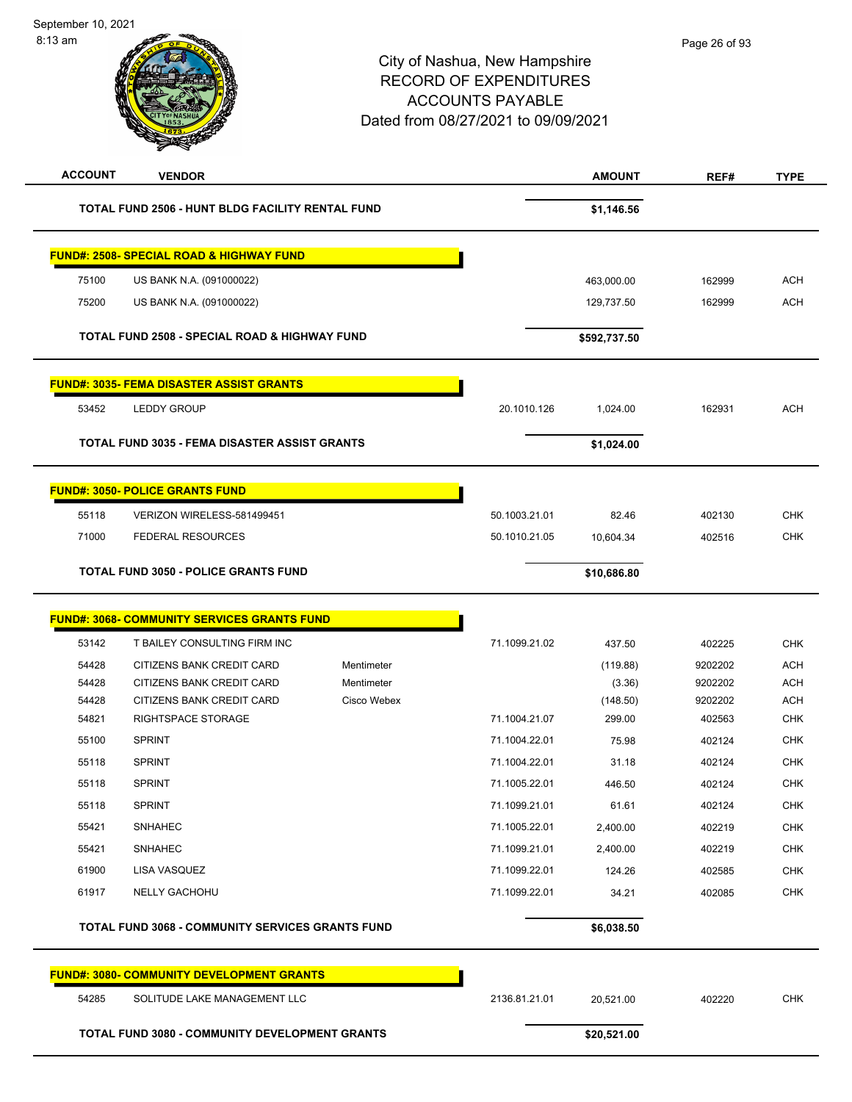City of Nashua, New Hampshire RECORD OF EXPENDITURES ACCOUNTS PAYABLE Dated from 08/27/2021 to 09/09/2021

September 10, 2021

8:13 am

| <b>ACCOUNT</b> | <b>VENDOR</b>                                            |                           |               | <b>AMOUNT</b>      | REF#               | <b>TYPE</b>              |
|----------------|----------------------------------------------------------|---------------------------|---------------|--------------------|--------------------|--------------------------|
|                | TOTAL FUND 2506 - HUNT BLDG FACILITY RENTAL FUND         |                           |               | \$1,146.56         |                    |                          |
|                | FUND#: 2508- SPECIAL ROAD & HIGHWAY FUND                 |                           |               |                    |                    |                          |
| 75100          | US BANK N.A. (091000022)                                 |                           |               | 463,000.00         | 162999             | <b>ACH</b>               |
| 75200          | US BANK N.A. (091000022)                                 |                           |               | 129,737.50         | 162999             | <b>ACH</b>               |
|                |                                                          |                           |               |                    |                    |                          |
|                | <b>TOTAL FUND 2508 - SPECIAL ROAD &amp; HIGHWAY FUND</b> |                           |               | \$592,737.50       |                    |                          |
|                | <b>FUND#: 3035- FEMA DISASTER ASSIST GRANTS</b>          |                           |               |                    |                    |                          |
| 53452          | <b>LEDDY GROUP</b>                                       |                           | 20.1010.126   | 1,024.00           | 162931             | <b>ACH</b>               |
|                | <b>TOTAL FUND 3035 - FEMA DISASTER ASSIST GRANTS</b>     |                           |               | \$1,024.00         |                    |                          |
|                | <b>FUND#: 3050- POLICE GRANTS FUND</b>                   |                           |               |                    |                    |                          |
| 55118          | VERIZON WIRELESS-581499451                               |                           | 50.1003.21.01 | 82.46              | 402130             | <b>CHK</b>               |
| 71000          | <b>FEDERAL RESOURCES</b>                                 |                           | 50.1010.21.05 | 10,604.34          | 402516             | <b>CHK</b>               |
|                | <b>TOTAL FUND 3050 - POLICE GRANTS FUND</b>              |                           |               | \$10,686.80        |                    |                          |
|                |                                                          |                           |               |                    |                    |                          |
|                | <b>FUND#: 3068- COMMUNITY SERVICES GRANTS FUND</b>       |                           |               |                    |                    |                          |
| 53142          | T BAILEY CONSULTING FIRM INC                             |                           | 71.1099.21.02 | 437.50             | 402225             | <b>CHK</b>               |
| 54428          | CITIZENS BANK CREDIT CARD                                | Mentimeter                |               | (119.88)           | 9202202            | <b>ACH</b><br><b>ACH</b> |
| 54428<br>54428 | CITIZENS BANK CREDIT CARD<br>CITIZENS BANK CREDIT CARD   | Mentimeter<br>Cisco Webex |               | (3.36)<br>(148.50) | 9202202<br>9202202 | <b>ACH</b>               |
| 54821          | RIGHTSPACE STORAGE                                       |                           | 71.1004.21.07 | 299.00             | 402563             | <b>CHK</b>               |
| 55100          | <b>SPRINT</b>                                            |                           | 71.1004.22.01 | 75.98              | 402124             | <b>CHK</b>               |
| 55118          | <b>SPRINT</b>                                            |                           | 71.1004.22.01 | 31.18              | 402124             | <b>CHK</b>               |
| 55118          | <b>SPRINT</b>                                            |                           | 71.1005.22.01 | 446.50             | 402124             | <b>CHK</b>               |
| 55118          | <b>SPRINT</b>                                            |                           | 71.1099.21.01 | 61.61              | 402124             | <b>CHK</b>               |
| 55421          | <b>SNHAHEC</b>                                           |                           | 71.1005.22.01 | 2,400.00           | 402219             | <b>CHK</b>               |
| 55421          | <b>SNHAHEC</b>                                           |                           | 71.1099.21.01 | 2,400.00           | 402219             | <b>CHK</b>               |
| 61900          | LISA VASQUEZ                                             |                           | 71.1099.22.01 | 124.26             | 402585             | <b>CHK</b>               |
| 61917          | NELLY GACHOHU                                            |                           | 71.1099.22.01 | 34.21              | 402085             | <b>CHK</b>               |
|                | <b>TOTAL FUND 3068 - COMMUNITY SERVICES GRANTS FUND</b>  |                           |               | \$6,038.50         |                    |                          |
|                | <b>FUND#: 3080- COMMUNITY DEVELOPMENT GRANTS</b>         |                           |               |                    |                    |                          |
| 54285          | SOLITUDE LAKE MANAGEMENT LLC                             |                           | 2136.81.21.01 | 20,521.00          | 402220             | <b>CHK</b>               |
|                | <b>TOTAL FUND 3080 - COMMUNITY DEVELOPMENT GRANTS</b>    |                           |               | \$20,521.00        |                    |                          |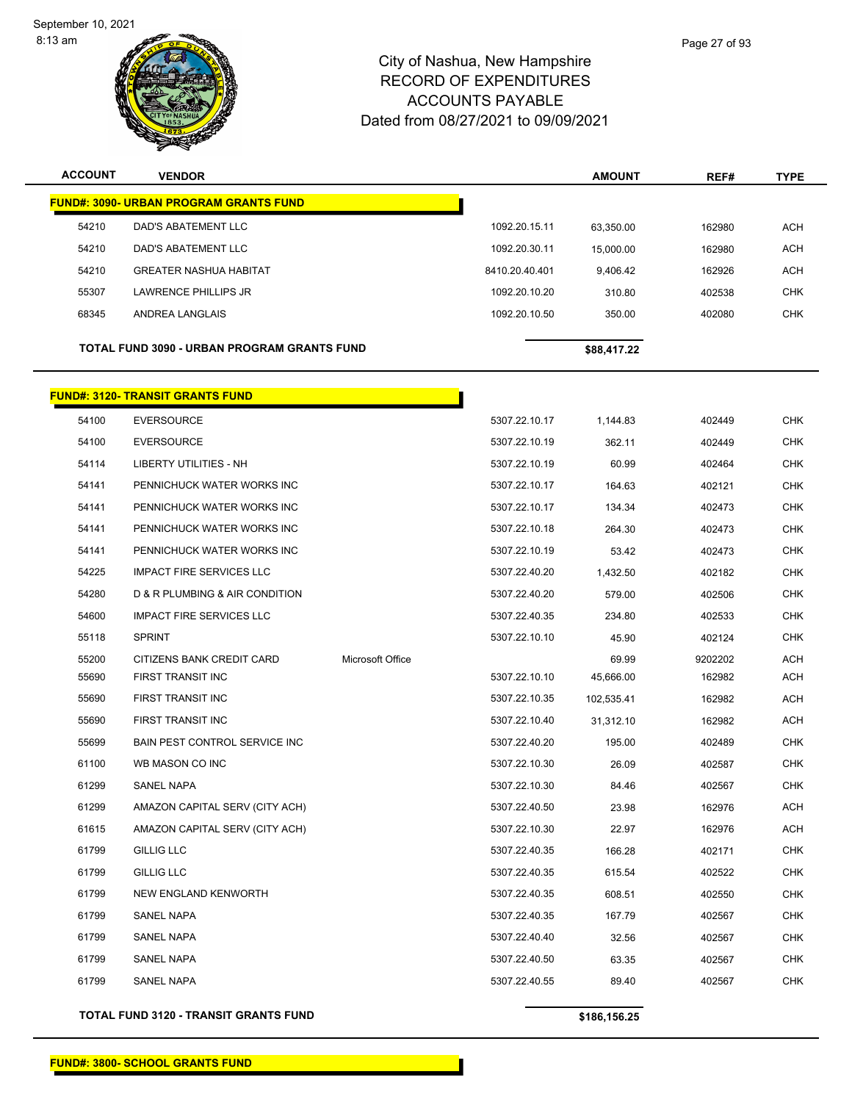8:13 am



## City of Nashua, New Hampshire RECORD OF EXPENDITURES ACCOUNTS PAYABLE Dated from 08/27/2021 to 09/09/2021

| <b>ACCOUNT</b> | <b>VENDOR</b>                                      |                  |                | <b>AMOUNT</b> | REF#    | <b>TYPE</b> |
|----------------|----------------------------------------------------|------------------|----------------|---------------|---------|-------------|
|                | <b>FUND#: 3090- URBAN PROGRAM GRANTS FUND</b>      |                  |                |               |         |             |
| 54210          | DAD'S ABATEMENT LLC                                |                  | 1092.20.15.11  | 63,350.00     | 162980  | <b>ACH</b>  |
| 54210          | <b>DAD'S ABATEMENT LLC</b>                         |                  | 1092.20.30.11  | 15,000.00     | 162980  | ACH         |
| 54210          | <b>GREATER NASHUA HABITAT</b>                      |                  | 8410.20.40.401 | 9,406.42      | 162926  | <b>ACH</b>  |
| 55307          | <b>LAWRENCE PHILLIPS JR</b>                        |                  | 1092.20.10.20  | 310.80        | 402538  | <b>CHK</b>  |
| 68345          | ANDREA LANGLAIS                                    |                  | 1092.20.10.50  | 350.00        | 402080  | <b>CHK</b>  |
|                | <b>TOTAL FUND 3090 - URBAN PROGRAM GRANTS FUND</b> |                  |                | \$88,417.22   |         |             |
|                |                                                    |                  |                |               |         |             |
|                | <b>FUND#: 3120- TRANSIT GRANTS FUND</b>            |                  |                |               |         |             |
| 54100          | <b>EVERSOURCE</b>                                  |                  | 5307.22.10.17  | 1,144.83      | 402449  | <b>CHK</b>  |
| 54100          | <b>EVERSOURCE</b>                                  |                  | 5307.22.10.19  | 362.11        | 402449  | <b>CHK</b>  |
| 54114          | LIBERTY UTILITIES - NH                             |                  | 5307.22.10.19  | 60.99         | 402464  | <b>CHK</b>  |
| 54141          | PENNICHUCK WATER WORKS INC                         |                  | 5307.22.10.17  | 164.63        | 402121  | <b>CHK</b>  |
| 54141          | PENNICHUCK WATER WORKS INC                         |                  | 5307.22.10.17  | 134.34        | 402473  | <b>CHK</b>  |
| 54141          | PENNICHUCK WATER WORKS INC                         |                  | 5307.22.10.18  | 264.30        | 402473  | <b>CHK</b>  |
| 54141          | PENNICHUCK WATER WORKS INC                         |                  | 5307.22.10.19  | 53.42         | 402473  | <b>CHK</b>  |
| 54225          | <b>IMPACT FIRE SERVICES LLC</b>                    |                  | 5307.22.40.20  | 1,432.50      | 402182  | <b>CHK</b>  |
| 54280          | D & R PLUMBING & AIR CONDITION                     |                  | 5307.22.40.20  | 579.00        | 402506  | CHK         |
| 54600          | <b>IMPACT FIRE SERVICES LLC</b>                    |                  | 5307.22.40.35  | 234.80        | 402533  | <b>CHK</b>  |
| 55118          | <b>SPRINT</b>                                      |                  | 5307.22.10.10  | 45.90         | 402124  | <b>CHK</b>  |
| 55200          | CITIZENS BANK CREDIT CARD                          | Microsoft Office |                | 69.99         | 9202202 | <b>ACH</b>  |
| 55690          | FIRST TRANSIT INC                                  |                  | 5307.22.10.10  | 45,666.00     | 162982  | <b>ACH</b>  |
| 55690          | FIRST TRANSIT INC                                  |                  | 5307.22.10.35  | 102,535.41    | 162982  | ACH         |
| 55690          | FIRST TRANSIT INC                                  |                  | 5307.22.10.40  | 31,312.10     | 162982  | <b>ACH</b>  |
| 55699          | <b>BAIN PEST CONTROL SERVICE INC</b>               |                  | 5307.22.40.20  | 195.00        | 402489  | <b>CHK</b>  |
| 61100          | WB MASON CO INC                                    |                  | 5307.22.10.30  | 26.09         | 402587  | <b>CHK</b>  |
| 61299          | <b>SANEL NAPA</b>                                  |                  | 5307.22.10.30  | 84.46         | 402567  | CHK         |
| 61299          | AMAZON CAPITAL SERV (CITY ACH)                     |                  | 5307.22.40.50  | 23.98         | 162976  | <b>ACH</b>  |
| 61615          | AMAZON CAPITAL SERV (CITY ACH)                     |                  | 5307.22.10.30  | 22.97         | 162976  | <b>ACH</b>  |
| 61799          | <b>GILLIG LLC</b>                                  |                  | 5307.22.40.35  | 166.28        | 402171  | <b>CHK</b>  |
| 61799          | <b>GILLIG LLC</b>                                  |                  | 5307.22.40.35  | 615.54        | 402522  | <b>CHK</b>  |
| 61799          | NEW ENGLAND KENWORTH                               |                  | 5307.22.40.35  | 608.51        | 402550  | <b>CHK</b>  |
| 61799          | SANEL NAPA                                         |                  | 5307.22.40.35  | 167.79        | 402567  | <b>CHK</b>  |
| 61799          | SANEL NAPA                                         |                  | 5307.22.40.40  | 32.56         | 402567  | <b>CHK</b>  |
| 61799          | SANEL NAPA                                         |                  | 5307.22.40.50  | 63.35         | 402567  | <b>CHK</b>  |
| 61799          | SANEL NAPA                                         |                  | 5307.22.40.55  | 89.40         | 402567  | <b>CHK</b>  |
|                |                                                    |                  |                |               |         |             |

**TOTAL FUND 3120 - TRANSIT GRANTS FUND \$186,156.25**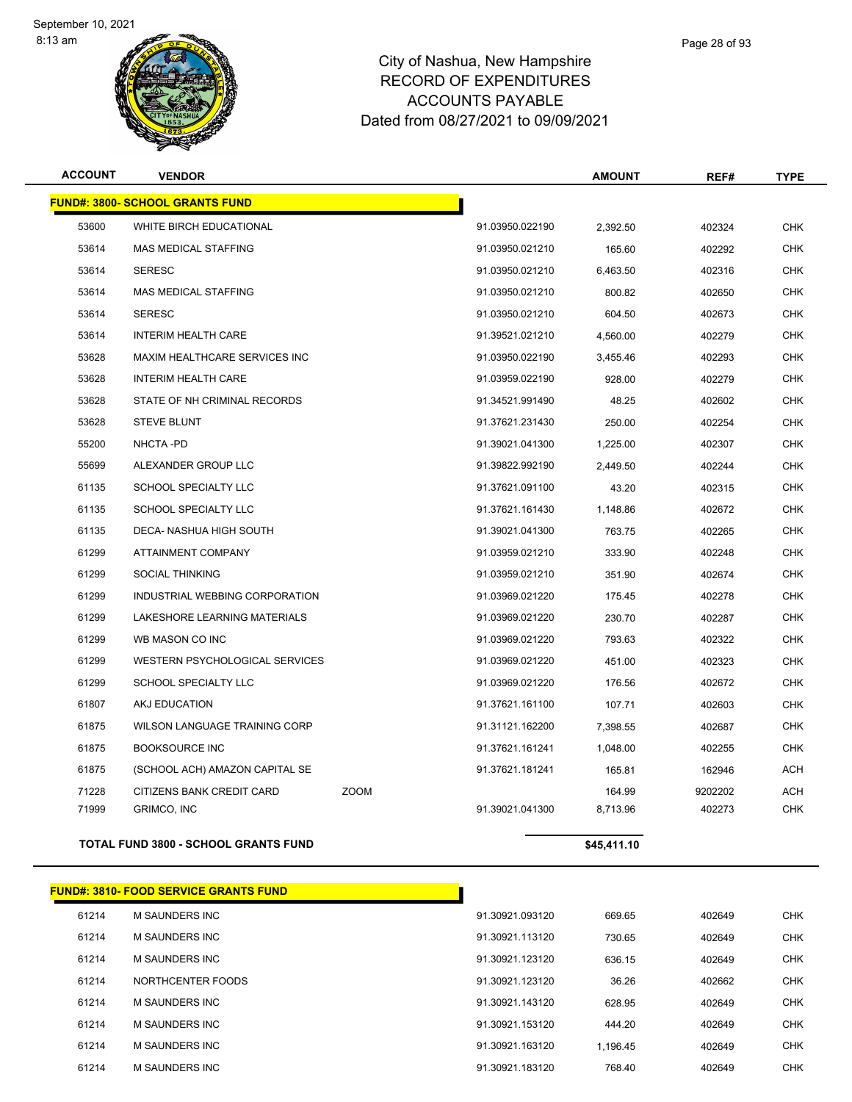

### City of Nashua, New Hampshire RECORD OF EXPENDITURES ACCOUNTS PAYABLE Dated from 08/27/2021 to 09/09/2021

| <b>ACCOUNT</b> | <b>VENDOR</b>                          |             |                 | <b>AMOUNT</b> | REF#    | <b>TYPE</b> |
|----------------|----------------------------------------|-------------|-----------------|---------------|---------|-------------|
|                | <b>FUND#: 3800- SCHOOL GRANTS FUND</b> |             |                 |               |         |             |
| 53600          | <b>WHITE BIRCH EDUCATIONAL</b>         |             | 91.03950.022190 | 2,392.50      | 402324  | <b>CHK</b>  |
| 53614          | <b>MAS MEDICAL STAFFING</b>            |             | 91.03950.021210 | 165.60        | 402292  | <b>CHK</b>  |
| 53614          | <b>SERESC</b>                          |             | 91.03950.021210 | 6,463.50      | 402316  | <b>CHK</b>  |
| 53614          | <b>MAS MEDICAL STAFFING</b>            |             | 91.03950.021210 | 800.82        | 402650  | <b>CHK</b>  |
| 53614          | <b>SERESC</b>                          |             | 91.03950.021210 | 604.50        | 402673  | <b>CHK</b>  |
| 53614          | <b>INTERIM HEALTH CARE</b>             |             | 91.39521.021210 | 4,560.00      | 402279  | <b>CHK</b>  |
| 53628          | MAXIM HEALTHCARE SERVICES INC          |             | 91.03950.022190 | 3,455.46      | 402293  | <b>CHK</b>  |
| 53628          | <b>INTERIM HEALTH CARE</b>             |             | 91.03959.022190 | 928.00        | 402279  | <b>CHK</b>  |
| 53628          | STATE OF NH CRIMINAL RECORDS           |             | 91.34521.991490 | 48.25         | 402602  | <b>CHK</b>  |
| 53628          | <b>STEVE BLUNT</b>                     |             | 91.37621.231430 | 250.00        | 402254  | <b>CHK</b>  |
| 55200          | NHCTA-PD                               |             | 91.39021.041300 | 1,225.00      | 402307  | <b>CHK</b>  |
| 55699          | ALEXANDER GROUP LLC                    |             | 91.39822.992190 | 2,449.50      | 402244  | <b>CHK</b>  |
| 61135          | SCHOOL SPECIALTY LLC                   |             | 91.37621.091100 | 43.20         | 402315  | <b>CHK</b>  |
| 61135          | SCHOOL SPECIALTY LLC                   |             | 91.37621.161430 | 1,148.86      | 402672  | <b>CHK</b>  |
| 61135          | DECA- NASHUA HIGH SOUTH                |             | 91.39021.041300 | 763.75        | 402265  | <b>CHK</b>  |
| 61299          | ATTAINMENT COMPANY                     |             | 91.03959.021210 | 333.90        | 402248  | <b>CHK</b>  |
| 61299          | <b>SOCIAL THINKING</b>                 |             | 91.03959.021210 | 351.90        | 402674  | <b>CHK</b>  |
| 61299          | INDUSTRIAL WEBBING CORPORATION         |             | 91.03969.021220 | 175.45        | 402278  | <b>CHK</b>  |
| 61299          | LAKESHORE LEARNING MATERIALS           |             | 91.03969.021220 | 230.70        | 402287  | <b>CHK</b>  |
| 61299          | WB MASON CO INC                        |             | 91.03969.021220 | 793.63        | 402322  | <b>CHK</b>  |
| 61299          | <b>WESTERN PSYCHOLOGICAL SERVICES</b>  |             | 91.03969.021220 | 451.00        | 402323  | <b>CHK</b>  |
| 61299          | SCHOOL SPECIALTY LLC                   |             | 91.03969.021220 | 176.56        | 402672  | <b>CHK</b>  |
| 61807          | AKJ EDUCATION                          |             | 91.37621.161100 | 107.71        | 402603  | <b>CHK</b>  |
| 61875          | WILSON LANGUAGE TRAINING CORP          |             | 91.31121.162200 | 7,398.55      | 402687  | <b>CHK</b>  |
| 61875          | <b>BOOKSOURCE INC</b>                  |             | 91.37621.161241 | 1,048.00      | 402255  | <b>CHK</b>  |
| 61875          | (SCHOOL ACH) AMAZON CAPITAL SE         |             | 91.37621.181241 | 165.81        | 162946  | <b>ACH</b>  |
| 71228          | CITIZENS BANK CREDIT CARD              | <b>ZOOM</b> |                 | 164.99        | 9202202 | <b>ACH</b>  |
| 71999          | GRIMCO, INC                            |             | 91.39021.041300 | 8,713.96      | 402273  | <b>CHK</b>  |
|                |                                        |             |                 |               |         |             |

#### **TOTAL FUND 3800 - SCHOOL GRANTS FUND \$45,411.10**

**FUND#: 3810- FOOD SERVICE GRANTS FUND** M SAUNDERS INC 91.30921.093120 669.65 402649 CHK M SAUNDERS INC 91.30921.113120 730.65 402649 CHK M SAUNDERS INC 91.30921.123120 636.15 402649 CHK NORTHCENTER FOODS 91.30921.123120 36.26 402662 CHK M SAUNDERS INC 91.30921.143120 628.95 402649 CHK M SAUNDERS INC 91.30921.153120 444.20 402649 CHK M SAUNDERS INC 91.30921.163120 1,196.45 402649 CHK M SAUNDERS INC 91.30921.183120 768.40 402649 CHK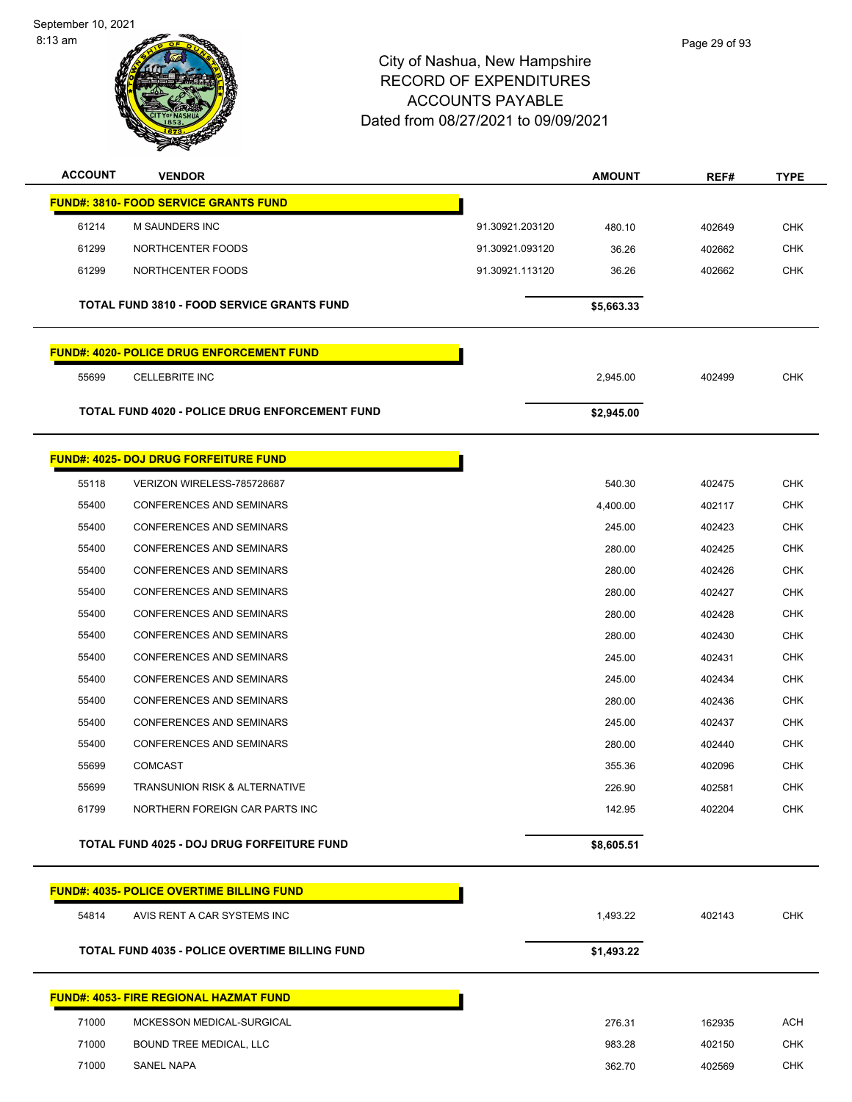8:13 am



| <b>ACCOUNT</b> | <b>VENDOR</b>                                         |                 | <b>AMOUNT</b> | REF#   | <b>TYPE</b> |
|----------------|-------------------------------------------------------|-----------------|---------------|--------|-------------|
|                | <b>FUND#: 3810- FOOD SERVICE GRANTS FUND</b>          |                 |               |        |             |
| 61214          | <b>M SAUNDERS INC</b>                                 | 91.30921.203120 | 480.10        | 402649 | <b>CHK</b>  |
| 61299          | NORTHCENTER FOODS                                     | 91.30921.093120 | 36.26         | 402662 | <b>CHK</b>  |
| 61299          | NORTHCENTER FOODS                                     | 91.30921.113120 | 36.26         | 402662 | <b>CHK</b>  |
|                | <b>TOTAL FUND 3810 - FOOD SERVICE GRANTS FUND</b>     |                 | \$5,663.33    |        |             |
|                | <b>FUND#: 4020- POLICE DRUG ENFORCEMENT FUND</b>      |                 |               |        |             |
| 55699          | <b>CELLEBRITE INC</b>                                 |                 | 2,945.00      | 402499 | <b>CHK</b>  |
|                | <b>TOTAL FUND 4020 - POLICE DRUG ENFORCEMENT FUND</b> |                 | \$2,945.00    |        |             |
|                | <b>FUND#: 4025- DOJ DRUG FORFEITURE FUND</b>          |                 |               |        |             |
| 55118          | VERIZON WIRELESS-785728687                            |                 | 540.30        | 402475 | <b>CHK</b>  |
| 55400          | <b>CONFERENCES AND SEMINARS</b>                       |                 | 4,400.00      | 402117 | <b>CHK</b>  |
| 55400          | <b>CONFERENCES AND SEMINARS</b>                       |                 | 245.00        | 402423 | <b>CHK</b>  |
| 55400          | <b>CONFERENCES AND SEMINARS</b>                       |                 | 280.00        | 402425 | <b>CHK</b>  |
| 55400          | <b>CONFERENCES AND SEMINARS</b>                       |                 | 280.00        | 402426 | <b>CHK</b>  |
| 55400          | <b>CONFERENCES AND SEMINARS</b>                       |                 | 280.00        | 402427 | <b>CHK</b>  |
| 55400          | <b>CONFERENCES AND SEMINARS</b>                       |                 | 280.00        | 402428 | <b>CHK</b>  |
| 55400          | <b>CONFERENCES AND SEMINARS</b>                       |                 | 280.00        | 402430 | <b>CHK</b>  |
| 55400          | <b>CONFERENCES AND SEMINARS</b>                       |                 | 245.00        | 402431 | <b>CHK</b>  |
| 55400          | <b>CONFERENCES AND SEMINARS</b>                       |                 | 245.00        | 402434 | <b>CHK</b>  |
| 55400          | <b>CONFERENCES AND SEMINARS</b>                       |                 | 280.00        | 402436 | <b>CHK</b>  |
| 55400          | <b>CONFERENCES AND SEMINARS</b>                       |                 | 245.00        | 402437 | <b>CHK</b>  |
| 55400          | <b>CONFERENCES AND SEMINARS</b>                       |                 | 280.00        | 402440 | <b>CHK</b>  |
| 55699          | <b>COMCAST</b>                                        |                 | 355.36        | 402096 | <b>CHK</b>  |
| 55699          | <b>TRANSUNION RISK &amp; ALTERNATIVE</b>              |                 | 226.90        | 402581 | CHK         |
| 61799          | NORTHERN FOREIGN CAR PARTS INC                        |                 | 142.95        | 402204 | <b>CHK</b>  |
|                | TOTAL FUND 4025 - DOJ DRUG FORFEITURE FUND            |                 | \$8,605.51    |        |             |
|                | <b>FUND#: 4035- POLICE OVERTIME BILLING FUND</b>      |                 |               |        |             |
| 54814          | AVIS RENT A CAR SYSTEMS INC                           |                 | 1,493.22      | 402143 | <b>CHK</b>  |
|                | TOTAL FUND 4035 - POLICE OVERTIME BILLING FUND        |                 | \$1,493.22    |        |             |
|                | <b>FUND#: 4053- FIRE REGIONAL HAZMAT FUND</b>         |                 |               |        |             |
| 71000          | MCKESSON MEDICAL-SURGICAL                             |                 | 276.31        | 162935 | <b>ACH</b>  |
| 71000          | BOUND TREE MEDICAL, LLC                               |                 | 983.28        | 402150 | <b>CHK</b>  |
| 71000          | SANEL NAPA                                            |                 | 362.70        | 402569 | CHK         |
|                |                                                       |                 |               |        |             |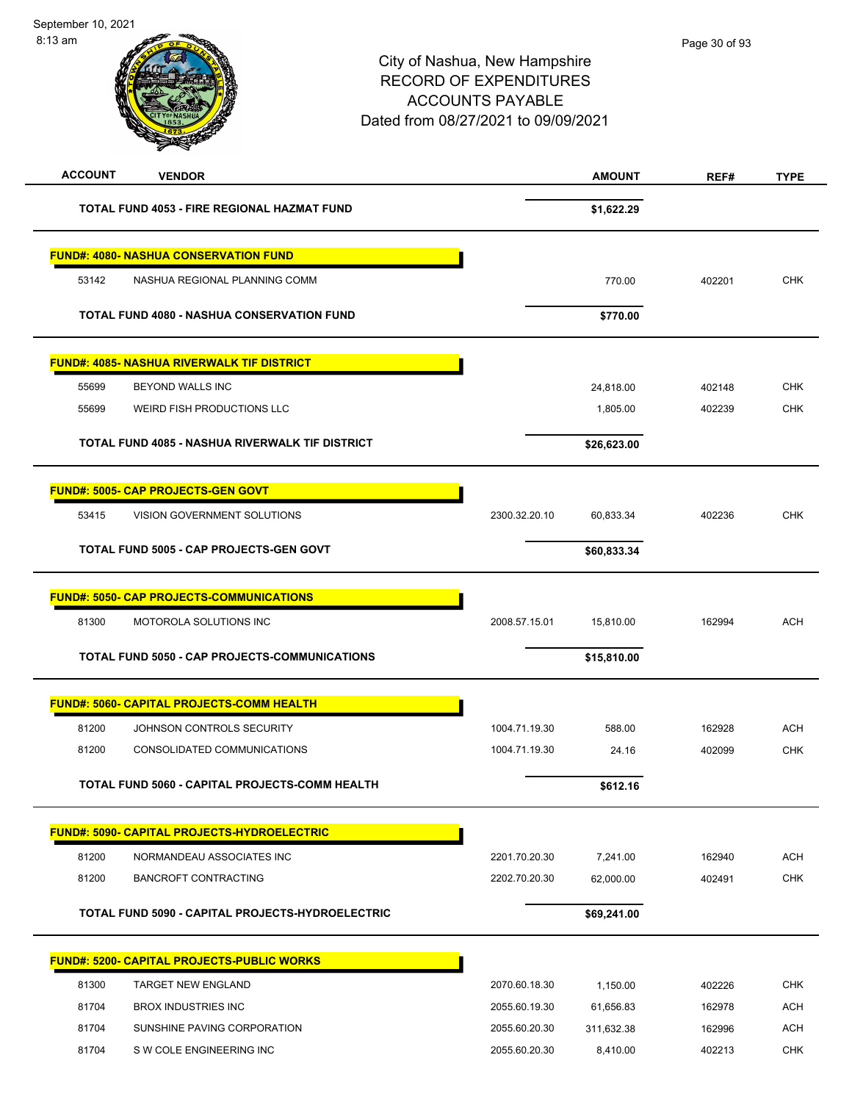| <b>ACCOUNT</b><br><b>VENDOR</b>                    |               | <b>AMOUNT</b> | REF#   | <b>TYPE</b> |
|----------------------------------------------------|---------------|---------------|--------|-------------|
| TOTAL FUND 4053 - FIRE REGIONAL HAZMAT FUND        |               | \$1,622.29    |        |             |
| <b>FUND#: 4080- NASHUA CONSERVATION FUND</b>       |               |               |        |             |
| 53142<br>NASHUA REGIONAL PLANNING COMM             |               | 770.00        | 402201 | <b>CHK</b>  |
| <b>TOTAL FUND 4080 - NASHUA CONSERVATION FUND</b>  |               | \$770.00      |        |             |
| <b>FUND#: 4085- NASHUA RIVERWALK TIF DISTRICT</b>  |               |               |        |             |
| 55699<br>BEYOND WALLS INC                          |               | 24,818.00     | 402148 | <b>CHK</b>  |
| WEIRD FISH PRODUCTIONS LLC<br>55699                |               | 1,805.00      | 402239 | <b>CHK</b>  |
| TOTAL FUND 4085 - NASHUA RIVERWALK TIF DISTRICT    |               | \$26,623.00   |        |             |
| <b>FUND#: 5005- CAP PROJECTS-GEN GOVT</b>          |               |               |        |             |
| VISION GOVERNMENT SOLUTIONS<br>53415               | 2300.32.20.10 | 60,833.34     | 402236 | <b>CHK</b>  |
| TOTAL FUND 5005 - CAP PROJECTS-GEN GOVT            |               | \$60,833.34   |        |             |
| <b>FUND#: 5050- CAP PROJECTS-COMMUNICATIONS</b>    |               |               |        |             |
| 81300<br>MOTOROLA SOLUTIONS INC                    | 2008.57.15.01 | 15,810.00     | 162994 | <b>ACH</b>  |
| TOTAL FUND 5050 - CAP PROJECTS-COMMUNICATIONS      |               | \$15,810.00   |        |             |
| <b>FUND#: 5060- CAPITAL PROJECTS-COMM HEALTH</b>   |               |               |        |             |
| 81200<br>JOHNSON CONTROLS SECURITY                 | 1004.71.19.30 | 588.00        | 162928 | ACH         |
| 81200<br>CONSOLIDATED COMMUNICATIONS               | 1004.71.19.30 | 24.16         | 402099 | <b>CHK</b>  |
| TOTAL FUND 5060 - CAPITAL PROJECTS-COMM HEALTH     |               | \$612.16      |        |             |
| <b>FUND#: 5090- CAPITAL PROJECTS-HYDROELECTRIC</b> |               |               |        |             |
| 81200<br>NORMANDEAU ASSOCIATES INC                 | 2201.70.20.30 | 7,241.00      | 162940 | <b>ACH</b>  |
| 81200<br><b>BANCROFT CONTRACTING</b>               | 2202.70.20.30 | 62,000.00     | 402491 | <b>CHK</b>  |
| TOTAL FUND 5090 - CAPITAL PROJECTS-HYDROELECTRIC   |               | \$69,241.00   |        |             |
| <b>FUND#: 5200- CAPITAL PROJECTS-PUBLIC WORKS</b>  |               |               |        |             |
| <b>TARGET NEW ENGLAND</b><br>81300                 | 2070.60.18.30 | 1,150.00      | 402226 | <b>CHK</b>  |
| 81704<br><b>BROX INDUSTRIES INC</b>                | 2055.60.19.30 | 61,656.83     | 162978 | <b>ACH</b>  |
| 81704<br>SUNSHINE PAVING CORPORATION               | 2055.60.20.30 | 311,632.38    | 162996 | ACH         |
| 81704<br>S W COLE ENGINEERING INC                  | 2055.60.20.30 | 8,410.00      | 402213 | <b>CHK</b>  |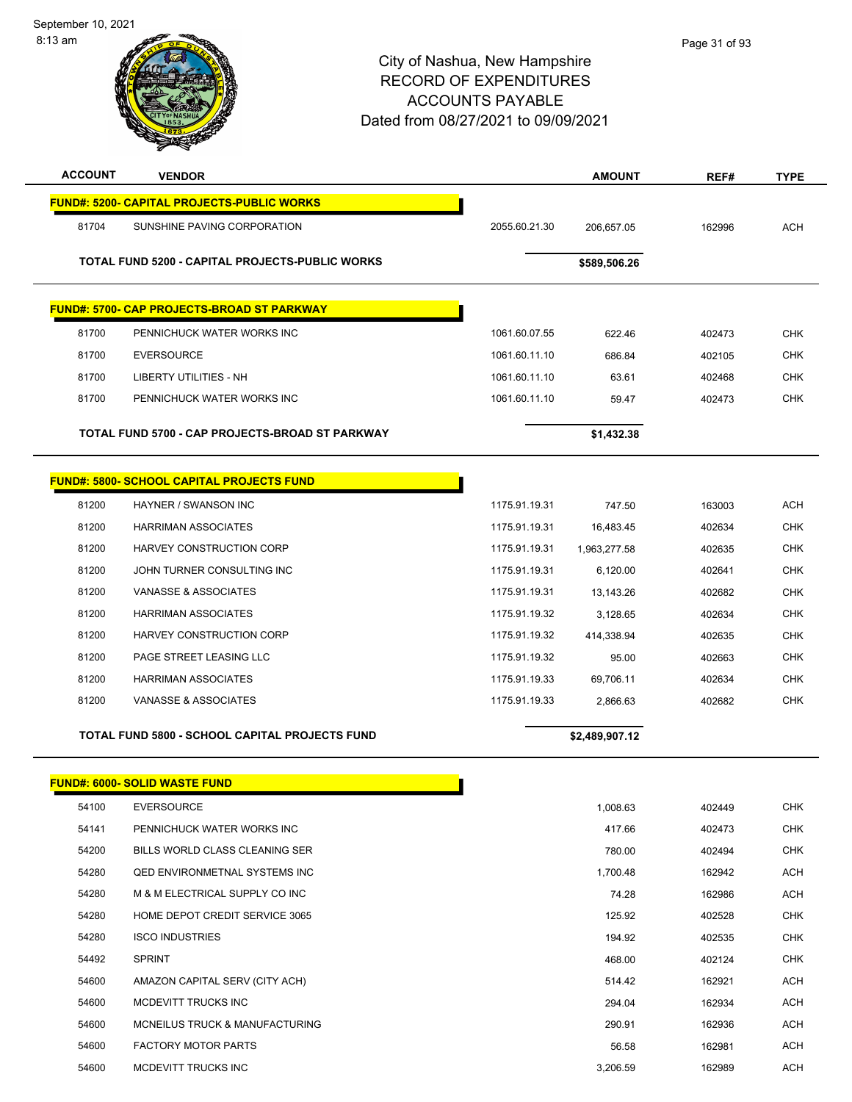

| <b>ACCOUNT</b> | <b>VENDOR</b>                                         |               | <b>AMOUNT</b>  | REF#   | <b>TYPE</b> |
|----------------|-------------------------------------------------------|---------------|----------------|--------|-------------|
|                | <b>FUND#: 5200- CAPITAL PROJECTS-PUBLIC WORKS</b>     |               |                |        |             |
| 81704          | SUNSHINE PAVING CORPORATION                           | 2055.60.21.30 | 206,657.05     | 162996 | <b>ACH</b>  |
|                | TOTAL FUND 5200 - CAPITAL PROJECTS-PUBLIC WORKS       |               | \$589,506.26   |        |             |
|                |                                                       |               |                |        |             |
|                | <b>FUND#: 5700- CAP PROJECTS-BROAD ST PARKWAY</b>     |               |                |        |             |
| 81700          | PENNICHUCK WATER WORKS INC                            | 1061.60.07.55 | 622.46         | 402473 | <b>CHK</b>  |
| 81700          | <b>EVERSOURCE</b>                                     | 1061.60.11.10 | 686.84         | 402105 | <b>CHK</b>  |
| 81700          | <b>LIBERTY UTILITIES - NH</b>                         | 1061.60.11.10 | 63.61          | 402468 | CHK         |
| 81700          | PENNICHUCK WATER WORKS INC                            | 1061.60.11.10 | 59.47          | 402473 | <b>CHK</b>  |
|                | TOTAL FUND 5700 - CAP PROJECTS-BROAD ST PARKWAY       |               | \$1,432.38     |        |             |
|                |                                                       |               |                |        |             |
|                | <b>FUND#: 5800- SCHOOL CAPITAL PROJECTS FUND</b>      |               |                |        |             |
| 81200          | <b>HAYNER / SWANSON INC</b>                           | 1175.91.19.31 | 747.50         | 163003 | <b>ACH</b>  |
| 81200          | <b>HARRIMAN ASSOCIATES</b>                            | 1175.91.19.31 | 16,483.45      | 402634 | <b>CHK</b>  |
| 81200          | HARVEY CONSTRUCTION CORP                              | 1175.91.19.31 | 1,963,277.58   | 402635 | <b>CHK</b>  |
| 81200          | JOHN TURNER CONSULTING INC                            | 1175.91.19.31 | 6,120.00       | 402641 | <b>CHK</b>  |
| 81200          | VANASSE & ASSOCIATES                                  | 1175.91.19.31 | 13,143.26      | 402682 | <b>CHK</b>  |
| 81200          | <b>HARRIMAN ASSOCIATES</b>                            | 1175.91.19.32 | 3,128.65       | 402634 | <b>CHK</b>  |
| 81200          | HARVEY CONSTRUCTION CORP                              | 1175.91.19.32 | 414,338.94     | 402635 | <b>CHK</b>  |
| 81200          | PAGE STREET LEASING LLC                               | 1175.91.19.32 | 95.00          | 402663 | <b>CHK</b>  |
| 81200          | <b>HARRIMAN ASSOCIATES</b>                            | 1175.91.19.33 | 69,706.11      | 402634 | <b>CHK</b>  |
| 81200          | VANASSE & ASSOCIATES                                  | 1175.91.19.33 | 2,866.63       | 402682 | <b>CHK</b>  |
|                | <b>TOTAL FUND 5800 - SCHOOL CAPITAL PROJECTS FUND</b> |               | \$2,489,907.12 |        |             |
|                | <b>FUND#: 6000- SOLID WASTE FUND</b>                  |               |                |        |             |
| 54100          | <b>EVERSOURCE</b>                                     |               | 1,008.63       | 402449 | <b>CHK</b>  |
| 54141          | PENNICHUCK WATER WORKS INC                            |               | 417.66         | 402473 | <b>CHK</b>  |
| 54200          | BILLS WORLD CLASS CLEANING SER                        |               | 780.00         | 402494 | <b>CHK</b>  |
| 54280          | <b>QED ENVIRONMETNAL SYSTEMS INC</b>                  |               | 1,700.48       | 162942 | <b>ACH</b>  |
| 54280          | M & M ELECTRICAL SUPPLY CO INC                        |               | 74.28          | 162986 | ACH         |
| 54280          | HOME DEPOT CREDIT SERVICE 3065                        |               | 125.92         | 402528 | <b>CHK</b>  |
| 54280          | <b>ISCO INDUSTRIES</b>                                |               | 194.92         | 402535 | <b>CHK</b>  |
| 54492          | <b>SPRINT</b>                                         |               | 468.00         | 402124 | <b>CHK</b>  |
| 54600          | AMAZON CAPITAL SERV (CITY ACH)                        |               | 514.42         | 162921 | <b>ACH</b>  |
| 54600          | MCDEVITT TRUCKS INC                                   |               | 294.04         | 162934 | ACH         |
| 54600          | MCNEILUS TRUCK & MANUFACTURING                        |               | 290.91         | 162936 | ACH         |
| 54600          | <b>FACTORY MOTOR PARTS</b>                            |               | 56.58          | 162981 | ACH         |
| 54600          | MCDEVITT TRUCKS INC                                   |               | 3,206.59       | 162989 | <b>ACH</b>  |
|                |                                                       |               |                |        |             |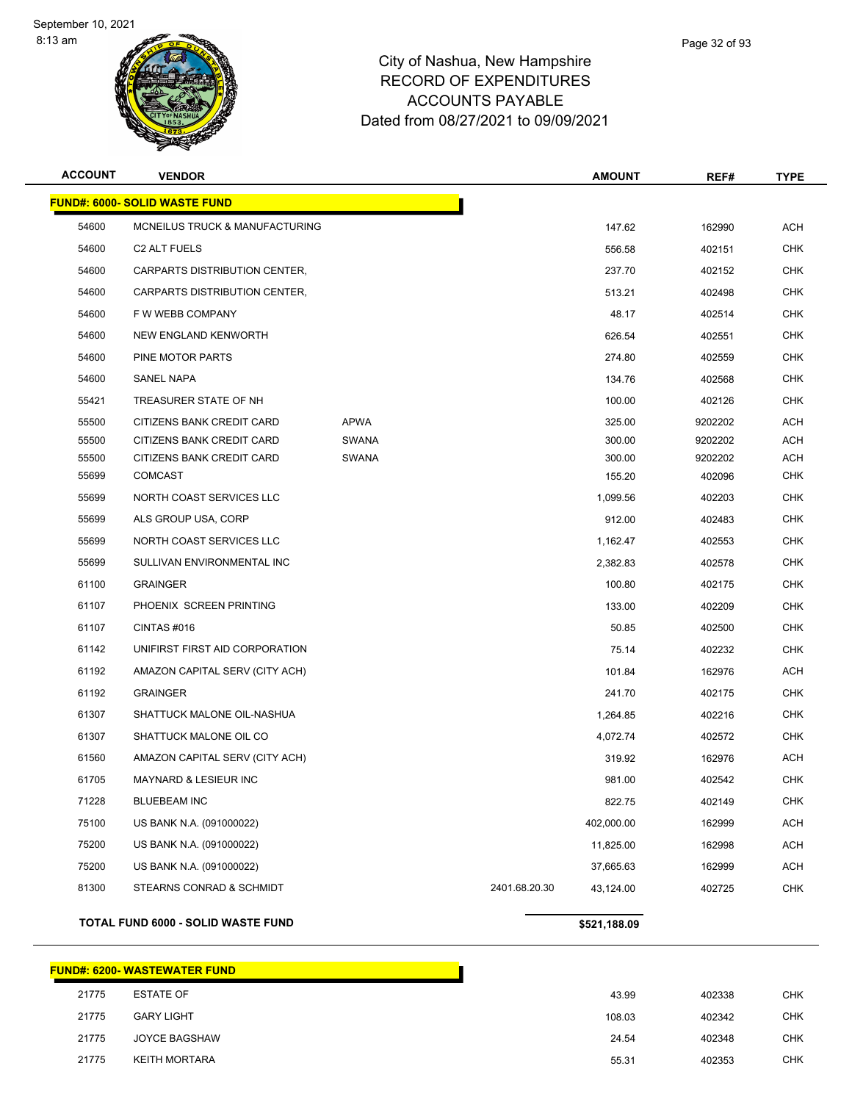

# City of Nashua, New Hampshire RECORD OF EXPENDITURES ACCOUNTS PAYABLE Dated from 08/27/2021 to 09/09/2021

| <b>ACCOUNT</b> | <b>VENDOR</b>                        |              |               | <b>AMOUNT</b> | REF#    | <b>TYPE</b> |
|----------------|--------------------------------------|--------------|---------------|---------------|---------|-------------|
|                | <b>FUND#: 6000- SOLID WASTE FUND</b> |              |               |               |         |             |
| 54600          | MCNEILUS TRUCK & MANUFACTURING       |              |               | 147.62        | 162990  | ACH         |
| 54600          | <b>C2 ALT FUELS</b>                  |              |               | 556.58        | 402151  | <b>CHK</b>  |
| 54600          | CARPARTS DISTRIBUTION CENTER,        |              |               | 237.70        | 402152  | CHK         |
| 54600          | CARPARTS DISTRIBUTION CENTER,        |              |               | 513.21        | 402498  | <b>CHK</b>  |
| 54600          | F W WEBB COMPANY                     |              |               | 48.17         | 402514  | <b>CHK</b>  |
| 54600          | <b>NEW ENGLAND KENWORTH</b>          |              |               | 626.54        | 402551  | <b>CHK</b>  |
| 54600          | PINE MOTOR PARTS                     |              |               | 274.80        | 402559  | <b>CHK</b>  |
| 54600          | SANEL NAPA                           |              |               | 134.76        | 402568  | <b>CHK</b>  |
| 55421          | TREASURER STATE OF NH                |              |               | 100.00        | 402126  | <b>CHK</b>  |
| 55500          | CITIZENS BANK CREDIT CARD            | APWA         |               | 325.00        | 9202202 | ACH         |
| 55500          | CITIZENS BANK CREDIT CARD            | <b>SWANA</b> |               | 300.00        | 9202202 | <b>ACH</b>  |
| 55500          | CITIZENS BANK CREDIT CARD            | <b>SWANA</b> |               | 300.00        | 9202202 | ACH         |
| 55699          | <b>COMCAST</b>                       |              |               | 155.20        | 402096  | <b>CHK</b>  |
| 55699          | NORTH COAST SERVICES LLC             |              |               | 1,099.56      | 402203  | <b>CHK</b>  |
| 55699          | ALS GROUP USA, CORP                  |              |               | 912.00        | 402483  | <b>CHK</b>  |
| 55699          | NORTH COAST SERVICES LLC             |              |               | 1,162.47      | 402553  | <b>CHK</b>  |
| 55699          | SULLIVAN ENVIRONMENTAL INC           |              |               | 2,382.83      | 402578  | CHK         |
| 61100          | <b>GRAINGER</b>                      |              |               | 100.80        | 402175  | <b>CHK</b>  |
| 61107          | PHOENIX SCREEN PRINTING              |              |               | 133.00        | 402209  | <b>CHK</b>  |
| 61107          | CINTAS#016                           |              |               | 50.85         | 402500  | <b>CHK</b>  |
| 61142          | UNIFIRST FIRST AID CORPORATION       |              |               | 75.14         | 402232  | CHK         |
| 61192          | AMAZON CAPITAL SERV (CITY ACH)       |              |               | 101.84        | 162976  | ACH         |
| 61192          | <b>GRAINGER</b>                      |              |               | 241.70        | 402175  | <b>CHK</b>  |
| 61307          | SHATTUCK MALONE OIL-NASHUA           |              |               | 1,264.85      | 402216  | <b>CHK</b>  |
| 61307          | SHATTUCK MALONE OIL CO               |              |               | 4,072.74      | 402572  | <b>CHK</b>  |
| 61560          | AMAZON CAPITAL SERV (CITY ACH)       |              |               | 319.92        | 162976  | ACH         |
| 61705          | <b>MAYNARD &amp; LESIEUR INC</b>     |              |               | 981.00        | 402542  | <b>CHK</b>  |
| 71228          | <b>BLUEBEAM INC</b>                  |              |               | 822.75        | 402149  | <b>CHK</b>  |
| 75100          | US BANK N.A. (091000022)             |              |               | 402,000.00    | 162999  | <b>ACH</b>  |
| 75200          | US BANK N.A. (091000022)             |              |               | 11,825.00     | 162998  | ACH         |
| 75200          | US BANK N.A. (091000022)             |              |               | 37,665.63     | 162999  | <b>ACH</b>  |
| 81300          | STEARNS CONRAD & SCHMIDT             |              | 2401.68.20.30 | 43,124.00     | 402725  | <b>CHK</b>  |
|                | TOTAL FUND 6000 - SOLID WASTE FUND   |              |               | \$521,188.09  |         |             |

|       | <b>FUND#: 6200- WASTEWATER FUND</b> |        |
|-------|-------------------------------------|--------|
| 21775 | <b>ESTATE OF</b>                    | 43.99  |
| 21775 | <b>GARY LIGHT</b>                   | 108.03 |
| 21775 | <b>JOYCE BAGSHAW</b>                | 24.54  |
| 21775 | <b>KEITH MORTARA</b>                | 55.31  |

Page 32 of 93

| 43.99  | 402338 | CHK |
|--------|--------|-----|
| 108.03 | 402342 | CHK |
| 24.54  | 402348 | CHK |
| 55.31  | 402353 | CHK |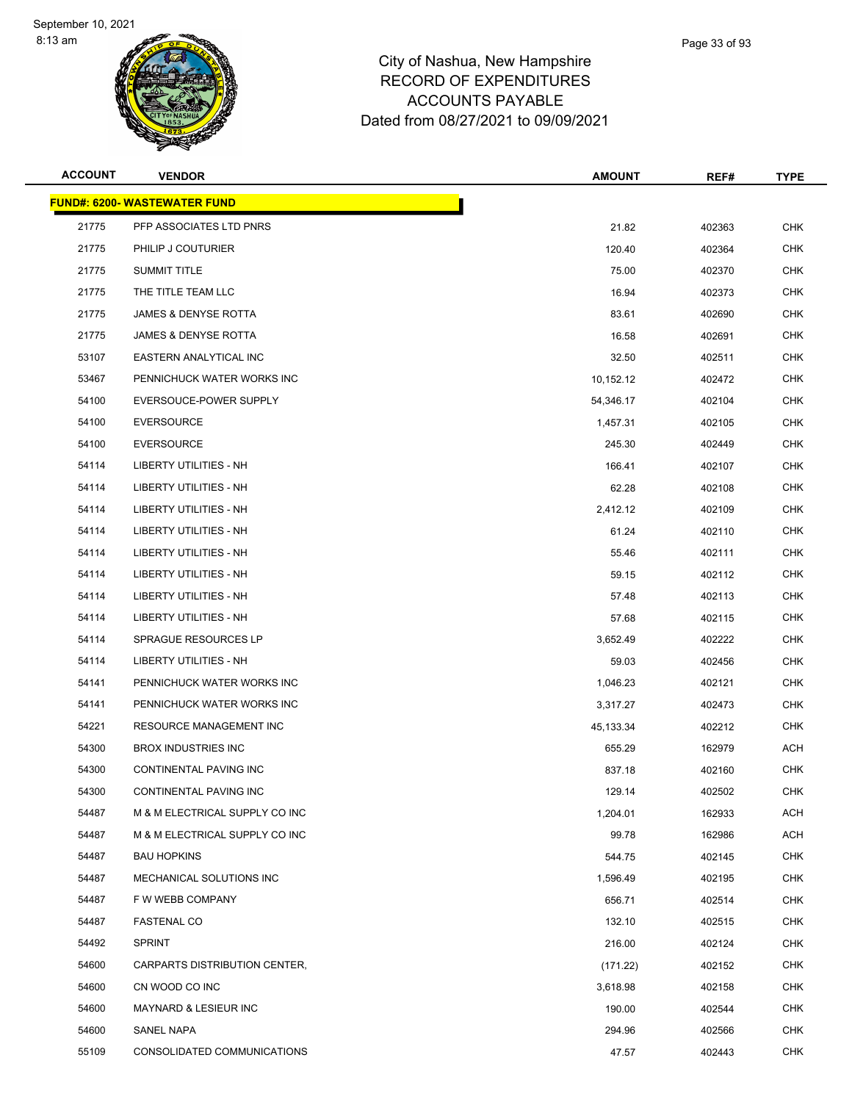8:13 am



| <b>ACCOUNT</b> | <b>VENDOR</b>                        | <b>AMOUNT</b> | REF#   | <b>TYPE</b> |
|----------------|--------------------------------------|---------------|--------|-------------|
|                | <u> FUND#: 6200- WASTEWATER FUND</u> |               |        |             |
| 21775          | PFP ASSOCIATES LTD PNRS              | 21.82         | 402363 | <b>CHK</b>  |
| 21775          | PHILIP J COUTURIER                   | 120.40        | 402364 | <b>CHK</b>  |
| 21775          | <b>SUMMIT TITLE</b>                  | 75.00         | 402370 | CHK         |
| 21775          | THE TITLE TEAM LLC                   | 16.94         | 402373 | <b>CHK</b>  |
| 21775          | <b>JAMES &amp; DENYSE ROTTA</b>      | 83.61         | 402690 | <b>CHK</b>  |
| 21775          | JAMES & DENYSE ROTTA                 | 16.58         | 402691 | <b>CHK</b>  |
| 53107          | EASTERN ANALYTICAL INC               | 32.50         | 402511 | <b>CHK</b>  |
| 53467          | PENNICHUCK WATER WORKS INC           | 10,152.12     | 402472 | CHK         |
| 54100          | EVERSOUCE-POWER SUPPLY               | 54,346.17     | 402104 | <b>CHK</b>  |
| 54100          | <b>EVERSOURCE</b>                    | 1,457.31      | 402105 | <b>CHK</b>  |
| 54100          | <b>EVERSOURCE</b>                    | 245.30        | 402449 | <b>CHK</b>  |
| 54114          | <b>LIBERTY UTILITIES - NH</b>        | 166.41        | 402107 | CHK         |
| 54114          | LIBERTY UTILITIES - NH               | 62.28         | 402108 | CHK         |
| 54114          | <b>LIBERTY UTILITIES - NH</b>        | 2,412.12      | 402109 | <b>CHK</b>  |
| 54114          | LIBERTY UTILITIES - NH               | 61.24         | 402110 | <b>CHK</b>  |
| 54114          | LIBERTY UTILITIES - NH               | 55.46         | 402111 | <b>CHK</b>  |
| 54114          | LIBERTY UTILITIES - NH               | 59.15         | 402112 | <b>CHK</b>  |
| 54114          | LIBERTY UTILITIES - NH               | 57.48         | 402113 | CHK         |
| 54114          | LIBERTY UTILITIES - NH               | 57.68         | 402115 | <b>CHK</b>  |
| 54114          | SPRAGUE RESOURCES LP                 | 3,652.49      | 402222 | <b>CHK</b>  |
| 54114          | LIBERTY UTILITIES - NH               | 59.03         | 402456 | <b>CHK</b>  |
| 54141          | PENNICHUCK WATER WORKS INC           | 1,046.23      | 402121 | CHK         |
| 54141          | PENNICHUCK WATER WORKS INC           | 3,317.27      | 402473 | CHK         |
| 54221          | <b>RESOURCE MANAGEMENT INC</b>       | 45, 133. 34   | 402212 | <b>CHK</b>  |
| 54300          | <b>BROX INDUSTRIES INC</b>           | 655.29        | 162979 | ACH         |
| 54300          | CONTINENTAL PAVING INC               | 837.18        | 402160 | <b>CHK</b>  |
| 54300          | CONTINENTAL PAVING INC               | 129.14        | 402502 | CHK         |
| 54487          | M & M ELECTRICAL SUPPLY CO INC       | 1,204.01      | 162933 | <b>ACH</b>  |
| 54487          | M & M ELECTRICAL SUPPLY CO INC       | 99.78         | 162986 | <b>ACH</b>  |
| 54487          | <b>BAU HOPKINS</b>                   | 544.75        | 402145 | <b>CHK</b>  |
| 54487          | MECHANICAL SOLUTIONS INC             | 1,596.49      | 402195 | <b>CHK</b>  |
| 54487          | F W WEBB COMPANY                     | 656.71        | 402514 | <b>CHK</b>  |
| 54487          | <b>FASTENAL CO</b>                   | 132.10        | 402515 | <b>CHK</b>  |
| 54492          | <b>SPRINT</b>                        | 216.00        | 402124 | <b>CHK</b>  |
| 54600          | CARPARTS DISTRIBUTION CENTER,        | (171.22)      | 402152 | <b>CHK</b>  |
| 54600          | CN WOOD CO INC                       | 3,618.98      | 402158 | <b>CHK</b>  |
| 54600          | MAYNARD & LESIEUR INC                | 190.00        | 402544 | <b>CHK</b>  |
| 54600          | SANEL NAPA                           | 294.96        | 402566 | CHK         |
| 55109          | CONSOLIDATED COMMUNICATIONS          | 47.57         | 402443 | <b>CHK</b>  |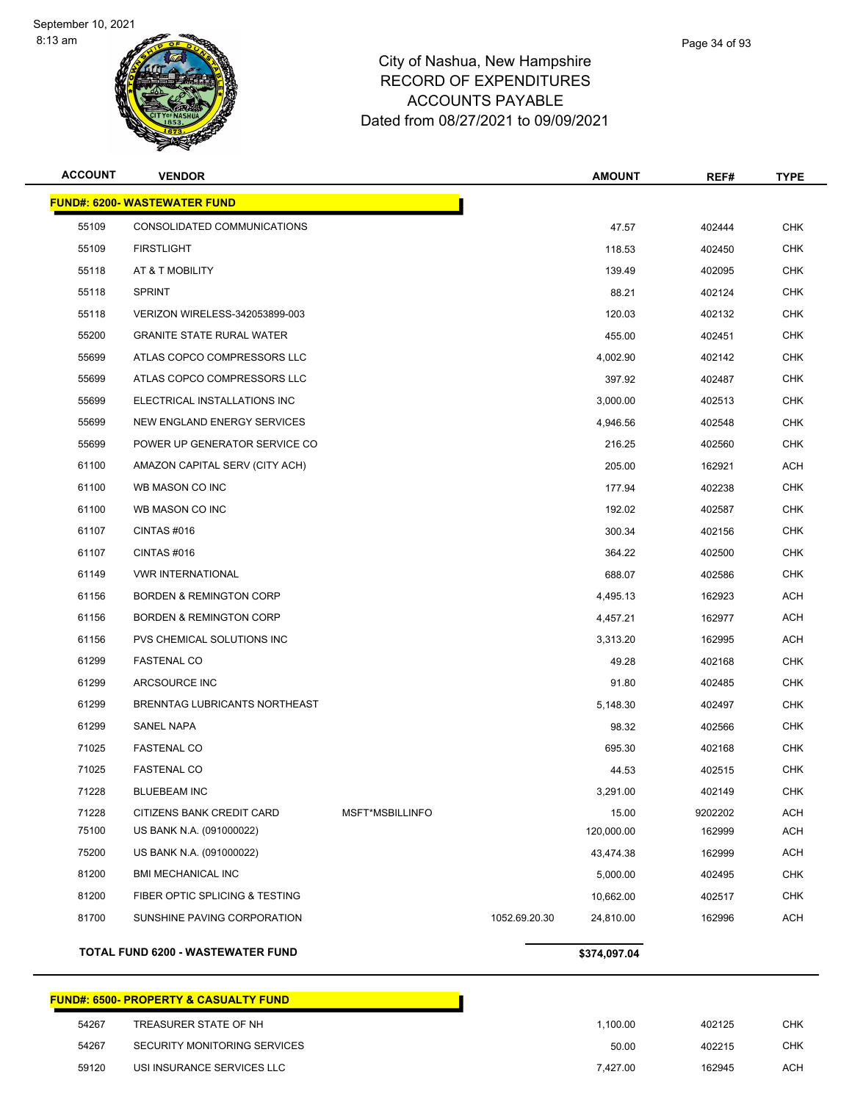

# City of Nashua, New Hampshire RECORD OF EXPENDITURES ACCOUNTS PAYABLE Dated from 08/27/2021 to 09/09/2021

| <b>ACCOUNT</b> | <b>VENDOR</b>                       |                 |               | <b>AMOUNT</b> | REF#    | <b>TYPE</b> |
|----------------|-------------------------------------|-----------------|---------------|---------------|---------|-------------|
|                | <b>FUND#: 6200- WASTEWATER FUND</b> |                 |               |               |         |             |
| 55109          | CONSOLIDATED COMMUNICATIONS         |                 |               | 47.57         | 402444  | <b>CHK</b>  |
| 55109          | <b>FIRSTLIGHT</b>                   |                 |               | 118.53        | 402450  | <b>CHK</b>  |
| 55118          | AT & T MOBILITY                     |                 |               | 139.49        | 402095  | CHK         |
| 55118          | <b>SPRINT</b>                       |                 |               | 88.21         | 402124  | <b>CHK</b>  |
| 55118          | VERIZON WIRELESS-342053899-003      |                 |               | 120.03        | 402132  | <b>CHK</b>  |
| 55200          | <b>GRANITE STATE RURAL WATER</b>    |                 |               | 455.00        | 402451  | <b>CHK</b>  |
| 55699          | ATLAS COPCO COMPRESSORS LLC         |                 |               | 4,002.90      | 402142  | <b>CHK</b>  |
| 55699          | ATLAS COPCO COMPRESSORS LLC         |                 |               | 397.92        | 402487  | CHK         |
| 55699          | ELECTRICAL INSTALLATIONS INC        |                 |               | 3,000.00      | 402513  | <b>CHK</b>  |
| 55699          | NEW ENGLAND ENERGY SERVICES         |                 |               | 4,946.56      | 402548  | <b>CHK</b>  |
| 55699          | POWER UP GENERATOR SERVICE CO       |                 |               | 216.25        | 402560  | <b>CHK</b>  |
| 61100          | AMAZON CAPITAL SERV (CITY ACH)      |                 |               | 205.00        | 162921  | <b>ACH</b>  |
| 61100          | WB MASON CO INC                     |                 |               | 177.94        | 402238  | CHK         |
| 61100          | WB MASON CO INC                     |                 |               | 192.02        | 402587  | <b>CHK</b>  |
| 61107          | CINTAS #016                         |                 |               | 300.34        | 402156  | <b>CHK</b>  |
| 61107          | CINTAS#016                          |                 |               | 364.22        | 402500  | <b>CHK</b>  |
| 61149          | <b>VWR INTERNATIONAL</b>            |                 |               | 688.07        | 402586  | <b>CHK</b>  |
| 61156          | <b>BORDEN &amp; REMINGTON CORP</b>  |                 |               | 4,495.13      | 162923  | ACH         |
| 61156          | <b>BORDEN &amp; REMINGTON CORP</b>  |                 |               | 4,457.21      | 162977  | <b>ACH</b>  |
| 61156          | PVS CHEMICAL SOLUTIONS INC          |                 |               | 3,313.20      | 162995  | <b>ACH</b>  |
| 61299          | <b>FASTENAL CO</b>                  |                 |               | 49.28         | 402168  | <b>CHK</b>  |
| 61299          | ARCSOURCE INC                       |                 |               | 91.80         | 402485  | <b>CHK</b>  |
| 61299          | BRENNTAG LUBRICANTS NORTHEAST       |                 |               | 5,148.30      | 402497  | CHK         |
| 61299          | SANEL NAPA                          |                 |               | 98.32         | 402566  | <b>CHK</b>  |
| 71025          | <b>FASTENAL CO</b>                  |                 |               | 695.30        | 402168  | <b>CHK</b>  |
| 71025          | <b>FASTENAL CO</b>                  |                 |               | 44.53         | 402515  | <b>CHK</b>  |
| 71228          | <b>BLUEBEAM INC</b>                 |                 |               | 3,291.00      | 402149  | CHK         |
| 71228          | CITIZENS BANK CREDIT CARD           | MSFT*MSBILLINFO |               | 15.00         | 9202202 | <b>ACH</b>  |
| 75100          | US BANK N.A. (091000022)            |                 |               | 120,000.00    | 162999  | <b>ACH</b>  |
| 75200          | US BANK N.A. (091000022)            |                 |               | 43,474.38     | 162999  | <b>ACH</b>  |
| 81200          | <b>BMI MECHANICAL INC</b>           |                 |               | 5,000.00      | 402495  | CHK         |
| 81200          | FIBER OPTIC SPLICING & TESTING      |                 |               | 10,662.00     | 402517  | <b>CHK</b>  |
| 81700          | SUNSHINE PAVING CORPORATION         |                 | 1052.69.20.30 | 24,810.00     | 162996  | <b>ACH</b>  |
|                | TOTAL FUND 6200 - WASTEWATER FUND   |                 |               | \$374,097.04  |         |             |

# **FUND#: 6500- PROPERTY & CASUALTY FUND**

| 54267 | TREASURER STATE OF NH        | 1.100.00 | 402125 | СНК |
|-------|------------------------------|----------|--------|-----|
| 54267 | SECURITY MONITORING SERVICES | 50.00    | 402215 | СНК |
| 59120 | USI INSURANCE SERVICES LLC   | 7.427.00 | 162945 | ACH |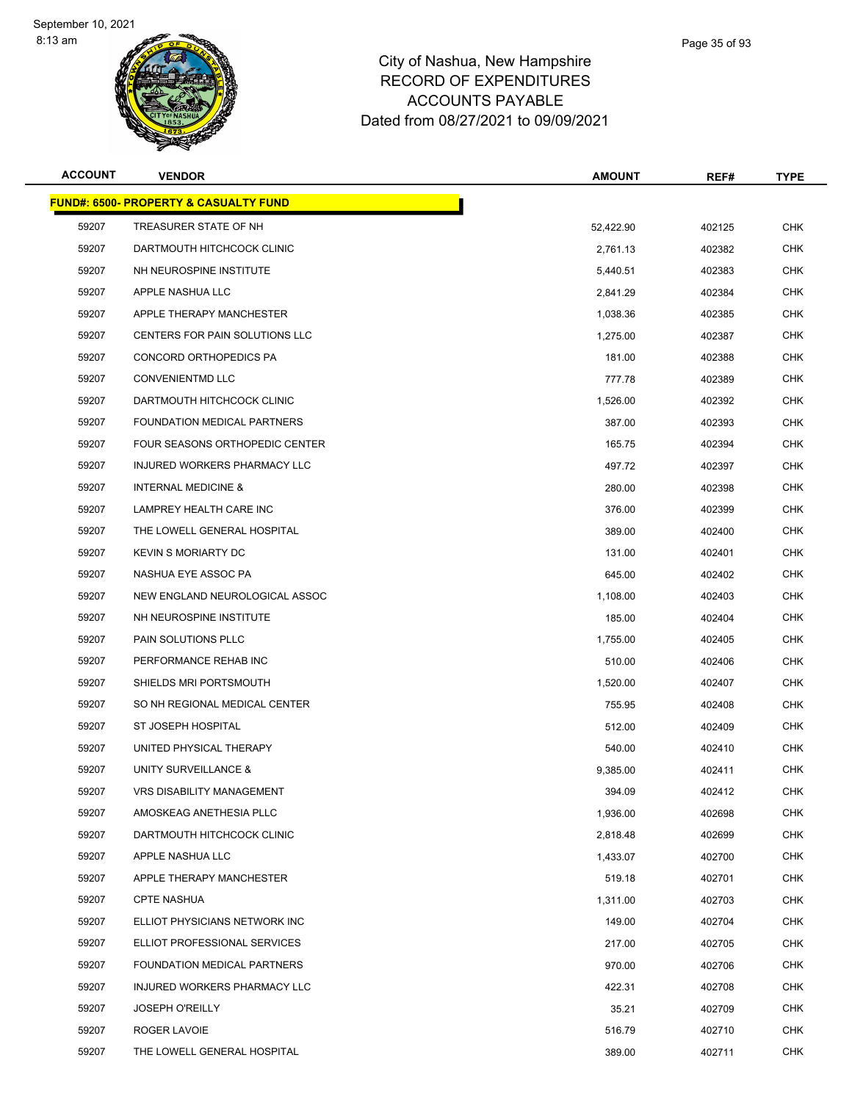8:13 am



| Page 35 of 93 |  |
|---------------|--|
|               |  |

| <b>ACCOUNT</b> | <b>VENDOR</b>                                    | <b>AMOUNT</b> | REF#   | <b>TYPE</b> |
|----------------|--------------------------------------------------|---------------|--------|-------------|
|                | <b>FUND#: 6500- PROPERTY &amp; CASUALTY FUND</b> |               |        |             |
| 59207          | TREASURER STATE OF NH                            | 52,422.90     | 402125 | <b>CHK</b>  |
| 59207          | DARTMOUTH HITCHCOCK CLINIC                       | 2,761.13      | 402382 | <b>CHK</b>  |
| 59207          | NH NEUROSPINE INSTITUTE                          | 5,440.51      | 402383 | <b>CHK</b>  |
| 59207          | APPLE NASHUA LLC                                 | 2,841.29      | 402384 | <b>CHK</b>  |
| 59207          | APPLE THERAPY MANCHESTER                         | 1,038.36      | 402385 | <b>CHK</b>  |
| 59207          | CENTERS FOR PAIN SOLUTIONS LLC                   | 1,275.00      | 402387 | <b>CHK</b>  |
| 59207          | CONCORD ORTHOPEDICS PA                           | 181.00        | 402388 | <b>CHK</b>  |
| 59207          | <b>CONVENIENTMD LLC</b>                          | 777.78        | 402389 | <b>CHK</b>  |
| 59207          | DARTMOUTH HITCHCOCK CLINIC                       | 1,526.00      | 402392 | <b>CHK</b>  |
| 59207          | FOUNDATION MEDICAL PARTNERS                      | 387.00        | 402393 | <b>CHK</b>  |
| 59207          | FOUR SEASONS ORTHOPEDIC CENTER                   | 165.75        | 402394 | <b>CHK</b>  |
| 59207          | INJURED WORKERS PHARMACY LLC                     | 497.72        | 402397 | <b>CHK</b>  |
| 59207          | <b>INTERNAL MEDICINE &amp;</b>                   | 280.00        | 402398 | <b>CHK</b>  |
| 59207          | LAMPREY HEALTH CARE INC                          | 376.00        | 402399 | <b>CHK</b>  |
| 59207          | THE LOWELL GENERAL HOSPITAL                      | 389.00        | 402400 | <b>CHK</b>  |
| 59207          | <b>KEVIN S MORIARTY DC</b>                       | 131.00        | 402401 | <b>CHK</b>  |
| 59207          | NASHUA EYE ASSOC PA                              | 645.00        | 402402 | <b>CHK</b>  |
| 59207          | NEW ENGLAND NEUROLOGICAL ASSOC                   | 1,108.00      | 402403 | <b>CHK</b>  |
| 59207          | NH NEUROSPINE INSTITUTE                          | 185.00        | 402404 | <b>CHK</b>  |
| 59207          | PAIN SOLUTIONS PLLC                              | 1,755.00      | 402405 | <b>CHK</b>  |
| 59207          | PERFORMANCE REHAB INC                            | 510.00        | 402406 | <b>CHK</b>  |
| 59207          | SHIELDS MRI PORTSMOUTH                           | 1,520.00      | 402407 | CHK         |
| 59207          | SO NH REGIONAL MEDICAL CENTER                    | 755.95        | 402408 | <b>CHK</b>  |
| 59207          | ST JOSEPH HOSPITAL                               | 512.00        | 402409 | <b>CHK</b>  |
| 59207          | UNITED PHYSICAL THERAPY                          | 540.00        | 402410 | <b>CHK</b>  |
| 59207          | UNITY SURVEILLANCE &                             | 9,385.00      | 402411 | <b>CHK</b>  |
| 59207          | <b>VRS DISABILITY MANAGEMENT</b>                 | 394.09        | 402412 | CHK         |
| 59207          | AMOSKEAG ANETHESIA PLLC                          | 1,936.00      | 402698 | <b>CHK</b>  |
| 59207          | DARTMOUTH HITCHCOCK CLINIC                       | 2,818.48      | 402699 | <b>CHK</b>  |
| 59207          | APPLE NASHUA LLC                                 | 1,433.07      | 402700 | <b>CHK</b>  |
| 59207          | APPLE THERAPY MANCHESTER                         | 519.18        | 402701 | <b>CHK</b>  |
| 59207          | <b>CPTE NASHUA</b>                               | 1,311.00      | 402703 | <b>CHK</b>  |
| 59207          | ELLIOT PHYSICIANS NETWORK INC                    | 149.00        | 402704 | <b>CHK</b>  |
| 59207          | ELLIOT PROFESSIONAL SERVICES                     | 217.00        | 402705 | <b>CHK</b>  |
| 59207          | FOUNDATION MEDICAL PARTNERS                      | 970.00        | 402706 | <b>CHK</b>  |
| 59207          | INJURED WORKERS PHARMACY LLC                     | 422.31        | 402708 | <b>CHK</b>  |
| 59207          | <b>JOSEPH O'REILLY</b>                           | 35.21         | 402709 | CHK         |
| 59207          | ROGER LAVOIE                                     | 516.79        | 402710 | <b>CHK</b>  |
| 59207          | THE LOWELL GENERAL HOSPITAL                      | 389.00        | 402711 | <b>CHK</b>  |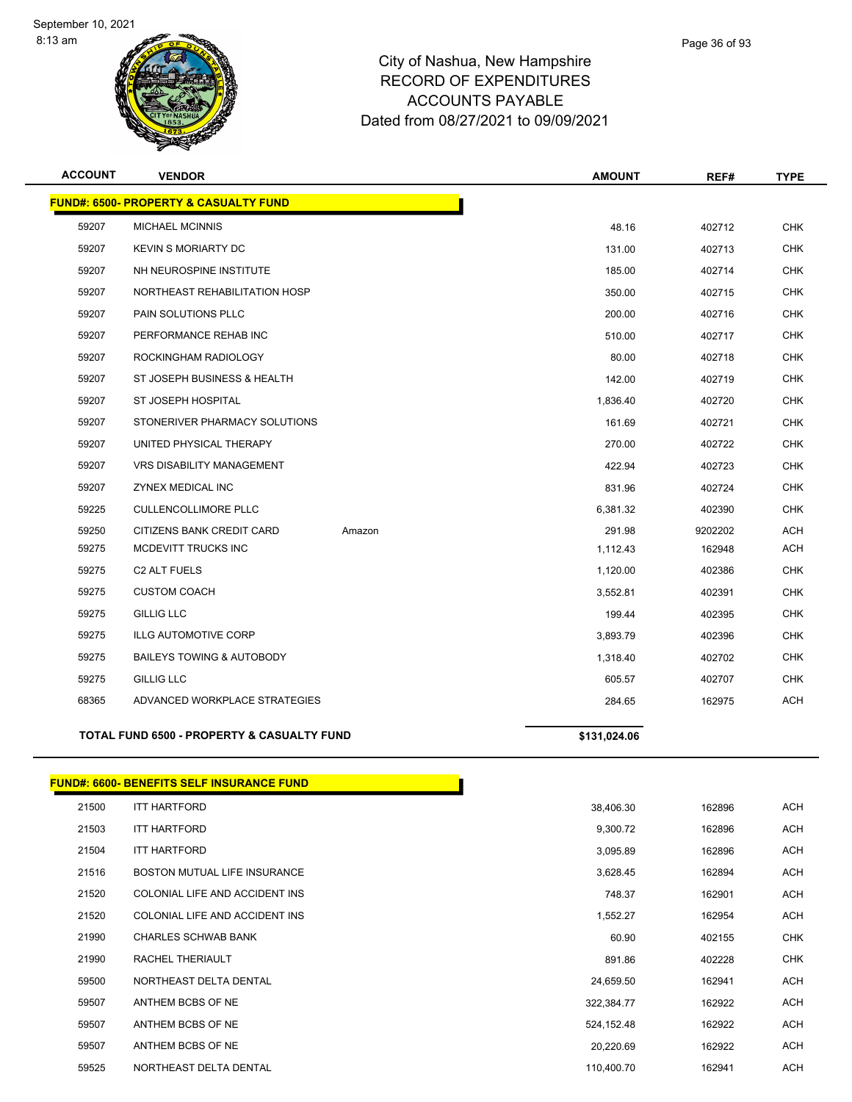

# City of Nashua, New Hampshire RECORD OF EXPENDITURES ACCOUNTS PAYABLE Dated from 08/27/2021 to 09/09/2021

Page 36 of 93

| <b>ACCOUNT</b> | <b>VENDOR</b>                                         |        | <b>AMOUNT</b> | REF#    | <b>TYPE</b> |
|----------------|-------------------------------------------------------|--------|---------------|---------|-------------|
|                | <b>FUND#: 6500- PROPERTY &amp; CASUALTY FUND</b>      |        |               |         |             |
| 59207          | MICHAEL MCINNIS                                       |        | 48.16         | 402712  | <b>CHK</b>  |
| 59207          | <b>KEVIN S MORIARTY DC</b>                            |        | 131.00        | 402713  | <b>CHK</b>  |
| 59207          | NH NEUROSPINE INSTITUTE                               |        | 185.00        | 402714  | CHK.        |
| 59207          | NORTHEAST REHABILITATION HOSP                         |        | 350.00        | 402715  | <b>CHK</b>  |
| 59207          | PAIN SOLUTIONS PLLC                                   |        | 200.00        | 402716  | <b>CHK</b>  |
| 59207          | PERFORMANCE REHAB INC                                 |        | 510.00        | 402717  | <b>CHK</b>  |
| 59207          | ROCKINGHAM RADIOLOGY                                  |        | 80.00         | 402718  | <b>CHK</b>  |
| 59207          | ST JOSEPH BUSINESS & HEALTH                           |        | 142.00        | 402719  | <b>CHK</b>  |
| 59207          | ST JOSEPH HOSPITAL                                    |        | 1,836.40      | 402720  | <b>CHK</b>  |
| 59207          | STONERIVER PHARMACY SOLUTIONS                         |        | 161.69        | 402721  | <b>CHK</b>  |
| 59207          | UNITED PHYSICAL THERAPY                               |        | 270.00        | 402722  | <b>CHK</b>  |
| 59207          | <b>VRS DISABILITY MANAGEMENT</b>                      |        | 422.94        | 402723  | <b>CHK</b>  |
| 59207          | ZYNEX MEDICAL INC                                     |        | 831.96        | 402724  | <b>CHK</b>  |
| 59225          | <b>CULLENCOLLIMORE PLLC</b>                           |        | 6,381.32      | 402390  | <b>CHK</b>  |
| 59250          | CITIZENS BANK CREDIT CARD                             | Amazon | 291.98        | 9202202 | <b>ACH</b>  |
| 59275          | MCDEVITT TRUCKS INC                                   |        | 1,112.43      | 162948  | <b>ACH</b>  |
| 59275          | C2 ALT FUELS                                          |        | 1,120.00      | 402386  | <b>CHK</b>  |
| 59275          | <b>CUSTOM COACH</b>                                   |        | 3,552.81      | 402391  | CHK         |
| 59275          | <b>GILLIG LLC</b>                                     |        | 199.44        | 402395  | <b>CHK</b>  |
| 59275          | <b>ILLG AUTOMOTIVE CORP</b>                           |        | 3,893.79      | 402396  | <b>CHK</b>  |
| 59275          | <b>BAILEYS TOWING &amp; AUTOBODY</b>                  |        | 1,318.40      | 402702  | <b>CHK</b>  |
| 59275          | <b>GILLIG LLC</b>                                     |        | 605.57        | 402707  | <b>CHK</b>  |
| 68365          | ADVANCED WORKPLACE STRATEGIES                         |        | 284.65        | 162975  | ACH         |
|                | <b>TOTAL FUND 6500 - PROPERTY &amp; CASUALTY FUND</b> |        | \$131,024.06  |         |             |

**FUND#: 6600- BENEFITS SELF INSURANCE FUND**

| 21500 | <b>ITT HARTFORD</b>                 | 38,406.30  | 162896 | <b>ACH</b> |
|-------|-------------------------------------|------------|--------|------------|
| 21503 | <b>ITT HARTFORD</b>                 | 9,300.72   | 162896 | <b>ACH</b> |
| 21504 | <b>ITT HARTFORD</b>                 | 3,095.89   | 162896 | <b>ACH</b> |
| 21516 | <b>BOSTON MUTUAL LIFE INSURANCE</b> | 3,628.45   | 162894 | <b>ACH</b> |
| 21520 | COLONIAL LIFE AND ACCIDENT INS      | 748.37     | 162901 | <b>ACH</b> |
| 21520 | COLONIAL LIFE AND ACCIDENT INS      | 1,552.27   | 162954 | <b>ACH</b> |
| 21990 | <b>CHARLES SCHWAB BANK</b>          | 60.90      | 402155 | <b>CHK</b> |
| 21990 | <b>RACHEL THERIAULT</b>             | 891.86     | 402228 | <b>CHK</b> |
| 59500 | NORTHEAST DELTA DENTAL              | 24,659.50  | 162941 | <b>ACH</b> |
| 59507 | ANTHEM BCBS OF NE                   | 322,384.77 | 162922 | <b>ACH</b> |
| 59507 | ANTHEM BCBS OF NE                   | 524,152.48 | 162922 | <b>ACH</b> |
| 59507 | ANTHEM BCBS OF NE                   | 20,220.69  | 162922 | <b>ACH</b> |
| 59525 | NORTHEAST DELTA DENTAL              | 110,400.70 | 162941 | <b>ACH</b> |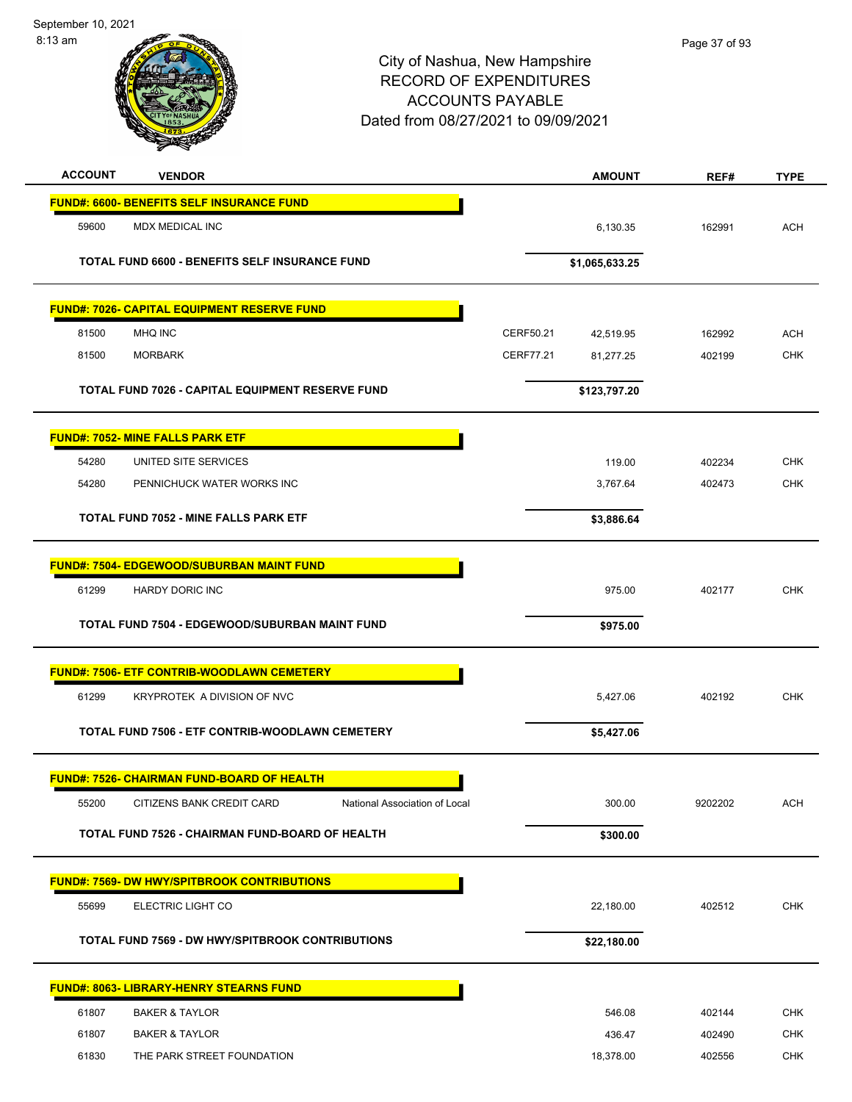September 10, 2021



# City of Nashua, New Hampshire RECORD OF EXPENDITURES ACCOUNTS PAYABLE Dated from 08/27/2021 to 09/09/2021

| <b>ACCOUNT</b> | <b>VENDOR</b>                                              |           | <b>AMOUNT</b>  | REF#    | <b>TYPE</b> |
|----------------|------------------------------------------------------------|-----------|----------------|---------|-------------|
|                | <b>FUND#: 6600- BENEFITS SELF INSURANCE FUND</b>           |           |                |         |             |
| 59600          | <b>MDX MEDICAL INC</b>                                     |           | 6,130.35       | 162991  | <b>ACH</b>  |
|                | TOTAL FUND 6600 - BENEFITS SELF INSURANCE FUND             |           | \$1,065,633.25 |         |             |
|                | FUND#: 7026- CAPITAL EQUIPMENT RESERVE FUND                |           |                |         |             |
| 81500          | MHQ INC                                                    | CERF50.21 | 42,519.95      | 162992  | <b>ACH</b>  |
| 81500          | <b>MORBARK</b>                                             | CERF77.21 | 81,277.25      | 402199  | <b>CHK</b>  |
|                | TOTAL FUND 7026 - CAPITAL EQUIPMENT RESERVE FUND           |           | \$123,797.20   |         |             |
|                | <b>FUND#: 7052- MINE FALLS PARK ETF</b>                    |           |                |         |             |
| 54280          | UNITED SITE SERVICES                                       |           | 119.00         | 402234  | <b>CHK</b>  |
| 54280          | PENNICHUCK WATER WORKS INC                                 |           | 3,767.64       | 402473  | <b>CHK</b>  |
|                | <b>TOTAL FUND 7052 - MINE FALLS PARK ETF</b>               |           | \$3,886.64     |         |             |
|                | <b>FUND#: 7504- EDGEWOOD/SUBURBAN MAINT FUND</b>           |           |                |         |             |
| 61299          | HARDY DORIC INC                                            |           | 975.00         | 402177  | <b>CHK</b>  |
|                | <b>TOTAL FUND 7504 - EDGEWOOD/SUBURBAN MAINT FUND</b>      |           | \$975.00       |         |             |
|                | <b>FUND#: 7506- ETF CONTRIB-WOODLAWN CEMETERY</b>          |           |                |         |             |
| 61299          | KRYPROTEK A DIVISION OF NVC                                |           | 5,427.06       | 402192  | <b>CHK</b>  |
|                | TOTAL FUND 7506 - ETF CONTRIB-WOODLAWN CEMETERY            |           | \$5,427.06     |         |             |
|                | <b>FUND#: 7526- CHAIRMAN FUND-BOARD OF HEALTH</b>          |           |                |         |             |
| 55200          | CITIZENS BANK CREDIT CARD<br>National Association of Local |           | 300.00         | 9202202 | <b>ACH</b>  |
|                | TOTAL FUND 7526 - CHAIRMAN FUND-BOARD OF HEALTH            |           | \$300.00       |         |             |
|                | <b>FUND#: 7569- DW HWY/SPITBROOK CONTRIBUTIONS</b>         |           |                |         |             |
| 55699          | ELECTRIC LIGHT CO                                          |           | 22,180.00      | 402512  | <b>CHK</b>  |
|                | TOTAL FUND 7569 - DW HWY/SPITBROOK CONTRIBUTIONS           |           | \$22,180.00    |         |             |
|                | <b>FUND#: 8063- LIBRARY-HENRY STEARNS FUND</b>             |           |                |         |             |
| 61807          | <b>BAKER &amp; TAYLOR</b>                                  |           | 546.08         | 402144  | <b>CHK</b>  |
| 61807          | <b>BAKER &amp; TAYLOR</b>                                  |           | 436.47         | 402490  | <b>CHK</b>  |
| 61830          | THE PARK STREET FOUNDATION                                 |           | 18,378.00      | 402556  | <b>CHK</b>  |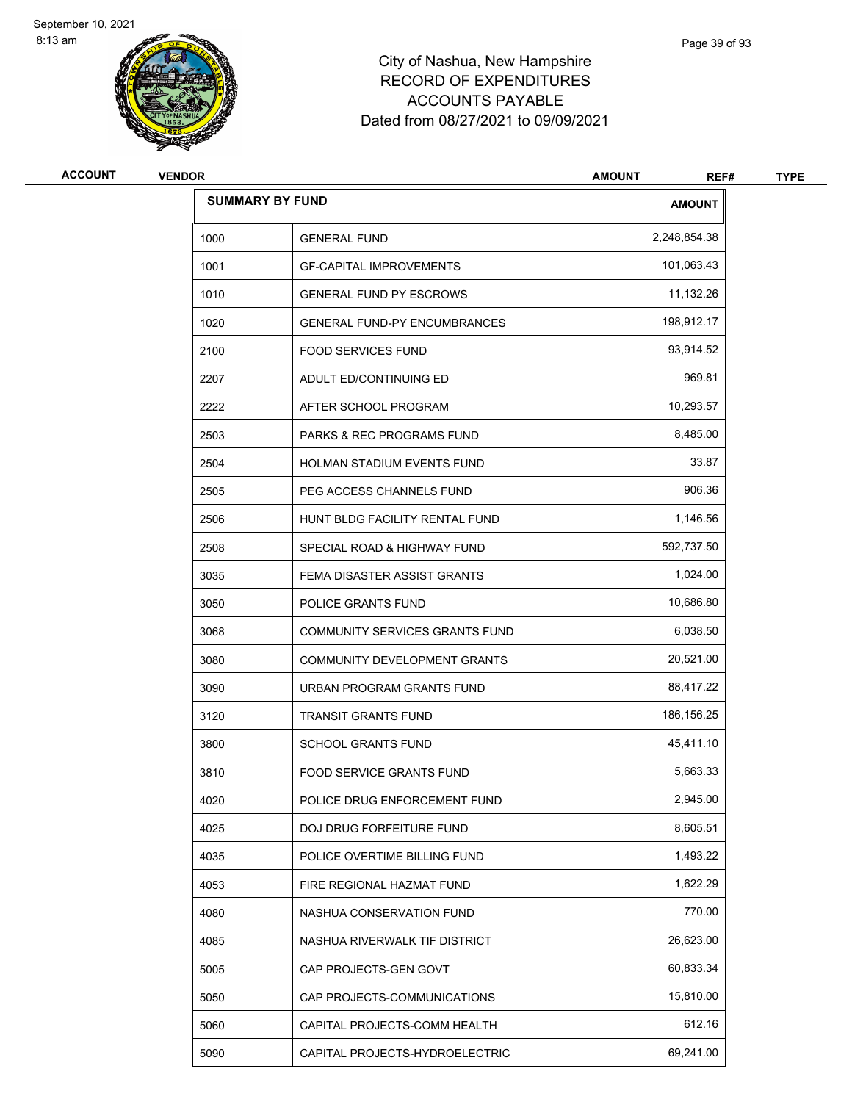8:13 am



# City of Nashua, New Hampshire RECORD OF EXPENDITURES ACCOUNTS PAYABLE Dated from 08/27/2021 to 09/09/2021

| <b>ACCOUNT</b> | <b>VENDOR</b> |                                       | <b>AMOUNT</b><br>REF# | <b>TYPE</b> |
|----------------|---------------|---------------------------------------|-----------------------|-------------|
|                |               | <b>SUMMARY BY FUND</b>                | <b>AMOUNT</b>         |             |
|                | 1000          | <b>GENERAL FUND</b>                   | 2,248,854.38          |             |
|                | 1001          | <b>GF-CAPITAL IMPROVEMENTS</b>        | 101,063.43            |             |
|                | 1010          | <b>GENERAL FUND PY ESCROWS</b>        | 11,132.26             |             |
|                | 1020          | <b>GENERAL FUND-PY ENCUMBRANCES</b>   | 198,912.17            |             |
|                | 2100          | <b>FOOD SERVICES FUND</b>             | 93,914.52             |             |
|                | 2207          | ADULT ED/CONTINUING ED                | 969.81                |             |
|                | 2222          | AFTER SCHOOL PROGRAM                  | 10,293.57             |             |
|                | 2503          | PARKS & REC PROGRAMS FUND             | 8,485.00              |             |
|                | 2504          | HOLMAN STADIUM EVENTS FUND            | 33.87                 |             |
|                | 2505          | PEG ACCESS CHANNELS FUND              | 906.36                |             |
|                | 2506          | HUNT BLDG FACILITY RENTAL FUND        | 1,146.56              |             |
|                | 2508          | SPECIAL ROAD & HIGHWAY FUND           | 592,737.50            |             |
|                | 3035          | FEMA DISASTER ASSIST GRANTS           | 1,024.00              |             |
|                | 3050          | POLICE GRANTS FUND                    | 10,686.80             |             |
|                | 3068          | <b>COMMUNITY SERVICES GRANTS FUND</b> | 6,038.50              |             |
|                | 3080          | COMMUNITY DEVELOPMENT GRANTS          | 20,521.00             |             |
|                | 3090          | URBAN PROGRAM GRANTS FUND             | 88,417.22             |             |
|                | 3120          | <b>TRANSIT GRANTS FUND</b>            | 186,156.25            |             |
|                | 3800          | <b>SCHOOL GRANTS FUND</b>             | 45,411.10             |             |
|                | 3810          | FOOD SERVICE GRANTS FUND              | 5,663.33              |             |
|                | 4020          | POLICE DRUG ENFORCEMENT FUND          | 2,945.00              |             |
|                | 4025          | DOJ DRUG FORFEITURE FUND              | 8,605.51              |             |
|                | 4035          | POLICE OVERTIME BILLING FUND          | 1,493.22              |             |
|                | 4053          | FIRE REGIONAL HAZMAT FUND             | 1,622.29              |             |
|                | 4080          | NASHUA CONSERVATION FUND              | 770.00                |             |
|                | 4085          | NASHUA RIVERWALK TIF DISTRICT         | 26,623.00             |             |
|                | 5005          | CAP PROJECTS-GEN GOVT                 | 60,833.34             |             |
|                | 5050          | CAP PROJECTS-COMMUNICATIONS           | 15,810.00             |             |
|                | 5060          | CAPITAL PROJECTS-COMM HEALTH          | 612.16                |             |
|                | 5090          | CAPITAL PROJECTS-HYDROELECTRIC        | 69,241.00             |             |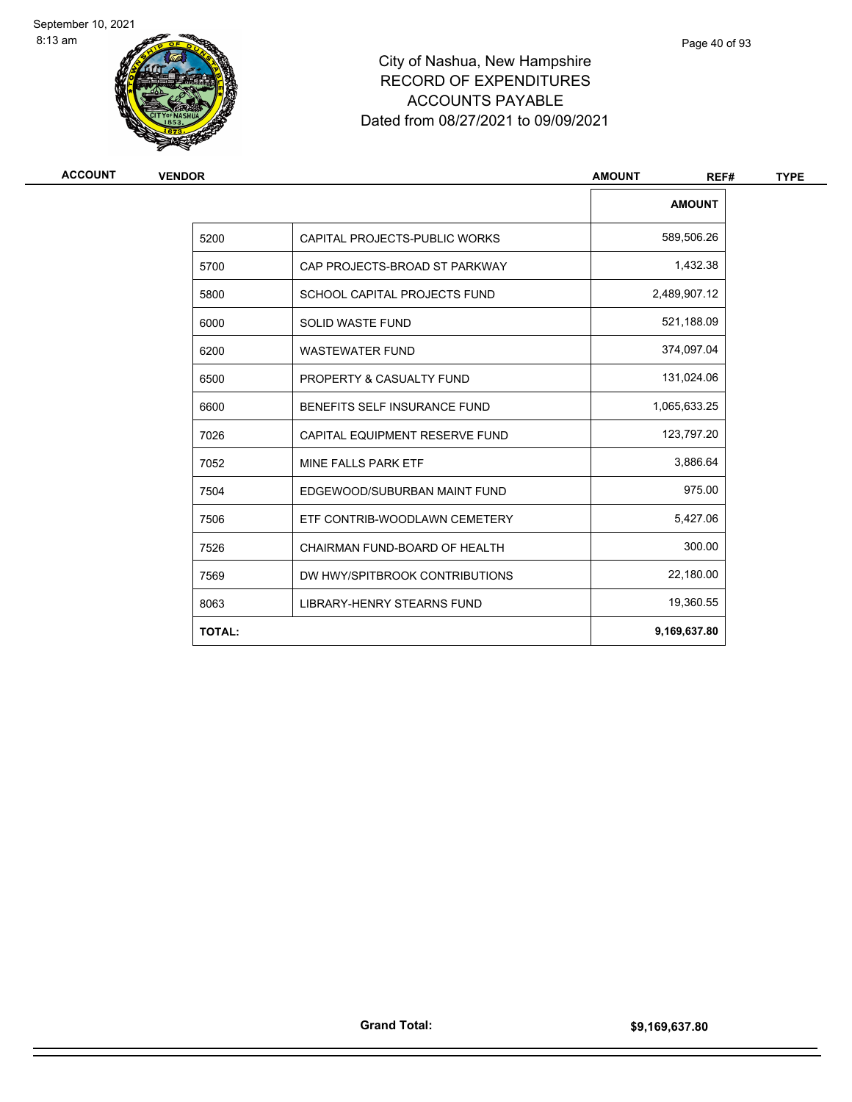8:13 am



# City of Nashua, New Hampshire RECORD OF EXPENDITURES ACCOUNTS PAYABLE Dated from 08/27/2021 to 09/09/2021

| <b>ACCOUNT</b> |  |  |  |  |  |
|----------------|--|--|--|--|--|
|                |  |  |  |  |  |

| ACCOUNT<br><b>VENDOR</b> |               |                                   | <b>AMOUNT</b><br>REF# |
|--------------------------|---------------|-----------------------------------|-----------------------|
|                          |               |                                   | <b>AMOUNT</b>         |
|                          | 5200          | CAPITAL PROJECTS-PUBLIC WORKS     | 589,506.26            |
|                          | 5700          | CAP PROJECTS-BROAD ST PARKWAY     | 1,432.38              |
|                          | 5800          | SCHOOL CAPITAL PROJECTS FUND      | 2,489,907.12          |
|                          | 6000          | SOLID WASTE FUND                  | 521,188.09            |
|                          | 6200          | <b>WASTEWATER FUND</b>            | 374,097.04            |
|                          | 6500          | PROPERTY & CASUALTY FUND          | 131,024.06            |
|                          | 6600          | BENEFITS SELF INSURANCE FUND      | 1,065,633.25          |
|                          | 7026          | CAPITAL EQUIPMENT RESERVE FUND    | 123,797.20            |
|                          | 7052          | MINE FALLS PARK ETF               | 3,886.64              |
|                          | 7504          | EDGEWOOD/SUBURBAN MAINT FUND      | 975.00                |
|                          | 7506          | ETF CONTRIB-WOODLAWN CEMETERY     | 5,427.06              |
|                          | 7526          | CHAIRMAN FUND-BOARD OF HEALTH     | 300.00                |
|                          | 7569          | DW HWY/SPITBROOK CONTRIBUTIONS    | 22,180.00             |
|                          | 8063          | <b>LIBRARY-HENRY STEARNS FUND</b> | 19,360.55             |
|                          | <b>TOTAL:</b> |                                   | 9,169,637.80          |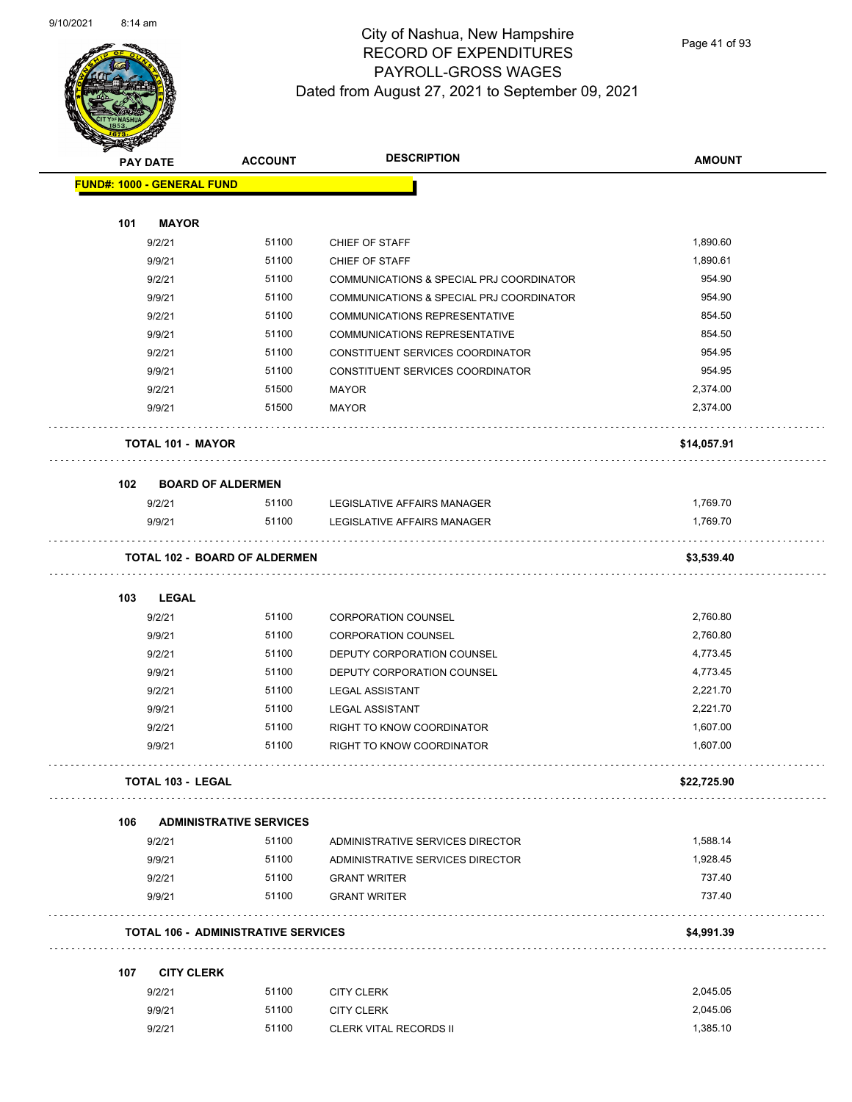

Page 41 of 93

| Santa de Cardona de Cardona de Cardona de La Cardona de La Cardona de La Cardona de La Cardona de La Cardona<br>Cardona de Cardona de La Cardona de La Cardona de La Cardona de La Cardona de La Cardona de La Cardona de La C | <b>PAY DATE</b>                   | <b>ACCOUNT</b>                             | <b>DESCRIPTION</b>                       | <b>AMOUNT</b> |
|--------------------------------------------------------------------------------------------------------------------------------------------------------------------------------------------------------------------------------|-----------------------------------|--------------------------------------------|------------------------------------------|---------------|
|                                                                                                                                                                                                                                | <b>FUND#: 1000 - GENERAL FUND</b> |                                            |                                          |               |
| 101                                                                                                                                                                                                                            | <b>MAYOR</b>                      |                                            |                                          |               |
|                                                                                                                                                                                                                                | 9/2/21                            | 51100                                      | CHIEF OF STAFF                           | 1,890.60      |
|                                                                                                                                                                                                                                | 9/9/21                            | 51100                                      | CHIEF OF STAFF                           | 1,890.61      |
|                                                                                                                                                                                                                                | 9/2/21                            | 51100                                      | COMMUNICATIONS & SPECIAL PRJ COORDINATOR | 954.90        |
|                                                                                                                                                                                                                                | 9/9/21                            | 51100                                      | COMMUNICATIONS & SPECIAL PRJ COORDINATOR | 954.90        |
|                                                                                                                                                                                                                                | 9/2/21                            | 51100                                      | <b>COMMUNICATIONS REPRESENTATIVE</b>     | 854.50        |
|                                                                                                                                                                                                                                | 9/9/21                            | 51100                                      | COMMUNICATIONS REPRESENTATIVE            | 854.50        |
|                                                                                                                                                                                                                                | 9/2/21                            | 51100                                      | CONSTITUENT SERVICES COORDINATOR         | 954.95        |
|                                                                                                                                                                                                                                | 9/9/21                            | 51100                                      | CONSTITUENT SERVICES COORDINATOR         | 954.95        |
|                                                                                                                                                                                                                                | 9/2/21                            | 51500                                      | <b>MAYOR</b>                             | 2,374.00      |
|                                                                                                                                                                                                                                | 9/9/21                            | 51500                                      | <b>MAYOR</b>                             | 2,374.00      |
|                                                                                                                                                                                                                                | <b>TOTAL 101 - MAYOR</b>          |                                            |                                          | \$14,057.91   |
| 102                                                                                                                                                                                                                            |                                   | <b>BOARD OF ALDERMEN</b>                   |                                          |               |
|                                                                                                                                                                                                                                | 9/2/21                            | 51100                                      | LEGISLATIVE AFFAIRS MANAGER              | 1,769.70      |
|                                                                                                                                                                                                                                | 9/9/21                            | 51100                                      | LEGISLATIVE AFFAIRS MANAGER              | 1,769.70      |
|                                                                                                                                                                                                                                |                                   | <b>TOTAL 102 - BOARD OF ALDERMEN</b>       |                                          | \$3,539.40    |
| 103                                                                                                                                                                                                                            | <b>LEGAL</b>                      |                                            |                                          |               |
|                                                                                                                                                                                                                                | 9/2/21                            | 51100                                      | <b>CORPORATION COUNSEL</b>               | 2,760.80      |
|                                                                                                                                                                                                                                | 9/9/21                            | 51100                                      | <b>CORPORATION COUNSEL</b>               | 2,760.80      |
|                                                                                                                                                                                                                                | 9/2/21                            | 51100                                      | DEPUTY CORPORATION COUNSEL               | 4,773.45      |
|                                                                                                                                                                                                                                | 9/9/21                            | 51100                                      | DEPUTY CORPORATION COUNSEL               | 4,773.45      |
|                                                                                                                                                                                                                                | 9/2/21                            | 51100                                      | <b>LEGAL ASSISTANT</b>                   | 2,221.70      |
|                                                                                                                                                                                                                                | 9/9/21                            | 51100                                      | <b>LEGAL ASSISTANT</b>                   | 2,221.70      |
|                                                                                                                                                                                                                                | 9/2/21                            | 51100                                      | <b>RIGHT TO KNOW COORDINATOR</b>         | 1,607.00      |
|                                                                                                                                                                                                                                | 9/9/21                            | 51100                                      | RIGHT TO KNOW COORDINATOR                | 1,607.00      |
|                                                                                                                                                                                                                                | <b>TOTAL 103 - LEGAL</b>          |                                            |                                          | \$22,725.90   |
| 106                                                                                                                                                                                                                            |                                   | <b>ADMINISTRATIVE SERVICES</b>             |                                          |               |
|                                                                                                                                                                                                                                | 9/2/21                            | 51100                                      | ADMINISTRATIVE SERVICES DIRECTOR         | 1,588.14      |
|                                                                                                                                                                                                                                | 9/9/21                            | 51100                                      | ADMINISTRATIVE SERVICES DIRECTOR         | 1,928.45      |
|                                                                                                                                                                                                                                | 9/2/21                            | 51100                                      | <b>GRANT WRITER</b>                      | 737.40        |
|                                                                                                                                                                                                                                | 9/9/21                            | 51100                                      | <b>GRANT WRITER</b>                      | 737.40        |
|                                                                                                                                                                                                                                |                                   | <b>TOTAL 106 - ADMINISTRATIVE SERVICES</b> |                                          | \$4,991.39    |
| 107                                                                                                                                                                                                                            | <b>CITY CLERK</b>                 |                                            |                                          |               |
|                                                                                                                                                                                                                                | 9/2/21                            | 51100                                      | <b>CITY CLERK</b>                        | 2,045.05      |
|                                                                                                                                                                                                                                | 9/9/21                            | 51100                                      | <b>CITY CLERK</b>                        | 2,045.06      |
|                                                                                                                                                                                                                                |                                   |                                            |                                          |               |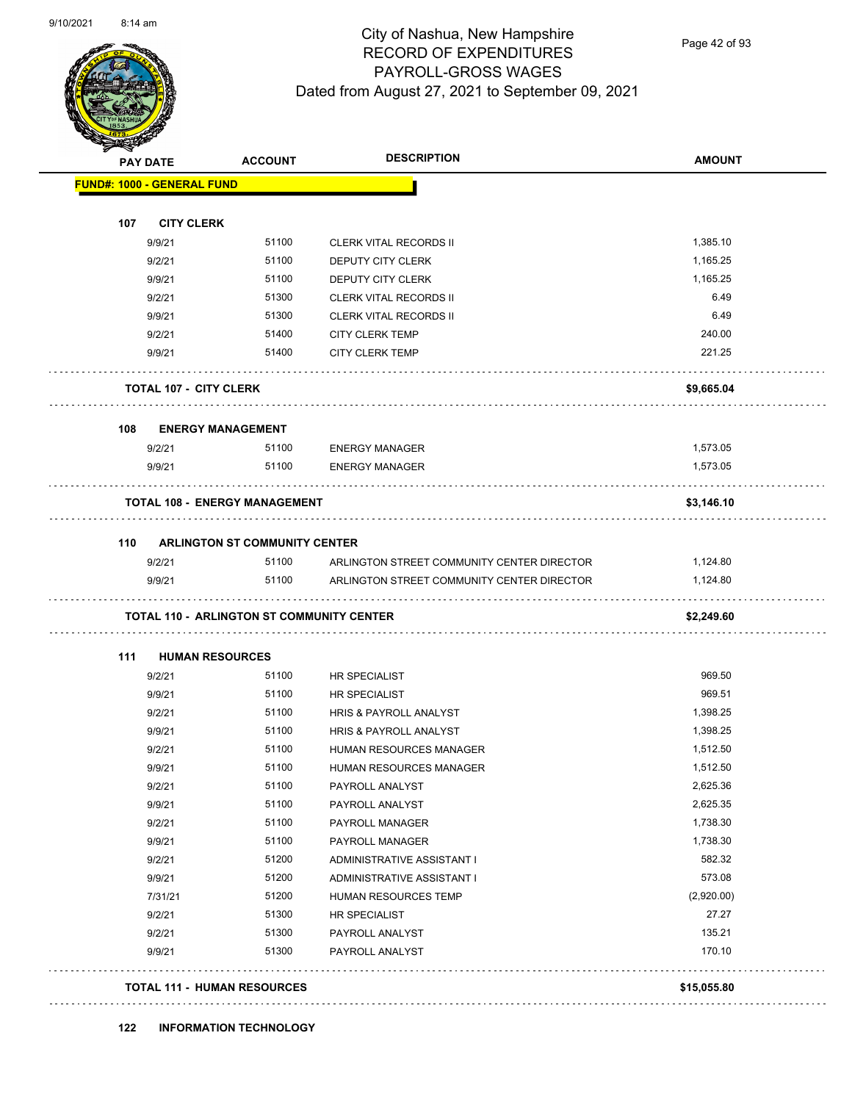

Page 42 of 93

| <b>PAY DATE</b>                   | <b>ACCOUNT</b>                                   | <b>DESCRIPTION</b>                         | <b>AMOUNT</b> |
|-----------------------------------|--------------------------------------------------|--------------------------------------------|---------------|
| <b>FUND#: 1000 - GENERAL FUND</b> |                                                  |                                            |               |
| 107<br><b>CITY CLERK</b>          |                                                  |                                            |               |
| 9/9/21                            | 51100                                            | <b>CLERK VITAL RECORDS II</b>              | 1,385.10      |
| 9/2/21                            | 51100                                            | DEPUTY CITY CLERK                          | 1,165.25      |
| 9/9/21                            | 51100                                            | DEPUTY CITY CLERK                          | 1,165.25      |
| 9/2/21                            | 51300                                            | <b>CLERK VITAL RECORDS II</b>              | 6.49          |
| 9/9/21                            | 51300                                            | <b>CLERK VITAL RECORDS II</b>              | 6.49          |
| 9/2/21                            | 51400                                            | <b>CITY CLERK TEMP</b>                     | 240.00        |
| 9/9/21                            | 51400                                            | <b>CITY CLERK TEMP</b>                     | 221.25        |
| <b>TOTAL 107 - CITY CLERK</b>     |                                                  |                                            | \$9,665.04    |
| 108                               | <b>ENERGY MANAGEMENT</b>                         |                                            |               |
| 9/2/21                            | 51100                                            | <b>ENERGY MANAGER</b>                      | 1,573.05      |
| 9/9/21                            | 51100                                            | <b>ENERGY MANAGER</b>                      | 1,573.05      |
|                                   | <b>TOTAL 108 - ENERGY MANAGEMENT</b>             |                                            | \$3,146.10    |
| 110                               | <b>ARLINGTON ST COMMUNITY CENTER</b>             |                                            |               |
| 9/2/21                            | 51100                                            | ARLINGTON STREET COMMUNITY CENTER DIRECTOR | 1,124.80      |
| 9/9/21                            | 51100                                            | ARLINGTON STREET COMMUNITY CENTER DIRECTOR | 1,124.80      |
|                                   | <b>TOTAL 110 - ARLINGTON ST COMMUNITY CENTER</b> |                                            | \$2,249.60    |
| 111                               | <b>HUMAN RESOURCES</b>                           |                                            |               |
| 9/2/21                            | 51100                                            | <b>HR SPECIALIST</b>                       | 969.50        |
| 9/9/21                            | 51100                                            | <b>HR SPECIALIST</b>                       | 969.51        |
| 9/2/21                            | 51100                                            | <b>HRIS &amp; PAYROLL ANALYST</b>          | 1,398.25      |
| 9/9/21                            | 51100                                            | <b>HRIS &amp; PAYROLL ANALYST</b>          | 1,398.25      |
| 9/2/21                            | 51100                                            | <b>HUMAN RESOURCES MANAGER</b>             | 1,512.50      |
| 9/9/21                            | 51100                                            | HUMAN RESOURCES MANAGER                    | 1,512.50      |
| 9/2/21                            | 51100                                            | PAYROLL ANALYST                            | 2,625.36      |
| 9/9/21                            | 51100                                            | PAYROLL ANALYST                            | 2,625.35      |
| 9/2/21                            | 51100                                            | PAYROLL MANAGER                            | 1,738.30      |
| 9/9/21                            | 51100                                            | PAYROLL MANAGER                            | 1,738.30      |
| 9/2/21                            | 51200                                            | ADMINISTRATIVE ASSISTANT I                 | 582.32        |
| 9/9/21                            | 51200                                            | ADMINISTRATIVE ASSISTANT I                 | 573.08        |
| 7/31/21                           | 51200                                            | HUMAN RESOURCES TEMP                       | (2,920.00)    |
| 9/2/21                            | 51300                                            | <b>HR SPECIALIST</b>                       | 27.27         |
| 9/2/21                            | 51300                                            | PAYROLL ANALYST                            | 135.21        |
|                                   | 51300                                            | PAYROLL ANALYST                            | 170.10        |
| 9/9/21                            |                                                  |                                            |               |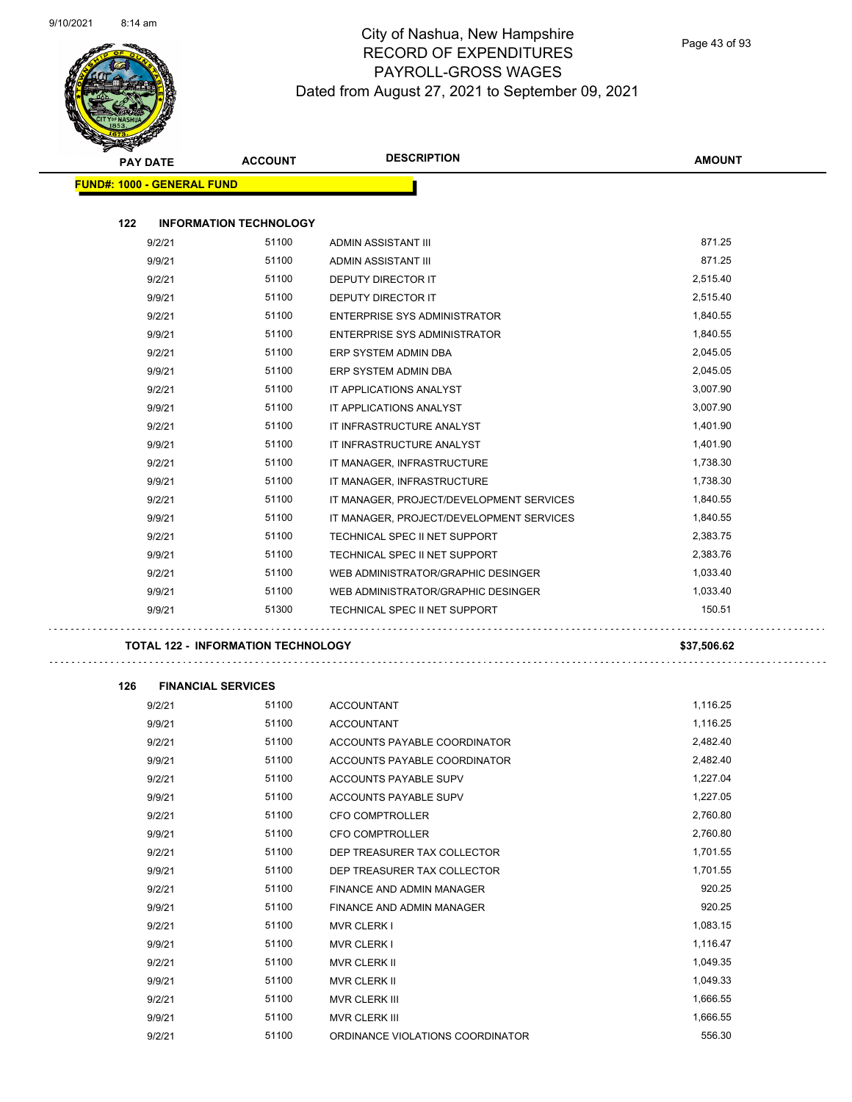$\equiv$ 



# City of Nashua, New Hampshire RECORD OF EXPENDITURES PAYROLL-GROSS WAGES Dated from August 27, 2021 to September 09, 2021

Page 43 of 93

| <b>PAY DATE</b> |                                   | <b>ACCOUNT</b>                     | <b>DESCRIPTION</b>                       | <b>AMOUNT</b> |
|-----------------|-----------------------------------|------------------------------------|------------------------------------------|---------------|
|                 | <b>FUND#: 1000 - GENERAL FUND</b> |                                    |                                          |               |
|                 |                                   |                                    |                                          |               |
| 122             |                                   | <b>INFORMATION TECHNOLOGY</b>      |                                          |               |
|                 | 9/2/21                            | 51100                              | <b>ADMIN ASSISTANT III</b>               | 871.25        |
|                 | 9/9/21                            | 51100                              | ADMIN ASSISTANT III                      | 871.25        |
|                 | 9/2/21                            | 51100                              | <b>DEPUTY DIRECTOR IT</b>                | 2,515.40      |
|                 | 9/9/21                            | 51100                              | <b>DEPUTY DIRECTOR IT</b>                | 2,515.40      |
|                 | 9/2/21                            | 51100                              | ENTERPRISE SYS ADMINISTRATOR             | 1,840.55      |
|                 | 9/9/21                            | 51100                              | ENTERPRISE SYS ADMINISTRATOR             | 1,840.55      |
|                 | 9/2/21                            | 51100                              | ERP SYSTEM ADMIN DBA                     | 2,045.05      |
|                 | 9/9/21                            | 51100                              | ERP SYSTEM ADMIN DBA                     | 2,045.05      |
|                 | 9/2/21                            | 51100                              | IT APPLICATIONS ANALYST                  | 3,007.90      |
|                 | 9/9/21                            | 51100                              | IT APPLICATIONS ANALYST                  | 3,007.90      |
|                 | 9/2/21                            | 51100                              | IT INFRASTRUCTURE ANALYST                | 1,401.90      |
|                 | 9/9/21                            | 51100                              | IT INFRASTRUCTURE ANALYST                | 1,401.90      |
|                 | 9/2/21                            | 51100                              | IT MANAGER, INFRASTRUCTURE               | 1,738.30      |
|                 | 9/9/21                            | 51100                              | IT MANAGER, INFRASTRUCTURE               | 1,738.30      |
|                 | 9/2/21                            | 51100                              | IT MANAGER, PROJECT/DEVELOPMENT SERVICES | 1,840.55      |
|                 | 9/9/21                            | 51100                              | IT MANAGER, PROJECT/DEVELOPMENT SERVICES | 1,840.55      |
|                 | 9/2/21                            | 51100                              | TECHNICAL SPEC II NET SUPPORT            | 2,383.75      |
|                 | 9/9/21                            | 51100                              | TECHNICAL SPEC II NET SUPPORT            | 2,383.76      |
|                 | 9/2/21                            | 51100                              | WEB ADMINISTRATOR/GRAPHIC DESINGER       | 1,033.40      |
|                 | 9/9/21                            | 51100                              | WEB ADMINISTRATOR/GRAPHIC DESINGER       | 1,033.40      |
|                 | 9/9/21                            | 51300                              | TECHNICAL SPEC II NET SUPPORT            | 150.51        |
|                 |                                   |                                    |                                          |               |
|                 |                                   | TOTAL 122 - INFORMATION TECHNOLOGY |                                          | \$37,506.62   |
| 126             | <b>FINANCIAL SERVICES</b>         |                                    |                                          |               |
|                 | 9/2/21                            | 51100                              | <b>ACCOUNTANT</b>                        | 1,116.25      |
|                 | 9/9/21                            | 51100                              | <b>ACCOUNTANT</b>                        | 1,116.25      |
|                 | 9/2/21                            | 51100                              | ACCOUNTS PAYABLE COORDINATOR             | 2,482.40      |
|                 | 9/9/21                            | 51100                              | ACCOUNTS PAYABLE COORDINATOR             | 2,482.40      |
|                 | 9/2/21                            | 51100                              | ACCOUNTS PAYABLE SUPV                    | 1,227.04      |
|                 | 9/9/21                            | 51100                              | ACCOUNTS PAYABLE SUPV                    | 1,227.05      |
|                 | 9/2/21                            | 51100                              | CFO COMPTROLLER                          | 2,760.80      |
|                 | 9/9/21                            | 51100                              | CFO COMPTROLLER                          | 2,760.80      |
|                 | 9/2/21                            | 51100                              | DEP TREASURER TAX COLLECTOR              | 1,701.55      |
|                 | 9/9/21                            | 51100                              | DEP TREASURER TAX COLLECTOR              | 1,701.55      |
|                 | 9/2/21                            | 51100                              | FINANCE AND ADMIN MANAGER                | 920.25        |
|                 | 9/9/21                            | 51100                              | FINANCE AND ADMIN MANAGER                | 920.25        |
|                 | 9/2/21                            | 51100                              | <b>MVR CLERK I</b>                       | 1,083.15      |
|                 | 9/9/21                            | 51100                              | <b>MVR CLERK I</b>                       | 1,116.47      |
|                 | 9/2/21                            | 51100                              | MVR CLERK II                             | 1,049.35      |
|                 | 9/9/21                            | 51100                              | MVR CLERK II                             | 1,049.33      |
|                 | 9/2/21                            | 51100                              | MVR CLERK III                            | 1,666.55      |
|                 | 9/9/21                            | 51100                              | MVR CLERK III                            | 1,666.55      |
|                 | 9/2/21                            | 51100                              | ORDINANCE VIOLATIONS COORDINATOR         | 556.30        |
|                 |                                   |                                    |                                          |               |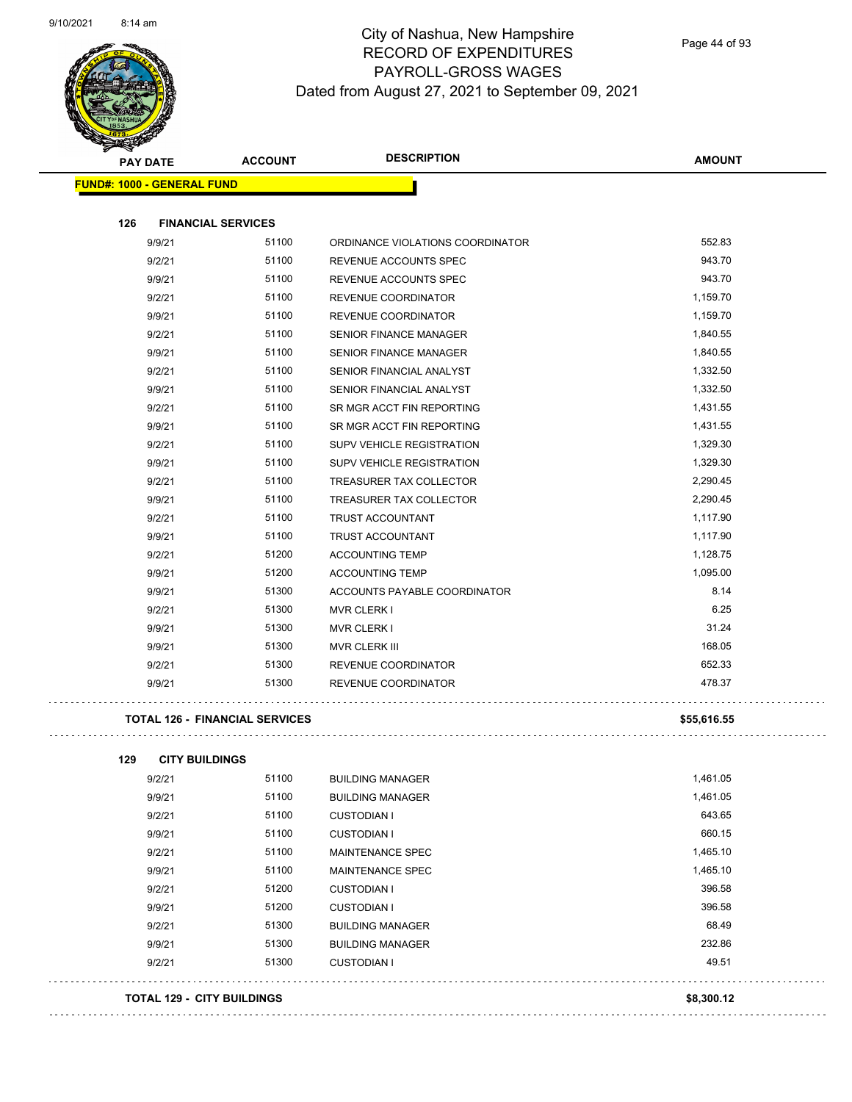

Page 44 of 93

| <b>PAY DATE</b>                       | <b>ACCOUNT</b>            | <b>DESCRIPTION</b>               | <b>AMOUNT</b> |
|---------------------------------------|---------------------------|----------------------------------|---------------|
| <b>FUND#: 1000 - GENERAL FUND</b>     |                           |                                  |               |
| 126                                   | <b>FINANCIAL SERVICES</b> |                                  |               |
| 9/9/21                                | 51100                     | ORDINANCE VIOLATIONS COORDINATOR | 552.83        |
| 9/2/21                                | 51100                     | REVENUE ACCOUNTS SPEC            | 943.70        |
| 9/9/21                                | 51100                     | REVENUE ACCOUNTS SPEC            | 943.70        |
| 9/2/21                                | 51100                     | REVENUE COORDINATOR              | 1,159.70      |
| 9/9/21                                | 51100                     | REVENUE COORDINATOR              | 1,159.70      |
| 9/2/21                                | 51100                     | <b>SENIOR FINANCE MANAGER</b>    | 1,840.55      |
| 9/9/21                                | 51100                     | SENIOR FINANCE MANAGER           | 1,840.55      |
| 9/2/21                                | 51100                     | SENIOR FINANCIAL ANALYST         | 1,332.50      |
| 9/9/21                                | 51100                     | SENIOR FINANCIAL ANALYST         | 1,332.50      |
| 9/2/21                                | 51100                     | SR MGR ACCT FIN REPORTING        | 1,431.55      |
| 9/9/21                                | 51100                     | SR MGR ACCT FIN REPORTING        | 1,431.55      |
| 9/2/21                                | 51100                     | <b>SUPV VEHICLE REGISTRATION</b> | 1,329.30      |
| 9/9/21                                | 51100                     | <b>SUPV VEHICLE REGISTRATION</b> | 1,329.30      |
| 9/2/21                                | 51100                     | TREASURER TAX COLLECTOR          | 2,290.45      |
| 9/9/21                                | 51100                     | TREASURER TAX COLLECTOR          | 2,290.45      |
| 9/2/21                                | 51100                     | <b>TRUST ACCOUNTANT</b>          | 1,117.90      |
| 9/9/21                                | 51100                     | <b>TRUST ACCOUNTANT</b>          | 1,117.90      |
| 9/2/21                                | 51200                     | <b>ACCOUNTING TEMP</b>           | 1,128.75      |
| 9/9/21                                | 51200                     | <b>ACCOUNTING TEMP</b>           | 1,095.00      |
| 9/9/21                                | 51300                     | ACCOUNTS PAYABLE COORDINATOR     | 8.14          |
| 9/2/21                                | 51300                     | <b>MVR CLERK I</b>               | 6.25          |
| 9/9/21                                | 51300                     | <b>MVR CLERK I</b>               | 31.24         |
| 9/9/21                                | 51300                     | MVR CLERK III                    | 168.05        |
| 9/2/21                                | 51300                     | REVENUE COORDINATOR              | 652.33        |
| 9/9/21                                | 51300                     | REVENUE COORDINATOR              | 478.37        |
| <b>TOTAL 126 - FINANCIAL SERVICES</b> |                           |                                  | \$55,616.55   |
| 129<br><b>CITY BUILDINGS</b>          |                           |                                  |               |
| 9/2/21                                | 51100                     | <b>BUILDING MANAGER</b>          | 1,461.05      |
| 9/9/21                                | 51100                     | <b>BUILDING MANAGER</b>          | 1,461.05      |
| 9/2/21                                | 51100                     | <b>CUSTODIAN I</b>               | 643.65        |
| 9/9/21                                | 51100                     | <b>CUSTODIAN I</b>               | 660.15        |
| 9/2/21                                | 51100                     | MAINTENANCE SPEC                 | 1,465.10      |
| 9/9/21                                | 51100                     | MAINTENANCE SPEC                 | 1,465.10      |
| 9/2/21                                | 51200                     | <b>CUSTODIAN I</b>               | 396.58        |
| 9/9/21                                | 51200                     | <b>CUSTODIAN I</b>               | 396.58        |
| 9/2/21                                | 51300                     | <b>BUILDING MANAGER</b>          | 68.49         |
| 9/9/21                                | 51300                     | <b>BUILDING MANAGER</b>          | 232.86        |
| 9/2/21                                | 51300                     | <b>CUSTODIAN I</b>               | 49.51         |
| <b>TOTAL 129 - CITY BUILDINGS</b>     |                           |                                  | \$8,300.12    |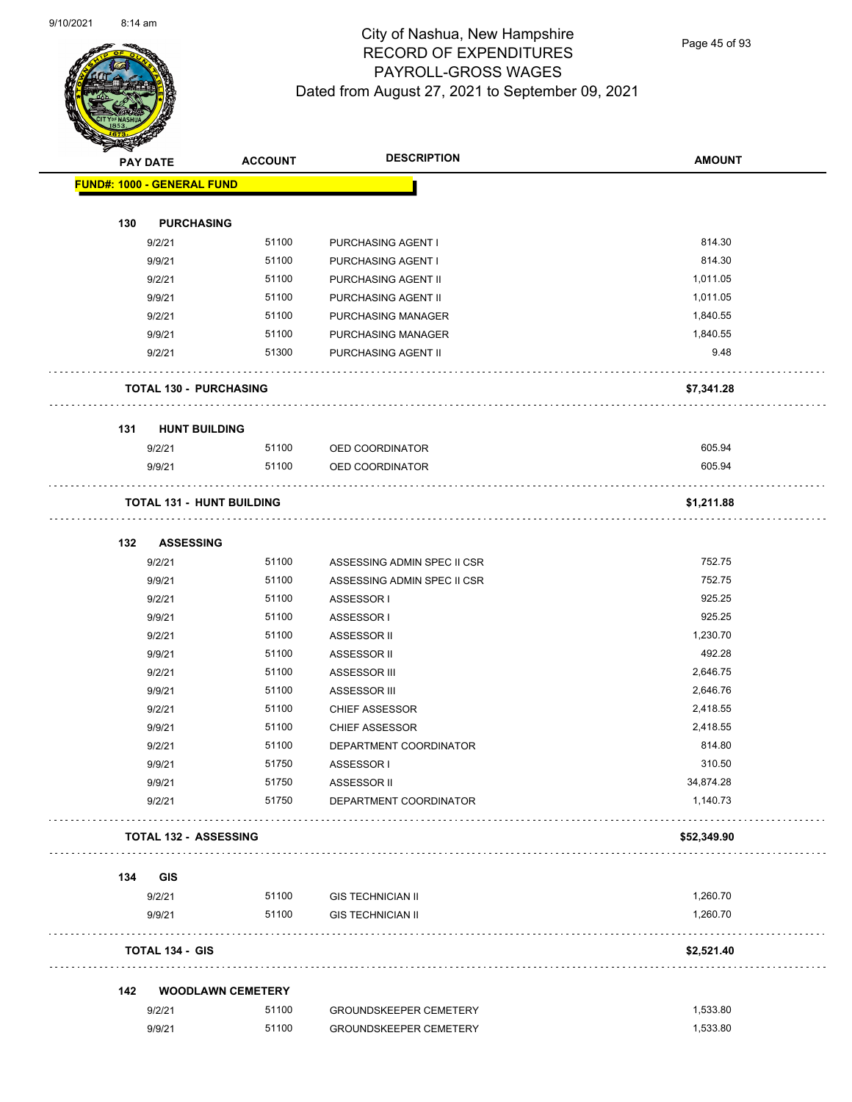

Page 45 of 93

| 130 | <b>FUND#: 1000 - GENERAL FUND</b><br><b>PURCHASING</b><br>9/2/21<br>9/9/21<br>9/2/21<br>9/9/21<br>9/2/21<br>9/9/21<br>9/2/21 | 51100<br>51100<br>51100<br>51100<br>51100<br>51100 | PURCHASING AGENT I<br>PURCHASING AGENT I<br>PURCHASING AGENT II<br>PURCHASING AGENT II | 814.30<br>814.30<br>1,011.05 |
|-----|------------------------------------------------------------------------------------------------------------------------------|----------------------------------------------------|----------------------------------------------------------------------------------------|------------------------------|
|     |                                                                                                                              |                                                    |                                                                                        |                              |
|     |                                                                                                                              |                                                    |                                                                                        |                              |
|     |                                                                                                                              |                                                    |                                                                                        |                              |
|     |                                                                                                                              |                                                    |                                                                                        |                              |
|     |                                                                                                                              |                                                    |                                                                                        |                              |
|     |                                                                                                                              |                                                    |                                                                                        |                              |
|     |                                                                                                                              |                                                    |                                                                                        | 1,011.05                     |
|     |                                                                                                                              |                                                    | PURCHASING MANAGER                                                                     | 1,840.55                     |
|     |                                                                                                                              | 51300                                              | PURCHASING MANAGER                                                                     | 1,840.55<br>9.48             |
|     |                                                                                                                              |                                                    | PURCHASING AGENT II                                                                    |                              |
|     | <b>TOTAL 130 - PURCHASING</b>                                                                                                |                                                    |                                                                                        | \$7,341.28                   |
| 131 | <b>HUNT BUILDING</b>                                                                                                         |                                                    |                                                                                        |                              |
|     | 9/2/21                                                                                                                       | 51100                                              | OED COORDINATOR                                                                        | 605.94                       |
|     | 9/9/21                                                                                                                       | 51100                                              | OED COORDINATOR                                                                        | 605.94                       |
|     | <b>TOTAL 131 - HUNT BUILDING</b>                                                                                             |                                                    |                                                                                        | \$1,211.88                   |
|     |                                                                                                                              |                                                    |                                                                                        |                              |
| 132 | <b>ASSESSING</b><br>9/2/21                                                                                                   | 51100                                              | ASSESSING ADMIN SPEC II CSR                                                            | 752.75                       |
|     | 9/9/21                                                                                                                       | 51100                                              | ASSESSING ADMIN SPEC II CSR                                                            | 752.75                       |
|     | 9/2/21                                                                                                                       | 51100                                              | ASSESSOR I                                                                             | 925.25                       |
|     | 9/9/21                                                                                                                       | 51100                                              | ASSESSOR I                                                                             | 925.25                       |
|     | 9/2/21                                                                                                                       | 51100                                              | ASSESSOR II                                                                            | 1,230.70                     |
|     | 9/9/21                                                                                                                       | 51100                                              | ASSESSOR II                                                                            | 492.28                       |
|     | 9/2/21                                                                                                                       | 51100                                              | ASSESSOR III                                                                           | 2,646.75                     |
|     | 9/9/21                                                                                                                       | 51100                                              | <b>ASSESSOR III</b>                                                                    | 2,646.76                     |
|     | 9/2/21                                                                                                                       | 51100                                              | <b>CHIEF ASSESSOR</b>                                                                  | 2,418.55                     |
|     | 9/9/21                                                                                                                       | 51100                                              | <b>CHIEF ASSESSOR</b>                                                                  | 2,418.55                     |
|     | 9/2/21                                                                                                                       | 51100                                              | DEPARTMENT COORDINATOR                                                                 | 814.80                       |
|     | 9/9/21                                                                                                                       | 51750                                              | ASSESSOR I                                                                             | 310.50                       |
|     | 9/9/21                                                                                                                       | 51750                                              | ASSESSOR II                                                                            | 34,874.28                    |
|     | 9/2/21                                                                                                                       | 51750                                              | DEPARTMENT COORDINATOR                                                                 | 1,140.73                     |
|     | <b>TOTAL 132 - ASSESSING</b>                                                                                                 |                                                    |                                                                                        | \$52,349.90                  |
| 134 | <b>GIS</b>                                                                                                                   |                                                    |                                                                                        |                              |
|     | 9/2/21                                                                                                                       | 51100                                              | <b>GIS TECHNICIAN II</b>                                                               | 1,260.70                     |
|     | 9/9/21                                                                                                                       | 51100                                              | <b>GIS TECHNICIAN II</b>                                                               | 1,260.70                     |
|     | <b>TOTAL 134 - GIS</b>                                                                                                       |                                                    |                                                                                        | \$2,521.40                   |
|     |                                                                                                                              |                                                    |                                                                                        |                              |
| 142 | <b>WOODLAWN CEMETERY</b>                                                                                                     |                                                    |                                                                                        |                              |
|     | 9/2/21<br>9/9/21                                                                                                             | 51100<br>51100                                     | <b>GROUNDSKEEPER CEMETERY</b><br><b>GROUNDSKEEPER CEMETERY</b>                         | 1,533.80<br>1,533.80         |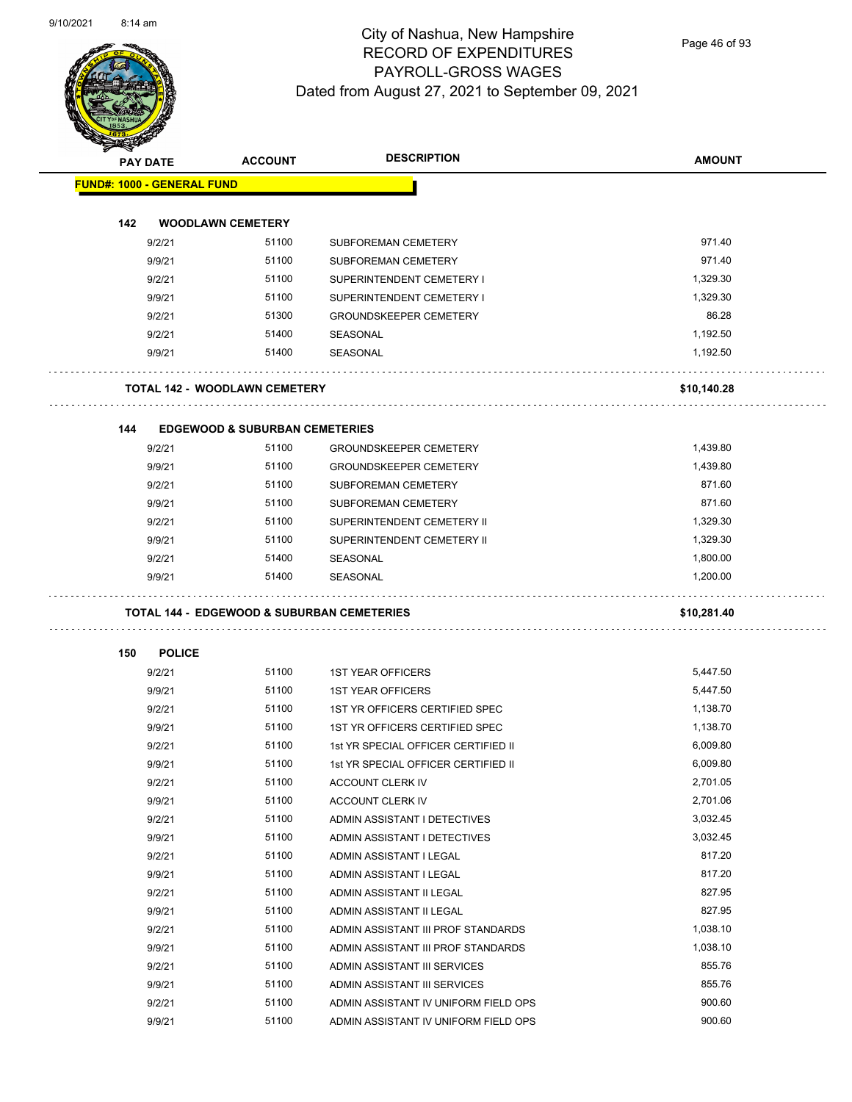

Page 46 of 93

|                                   |                                                       | <b>DESCRIPTION</b>                   |               |
|-----------------------------------|-------------------------------------------------------|--------------------------------------|---------------|
| <b>PAY DATE</b>                   | <b>ACCOUNT</b>                                        |                                      | <b>AMOUNT</b> |
| <b>FUND#: 1000 - GENERAL FUND</b> |                                                       |                                      |               |
| 142                               | <b>WOODLAWN CEMETERY</b>                              |                                      |               |
| 9/2/21                            | 51100                                                 | SUBFOREMAN CEMETERY                  | 971.40        |
| 9/9/21                            | 51100                                                 | SUBFOREMAN CEMETERY                  | 971.40        |
| 9/2/21                            | 51100                                                 | SUPERINTENDENT CEMETERY I            | 1,329.30      |
| 9/9/21                            | 51100                                                 | SUPERINTENDENT CEMETERY I            | 1,329.30      |
| 9/2/21                            | 51300                                                 | <b>GROUNDSKEEPER CEMETERY</b>        | 86.28         |
| 9/2/21                            | 51400                                                 | SEASONAL                             | 1,192.50      |
| 9/9/21                            | 51400                                                 | SEASONAL                             | 1,192.50      |
|                                   | <b>TOTAL 142 - WOODLAWN CEMETERY</b>                  |                                      | \$10,140.28   |
| 144                               | <b>EDGEWOOD &amp; SUBURBAN CEMETERIES</b>             |                                      |               |
| 9/2/21                            | 51100                                                 | <b>GROUNDSKEEPER CEMETERY</b>        | 1,439.80      |
| 9/9/21                            | 51100                                                 | <b>GROUNDSKEEPER CEMETERY</b>        | 1,439.80      |
| 9/2/21                            | 51100                                                 | <b>SUBFOREMAN CEMETERY</b>           | 871.60        |
| 9/9/21                            | 51100                                                 | <b>SUBFOREMAN CEMETERY</b>           | 871.60        |
| 9/2/21                            | 51100                                                 | SUPERINTENDENT CEMETERY II           | 1,329.30      |
| 9/9/21                            | 51100                                                 | SUPERINTENDENT CEMETERY II           | 1,329.30      |
| 9/2/21                            | 51400                                                 | SEASONAL                             | 1,800.00      |
| 9/9/21                            | 51400                                                 | SEASONAL                             | 1,200.00      |
|                                   | <b>TOTAL 144 - EDGEWOOD &amp; SUBURBAN CEMETERIES</b> |                                      | \$10,281.40   |
| <b>POLICE</b><br>150              |                                                       |                                      |               |
| 9/2/21                            | 51100                                                 | <b>1ST YEAR OFFICERS</b>             | 5,447.50      |
| 9/9/21                            | 51100                                                 | <b>1ST YEAR OFFICERS</b>             | 5,447.50      |
| 9/2/21                            | 51100                                                 | 1ST YR OFFICERS CERTIFIED SPEC       | 1,138.70      |
| 9/9/21                            | 51100                                                 | 1ST YR OFFICERS CERTIFIED SPEC       | 1,138.70      |
| 9/2/21                            | 51100                                                 | 1st YR SPECIAL OFFICER CERTIFIED II  | 6,009.80      |
| 9/9/21                            | 51100                                                 | 1st YR SPECIAL OFFICER CERTIFIED II  | 6,009.80      |
| 9/2/21                            | 51100                                                 | <b>ACCOUNT CLERK IV</b>              | 2,701.05      |
| 9/9/21                            | 51100                                                 | ACCOUNT CLERK IV                     | 2,701.06      |
| 9/2/21                            | 51100                                                 | ADMIN ASSISTANT I DETECTIVES         | 3,032.45      |
| 9/9/21                            | 51100                                                 | ADMIN ASSISTANT I DETECTIVES         | 3,032.45      |
| 9/2/21                            | 51100                                                 | ADMIN ASSISTANT I LEGAL              | 817.20        |
| 9/9/21                            | 51100                                                 | ADMIN ASSISTANT I LEGAL              | 817.20        |
| 9/2/21                            | 51100                                                 | ADMIN ASSISTANT II LEGAL             | 827.95        |
| 9/9/21                            | 51100                                                 | ADMIN ASSISTANT II LEGAL             | 827.95        |
| 9/2/21                            | 51100                                                 | ADMIN ASSISTANT III PROF STANDARDS   | 1,038.10      |
| 9/9/21                            | 51100                                                 | ADMIN ASSISTANT III PROF STANDARDS   | 1,038.10      |
|                                   |                                                       |                                      | 855.76        |
| 9/2/21                            | 51100                                                 | ADMIN ASSISTANT III SERVICES         |               |
| 9/9/21                            | 51100                                                 | ADMIN ASSISTANT III SERVICES         | 855.76        |
| 9/2/21                            | 51100                                                 | ADMIN ASSISTANT IV UNIFORM FIELD OPS | 900.60        |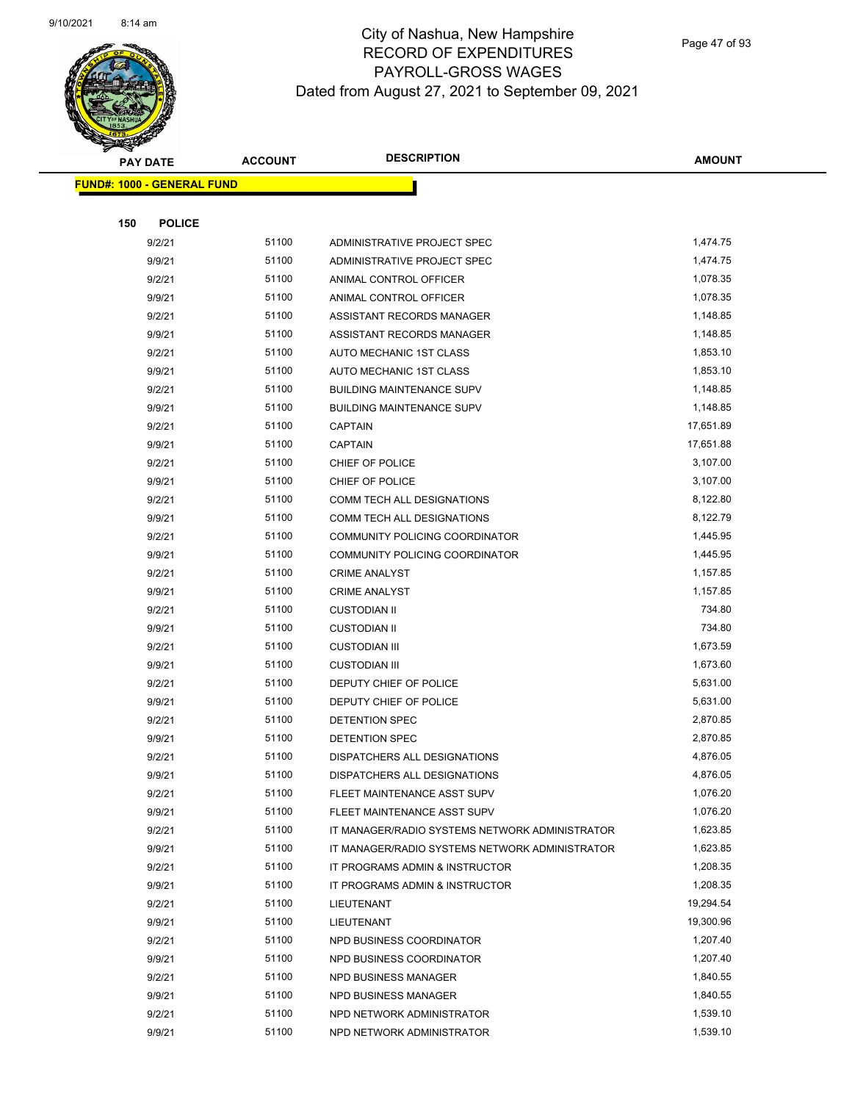

Page 47 of 93

|     | <b>PAY DATE</b>                   | <b>ACCOUNT</b> | <b>DESCRIPTION</b>                             | <b>AMOUNT</b> |  |
|-----|-----------------------------------|----------------|------------------------------------------------|---------------|--|
|     | <b>FUND#: 1000 - GENERAL FUND</b> |                |                                                |               |  |
|     |                                   |                |                                                |               |  |
| 150 | <b>POLICE</b>                     |                |                                                |               |  |
|     | 9/2/21                            | 51100          | ADMINISTRATIVE PROJECT SPEC                    | 1,474.75      |  |
|     | 9/9/21                            | 51100          | ADMINISTRATIVE PROJECT SPEC                    | 1,474.75      |  |
|     | 9/2/21                            | 51100          | ANIMAL CONTROL OFFICER                         | 1,078.35      |  |
|     | 9/9/21                            | 51100          | ANIMAL CONTROL OFFICER                         | 1,078.35      |  |
|     | 9/2/21                            | 51100          | ASSISTANT RECORDS MANAGER                      | 1,148.85      |  |
|     | 9/9/21                            | 51100          | ASSISTANT RECORDS MANAGER                      | 1,148.85      |  |
|     | 9/2/21                            | 51100          | AUTO MECHANIC 1ST CLASS                        | 1,853.10      |  |
|     | 9/9/21                            | 51100          | AUTO MECHANIC 1ST CLASS                        | 1,853.10      |  |
|     | 9/2/21                            | 51100          | <b>BUILDING MAINTENANCE SUPV</b>               | 1,148.85      |  |
|     | 9/9/21                            | 51100          | <b>BUILDING MAINTENANCE SUPV</b>               | 1,148.85      |  |
|     | 9/2/21                            | 51100          | <b>CAPTAIN</b>                                 | 17,651.89     |  |
|     | 9/9/21                            | 51100          | <b>CAPTAIN</b>                                 | 17,651.88     |  |
|     | 9/2/21                            | 51100          | CHIEF OF POLICE                                | 3,107.00      |  |
|     | 9/9/21                            | 51100          | CHIEF OF POLICE                                | 3,107.00      |  |
|     | 9/2/21                            | 51100          | COMM TECH ALL DESIGNATIONS                     | 8,122.80      |  |
|     | 9/9/21                            | 51100          | COMM TECH ALL DESIGNATIONS                     | 8,122.79      |  |
|     | 9/2/21                            | 51100          | COMMUNITY POLICING COORDINATOR                 | 1,445.95      |  |
|     | 9/9/21                            | 51100          | COMMUNITY POLICING COORDINATOR                 | 1,445.95      |  |
|     | 9/2/21                            | 51100          | <b>CRIME ANALYST</b>                           | 1,157.85      |  |
|     | 9/9/21                            | 51100          | <b>CRIME ANALYST</b>                           | 1,157.85      |  |
|     | 9/2/21                            | 51100          | <b>CUSTODIAN II</b>                            | 734.80        |  |
|     | 9/9/21                            | 51100          | <b>CUSTODIAN II</b>                            | 734.80        |  |
|     | 9/2/21                            | 51100          | <b>CUSTODIAN III</b>                           | 1,673.59      |  |
|     | 9/9/21                            | 51100          | <b>CUSTODIAN III</b>                           | 1,673.60      |  |
|     | 9/2/21                            | 51100          | DEPUTY CHIEF OF POLICE                         | 5,631.00      |  |
|     | 9/9/21                            | 51100          | DEPUTY CHIEF OF POLICE                         | 5,631.00      |  |
|     | 9/2/21                            | 51100          | DETENTION SPEC                                 | 2,870.85      |  |
|     | 9/9/21                            | 51100          | <b>DETENTION SPEC</b>                          | 2,870.85      |  |
|     | 9/2/21                            | 51100          | DISPATCHERS ALL DESIGNATIONS                   | 4,876.05      |  |
|     | 9/9/21                            | 51100          | DISPATCHERS ALL DESIGNATIONS                   | 4,876.05      |  |
|     | 9/2/21                            | 51100          | FLEET MAINTENANCE ASST SUPV                    | 1,076.20      |  |
|     | 9/9/21                            | 51100          | FLEET MAINTENANCE ASST SUPV                    | 1,076.20      |  |
|     | 9/2/21                            | 51100          | IT MANAGER/RADIO SYSTEMS NETWORK ADMINISTRATOR | 1,623.85      |  |
|     | 9/9/21                            | 51100          | IT MANAGER/RADIO SYSTEMS NETWORK ADMINISTRATOR | 1,623.85      |  |
|     | 9/2/21                            | 51100          | IT PROGRAMS ADMIN & INSTRUCTOR                 | 1,208.35      |  |
|     | 9/9/21                            | 51100          | IT PROGRAMS ADMIN & INSTRUCTOR                 | 1,208.35      |  |
|     | 9/2/21                            | 51100          | LIEUTENANT                                     | 19,294.54     |  |
|     | 9/9/21                            | 51100          | LIEUTENANT                                     | 19,300.96     |  |
|     | 9/2/21                            | 51100          | NPD BUSINESS COORDINATOR                       | 1,207.40      |  |
|     | 9/9/21                            | 51100          | NPD BUSINESS COORDINATOR                       | 1,207.40      |  |
|     | 9/2/21                            | 51100          | NPD BUSINESS MANAGER                           | 1,840.55      |  |
|     | 9/9/21                            | 51100          | NPD BUSINESS MANAGER                           | 1,840.55      |  |
|     | 9/2/21                            | 51100          | NPD NETWORK ADMINISTRATOR                      | 1,539.10      |  |
|     | 9/9/21                            | 51100          | NPD NETWORK ADMINISTRATOR                      | 1,539.10      |  |
|     |                                   |                |                                                |               |  |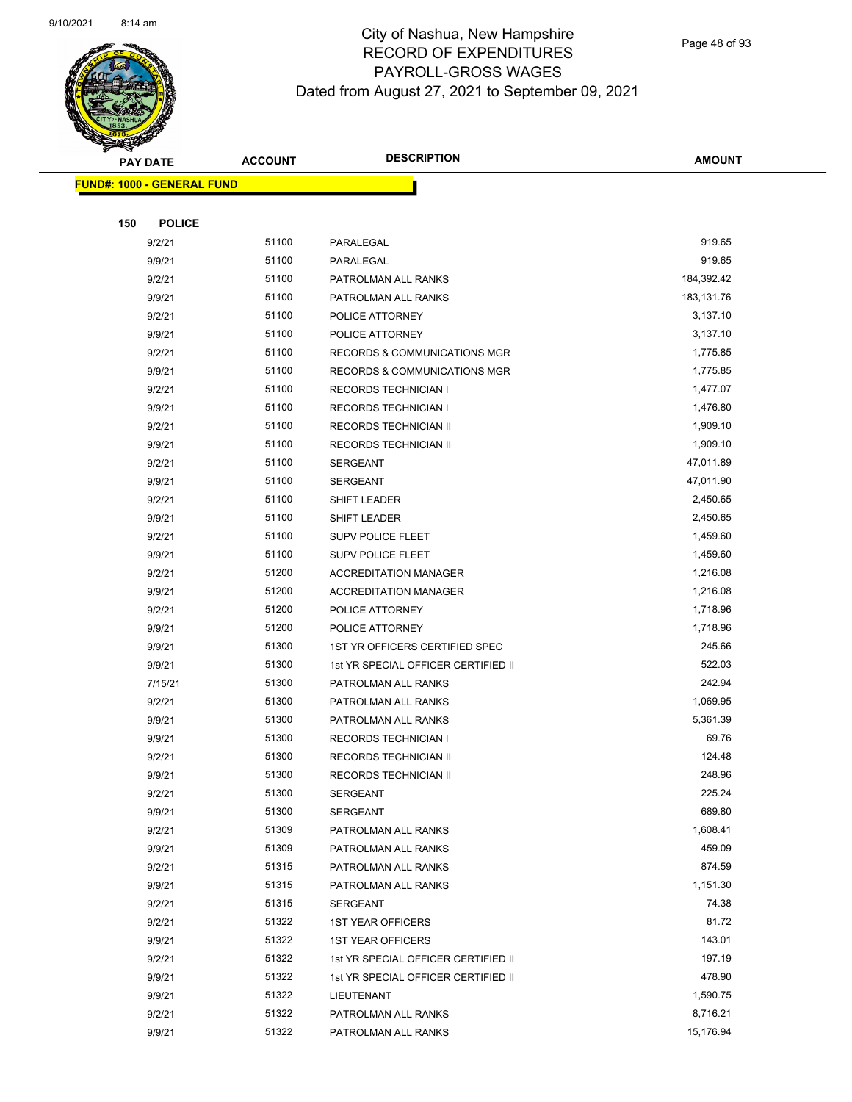

Page 48 of 93

| <b>PAY DATE</b>                   | <b>ACCOUNT</b> | <b>DESCRIPTION</b>                      | <b>AMOUNT</b> |
|-----------------------------------|----------------|-----------------------------------------|---------------|
| <b>FUND#: 1000 - GENERAL FUND</b> |                |                                         |               |
|                                   |                |                                         |               |
| 150<br><b>POLICE</b>              |                |                                         |               |
| 9/2/21                            | 51100          | PARALEGAL                               | 919.65        |
| 9/9/21                            | 51100          | PARALEGAL                               | 919.65        |
| 9/2/21                            | 51100          | PATROLMAN ALL RANKS                     | 184,392.42    |
| 9/9/21                            | 51100          | PATROLMAN ALL RANKS                     | 183,131.76    |
| 9/2/21                            | 51100          | POLICE ATTORNEY                         | 3,137.10      |
| 9/9/21                            | 51100          | POLICE ATTORNEY                         | 3,137.10      |
| 9/2/21                            | 51100          | <b>RECORDS &amp; COMMUNICATIONS MGR</b> | 1,775.85      |
| 9/9/21                            | 51100          | <b>RECORDS &amp; COMMUNICATIONS MGR</b> | 1,775.85      |
| 9/2/21                            | 51100          | <b>RECORDS TECHNICIAN I</b>             | 1,477.07      |
| 9/9/21                            | 51100          | <b>RECORDS TECHNICIAN I</b>             | 1,476.80      |
| 9/2/21                            | 51100          | RECORDS TECHNICIAN II                   | 1,909.10      |
| 9/9/21                            | 51100          | RECORDS TECHNICIAN II                   | 1,909.10      |
| 9/2/21                            | 51100          | <b>SERGEANT</b>                         | 47,011.89     |
| 9/9/21                            | 51100          | <b>SERGEANT</b>                         | 47,011.90     |
| 9/2/21                            | 51100          | SHIFT LEADER                            | 2,450.65      |
| 9/9/21                            | 51100          | SHIFT LEADER                            | 2,450.65      |
| 9/2/21                            | 51100          | <b>SUPV POLICE FLEET</b>                | 1,459.60      |
| 9/9/21                            | 51100          | <b>SUPV POLICE FLEET</b>                | 1,459.60      |
| 9/2/21                            | 51200          | <b>ACCREDITATION MANAGER</b>            | 1,216.08      |
| 9/9/21                            | 51200          | <b>ACCREDITATION MANAGER</b>            | 1,216.08      |
| 9/2/21                            | 51200          | POLICE ATTORNEY                         | 1,718.96      |
| 9/9/21                            | 51200          | POLICE ATTORNEY                         | 1,718.96      |
| 9/9/21                            | 51300          | 1ST YR OFFICERS CERTIFIED SPEC          | 245.66        |
| 9/9/21                            | 51300          | 1st YR SPECIAL OFFICER CERTIFIED II     | 522.03        |
| 7/15/21                           | 51300          | PATROLMAN ALL RANKS                     | 242.94        |
| 9/2/21                            | 51300          | PATROLMAN ALL RANKS                     | 1,069.95      |
| 9/9/21                            | 51300          | PATROLMAN ALL RANKS                     | 5,361.39      |
| 9/9/21                            | 51300          | <b>RECORDS TECHNICIAN I</b>             | 69.76         |
| 9/2/21                            | 51300          | RECORDS TECHNICIAN II                   | 124.48        |
| 9/9/21                            | 51300          | RECORDS TECHNICIAN II                   | 248.96        |
| 9/2/21                            | 51300          | <b>SERGEANT</b>                         | 225.24        |
| 9/9/21                            | 51300          | <b>SERGEANT</b>                         | 689.80        |
| 9/2/21                            | 51309          | PATROLMAN ALL RANKS                     | 1,608.41      |
| 9/9/21                            | 51309          | PATROLMAN ALL RANKS                     | 459.09        |
| 9/2/21                            | 51315          | PATROLMAN ALL RANKS                     | 874.59        |
| 9/9/21                            | 51315          | PATROLMAN ALL RANKS                     | 1,151.30      |
| 9/2/21                            | 51315          | <b>SERGEANT</b>                         | 74.38         |
| 9/2/21                            | 51322          | <b>1ST YEAR OFFICERS</b>                | 81.72         |
| 9/9/21                            | 51322          | <b>1ST YEAR OFFICERS</b>                | 143.01        |
| 9/2/21                            | 51322          | 1st YR SPECIAL OFFICER CERTIFIED II     | 197.19        |
| 9/9/21                            | 51322          | 1st YR SPECIAL OFFICER CERTIFIED II     | 478.90        |
| 9/9/21                            | 51322          | LIEUTENANT                              | 1,590.75      |
| 9/2/21                            | 51322          | PATROLMAN ALL RANKS                     | 8,716.21      |
| 9/9/21                            | 51322          | PATROLMAN ALL RANKS                     | 15,176.94     |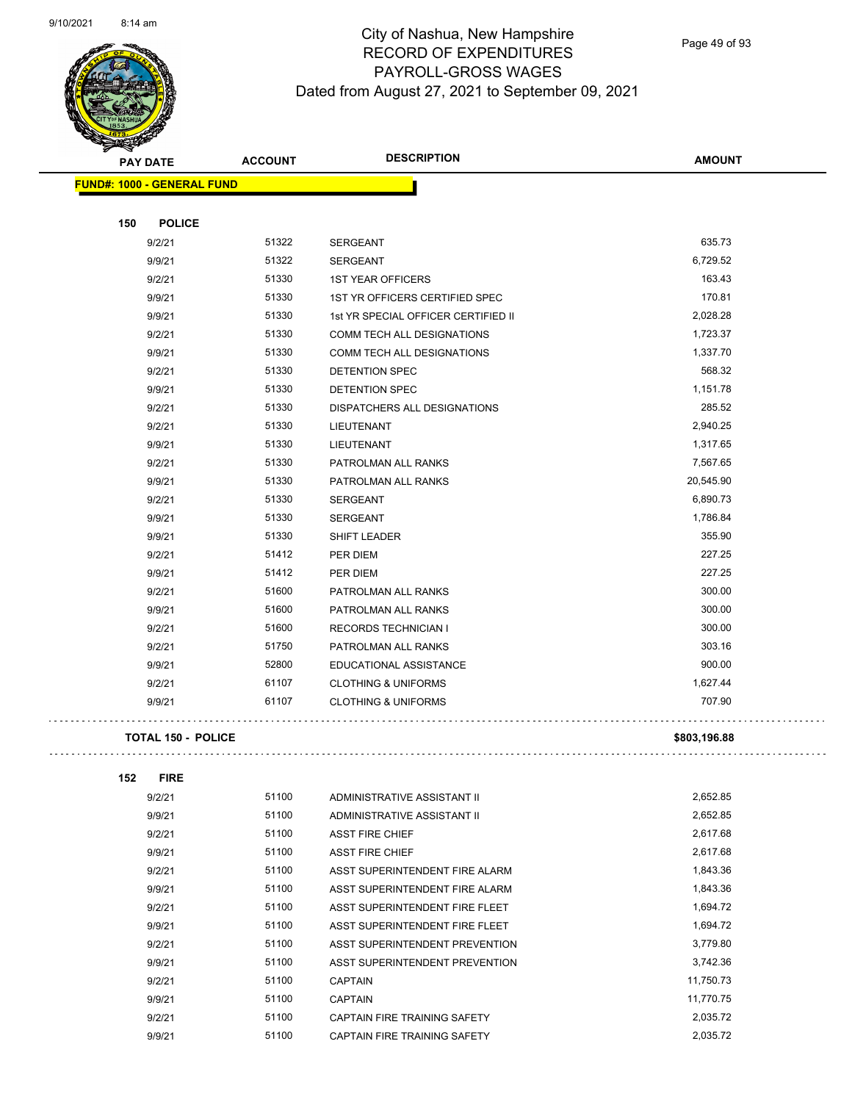$\Box$ 

 $\Box$ 



## City of Nashua, New Hampshire RECORD OF EXPENDITURES PAYROLL-GROSS WAGES Dated from August 27, 2021 to September 09, 2021

Page 49 of 93

| <b>PAY DATE</b>                   | <b>ACCOUNT</b> | <b>DESCRIPTION</b>                  | <b>AMOUNT</b> |
|-----------------------------------|----------------|-------------------------------------|---------------|
| <b>FUND#: 1000 - GENERAL FUND</b> |                |                                     |               |
| <b>POLICE</b><br>150              |                |                                     |               |
| 9/2/21                            | 51322          | SERGEANT                            | 635.73        |
| 9/9/21                            | 51322          | SERGEANT                            | 6,729.52      |
| 9/2/21                            | 51330          | <b>1ST YEAR OFFICERS</b>            | 163.43        |
| 9/9/21                            | 51330          | 1ST YR OFFICERS CERTIFIED SPEC      | 170.81        |
| 9/9/21                            | 51330          | 1st YR SPECIAL OFFICER CERTIFIED II | 2,028.28      |
| 9/2/21                            | 51330          | COMM TECH ALL DESIGNATIONS          | 1,723.37      |
| 9/9/21                            | 51330          | COMM TECH ALL DESIGNATIONS          | 1,337.70      |
| 9/2/21                            | 51330          | DETENTION SPEC                      | 568.32        |
| 9/9/21                            | 51330          | DETENTION SPEC                      | 1,151.78      |
| 9/2/21                            | 51330          | DISPATCHERS ALL DESIGNATIONS        | 285.52        |
| 9/2/21                            | 51330          | LIEUTENANT                          | 2,940.25      |
| 9/9/21                            | 51330          | LIEUTENANT                          | 1,317.65      |
| 9/2/21                            | 51330          | PATROLMAN ALL RANKS                 | 7,567.65      |
| 9/9/21                            | 51330          | PATROLMAN ALL RANKS                 | 20,545.90     |
| 9/2/21                            | 51330          | <b>SERGEANT</b>                     | 6,890.73      |
| 9/9/21                            | 51330          | <b>SERGEANT</b>                     | 1,786.84      |
| 9/9/21                            | 51330          | SHIFT LEADER                        | 355.90        |
| 9/2/21                            | 51412          | PER DIEM                            | 227.25        |
| 9/9/21                            | 51412          | PER DIEM                            | 227.25        |
| 9/2/21                            | 51600          | PATROLMAN ALL RANKS                 | 300.00        |
| 9/9/21                            | 51600          | PATROLMAN ALL RANKS                 | 300.00        |
| 9/2/21                            | 51600          | <b>RECORDS TECHNICIAN I</b>         | 300.00        |
| 9/2/21                            | 51750          | PATROLMAN ALL RANKS                 | 303.16        |
| 9/9/21                            | 52800          | EDUCATIONAL ASSISTANCE              | 900.00        |
| 9/2/21                            | 61107          | <b>CLOTHING &amp; UNIFORMS</b>      | 1,627.44      |
| 9/9/21                            | 61107          | <b>CLOTHING &amp; UNIFORMS</b>      | 707.90        |
| <b>TOTAL 150 - POLICE</b>         |                |                                     | \$803,196.88  |
| 152<br><b>FIRE</b>                |                |                                     |               |
| 9/2/21                            | 51100          | ADMINISTRATIVE ASSISTANT II         | 2,652.85      |
| 9/9/21                            | 51100          | ADMINISTRATIVE ASSISTANT II         | 2,652.85      |
| 9/2/21                            | 51100          | <b>ASST FIRE CHIEF</b>              | 2,617.68      |
|                                   |                |                                     |               |

| 9/9/21 | 51100 | ADMINISTRATIVE ASSISTANT II    | 2,652.85  |
|--------|-------|--------------------------------|-----------|
| 9/2/21 | 51100 | <b>ASST FIRE CHIEF</b>         | 2,617.68  |
| 9/9/21 | 51100 | <b>ASST FIRE CHIEF</b>         | 2,617.68  |
| 9/2/21 | 51100 | ASST SUPERINTENDENT FIRE ALARM | 1,843.36  |
| 9/9/21 | 51100 | ASST SUPERINTENDENT FIRE ALARM | 1,843.36  |
| 9/2/21 | 51100 | ASST SUPERINTENDENT FIRE FLEET | 1.694.72  |
| 9/9/21 | 51100 | ASST SUPERINTENDENT FIRE FLEET | 1.694.72  |
| 9/2/21 | 51100 | ASST SUPERINTENDENT PREVENTION | 3.779.80  |
| 9/9/21 | 51100 | ASST SUPERINTENDENT PREVENTION | 3.742.36  |
| 9/2/21 | 51100 | <b>CAPTAIN</b>                 | 11.750.73 |
| 9/9/21 | 51100 | <b>CAPTAIN</b>                 | 11.770.75 |
| 9/2/21 | 51100 | CAPTAIN FIRE TRAINING SAFETY   | 2.035.72  |
| 9/9/21 | 51100 | CAPTAIN FIRE TRAINING SAFETY   | 2.035.72  |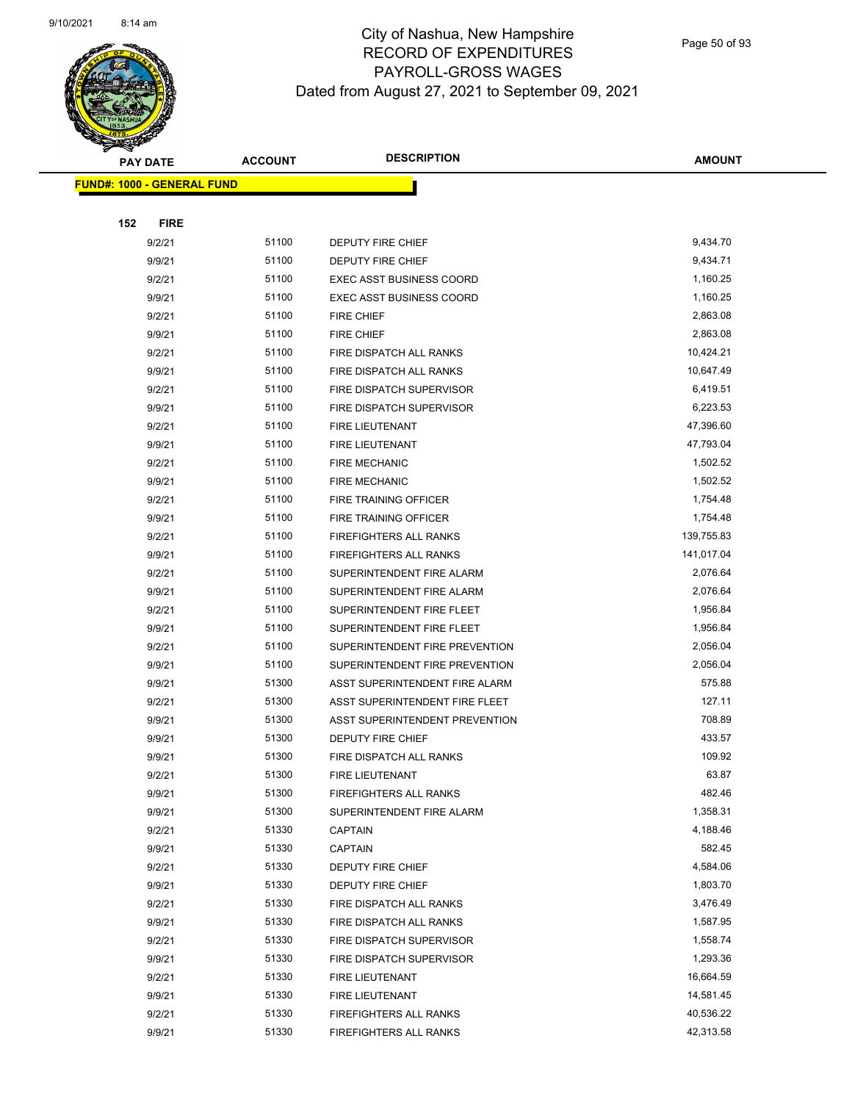

Page 50 of 93

|     | <b>PAY DATE</b>                   | <b>ACCOUNT</b> | <b>DESCRIPTION</b>              | <b>AMOUNT</b> |
|-----|-----------------------------------|----------------|---------------------------------|---------------|
|     | <b>FUND#: 1000 - GENERAL FUND</b> |                |                                 |               |
|     |                                   |                |                                 |               |
| 152 | <b>FIRE</b>                       |                |                                 |               |
|     | 9/2/21                            | 51100          | DEPUTY FIRE CHIEF               | 9,434.70      |
|     | 9/9/21                            | 51100          | DEPUTY FIRE CHIEF               | 9,434.71      |
|     | 9/2/21                            | 51100          | <b>EXEC ASST BUSINESS COORD</b> | 1,160.25      |
|     | 9/9/21                            | 51100          | <b>EXEC ASST BUSINESS COORD</b> | 1,160.25      |
|     | 9/2/21                            | 51100          | <b>FIRE CHIEF</b>               | 2,863.08      |
|     | 9/9/21                            | 51100          | <b>FIRE CHIEF</b>               | 2,863.08      |
|     | 9/2/21                            | 51100          | FIRE DISPATCH ALL RANKS         | 10,424.21     |
|     | 9/9/21                            | 51100          | FIRE DISPATCH ALL RANKS         | 10,647.49     |
|     | 9/2/21                            | 51100          | FIRE DISPATCH SUPERVISOR        | 6,419.51      |
|     | 9/9/21                            | 51100          | FIRE DISPATCH SUPERVISOR        | 6,223.53      |
|     | 9/2/21                            | 51100          | FIRE LIEUTENANT                 | 47,396.60     |
|     | 9/9/21                            | 51100          | <b>FIRE LIEUTENANT</b>          | 47,793.04     |
|     | 9/2/21                            | 51100          | <b>FIRE MECHANIC</b>            | 1,502.52      |
|     | 9/9/21                            | 51100          | <b>FIRE MECHANIC</b>            | 1,502.52      |
|     | 9/2/21                            | 51100          | FIRE TRAINING OFFICER           | 1,754.48      |
|     | 9/9/21                            | 51100          | FIRE TRAINING OFFICER           | 1,754.48      |
|     | 9/2/21                            | 51100          | <b>FIREFIGHTERS ALL RANKS</b>   | 139,755.83    |
|     | 9/9/21                            | 51100          | <b>FIREFIGHTERS ALL RANKS</b>   | 141,017.04    |
|     | 9/2/21                            | 51100          | SUPERINTENDENT FIRE ALARM       | 2,076.64      |
|     | 9/9/21                            | 51100          | SUPERINTENDENT FIRE ALARM       | 2,076.64      |
|     | 9/2/21                            | 51100          | SUPERINTENDENT FIRE FLEET       | 1,956.84      |
|     | 9/9/21                            | 51100          | SUPERINTENDENT FIRE FLEET       | 1,956.84      |
|     | 9/2/21                            | 51100          | SUPERINTENDENT FIRE PREVENTION  | 2,056.04      |
|     | 9/9/21                            | 51100          | SUPERINTENDENT FIRE PREVENTION  | 2,056.04      |
|     | 9/9/21                            | 51300          | ASST SUPERINTENDENT FIRE ALARM  | 575.88        |
|     | 9/2/21                            | 51300          | ASST SUPERINTENDENT FIRE FLEET  | 127.11        |
|     | 9/9/21                            | 51300          | ASST SUPERINTENDENT PREVENTION  | 708.89        |
|     | 9/9/21                            | 51300          | DEPUTY FIRE CHIEF               | 433.57        |
|     | 9/9/21                            | 51300          | FIRE DISPATCH ALL RANKS         | 109.92        |
|     | 9/2/21                            | 51300          | FIRE LIEUTENANT                 | 63.87         |
|     | 9/9/21                            | 51300          | FIREFIGHTERS ALL RANKS          | 482.46        |
|     | 9/9/21                            | 51300          | SUPERINTENDENT FIRE ALARM       | 1,358.31      |
|     | 9/2/21                            | 51330          | <b>CAPTAIN</b>                  | 4,188.46      |
|     | 9/9/21                            | 51330          | <b>CAPTAIN</b>                  | 582.45        |
|     | 9/2/21                            | 51330          | DEPUTY FIRE CHIEF               | 4,584.06      |
|     | 9/9/21                            | 51330          | DEPUTY FIRE CHIEF               | 1,803.70      |
|     | 9/2/21                            | 51330          | FIRE DISPATCH ALL RANKS         | 3,476.49      |
|     | 9/9/21                            | 51330          | FIRE DISPATCH ALL RANKS         | 1,587.95      |
|     | 9/2/21                            | 51330          | FIRE DISPATCH SUPERVISOR        | 1,558.74      |
|     | 9/9/21                            | 51330          | FIRE DISPATCH SUPERVISOR        | 1,293.36      |
|     | 9/2/21                            | 51330          | FIRE LIEUTENANT                 | 16,664.59     |
|     | 9/9/21                            | 51330          | FIRE LIEUTENANT                 | 14,581.45     |
|     | 9/2/21                            | 51330          | FIREFIGHTERS ALL RANKS          | 40,536.22     |
|     | 9/9/21                            | 51330          | FIREFIGHTERS ALL RANKS          | 42,313.58     |
|     |                                   |                |                                 |               |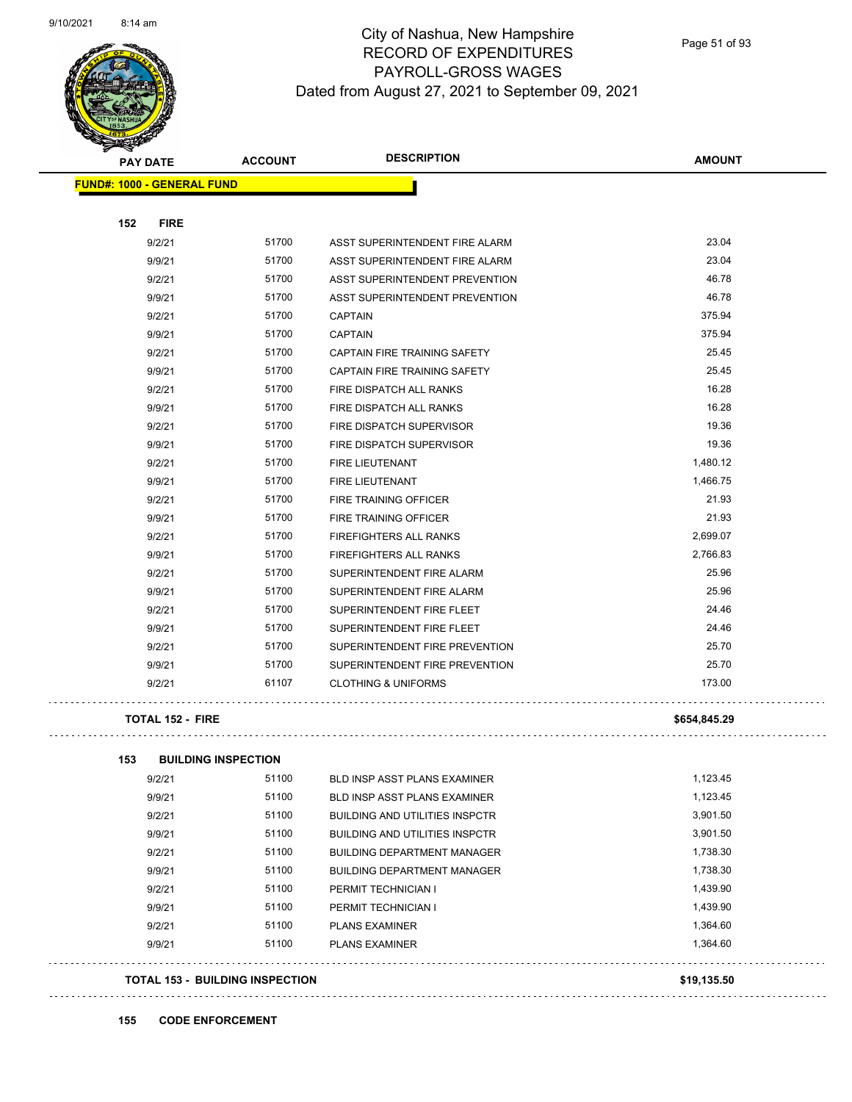$\ddotsc$ 

 $\sim$  .

 $\ddot{\phantom{0}}$ 

. . . . . . . . . . . .



# City of Nashua, New Hampshire RECORD OF EXPENDITURES PAYROLL-GROSS WAGES Dated from August 27, 2021 to September 09, 2021

Page 51 of 93

| æ.  |                                   | <b>ACCOUNT</b>                         | <b>DESCRIPTION</b>                    | <b>AMOUNT</b> |
|-----|-----------------------------------|----------------------------------------|---------------------------------------|---------------|
|     | <b>PAY DATE</b>                   |                                        |                                       |               |
|     | <b>FUND#: 1000 - GENERAL FUND</b> |                                        |                                       |               |
| 152 | <b>FIRE</b>                       |                                        |                                       |               |
|     | 9/2/21                            | 51700                                  | ASST SUPERINTENDENT FIRE ALARM        | 23.04         |
|     | 9/9/21                            | 51700                                  | ASST SUPERINTENDENT FIRE ALARM        | 23.04         |
|     | 9/2/21                            | 51700                                  | ASST SUPERINTENDENT PREVENTION        | 46.78         |
|     | 9/9/21                            | 51700                                  | <b>ASST SUPERINTENDENT PREVENTION</b> | 46.78         |
|     | 9/2/21                            | 51700                                  | <b>CAPTAIN</b>                        | 375.94        |
|     | 9/9/21                            | 51700                                  | <b>CAPTAIN</b>                        | 375.94        |
|     | 9/2/21                            | 51700                                  | CAPTAIN FIRE TRAINING SAFETY          | 25.45         |
|     | 9/9/21                            | 51700                                  | CAPTAIN FIRE TRAINING SAFETY          | 25.45         |
|     | 9/2/21                            | 51700                                  | FIRE DISPATCH ALL RANKS               | 16.28         |
|     | 9/9/21                            | 51700                                  | FIRE DISPATCH ALL RANKS               | 16.28         |
|     | 9/2/21                            | 51700                                  | FIRE DISPATCH SUPERVISOR              | 19.36         |
|     | 9/9/21                            | 51700                                  | FIRE DISPATCH SUPERVISOR              | 19.36         |
|     | 9/2/21                            | 51700                                  | <b>FIRE LIEUTENANT</b>                | 1,480.12      |
|     | 9/9/21                            | 51700                                  | <b>FIRE LIEUTENANT</b>                | 1,466.75      |
|     | 9/2/21                            | 51700                                  | FIRE TRAINING OFFICER                 | 21.93         |
|     | 9/9/21                            | 51700                                  | FIRE TRAINING OFFICER                 | 21.93         |
|     | 9/2/21                            | 51700                                  | <b>FIREFIGHTERS ALL RANKS</b>         | 2,699.07      |
|     | 9/9/21                            | 51700                                  | FIREFIGHTERS ALL RANKS                | 2,766.83      |
|     | 9/2/21                            | 51700                                  | SUPERINTENDENT FIRE ALARM             | 25.96         |
|     | 9/9/21                            | 51700                                  | SUPERINTENDENT FIRE ALARM             | 25.96         |
|     | 9/2/21                            | 51700                                  | SUPERINTENDENT FIRE FLEET             | 24.46         |
|     | 9/9/21                            | 51700                                  | SUPERINTENDENT FIRE FLEET             | 24.46         |
|     | 9/2/21                            | 51700                                  | SUPERINTENDENT FIRE PREVENTION        | 25.70         |
|     | 9/9/21                            | 51700                                  | SUPERINTENDENT FIRE PREVENTION        | 25.70         |
|     | 9/2/21                            | 61107                                  | <b>CLOTHING &amp; UNIFORMS</b>        | 173.00        |
|     | <b>TOTAL 152 - FIRE</b>           |                                        |                                       | \$654,845.29  |
| 153 |                                   | <b>BUILDING INSPECTION</b>             |                                       |               |
|     | 9/2/21                            | 51100                                  | BLD INSP ASST PLANS EXAMINER          | 1,123.45      |
|     | 9/9/21                            | 51100                                  | BLD INSP ASST PLANS EXAMINER          | 1,123.45      |
|     | 9/2/21                            | 51100                                  | BUILDING AND UTILITIES INSPCTR        | 3,901.50      |
|     | 9/9/21                            | 51100                                  | BUILDING AND UTILITIES INSPCTR        | 3,901.50      |
|     | 9/2/21                            | 51100                                  | <b>BUILDING DEPARTMENT MANAGER</b>    | 1,738.30      |
|     | 9/9/21                            | 51100                                  | <b>BUILDING DEPARTMENT MANAGER</b>    | 1,738.30      |
|     | 9/2/21                            | 51100                                  | PERMIT TECHNICIAN I                   | 1,439.90      |
|     | 9/9/21                            | 51100                                  | PERMIT TECHNICIAN I                   | 1,439.90      |
|     | 9/2/21                            | 51100                                  | PLANS EXAMINER                        | 1,364.60      |
|     | 9/9/21                            | 51100                                  | <b>PLANS EXAMINER</b>                 | 1,364.60      |
|     |                                   | <b>TOTAL 153 - BUILDING INSPECTION</b> |                                       | \$19,135.50   |

**155 CODE ENFORCEMENT**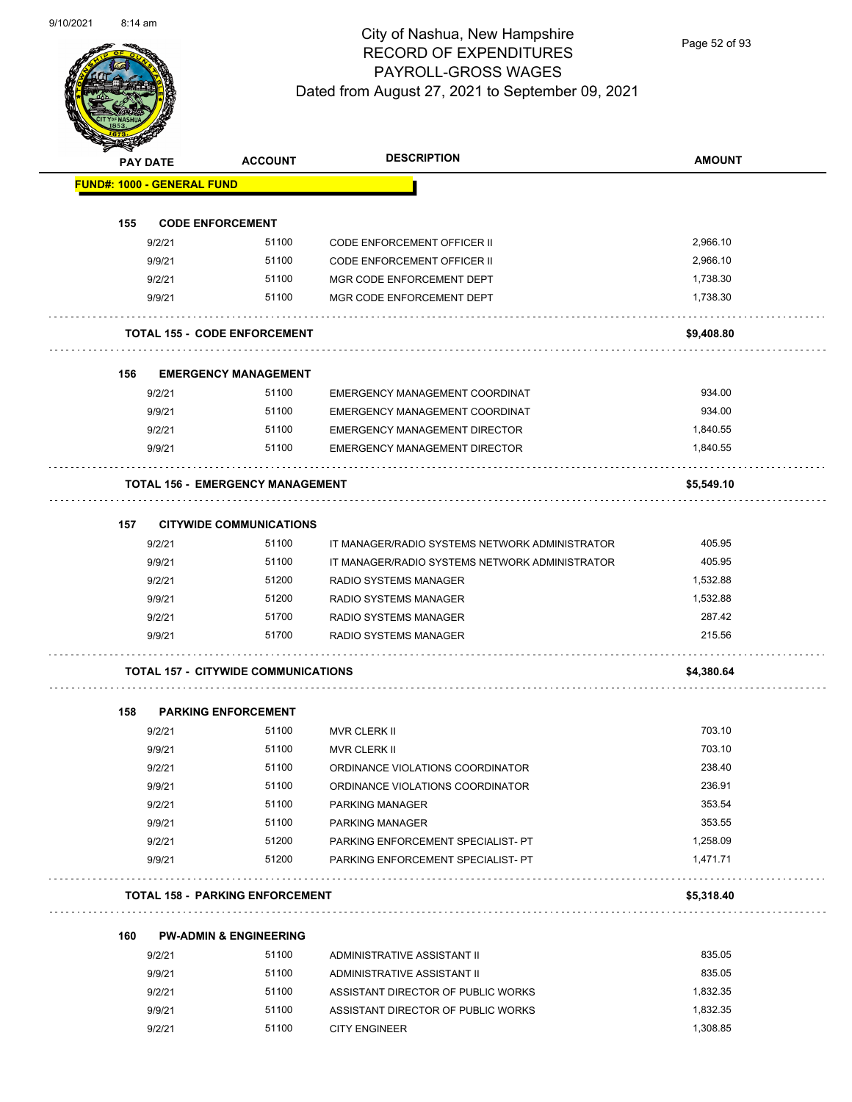

Page 52 of 93

|                 |                                         |                | <b>DESCRIPTION</b>                             | <b>AMOUNT</b> |
|-----------------|-----------------------------------------|----------------|------------------------------------------------|---------------|
| <b>PAY DATE</b> |                                         | <b>ACCOUNT</b> |                                                |               |
|                 | <b>FUND#: 1000 - GENERAL FUND</b>       |                |                                                |               |
| 155             | <b>CODE ENFORCEMENT</b>                 |                |                                                |               |
|                 | 9/2/21                                  | 51100          | <b>CODE ENFORCEMENT OFFICER II</b>             | 2,966.10      |
|                 | 9/9/21                                  | 51100          | CODE ENFORCEMENT OFFICER II                    | 2,966.10      |
|                 | 9/2/21                                  | 51100          | MGR CODE ENFORCEMENT DEPT                      | 1,738.30      |
|                 | 9/9/21                                  | 51100          | MGR CODE ENFORCEMENT DEPT                      | 1,738.30      |
|                 | <b>TOTAL 155 - CODE ENFORCEMENT</b>     |                |                                                | \$9,408.80    |
| 156             | <b>EMERGENCY MANAGEMENT</b>             |                |                                                |               |
|                 | 9/2/21                                  | 51100          | EMERGENCY MANAGEMENT COORDINAT                 | 934.00        |
|                 | 9/9/21                                  | 51100          | EMERGENCY MANAGEMENT COORDINAT                 | 934.00        |
|                 | 9/2/21                                  | 51100          | <b>EMERGENCY MANAGEMENT DIRECTOR</b>           | 1,840.55      |
|                 | 9/9/21                                  | 51100          | <b>EMERGENCY MANAGEMENT DIRECTOR</b>           | 1,840.55      |
|                 | <b>TOTAL 156 - EMERGENCY MANAGEMENT</b> |                |                                                | \$5,549.10    |
| 157             | <b>CITYWIDE COMMUNICATIONS</b>          |                |                                                |               |
|                 | 9/2/21                                  | 51100          | IT MANAGER/RADIO SYSTEMS NETWORK ADMINISTRATOR | 405.95        |
|                 | 9/9/21                                  | 51100          | IT MANAGER/RADIO SYSTEMS NETWORK ADMINISTRATOR | 405.95        |
|                 | 9/2/21                                  | 51200          | RADIO SYSTEMS MANAGER                          | 1,532.88      |
|                 | 9/9/21                                  | 51200          | RADIO SYSTEMS MANAGER                          | 1,532.88      |
|                 | 9/2/21                                  | 51700          | RADIO SYSTEMS MANAGER                          | 287.42        |
|                 | 9/9/21                                  | 51700          | RADIO SYSTEMS MANAGER                          | 215.56        |
|                 |                                         |                |                                                |               |
|                 | TOTAL 157 - CITYWIDE COMMUNICATIONS     |                |                                                | \$4,380.64    |
| 158             | <b>PARKING ENFORCEMENT</b>              |                |                                                |               |
|                 | 9/2/21                                  | 51100          | <b>MVR CLERK II</b>                            | 703.10        |
|                 | 9/9/21                                  | 51100          | <b>MVR CLERK II</b>                            | 703.10        |
|                 | 9/2/21                                  | 51100          | ORDINANCE VIOLATIONS COORDINATOR               | 238.40        |
|                 | 9/9/21                                  | 51100          | ORDINANCE VIOLATIONS COORDINATOR               | 236.91        |
|                 | 9/2/21                                  | 51100          | PARKING MANAGER                                | 353.54        |
|                 | 9/9/21                                  | 51100          | <b>PARKING MANAGER</b>                         | 353.55        |
|                 | 9/2/21                                  | 51200          | PARKING ENFORCEMENT SPECIALIST- PT             | 1,258.09      |
|                 | 9/9/21                                  | 51200          | PARKING ENFORCEMENT SPECIALIST- PT             | 1,471.71      |
|                 | <b>TOTAL 158 - PARKING ENFORCEMENT</b>  |                |                                                | \$5,318.40    |
| 160             | <b>PW-ADMIN &amp; ENGINEERING</b>       |                |                                                |               |
|                 | 9/2/21                                  | 51100          | ADMINISTRATIVE ASSISTANT II                    | 835.05        |
|                 | 9/9/21                                  | 51100          | ADMINISTRATIVE ASSISTANT II                    | 835.05        |
|                 | 9/2/21                                  | 51100          | ASSISTANT DIRECTOR OF PUBLIC WORKS             | 1,832.35      |

9/9/21 51100 ASSISTANT DIRECTOR OF PUBLIC WORKS 1,832.35 9/2/21 51100 CITY ENGINEER 1,308.85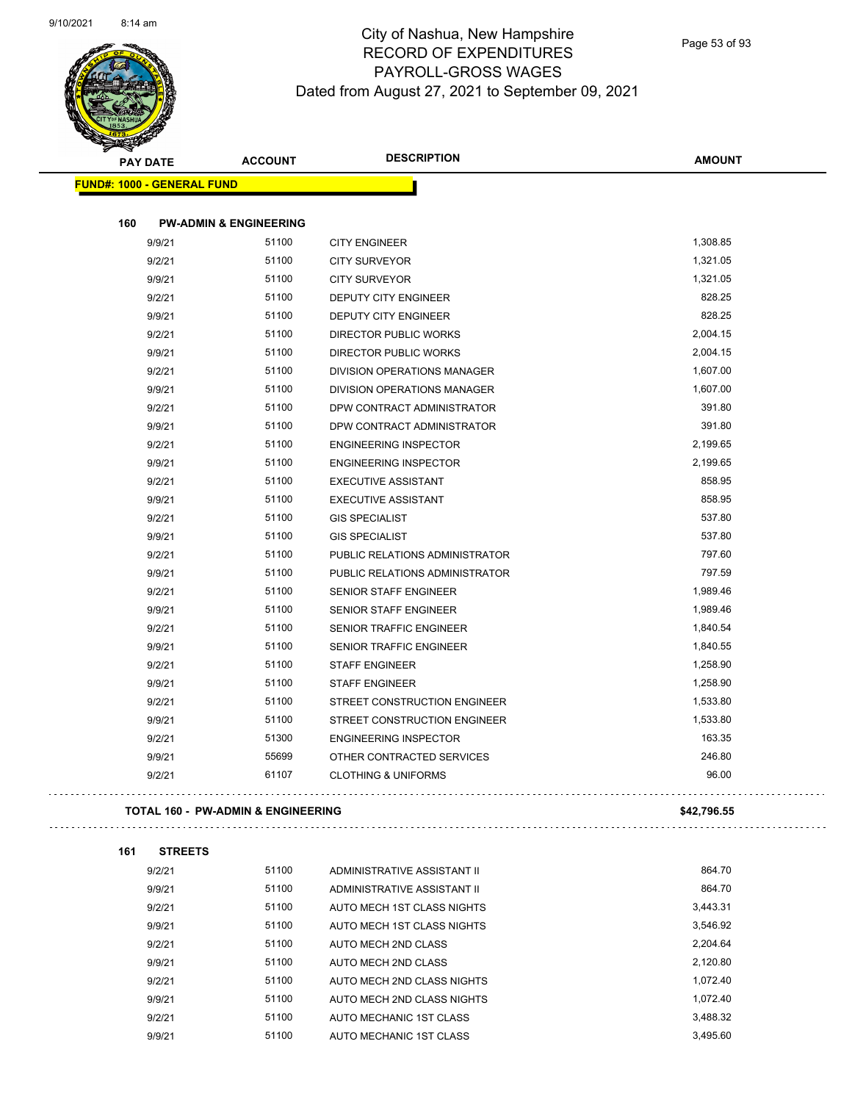

Page 53 of 93

| <b>STATERS</b>                    |                                               |                                |               |
|-----------------------------------|-----------------------------------------------|--------------------------------|---------------|
| <b>PAY DATE</b>                   | <b>ACCOUNT</b>                                | <b>DESCRIPTION</b>             | <b>AMOUNT</b> |
| <b>FUND#: 1000 - GENERAL FUND</b> |                                               |                                |               |
|                                   |                                               |                                |               |
| 160                               | <b>PW-ADMIN &amp; ENGINEERING</b>             |                                |               |
| 9/9/21                            | 51100                                         | <b>CITY ENGINEER</b>           | 1,308.85      |
| 9/2/21                            | 51100                                         | <b>CITY SURVEYOR</b>           | 1,321.05      |
| 9/9/21                            | 51100                                         | <b>CITY SURVEYOR</b>           | 1,321.05      |
| 9/2/21                            | 51100                                         | DEPUTY CITY ENGINEER           | 828.25        |
| 9/9/21                            | 51100                                         | <b>DEPUTY CITY ENGINEER</b>    | 828.25        |
| 9/2/21                            | 51100                                         | DIRECTOR PUBLIC WORKS          | 2,004.15      |
| 9/9/21                            | 51100                                         | DIRECTOR PUBLIC WORKS          | 2,004.15      |
| 9/2/21                            | 51100                                         | DIVISION OPERATIONS MANAGER    | 1,607.00      |
| 9/9/21                            | 51100                                         | DIVISION OPERATIONS MANAGER    | 1,607.00      |
| 9/2/21                            | 51100                                         | DPW CONTRACT ADMINISTRATOR     | 391.80        |
| 9/9/21                            | 51100                                         | DPW CONTRACT ADMINISTRATOR     | 391.80        |
| 9/2/21                            | 51100                                         | <b>ENGINEERING INSPECTOR</b>   | 2,199.65      |
| 9/9/21                            | 51100                                         | <b>ENGINEERING INSPECTOR</b>   | 2,199.65      |
| 9/2/21                            | 51100                                         | <b>EXECUTIVE ASSISTANT</b>     | 858.95        |
| 9/9/21                            | 51100                                         | <b>EXECUTIVE ASSISTANT</b>     | 858.95        |
| 9/2/21                            | 51100                                         | <b>GIS SPECIALIST</b>          | 537.80        |
| 9/9/21                            | 51100                                         | <b>GIS SPECIALIST</b>          | 537.80        |
| 9/2/21                            | 51100                                         | PUBLIC RELATIONS ADMINISTRATOR | 797.60        |
| 9/9/21                            | 51100                                         | PUBLIC RELATIONS ADMINISTRATOR | 797.59        |
| 9/2/21                            | 51100                                         | <b>SENIOR STAFF ENGINEER</b>   | 1,989.46      |
| 9/9/21                            | 51100                                         | <b>SENIOR STAFF ENGINEER</b>   | 1,989.46      |
| 9/2/21                            | 51100                                         | SENIOR TRAFFIC ENGINEER        | 1,840.54      |
| 9/9/21                            | 51100                                         | SENIOR TRAFFIC ENGINEER        | 1,840.55      |
| 9/2/21                            | 51100                                         | <b>STAFF ENGINEER</b>          | 1,258.90      |
| 9/9/21                            | 51100                                         | <b>STAFF ENGINEER</b>          | 1,258.90      |
| 9/2/21                            | 51100                                         | STREET CONSTRUCTION ENGINEER   | 1,533.80      |
| 9/9/21                            | 51100                                         | STREET CONSTRUCTION ENGINEER   | 1,533.80      |
| 9/2/21                            | 51300                                         | <b>ENGINEERING INSPECTOR</b>   | 163.35        |
| 9/9/21                            | 55699                                         | OTHER CONTRACTED SERVICES      | 246.80        |
| 9/2/21                            | 61107                                         | <b>CLOTHING &amp; UNIFORMS</b> | 96.00         |
|                                   | <b>TOTAL 160 - PW-ADMIN &amp; ENGINEERING</b> |                                | \$42,796.55   |
|                                   |                                               |                                |               |
| <b>STREETS</b><br>161             |                                               |                                |               |
| 9/2/21                            | 51100                                         | ADMINISTRATIVE ASSISTANT II    | 864.70        |
| 9/9/21                            | 51100                                         | ADMINISTRATIVE ASSISTANT II    | 864.70        |
| 9/2/21                            | 51100                                         | AUTO MECH 1ST CLASS NIGHTS     | 3,443.31      |
| 9/9/21                            | 51100                                         | AUTO MECH 1ST CLASS NIGHTS     | 3,546.92      |
| 9/2/21                            | 51100                                         | AUTO MECH 2ND CLASS            | 2,204.64      |
| 9/9/21                            | 51100                                         | AUTO MECH 2ND CLASS            | 2,120.80      |
| 9/2/21                            | 51100                                         | AUTO MECH 2ND CLASS NIGHTS     | 1,072.40      |
| 9/9/21                            | 51100                                         | AUTO MECH 2ND CLASS NIGHTS     | 1,072.40      |
| 9/2/21                            | 51100                                         | AUTO MECHANIC 1ST CLASS        | 3,488.32      |

9/9/21 51100 AUTO MECHANIC 1ST CLASS 3,495.60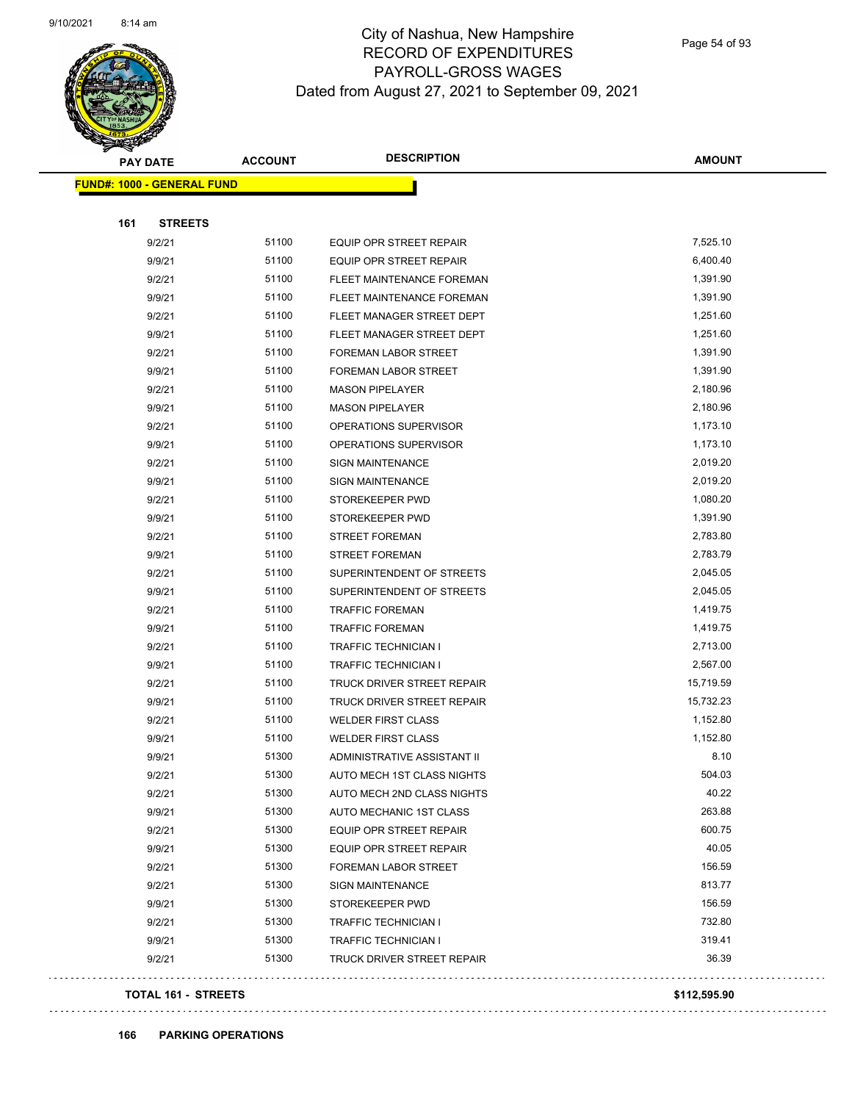

Page 54 of 93

|     | <b>PAY DATE</b>                   | <b>ACCOUNT</b> | <b>DESCRIPTION</b>             | <b>AMOUNT</b> |
|-----|-----------------------------------|----------------|--------------------------------|---------------|
|     | <b>FUND#: 1000 - GENERAL FUND</b> |                |                                |               |
|     |                                   |                |                                |               |
| 161 | <b>STREETS</b>                    |                |                                |               |
|     | 9/2/21                            | 51100          | EQUIP OPR STREET REPAIR        | 7,525.10      |
|     | 9/9/21                            | 51100          | <b>EQUIP OPR STREET REPAIR</b> | 6,400.40      |
|     | 9/2/21                            | 51100          | FLEET MAINTENANCE FOREMAN      | 1,391.90      |
|     | 9/9/21                            | 51100          | FLEET MAINTENANCE FOREMAN      | 1,391.90      |
|     | 9/2/21                            | 51100          | FLEET MANAGER STREET DEPT      | 1,251.60      |
|     | 9/9/21                            | 51100          | FLEET MANAGER STREET DEPT      | 1,251.60      |
|     | 9/2/21                            | 51100          | <b>FOREMAN LABOR STREET</b>    | 1,391.90      |
|     | 9/9/21                            | 51100          | FOREMAN LABOR STREET           | 1,391.90      |
|     | 9/2/21                            | 51100          | <b>MASON PIPELAYER</b>         | 2,180.96      |
|     | 9/9/21                            | 51100          | <b>MASON PIPELAYER</b>         | 2,180.96      |
|     | 9/2/21                            | 51100          | OPERATIONS SUPERVISOR          | 1,173.10      |
|     | 9/9/21                            | 51100          | OPERATIONS SUPERVISOR          | 1,173.10      |
|     | 9/2/21                            | 51100          | <b>SIGN MAINTENANCE</b>        | 2,019.20      |
|     | 9/9/21                            | 51100          | <b>SIGN MAINTENANCE</b>        | 2,019.20      |
|     | 9/2/21                            | 51100          | STOREKEEPER PWD                | 1,080.20      |
|     | 9/9/21                            | 51100          | STOREKEEPER PWD                | 1,391.90      |
|     | 9/2/21                            | 51100          | <b>STREET FOREMAN</b>          | 2,783.80      |
|     | 9/9/21                            | 51100          | <b>STREET FOREMAN</b>          | 2,783.79      |
|     | 9/2/21                            | 51100          | SUPERINTENDENT OF STREETS      | 2,045.05      |
|     | 9/9/21                            | 51100          | SUPERINTENDENT OF STREETS      | 2,045.05      |
|     | 9/2/21                            | 51100          | <b>TRAFFIC FOREMAN</b>         | 1,419.75      |
|     | 9/9/21                            | 51100          | <b>TRAFFIC FOREMAN</b>         | 1,419.75      |
|     | 9/2/21                            | 51100          | <b>TRAFFIC TECHNICIAN I</b>    | 2,713.00      |
|     | 9/9/21                            | 51100          | TRAFFIC TECHNICIAN I           | 2,567.00      |
|     | 9/2/21                            | 51100          | TRUCK DRIVER STREET REPAIR     | 15,719.59     |
|     | 9/9/21                            | 51100          | TRUCK DRIVER STREET REPAIR     | 15,732.23     |
|     | 9/2/21                            | 51100          | <b>WELDER FIRST CLASS</b>      | 1,152.80      |
|     | 9/9/21                            | 51100          | <b>WELDER FIRST CLASS</b>      | 1,152.80      |
|     | 9/9/21                            | 51300          | ADMINISTRATIVE ASSISTANT II    | 8.10          |
|     | 9/2/21                            | 51300          | AUTO MECH 1ST CLASS NIGHTS     | 504.03        |
|     | 9/2/21                            | 51300          | AUTO MECH 2ND CLASS NIGHTS     | 40.22         |
|     | 9/9/21                            | 51300          | AUTO MECHANIC 1ST CLASS        | 263.88        |
|     | 9/2/21                            | 51300          | EQUIP OPR STREET REPAIR        | 600.75        |
|     | 9/9/21                            | 51300          | EQUIP OPR STREET REPAIR        | 40.05         |
|     | 9/2/21                            | 51300          | FOREMAN LABOR STREET           | 156.59        |
|     | 9/2/21                            | 51300          | <b>SIGN MAINTENANCE</b>        | 813.77        |
|     | 9/9/21                            | 51300          | STOREKEEPER PWD                | 156.59        |
|     | 9/2/21                            | 51300          | <b>TRAFFIC TECHNICIAN I</b>    | 732.80        |
|     | 9/9/21                            | 51300          | TRAFFIC TECHNICIAN I           | 319.41        |
|     | 9/2/21                            | 51300          | TRUCK DRIVER STREET REPAIR     | 36.39         |
|     |                                   |                |                                |               |

#### **TOTAL 161 - STREETS \$112,595.90**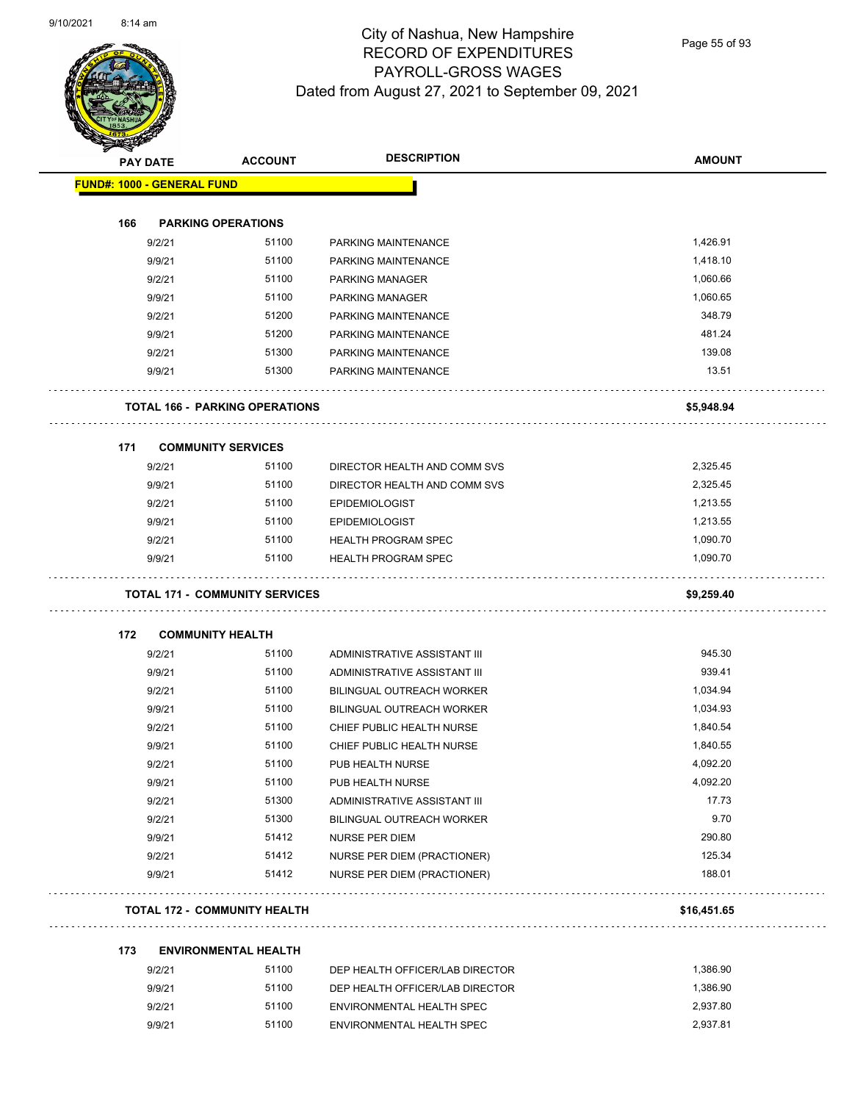

Page 55 of 93

|     | æ.<br><b>PAY DATE</b>             | <b>ACCOUNT</b>                        | <b>DESCRIPTION</b>               | <b>AMOUNT</b> |
|-----|-----------------------------------|---------------------------------------|----------------------------------|---------------|
|     | <b>FUND#: 1000 - GENERAL FUND</b> |                                       |                                  |               |
| 166 |                                   | <b>PARKING OPERATIONS</b>             |                                  |               |
|     | 9/2/21                            | 51100                                 | PARKING MAINTENANCE              | 1,426.91      |
|     | 9/9/21                            | 51100                                 | PARKING MAINTENANCE              | 1,418.10      |
|     | 9/2/21                            | 51100                                 | <b>PARKING MANAGER</b>           | 1,060.66      |
|     | 9/9/21                            | 51100                                 | <b>PARKING MANAGER</b>           | 1,060.65      |
|     | 9/2/21                            | 51200                                 | PARKING MAINTENANCE              | 348.79        |
|     | 9/9/21                            | 51200                                 | PARKING MAINTENANCE              | 481.24        |
|     | 9/2/21                            | 51300                                 | PARKING MAINTENANCE              | 139.08        |
|     | 9/9/21                            | 51300                                 | PARKING MAINTENANCE              | 13.51         |
|     |                                   | <b>TOTAL 166 - PARKING OPERATIONS</b> |                                  | \$5,948.94    |
| 171 |                                   | <b>COMMUNITY SERVICES</b>             |                                  |               |
|     | 9/2/21                            | 51100                                 | DIRECTOR HEALTH AND COMM SVS     | 2,325.45      |
|     | 9/9/21                            | 51100                                 | DIRECTOR HEALTH AND COMM SVS     | 2,325.45      |
|     | 9/2/21                            | 51100                                 | <b>EPIDEMIOLOGIST</b>            | 1,213.55      |
|     | 9/9/21                            | 51100                                 | <b>EPIDEMIOLOGIST</b>            | 1,213.55      |
|     | 9/2/21                            | 51100                                 | <b>HEALTH PROGRAM SPEC</b>       | 1,090.70      |
|     | 9/9/21                            | 51100                                 | <b>HEALTH PROGRAM SPEC</b>       | 1,090.70      |
|     |                                   | <b>TOTAL 171 - COMMUNITY SERVICES</b> |                                  | \$9,259.40    |
| 172 |                                   | <b>COMMUNITY HEALTH</b>               |                                  |               |
|     | 9/2/21                            | 51100                                 | ADMINISTRATIVE ASSISTANT III     | 945.30        |
|     | 9/9/21                            | 51100                                 | ADMINISTRATIVE ASSISTANT III     | 939.41        |
|     | 9/2/21                            | 51100                                 | <b>BILINGUAL OUTREACH WORKER</b> | 1,034.94      |
|     | 9/9/21                            | 51100                                 | <b>BILINGUAL OUTREACH WORKER</b> | 1,034.93      |
|     | 9/2/21                            | 51100                                 | CHIEF PUBLIC HEALTH NURSE        | 1,840.54      |
|     |                                   |                                       |                                  |               |
|     | 9/9/21                            | 51100                                 | CHIEF PUBLIC HEALTH NURSE        | 1,840.55      |
|     | 9/2/21                            | 51100                                 | PUB HEALTH NURSE                 | 4.092.20      |
|     | 9/9/21                            | 51100                                 | PUB HEALTH NURSE                 | 4,092.20      |
|     | 9/2/21                            | 51300                                 | ADMINISTRATIVE ASSISTANT III     | 17.73         |
|     | 9/2/21                            | 51300                                 | <b>BILINGUAL OUTREACH WORKER</b> | 9.70          |
|     | 9/9/21                            | 51412                                 | NURSE PER DIEM                   | 290.80        |
|     | 9/2/21                            | 51412                                 | NURSE PER DIEM (PRACTIONER)      | 125.34        |
|     | 9/9/21                            | 51412                                 | NURSE PER DIEM (PRACTIONER)      | 188.01        |
|     |                                   | <b>TOTAL 172 - COMMUNITY HEALTH</b>   |                                  | \$16,451.65   |
|     |                                   |                                       |                                  |               |
| 173 | 9/2/21                            | <b>ENVIRONMENTAL HEALTH</b><br>51100  | DEP HEALTH OFFICER/LAB DIRECTOR  | 1,386.90      |

9/2/21 51100 ENVIRONMENTAL HEALTH SPEC 2,937.80 9/9/21 51100 ENVIRONMENTAL HEALTH SPEC 2,937.81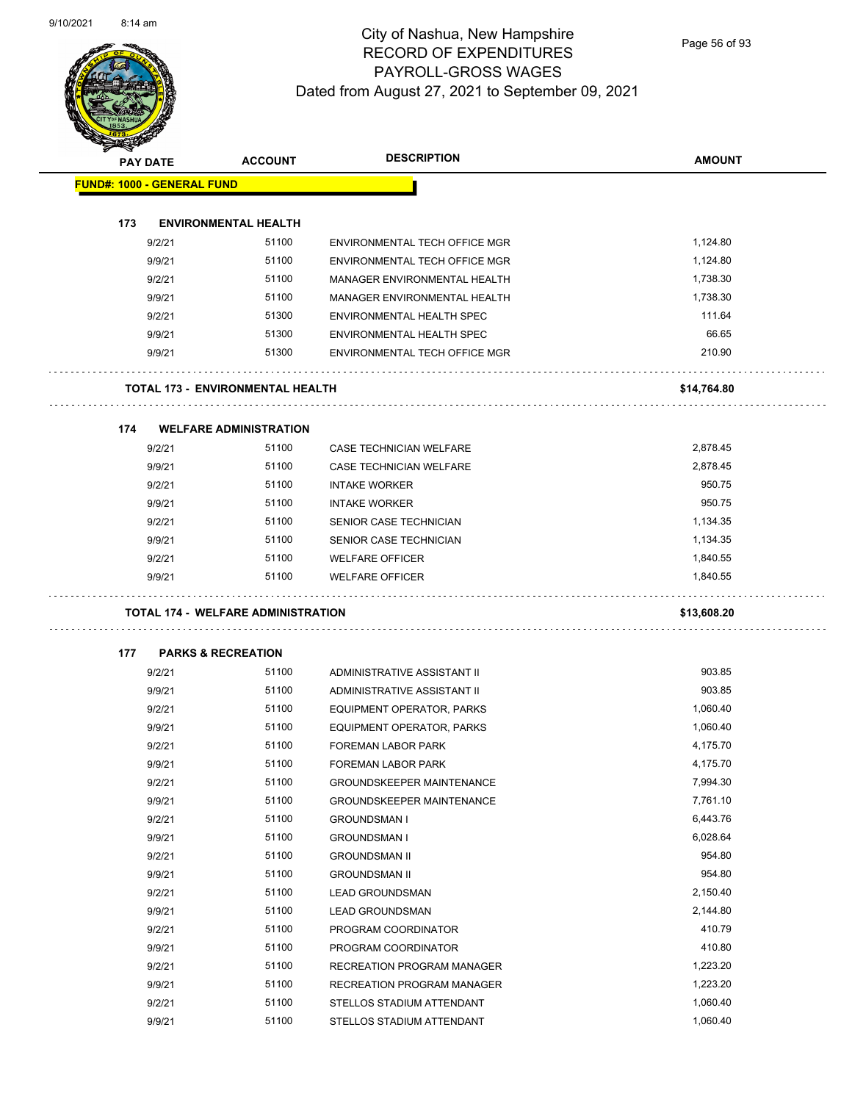

Page 56 of 93

| <b>PAY DATE</b>                   | <b>ACCOUNT</b>                            | <b>DESCRIPTION</b>               | <b>AMOUNT</b> |
|-----------------------------------|-------------------------------------------|----------------------------------|---------------|
| <b>FUND#: 1000 - GENERAL FUND</b> |                                           |                                  |               |
|                                   |                                           |                                  |               |
| 173                               | <b>ENVIRONMENTAL HEALTH</b>               |                                  |               |
| 9/2/21                            | 51100                                     | ENVIRONMENTAL TECH OFFICE MGR    | 1,124.80      |
| 9/9/21                            | 51100                                     | ENVIRONMENTAL TECH OFFICE MGR    | 1,124.80      |
| 9/2/21                            | 51100                                     | MANAGER ENVIRONMENTAL HEALTH     | 1,738.30      |
| 9/9/21                            | 51100                                     | MANAGER ENVIRONMENTAL HEALTH     | 1,738.30      |
| 9/2/21                            | 51300                                     | ENVIRONMENTAL HEALTH SPEC        | 111.64        |
| 9/9/21                            | 51300                                     | ENVIRONMENTAL HEALTH SPEC        | 66.65         |
| 9/9/21                            | 51300                                     | ENVIRONMENTAL TECH OFFICE MGR    | 210.90        |
|                                   | <b>TOTAL 173 - ENVIRONMENTAL HEALTH</b>   |                                  | \$14,764.80   |
| 174                               | <b>WELFARE ADMINISTRATION</b>             |                                  |               |
| 9/2/21                            | 51100                                     | <b>CASE TECHNICIAN WELFARE</b>   | 2,878.45      |
| 9/9/21                            | 51100                                     | CASE TECHNICIAN WELFARE          | 2,878.45      |
| 9/2/21                            | 51100                                     | <b>INTAKE WORKER</b>             | 950.75        |
| 9/9/21                            | 51100                                     | <b>INTAKE WORKER</b>             | 950.75        |
| 9/2/21                            | 51100                                     | SENIOR CASE TECHNICIAN           | 1,134.35      |
| 9/9/21                            | 51100                                     | SENIOR CASE TECHNICIAN           | 1,134.35      |
| 9/2/21                            | 51100                                     | <b>WELFARE OFFICER</b>           | 1,840.55      |
| 9/9/21                            | 51100                                     | <b>WELFARE OFFICER</b>           | 1,840.55      |
|                                   | <b>TOTAL 174 - WELFARE ADMINISTRATION</b> |                                  | \$13,608.20   |
| 177                               | <b>PARKS &amp; RECREATION</b>             |                                  |               |
| 9/2/21                            | 51100                                     | ADMINISTRATIVE ASSISTANT II      | 903.85        |
| 9/9/21                            | 51100                                     | ADMINISTRATIVE ASSISTANT II      | 903.85        |
| 9/2/21                            | 51100                                     | EQUIPMENT OPERATOR, PARKS        | 1,060.40      |
| 9/9/21                            | 51100                                     | <b>EQUIPMENT OPERATOR, PARKS</b> | 1,060.40      |
| 9/2/21                            | 51100                                     | FOREMAN LABOR PARK               | 4,175.70      |
| 9/9/21                            | 51100                                     | FOREMAN LABOR PARK               | 4,175.70      |
| 9/2/21                            | 51100                                     | <b>GROUNDSKEEPER MAINTENANCE</b> | 7,994.30      |
| 9/9/21                            | 51100                                     | <b>GROUNDSKEEPER MAINTENANCE</b> | 7,761.10      |
| 9/2/21                            | 51100                                     | <b>GROUNDSMAN I</b>              | 6,443.76      |
| 9/9/21                            | 51100                                     | <b>GROUNDSMAN I</b>              | 6,028.64      |
| 9/2/21                            | 51100                                     | <b>GROUNDSMAN II</b>             | 954.80        |
| 9/9/21                            | 51100                                     | <b>GROUNDSMAN II</b>             | 954.80        |
| 9/2/21                            | 51100                                     | <b>LEAD GROUNDSMAN</b>           | 2,150.40      |
| 9/9/21                            | 51100                                     | <b>LEAD GROUNDSMAN</b>           | 2,144.80      |
| 9/2/21                            | 51100                                     | PROGRAM COORDINATOR              | 410.79        |
| 9/9/21                            | 51100                                     | PROGRAM COORDINATOR              | 410.80        |
| 9/2/21                            | 51100                                     | RECREATION PROGRAM MANAGER       | 1,223.20      |
| 9/9/21                            | 51100                                     | RECREATION PROGRAM MANAGER       | 1,223.20      |
| 9/2/21                            | 51100                                     | STELLOS STADIUM ATTENDANT        | 1,060.40      |
| 9/9/21                            | 51100                                     | STELLOS STADIUM ATTENDANT        | 1,060.40      |
|                                   |                                           |                                  |               |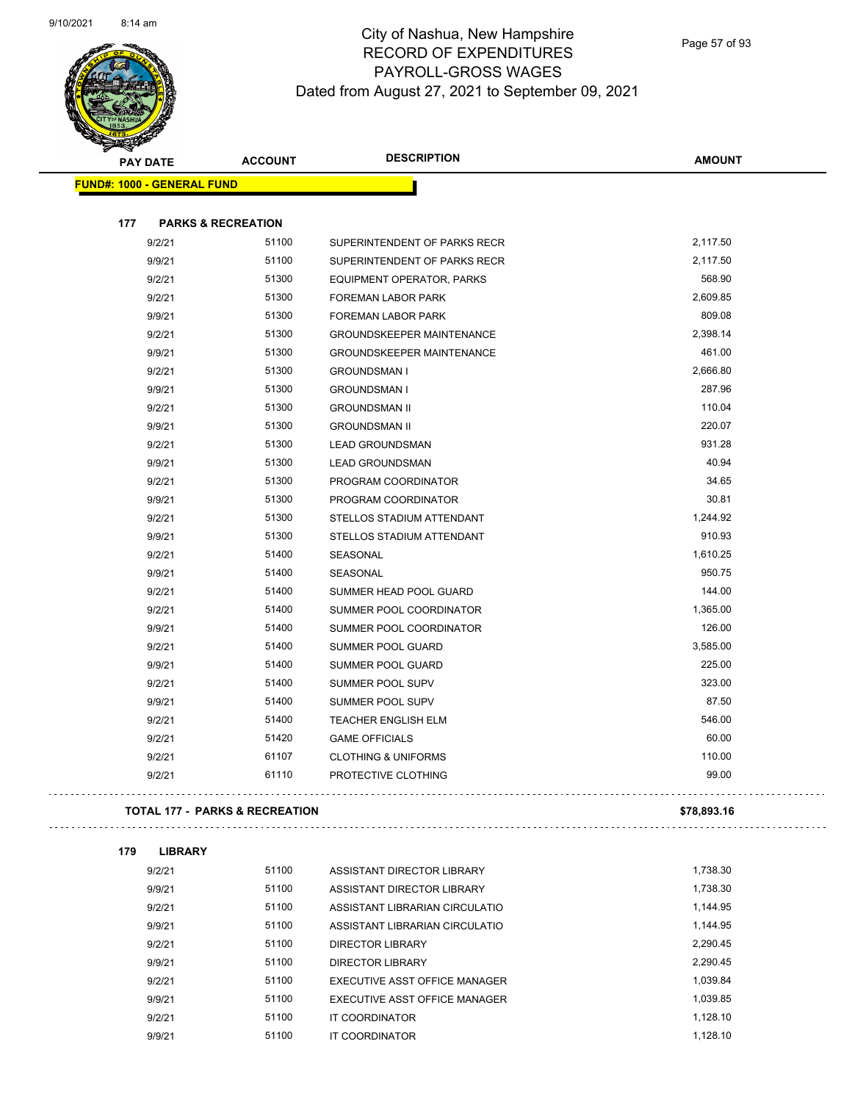

Page 57 of 93

| <b>REAL PROPERTY</b> |                                   |                                           |                                                          |                      |
|----------------------|-----------------------------------|-------------------------------------------|----------------------------------------------------------|----------------------|
|                      | <b>PAY DATE</b>                   | <b>ACCOUNT</b>                            | <b>DESCRIPTION</b>                                       | <b>AMOUNT</b>        |
|                      | <b>FUND#: 1000 - GENERAL FUND</b> |                                           |                                                          |                      |
|                      |                                   |                                           |                                                          |                      |
|                      | 177                               | <b>PARKS &amp; RECREATION</b>             |                                                          |                      |
|                      | 9/2/21                            | 51100                                     | SUPERINTENDENT OF PARKS RECR                             | 2,117.50             |
|                      | 9/9/21                            | 51100                                     | SUPERINTENDENT OF PARKS RECR                             | 2,117.50             |
|                      | 9/2/21                            | 51300                                     | EQUIPMENT OPERATOR, PARKS                                | 568.90               |
|                      | 9/2/21                            | 51300                                     | FOREMAN LABOR PARK                                       | 2,609.85             |
|                      | 9/9/21                            | 51300                                     | FOREMAN LABOR PARK                                       | 809.08               |
|                      | 9/2/21                            | 51300                                     | <b>GROUNDSKEEPER MAINTENANCE</b>                         | 2,398.14             |
|                      | 9/9/21                            | 51300                                     | <b>GROUNDSKEEPER MAINTENANCE</b>                         | 461.00               |
|                      | 9/2/21                            | 51300                                     | <b>GROUNDSMAN I</b>                                      | 2,666.80             |
|                      | 9/9/21                            | 51300                                     | <b>GROUNDSMAN I</b>                                      | 287.96               |
|                      | 9/2/21                            | 51300                                     | <b>GROUNDSMAN II</b>                                     | 110.04               |
|                      | 9/9/21                            | 51300                                     | <b>GROUNDSMAN II</b>                                     | 220.07               |
|                      | 9/2/21                            | 51300                                     | <b>LEAD GROUNDSMAN</b>                                   | 931.28               |
|                      | 9/9/21                            | 51300                                     | <b>LEAD GROUNDSMAN</b>                                   | 40.94                |
|                      | 9/2/21                            | 51300                                     | PROGRAM COORDINATOR                                      | 34.65                |
|                      | 9/9/21                            | 51300                                     | PROGRAM COORDINATOR                                      | 30.81                |
|                      | 9/2/21                            | 51300                                     | STELLOS STADIUM ATTENDANT                                | 1,244.92             |
|                      | 9/9/21                            | 51300                                     | STELLOS STADIUM ATTENDANT                                | 910.93               |
|                      | 9/2/21                            | 51400                                     | SEASONAL                                                 | 1,610.25             |
|                      | 9/9/21                            | 51400                                     | SEASONAL                                                 | 950.75               |
|                      | 9/2/21                            | 51400                                     | SUMMER HEAD POOL GUARD                                   | 144.00               |
|                      | 9/2/21                            | 51400                                     | SUMMER POOL COORDINATOR                                  | 1,365.00             |
|                      | 9/9/21                            | 51400                                     | SUMMER POOL COORDINATOR                                  | 126.00               |
|                      | 9/2/21                            | 51400                                     | SUMMER POOL GUARD                                        | 3,585.00             |
|                      | 9/9/21                            | 51400                                     | SUMMER POOL GUARD                                        | 225.00               |
|                      | 9/2/21                            | 51400                                     | SUMMER POOL SUPV                                         | 323.00               |
|                      | 9/9/21                            | 51400                                     | SUMMER POOL SUPV                                         | 87.50                |
|                      | 9/2/21                            | 51400                                     | <b>TEACHER ENGLISH ELM</b>                               | 546.00               |
|                      | 9/2/21                            | 51420                                     | <b>GAME OFFICIALS</b>                                    | 60.00                |
|                      | 9/2/21                            | 61107                                     | <b>CLOTHING &amp; UNIFORMS</b>                           | 110.00               |
|                      | 9/2/21                            | 61110                                     | PROTECTIVE CLOTHING                                      | 99.00                |
|                      |                                   |                                           |                                                          |                      |
|                      |                                   | <b>TOTAL 177 - PARKS &amp; RECREATION</b> |                                                          | \$78,893.16          |
|                      | 179<br><b>LIBRARY</b>             |                                           |                                                          |                      |
|                      |                                   | 51100                                     |                                                          | 1,738.30             |
|                      | 9/2/21<br>9/9/21                  | 51100                                     | ASSISTANT DIRECTOR LIBRARY<br>ASSISTANT DIRECTOR LIBRARY | 1,738.30             |
|                      |                                   | 51100                                     |                                                          | 1,144.95             |
|                      | 9/2/21                            |                                           | ASSISTANT LIBRARIAN CIRCULATIO                           |                      |
|                      | 9/9/21                            | 51100                                     | ASSISTANT LIBRARIAN CIRCULATIO                           | 1,144.95             |
|                      | 9/2/21                            | 51100<br>51100                            | <b>DIRECTOR LIBRARY</b>                                  | 2,290.45<br>2,290.45 |
|                      | 9/9/21                            |                                           | <b>DIRECTOR LIBRARY</b>                                  |                      |
|                      | 9/2/21                            | 51100                                     | EXECUTIVE ASST OFFICE MANAGER                            | 1,039.84             |

9/9/21 51100 EXECUTIVE ASST OFFICE MANAGER 1,039.85 9/2/21 51100 IT COORDINATOR 1,128.10 9/9/21 51100 IT COORDINATOR 1,128.10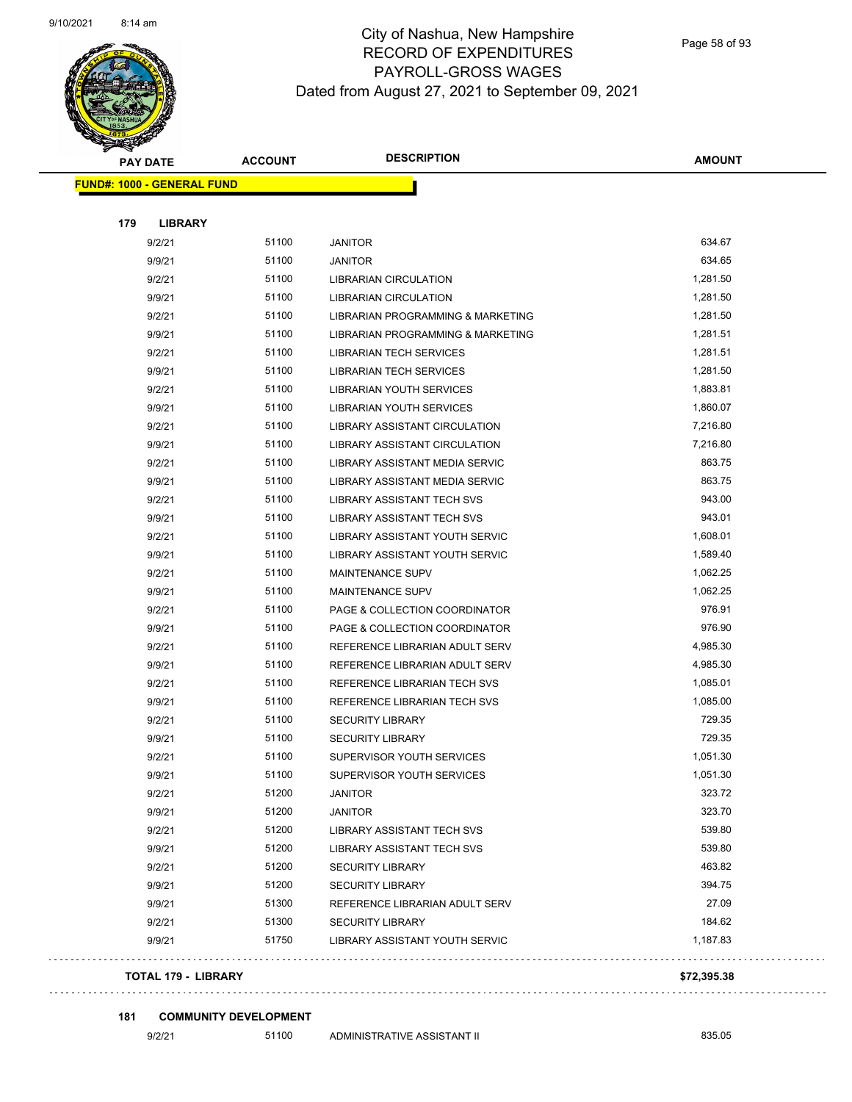

Page 58 of 93

|                                   | <b>PAY DATE</b>            | <b>ACCOUNT</b> | <b>DESCRIPTION</b>                | <b>AMOUNT</b> |
|-----------------------------------|----------------------------|----------------|-----------------------------------|---------------|
| <b>FUND#: 1000 - GENERAL FUND</b> |                            |                |                                   |               |
|                                   |                            |                |                                   |               |
| 179                               | <b>LIBRARY</b>             |                |                                   |               |
|                                   | 9/2/21                     | 51100          | <b>JANITOR</b>                    | 634.67        |
|                                   | 9/9/21                     | 51100          | <b>JANITOR</b>                    | 634.65        |
|                                   | 9/2/21                     | 51100          | <b>LIBRARIAN CIRCULATION</b>      | 1,281.50      |
|                                   | 9/9/21                     | 51100          | <b>LIBRARIAN CIRCULATION</b>      | 1,281.50      |
|                                   | 9/2/21                     | 51100          | LIBRARIAN PROGRAMMING & MARKETING | 1,281.50      |
|                                   | 9/9/21                     | 51100          | LIBRARIAN PROGRAMMING & MARKETING | 1,281.51      |
|                                   | 9/2/21                     | 51100          | <b>LIBRARIAN TECH SERVICES</b>    | 1,281.51      |
|                                   | 9/9/21                     | 51100          | <b>LIBRARIAN TECH SERVICES</b>    | 1,281.50      |
|                                   | 9/2/21                     | 51100          | LIBRARIAN YOUTH SERVICES          | 1,883.81      |
|                                   | 9/9/21                     | 51100          | LIBRARIAN YOUTH SERVICES          | 1,860.07      |
|                                   | 9/2/21                     | 51100          | LIBRARY ASSISTANT CIRCULATION     | 7,216.80      |
|                                   | 9/9/21                     | 51100          | LIBRARY ASSISTANT CIRCULATION     | 7,216.80      |
|                                   | 9/2/21                     | 51100          | LIBRARY ASSISTANT MEDIA SERVIC    | 863.75        |
|                                   | 9/9/21                     | 51100          | LIBRARY ASSISTANT MEDIA SERVIC    | 863.75        |
|                                   | 9/2/21                     | 51100          | <b>LIBRARY ASSISTANT TECH SVS</b> | 943.00        |
|                                   | 9/9/21                     | 51100          | <b>LIBRARY ASSISTANT TECH SVS</b> | 943.01        |
|                                   | 9/2/21                     | 51100          | LIBRARY ASSISTANT YOUTH SERVIC    | 1,608.01      |
|                                   | 9/9/21                     | 51100          | LIBRARY ASSISTANT YOUTH SERVIC    | 1,589.40      |
|                                   | 9/2/21                     | 51100          | <b>MAINTENANCE SUPV</b>           | 1,062.25      |
|                                   | 9/9/21                     | 51100          | MAINTENANCE SUPV                  | 1,062.25      |
|                                   | 9/2/21                     | 51100          | PAGE & COLLECTION COORDINATOR     | 976.91        |
|                                   | 9/9/21                     | 51100          | PAGE & COLLECTION COORDINATOR     | 976.90        |
|                                   | 9/2/21                     | 51100          | REFERENCE LIBRARIAN ADULT SERV    | 4,985.30      |
|                                   | 9/9/21                     | 51100          | REFERENCE LIBRARIAN ADULT SERV    | 4,985.30      |
|                                   | 9/2/21                     | 51100          | REFERENCE LIBRARIAN TECH SVS      | 1,085.01      |
|                                   | 9/9/21                     | 51100          | REFERENCE LIBRARIAN TECH SVS      | 1,085.00      |
|                                   | 9/2/21                     | 51100          | <b>SECURITY LIBRARY</b>           | 729.35        |
|                                   | 9/9/21                     | 51100          | <b>SECURITY LIBRARY</b>           | 729.35        |
|                                   | 9/2/21                     | 51100          | SUPERVISOR YOUTH SERVICES         | 1,051.30      |
|                                   | 9/9/21                     | 51100          | SUPERVISOR YOUTH SERVICES         | 1,051.30      |
|                                   | 9/2/21                     | 51200          | JANITOR                           | 323.72        |
|                                   | 9/9/21                     | 51200          | <b>JANITOR</b>                    | 323.70        |
|                                   | 9/2/21                     | 51200          | LIBRARY ASSISTANT TECH SVS        | 539.80        |
|                                   | 9/9/21                     | 51200          | <b>LIBRARY ASSISTANT TECH SVS</b> | 539.80        |
|                                   | 9/2/21                     | 51200          | <b>SECURITY LIBRARY</b>           | 463.82        |
|                                   | 9/9/21                     | 51200          | <b>SECURITY LIBRARY</b>           | 394.75        |
|                                   | 9/9/21                     | 51300          | REFERENCE LIBRARIAN ADULT SERV    | 27.09         |
|                                   | 9/2/21                     | 51300          | <b>SECURITY LIBRARY</b>           | 184.62        |
|                                   | 9/9/21                     | 51750          | LIBRARY ASSISTANT YOUTH SERVIC    | 1,187.83      |
|                                   | <b>TOTAL 179 - LIBRARY</b> |                |                                   | \$72,395.38   |

#### **181 COMMUNITY DEVELOPMENT**

 $\bar{z}$  ,  $\bar{z}$  ,

. . . . . . . . . . . . . . . . .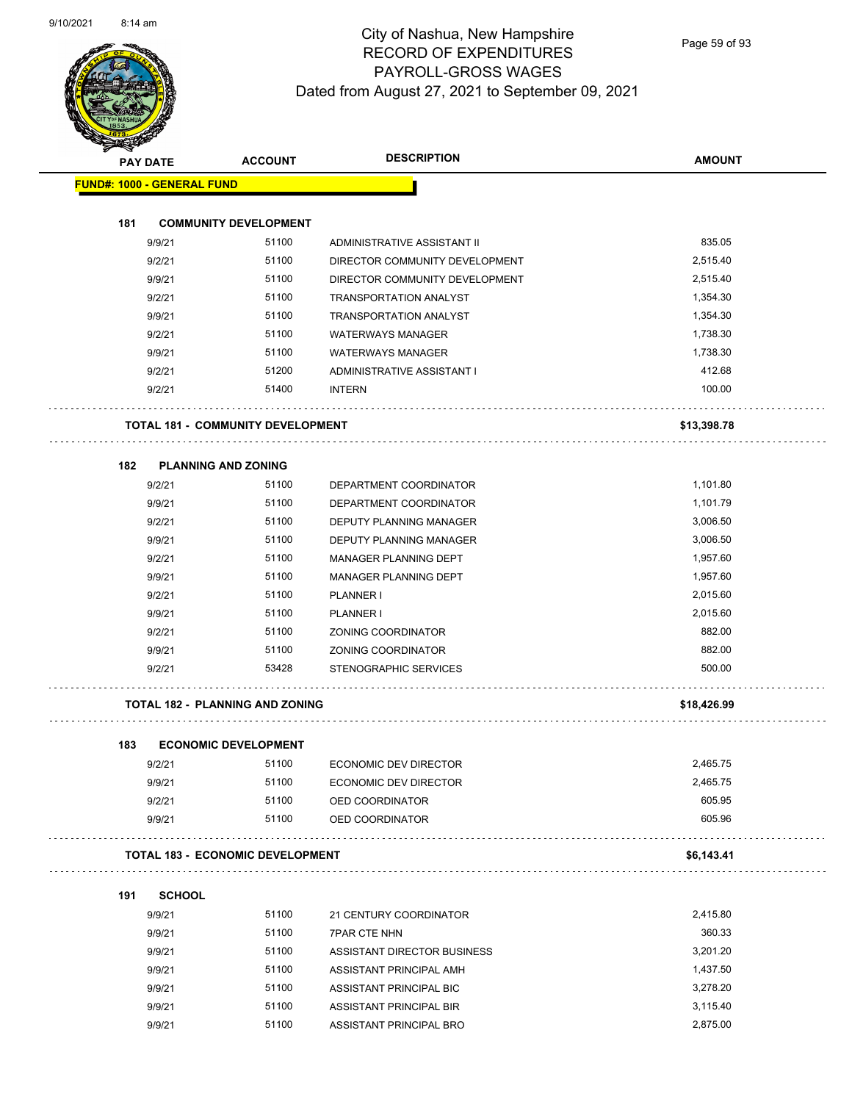

Page 59 of 93

| <b>SACTOR</b>                     | <b>PAY DATE</b> | <b>ACCOUNT</b>                           | <b>DESCRIPTION</b>             | <b>AMOUNT</b> |
|-----------------------------------|-----------------|------------------------------------------|--------------------------------|---------------|
| <b>FUND#: 1000 - GENERAL FUND</b> |                 |                                          |                                |               |
|                                   |                 |                                          |                                |               |
| 181                               |                 | <b>COMMUNITY DEVELOPMENT</b>             |                                |               |
|                                   | 9/9/21          | 51100                                    | ADMINISTRATIVE ASSISTANT II    | 835.05        |
|                                   | 9/2/21          | 51100                                    | DIRECTOR COMMUNITY DEVELOPMENT | 2,515.40      |
|                                   | 9/9/21          | 51100                                    | DIRECTOR COMMUNITY DEVELOPMENT | 2,515.40      |
|                                   | 9/2/21          | 51100                                    | <b>TRANSPORTATION ANALYST</b>  | 1,354.30      |
|                                   | 9/9/21          | 51100                                    | <b>TRANSPORTATION ANALYST</b>  | 1,354.30      |
|                                   | 9/2/21          | 51100                                    | <b>WATERWAYS MANAGER</b>       | 1,738.30      |
|                                   | 9/9/21          | 51100                                    | <b>WATERWAYS MANAGER</b>       | 1,738.30      |
|                                   | 9/2/21          | 51200                                    | ADMINISTRATIVE ASSISTANT I     | 412.68        |
|                                   | 9/2/21          | 51400                                    | <b>INTERN</b>                  | 100.00        |
|                                   |                 | <b>TOTAL 181 - COMMUNITY DEVELOPMENT</b> |                                | \$13,398.78   |
| 182                               |                 | <b>PLANNING AND ZONING</b>               |                                |               |
|                                   | 9/2/21          | 51100                                    | DEPARTMENT COORDINATOR         | 1,101.80      |
|                                   | 9/9/21          | 51100                                    | DEPARTMENT COORDINATOR         | 1,101.79      |
|                                   | 9/2/21          | 51100                                    | DEPUTY PLANNING MANAGER        | 3,006.50      |
|                                   | 9/9/21          | 51100                                    | DEPUTY PLANNING MANAGER        | 3,006.50      |
|                                   | 9/2/21          | 51100                                    | MANAGER PLANNING DEPT          | 1,957.60      |
|                                   | 9/9/21          | 51100                                    | MANAGER PLANNING DEPT          | 1,957.60      |
|                                   | 9/2/21          | 51100                                    | <b>PLANNER I</b>               | 2,015.60      |
|                                   | 9/9/21          | 51100                                    | <b>PLANNER I</b>               | 2,015.60      |
|                                   | 9/2/21          | 51100                                    | ZONING COORDINATOR             | 882.00        |
|                                   | 9/9/21          | 51100                                    | ZONING COORDINATOR             | 882.00        |
|                                   | 9/2/21          | 53428                                    | STENOGRAPHIC SERVICES          | 500.00        |
|                                   |                 | <b>TOTAL 182 - PLANNING AND ZONING</b>   |                                | \$18,426.99   |
| 183                               |                 | <b>ECONOMIC DEVELOPMENT</b>              |                                |               |
|                                   | 9/2/21          | 51100                                    | <b>ECONOMIC DEV DIRECTOR</b>   | 2,465.75      |
|                                   | 9/9/21          | 51100                                    | ECONOMIC DEV DIRECTOR          | 2,465.75      |
|                                   | 9/2/21          | 51100                                    | OED COORDINATOR                | 605.95        |
|                                   | 9/9/21          | 51100                                    | OED COORDINATOR                | 605.96        |
|                                   |                 | <b>TOTAL 183 - ECONOMIC DEVELOPMENT</b>  |                                | \$6,143.41    |
| 191                               | <b>SCHOOL</b>   |                                          |                                |               |
|                                   | 9/9/21          | 51100                                    | 21 CENTURY COORDINATOR         | 2,415.80      |
|                                   | 9/9/21          | 51100                                    | <b>7PAR CTE NHN</b>            | 360.33        |
|                                   | 9/9/21          | 51100                                    | ASSISTANT DIRECTOR BUSINESS    | 3,201.20      |
|                                   | 9/9/21          | 51100                                    | ASSISTANT PRINCIPAL AMH        | 1,437.50      |
|                                   | 9/9/21          | 51100                                    | ASSISTANT PRINCIPAL BIC        | 3,278.20      |
|                                   | 9/9/21          | 51100                                    | ASSISTANT PRINCIPAL BIR        | 3,115.40      |

9/9/21 51100 ASSISTANT PRINCIPAL BRO 2,875.00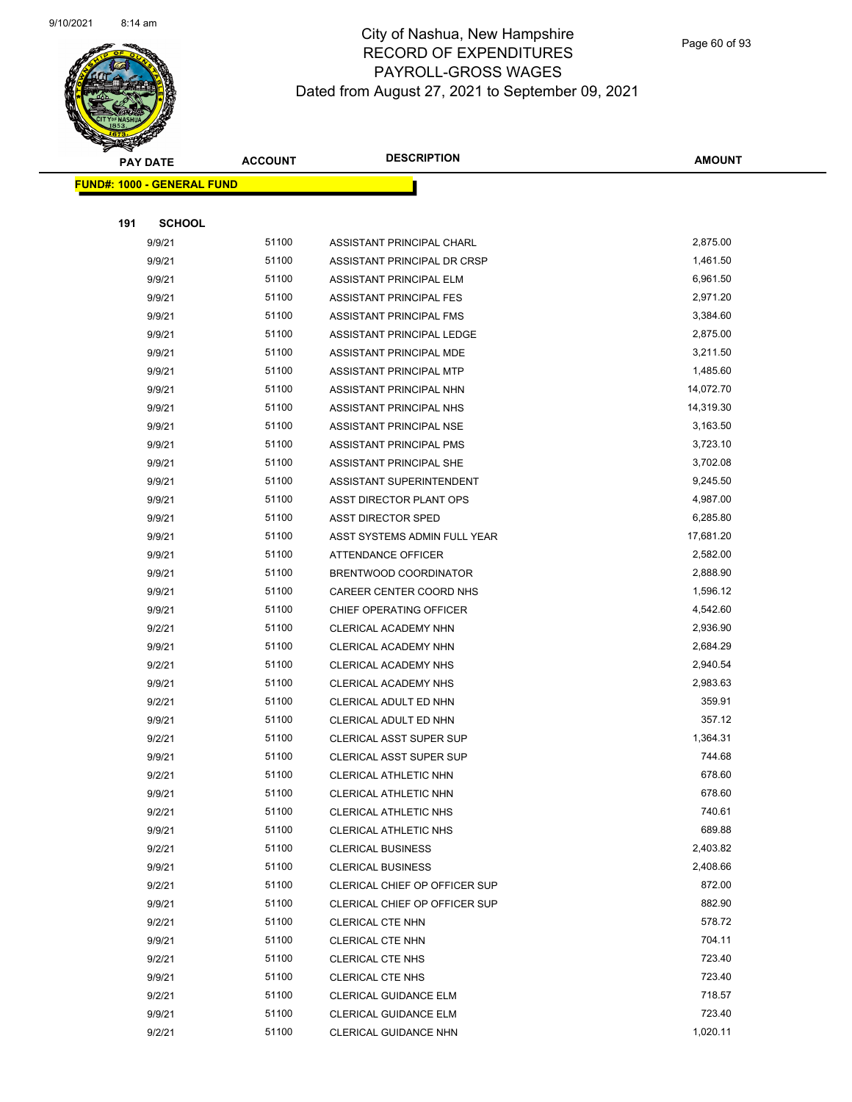

Page 60 of 93

|     | <b>PAY DATE</b>                   | <b>ACCOUNT</b> | <b>DESCRIPTION</b>                             | <b>AMOUNT</b>    |
|-----|-----------------------------------|----------------|------------------------------------------------|------------------|
|     | <b>FUND#: 1000 - GENERAL FUND</b> |                |                                                |                  |
|     |                                   |                |                                                |                  |
| 191 | <b>SCHOOL</b>                     |                |                                                |                  |
|     | 9/9/21                            | 51100          | ASSISTANT PRINCIPAL CHARL                      | 2,875.00         |
|     | 9/9/21                            | 51100          | ASSISTANT PRINCIPAL DR CRSP                    | 1,461.50         |
|     | 9/9/21                            | 51100          | ASSISTANT PRINCIPAL ELM                        | 6,961.50         |
|     | 9/9/21                            | 51100          | ASSISTANT PRINCIPAL FES                        | 2,971.20         |
|     | 9/9/21                            | 51100          | ASSISTANT PRINCIPAL FMS                        | 3,384.60         |
|     | 9/9/21                            | 51100          | ASSISTANT PRINCIPAL LEDGE                      | 2,875.00         |
|     | 9/9/21                            | 51100          | ASSISTANT PRINCIPAL MDE                        | 3,211.50         |
|     | 9/9/21                            | 51100          | ASSISTANT PRINCIPAL MTP                        | 1,485.60         |
|     | 9/9/21                            | 51100          | ASSISTANT PRINCIPAL NHN                        | 14,072.70        |
|     | 9/9/21                            | 51100          | ASSISTANT PRINCIPAL NHS                        | 14,319.30        |
|     | 9/9/21                            | 51100          | ASSISTANT PRINCIPAL NSE                        | 3,163.50         |
|     | 9/9/21                            | 51100          | ASSISTANT PRINCIPAL PMS                        | 3,723.10         |
|     | 9/9/21                            | 51100          | ASSISTANT PRINCIPAL SHE                        | 3,702.08         |
|     | 9/9/21                            | 51100          | ASSISTANT SUPERINTENDENT                       | 9,245.50         |
|     | 9/9/21                            | 51100          | ASST DIRECTOR PLANT OPS                        | 4,987.00         |
|     | 9/9/21                            | 51100          | ASST DIRECTOR SPED                             | 6,285.80         |
|     | 9/9/21                            | 51100          | ASST SYSTEMS ADMIN FULL YEAR                   | 17,681.20        |
|     | 9/9/21                            | 51100          | <b>ATTENDANCE OFFICER</b>                      | 2,582.00         |
|     | 9/9/21                            | 51100          | BRENTWOOD COORDINATOR                          | 2,888.90         |
|     | 9/9/21                            | 51100          | CAREER CENTER COORD NHS                        | 1,596.12         |
|     | 9/9/21                            | 51100          | CHIEF OPERATING OFFICER                        | 4,542.60         |
|     | 9/2/21                            | 51100          | CLERICAL ACADEMY NHN                           | 2,936.90         |
|     | 9/9/21                            | 51100          | CLERICAL ACADEMY NHN                           | 2,684.29         |
|     | 9/2/21                            | 51100          | CLERICAL ACADEMY NHS                           | 2,940.54         |
|     | 9/9/21                            | 51100          | CLERICAL ACADEMY NHS                           | 2,983.63         |
|     | 9/2/21                            | 51100          | CLERICAL ADULT ED NHN                          | 359.91           |
|     | 9/9/21                            | 51100          | CLERICAL ADULT ED NHN                          | 357.12           |
|     | 9/2/21                            | 51100          | <b>CLERICAL ASST SUPER SUP</b>                 | 1,364.31         |
|     | 9/9/21                            | 51100          | CLERICAL ASST SUPER SUP                        | 744.68           |
|     | 9/2/21                            | 51100          | CLERICAL ATHLETIC NHN                          | 678.60           |
|     | 9/9/21                            | 51100<br>51100 | CLERICAL ATHLETIC NHN                          | 678.60<br>740.61 |
|     | 9/2/21<br>9/9/21                  | 51100          | CLERICAL ATHLETIC NHS<br>CLERICAL ATHLETIC NHS | 689.88           |
|     | 9/2/21                            | 51100          | <b>CLERICAL BUSINESS</b>                       | 2,403.82         |
|     | 9/9/21                            | 51100          | <b>CLERICAL BUSINESS</b>                       | 2,408.66         |
|     | 9/2/21                            | 51100          | CLERICAL CHIEF OP OFFICER SUP                  | 872.00           |
|     | 9/9/21                            | 51100          | CLERICAL CHIEF OP OFFICER SUP                  | 882.90           |
|     | 9/2/21                            | 51100          | <b>CLERICAL CTE NHN</b>                        | 578.72           |
|     | 9/9/21                            | 51100          | <b>CLERICAL CTE NHN</b>                        | 704.11           |
|     | 9/2/21                            | 51100          | <b>CLERICAL CTE NHS</b>                        | 723.40           |
|     | 9/9/21                            | 51100          | <b>CLERICAL CTE NHS</b>                        | 723.40           |
|     | 9/2/21                            | 51100          | CLERICAL GUIDANCE ELM                          | 718.57           |
|     | 9/9/21                            | 51100          | CLERICAL GUIDANCE ELM                          | 723.40           |
|     | 9/2/21                            | 51100          | CLERICAL GUIDANCE NHN                          | 1,020.11         |
|     |                                   |                |                                                |                  |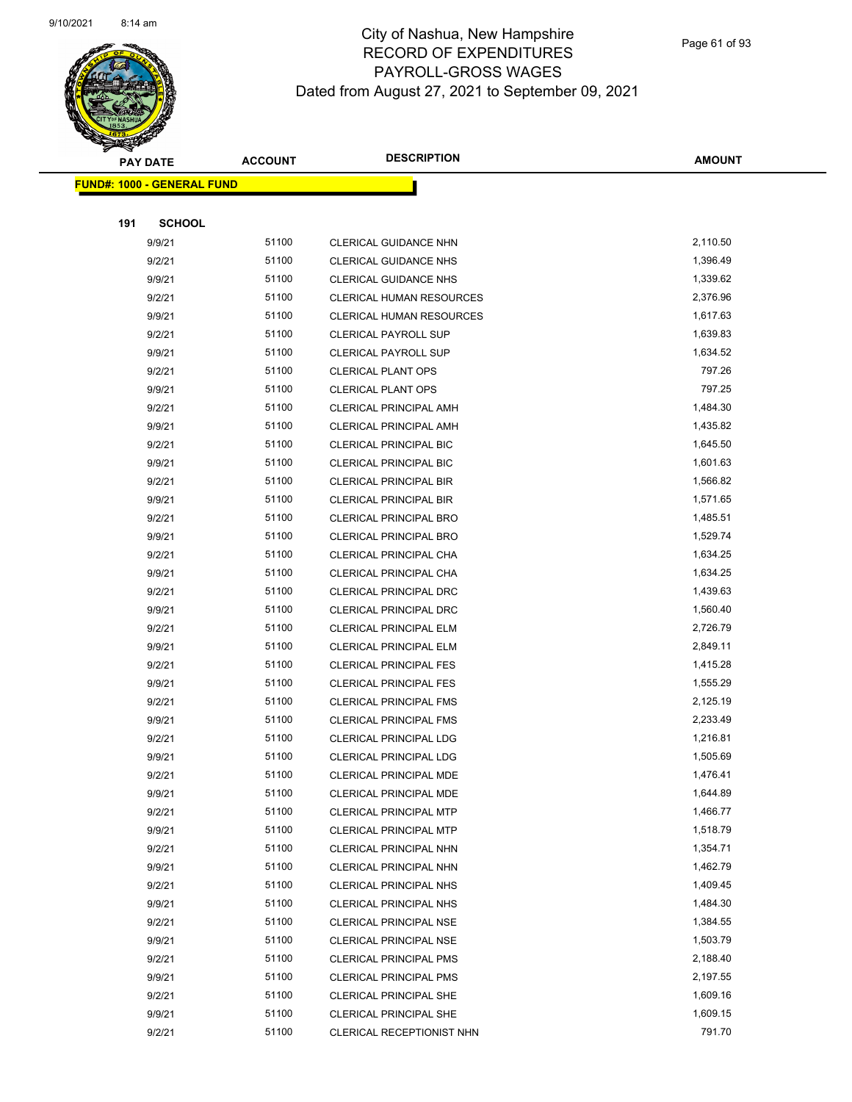

Page 61 of 93

| <b>PAY DATE</b>                    | <b>ACCOUNT</b> | <b>DESCRIPTION</b>              | <b>AMOUNT</b> |
|------------------------------------|----------------|---------------------------------|---------------|
| <u> FUND#: 1000 - GENERAL FUND</u> |                |                                 |               |
|                                    |                |                                 |               |
| 191<br><b>SCHOOL</b>               |                |                                 |               |
| 9/9/21                             | 51100          | <b>CLERICAL GUIDANCE NHN</b>    | 2,110.50      |
| 9/2/21                             | 51100          | <b>CLERICAL GUIDANCE NHS</b>    | 1,396.49      |
| 9/9/21                             | 51100          | <b>CLERICAL GUIDANCE NHS</b>    | 1,339.62      |
| 9/2/21                             | 51100          | CLERICAL HUMAN RESOURCES        | 2,376.96      |
| 9/9/21                             | 51100          | <b>CLERICAL HUMAN RESOURCES</b> | 1,617.63      |
| 9/2/21                             | 51100          | <b>CLERICAL PAYROLL SUP</b>     | 1,639.83      |
| 9/9/21                             | 51100          | <b>CLERICAL PAYROLL SUP</b>     | 1,634.52      |
| 9/2/21                             | 51100          | <b>CLERICAL PLANT OPS</b>       | 797.26        |
| 9/9/21                             | 51100          | <b>CLERICAL PLANT OPS</b>       | 797.25        |
| 9/2/21                             | 51100          | CLERICAL PRINCIPAL AMH          | 1,484.30      |
| 9/9/21                             | 51100          | CLERICAL PRINCIPAL AMH          | 1,435.82      |
| 9/2/21                             | 51100          | <b>CLERICAL PRINCIPAL BIC</b>   | 1,645.50      |
| 9/9/21                             | 51100          | <b>CLERICAL PRINCIPAL BIC</b>   | 1,601.63      |
| 9/2/21                             | 51100          | <b>CLERICAL PRINCIPAL BIR</b>   | 1,566.82      |
| 9/9/21                             | 51100          | <b>CLERICAL PRINCIPAL BIR</b>   | 1,571.65      |
| 9/2/21                             | 51100          | <b>CLERICAL PRINCIPAL BRO</b>   | 1,485.51      |
| 9/9/21                             | 51100          | <b>CLERICAL PRINCIPAL BRO</b>   | 1,529.74      |
| 9/2/21                             | 51100          | CLERICAL PRINCIPAL CHA          | 1,634.25      |
| 9/9/21                             | 51100          | CLERICAL PRINCIPAL CHA          | 1,634.25      |
| 9/2/21                             | 51100          | CLERICAL PRINCIPAL DRC          | 1,439.63      |
| 9/9/21                             | 51100          | CLERICAL PRINCIPAL DRC          | 1,560.40      |
| 9/2/21                             | 51100          | <b>CLERICAL PRINCIPAL ELM</b>   | 2,726.79      |
| 9/9/21                             | 51100          | <b>CLERICAL PRINCIPAL ELM</b>   | 2,849.11      |
| 9/2/21                             | 51100          | <b>CLERICAL PRINCIPAL FES</b>   | 1,415.28      |
| 9/9/21                             | 51100          | <b>CLERICAL PRINCIPAL FES</b>   | 1,555.29      |
| 9/2/21                             | 51100          | <b>CLERICAL PRINCIPAL FMS</b>   | 2,125.19      |
| 9/9/21                             | 51100          | <b>CLERICAL PRINCIPAL FMS</b>   | 2,233.49      |
| 9/2/21                             | 51100          | <b>CLERICAL PRINCIPAL LDG</b>   | 1,216.81      |
| 9/9/21                             | 51100          | <b>CLERICAL PRINCIPAL LDG</b>   | 1,505.69      |
| 9/2/21                             | 51100          | <b>CLERICAL PRINCIPAL MDE</b>   | 1,476.41      |
| 9/9/21                             | 51100          | CLERICAL PRINCIPAL MDE          | 1,644.89      |
| 9/2/21                             | 51100          | <b>CLERICAL PRINCIPAL MTP</b>   | 1,466.77      |
| 9/9/21                             | 51100          | <b>CLERICAL PRINCIPAL MTP</b>   | 1,518.79      |
| 9/2/21                             | 51100          | CLERICAL PRINCIPAL NHN          | 1,354.71      |
| 9/9/21                             | 51100          | CLERICAL PRINCIPAL NHN          | 1,462.79      |
| 9/2/21                             | 51100          | <b>CLERICAL PRINCIPAL NHS</b>   | 1,409.45      |
| 9/9/21                             | 51100          | <b>CLERICAL PRINCIPAL NHS</b>   | 1,484.30      |
| 9/2/21                             | 51100          | <b>CLERICAL PRINCIPAL NSE</b>   | 1,384.55      |
| 9/9/21                             | 51100          | CLERICAL PRINCIPAL NSE          | 1,503.79      |
| 9/2/21                             | 51100          | <b>CLERICAL PRINCIPAL PMS</b>   | 2,188.40      |
| 9/9/21                             | 51100          | <b>CLERICAL PRINCIPAL PMS</b>   | 2,197.55      |
| 9/2/21                             | 51100          | <b>CLERICAL PRINCIPAL SHE</b>   | 1,609.16      |
| 9/9/21                             | 51100          | <b>CLERICAL PRINCIPAL SHE</b>   | 1,609.15      |
| 9/2/21                             | 51100          | CLERICAL RECEPTIONIST NHN       | 791.70        |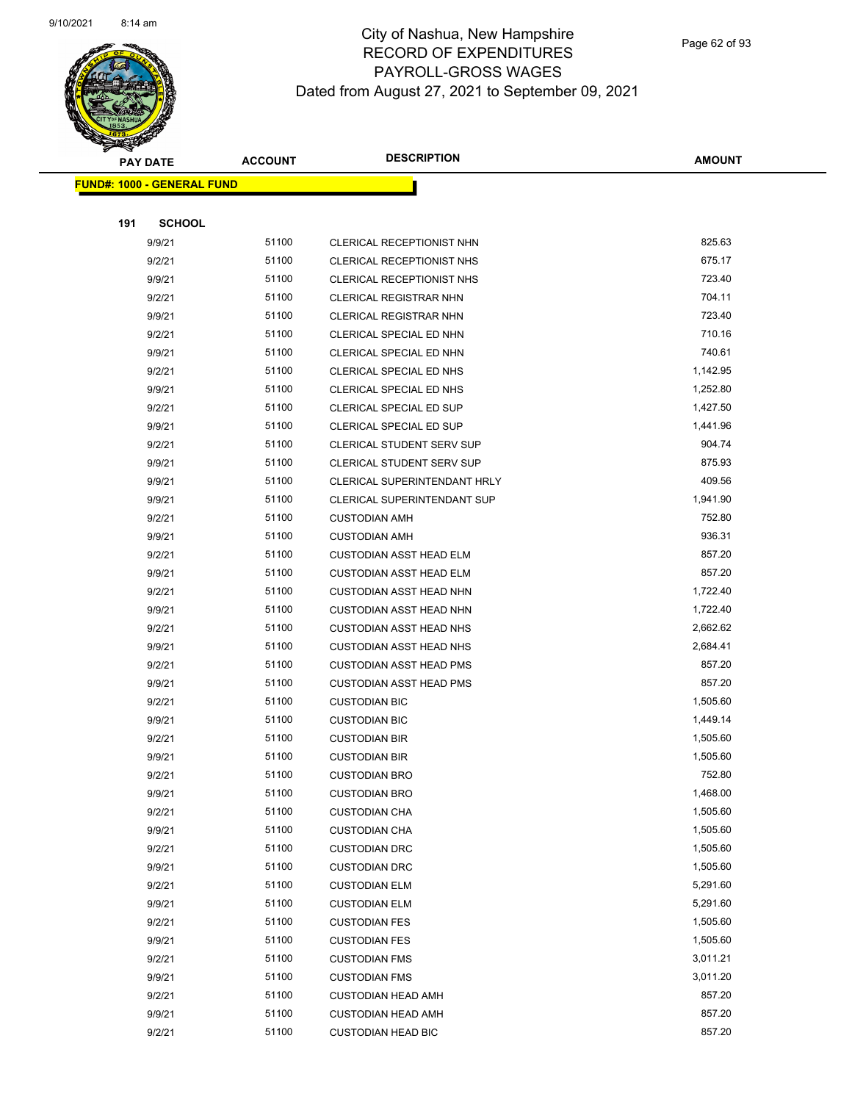

Page 62 of 93

|     | <b>PAY DATE</b>                   | <b>ACCOUNT</b> | <b>DESCRIPTION</b>                           | <b>AMOUNT</b>        |
|-----|-----------------------------------|----------------|----------------------------------------------|----------------------|
|     | <b>FUND#: 1000 - GENERAL FUND</b> |                |                                              |                      |
|     |                                   |                |                                              |                      |
| 191 | <b>SCHOOL</b>                     |                |                                              |                      |
|     | 9/9/21                            | 51100          | CLERICAL RECEPTIONIST NHN                    | 825.63               |
|     | 9/2/21                            | 51100          | CLERICAL RECEPTIONIST NHS                    | 675.17               |
|     | 9/9/21                            | 51100          | CLERICAL RECEPTIONIST NHS                    | 723.40               |
|     | 9/2/21                            | 51100          | <b>CLERICAL REGISTRAR NHN</b>                | 704.11               |
|     | 9/9/21                            | 51100          | <b>CLERICAL REGISTRAR NHN</b>                | 723.40               |
|     | 9/2/21                            | 51100          | CLERICAL SPECIAL ED NHN                      | 710.16               |
|     | 9/9/21                            | 51100          | CLERICAL SPECIAL ED NHN                      | 740.61               |
|     | 9/2/21                            | 51100          | CLERICAL SPECIAL ED NHS                      | 1,142.95             |
|     | 9/9/21                            | 51100          | CLERICAL SPECIAL ED NHS                      | 1,252.80             |
|     | 9/2/21                            | 51100          | CLERICAL SPECIAL ED SUP                      | 1,427.50             |
|     | 9/9/21                            | 51100          | CLERICAL SPECIAL ED SUP                      | 1,441.96             |
|     | 9/2/21                            | 51100          | <b>CLERICAL STUDENT SERV SUP</b>             | 904.74               |
|     | 9/9/21                            | 51100          | <b>CLERICAL STUDENT SERV SUP</b>             | 875.93               |
|     | 9/9/21                            | 51100          | CLERICAL SUPERINTENDANT HRLY                 | 409.56               |
|     | 9/9/21                            | 51100          | <b>CLERICAL SUPERINTENDANT SUP</b>           | 1,941.90             |
|     | 9/2/21                            | 51100          | <b>CUSTODIAN AMH</b>                         | 752.80               |
|     | 9/9/21                            | 51100          | <b>CUSTODIAN AMH</b>                         | 936.31               |
|     | 9/2/21                            | 51100          | <b>CUSTODIAN ASST HEAD ELM</b>               | 857.20               |
|     | 9/9/21                            | 51100          | <b>CUSTODIAN ASST HEAD ELM</b>               | 857.20               |
|     | 9/2/21                            | 51100          | <b>CUSTODIAN ASST HEAD NHN</b>               | 1,722.40             |
|     | 9/9/21                            | 51100          | <b>CUSTODIAN ASST HEAD NHN</b>               | 1,722.40             |
|     | 9/2/21                            | 51100          | <b>CUSTODIAN ASST HEAD NHS</b>               | 2,662.62             |
|     | 9/9/21                            | 51100          | <b>CUSTODIAN ASST HEAD NHS</b>               | 2,684.41             |
|     | 9/2/21                            | 51100          | <b>CUSTODIAN ASST HEAD PMS</b>               | 857.20               |
|     | 9/9/21                            | 51100          | <b>CUSTODIAN ASST HEAD PMS</b>               | 857.20               |
|     | 9/2/21                            | 51100<br>51100 | <b>CUSTODIAN BIC</b>                         | 1,505.60<br>1,449.14 |
|     | 9/9/21<br>9/2/21                  | 51100          | <b>CUSTODIAN BIC</b>                         | 1,505.60             |
|     | 9/9/21                            | 51100          | <b>CUSTODIAN BIR</b><br><b>CUSTODIAN BIR</b> | 1,505.60             |
|     | 9/2/21                            | 51100          | <b>CUSTODIAN BRO</b>                         | 752.80               |
|     | 9/9/21                            | 51100          | <b>CUSTODIAN BRO</b>                         | 1,468.00             |
|     | 9/2/21                            | 51100          | <b>CUSTODIAN CHA</b>                         | 1,505.60             |
|     | 9/9/21                            | 51100          | <b>CUSTODIAN CHA</b>                         | 1,505.60             |
|     | 9/2/21                            | 51100          | <b>CUSTODIAN DRC</b>                         | 1,505.60             |
|     | 9/9/21                            | 51100          | <b>CUSTODIAN DRC</b>                         | 1,505.60             |
|     | 9/2/21                            | 51100          | <b>CUSTODIAN ELM</b>                         | 5,291.60             |
|     | 9/9/21                            | 51100          | <b>CUSTODIAN ELM</b>                         | 5,291.60             |
|     | 9/2/21                            | 51100          | <b>CUSTODIAN FES</b>                         | 1,505.60             |
|     | 9/9/21                            | 51100          | <b>CUSTODIAN FES</b>                         | 1,505.60             |
|     | 9/2/21                            | 51100          | <b>CUSTODIAN FMS</b>                         | 3,011.21             |
|     | 9/9/21                            | 51100          | <b>CUSTODIAN FMS</b>                         | 3,011.20             |
|     | 9/2/21                            | 51100          | <b>CUSTODIAN HEAD AMH</b>                    | 857.20               |
|     | 9/9/21                            | 51100          | <b>CUSTODIAN HEAD AMH</b>                    | 857.20               |
|     | 9/2/21                            | 51100          | <b>CUSTODIAN HEAD BIC</b>                    | 857.20               |
|     |                                   |                |                                              |                      |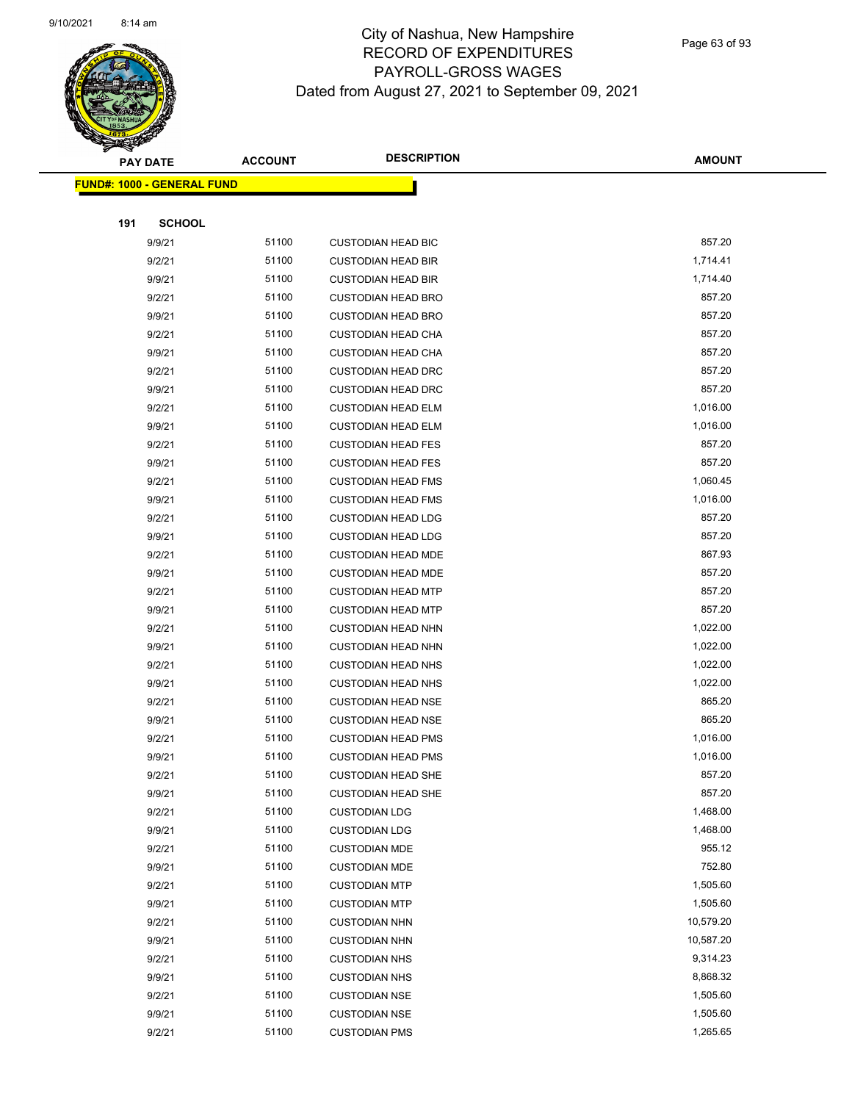

Page 63 of 93

|     | <b>PAY DATE</b>                    | <b>ACCOUNT</b> | <b>DESCRIPTION</b>        | <b>AMOUNT</b> |
|-----|------------------------------------|----------------|---------------------------|---------------|
|     | <u> FUND#: 1000 - GENERAL FUND</u> |                |                           |               |
|     |                                    |                |                           |               |
| 191 | <b>SCHOOL</b>                      |                |                           |               |
|     | 9/9/21                             | 51100          | <b>CUSTODIAN HEAD BIC</b> | 857.20        |
|     | 9/2/21                             | 51100          | <b>CUSTODIAN HEAD BIR</b> | 1,714.41      |
|     | 9/9/21                             | 51100          | <b>CUSTODIAN HEAD BIR</b> | 1,714.40      |
|     | 9/2/21                             | 51100          | <b>CUSTODIAN HEAD BRO</b> | 857.20        |
|     | 9/9/21                             | 51100          | <b>CUSTODIAN HEAD BRO</b> | 857.20        |
|     | 9/2/21                             | 51100          | <b>CUSTODIAN HEAD CHA</b> | 857.20        |
|     | 9/9/21                             | 51100          | <b>CUSTODIAN HEAD CHA</b> | 857.20        |
|     | 9/2/21                             | 51100          | <b>CUSTODIAN HEAD DRC</b> | 857.20        |
|     | 9/9/21                             | 51100          | <b>CUSTODIAN HEAD DRC</b> | 857.20        |
|     | 9/2/21                             | 51100          | <b>CUSTODIAN HEAD ELM</b> | 1,016.00      |
|     | 9/9/21                             | 51100          | <b>CUSTODIAN HEAD ELM</b> | 1,016.00      |
|     | 9/2/21                             | 51100          | <b>CUSTODIAN HEAD FES</b> | 857.20        |
|     | 9/9/21                             | 51100          | <b>CUSTODIAN HEAD FES</b> | 857.20        |
|     | 9/2/21                             | 51100          | <b>CUSTODIAN HEAD FMS</b> | 1,060.45      |
|     | 9/9/21                             | 51100          | <b>CUSTODIAN HEAD FMS</b> | 1,016.00      |
|     | 9/2/21                             | 51100          | <b>CUSTODIAN HEAD LDG</b> | 857.20        |
|     | 9/9/21                             | 51100          | <b>CUSTODIAN HEAD LDG</b> | 857.20        |
|     | 9/2/21                             | 51100          | <b>CUSTODIAN HEAD MDE</b> | 867.93        |
|     | 9/9/21                             | 51100          | <b>CUSTODIAN HEAD MDE</b> | 857.20        |
|     | 9/2/21                             | 51100          | <b>CUSTODIAN HEAD MTP</b> | 857.20        |
|     | 9/9/21                             | 51100          | <b>CUSTODIAN HEAD MTP</b> | 857.20        |
|     | 9/2/21                             | 51100          | <b>CUSTODIAN HEAD NHN</b> | 1,022.00      |
|     | 9/9/21                             | 51100          | <b>CUSTODIAN HEAD NHN</b> | 1,022.00      |
|     | 9/2/21                             | 51100          | <b>CUSTODIAN HEAD NHS</b> | 1,022.00      |
|     | 9/9/21                             | 51100          | <b>CUSTODIAN HEAD NHS</b> | 1,022.00      |
|     | 9/2/21                             | 51100          | <b>CUSTODIAN HEAD NSE</b> | 865.20        |
|     | 9/9/21                             | 51100          | <b>CUSTODIAN HEAD NSE</b> | 865.20        |
|     | 9/2/21                             | 51100          | <b>CUSTODIAN HEAD PMS</b> | 1,016.00      |
|     | 9/9/21                             | 51100          | <b>CUSTODIAN HEAD PMS</b> | 1,016.00      |
|     | 9/2/21                             | 51100          | <b>CUSTODIAN HEAD SHE</b> | 857.20        |
|     | 9/9/21                             | 51100          | <b>CUSTODIAN HEAD SHE</b> | 857.20        |
|     | 9/2/21                             | 51100          | <b>CUSTODIAN LDG</b>      | 1,468.00      |
|     | 9/9/21                             | 51100          | <b>CUSTODIAN LDG</b>      | 1,468.00      |
|     | 9/2/21                             | 51100          | <b>CUSTODIAN MDE</b>      | 955.12        |
|     | 9/9/21                             | 51100          | <b>CUSTODIAN MDE</b>      | 752.80        |
|     | 9/2/21                             | 51100          | <b>CUSTODIAN MTP</b>      | 1,505.60      |
|     | 9/9/21                             | 51100          | <b>CUSTODIAN MTP</b>      | 1,505.60      |
|     | 9/2/21                             | 51100          | <b>CUSTODIAN NHN</b>      | 10,579.20     |
|     | 9/9/21                             | 51100          | <b>CUSTODIAN NHN</b>      | 10,587.20     |
|     | 9/2/21                             | 51100          | <b>CUSTODIAN NHS</b>      | 9,314.23      |
|     | 9/9/21                             | 51100          | <b>CUSTODIAN NHS</b>      | 8,868.32      |
|     | 9/2/21                             | 51100          | <b>CUSTODIAN NSE</b>      | 1,505.60      |
|     | 9/9/21                             | 51100          | <b>CUSTODIAN NSE</b>      | 1,505.60      |
|     | 9/2/21                             | 51100          | <b>CUSTODIAN PMS</b>      | 1,265.65      |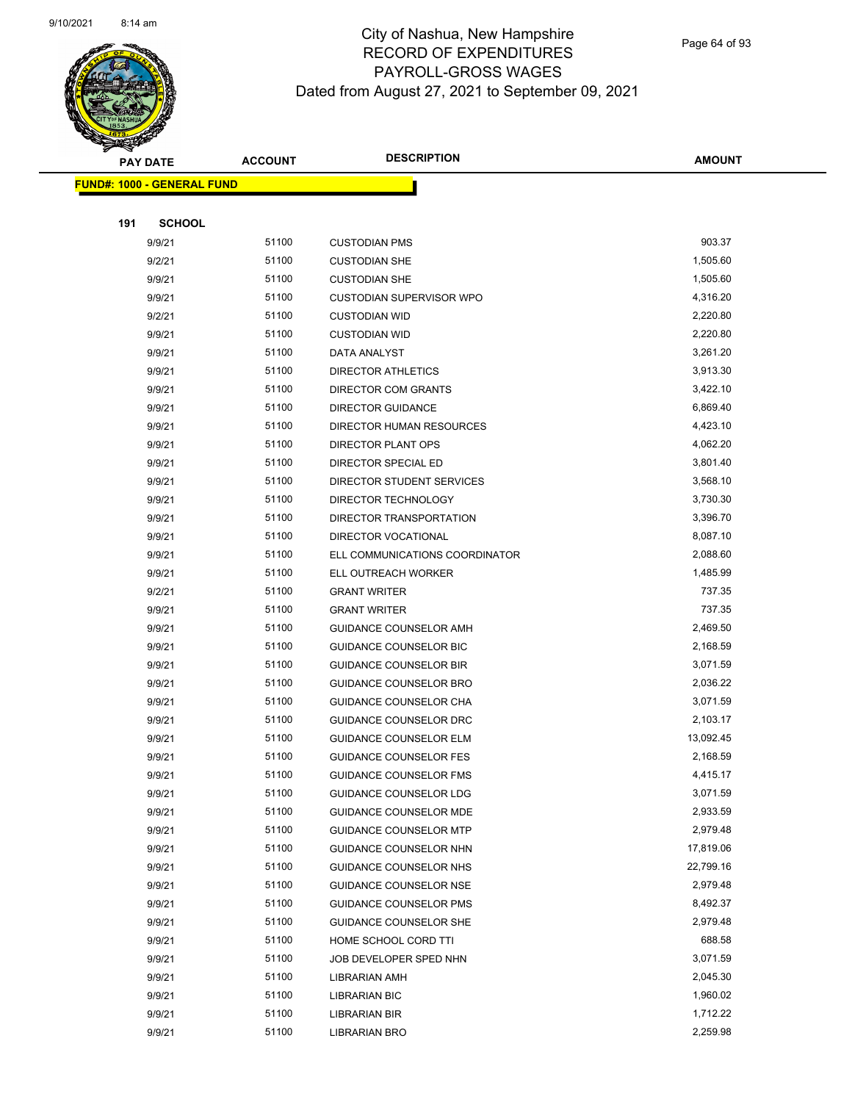

Page 64 of 93

| <b>PAY DATE</b>                   | <b>ACCOUNT</b> | <b>DESCRIPTION</b>              | AMOUNT    |
|-----------------------------------|----------------|---------------------------------|-----------|
| <b>FUND#: 1000 - GENERAL FUND</b> |                |                                 |           |
|                                   |                |                                 |           |
| 191<br><b>SCHOOL</b>              |                |                                 |           |
| 9/9/21                            | 51100          | <b>CUSTODIAN PMS</b>            | 903.37    |
| 9/2/21                            | 51100          | <b>CUSTODIAN SHE</b>            | 1,505.60  |
| 9/9/21                            | 51100          | <b>CUSTODIAN SHE</b>            | 1,505.60  |
| 9/9/21                            | 51100          | <b>CUSTODIAN SUPERVISOR WPO</b> | 4,316.20  |
| 9/2/21                            | 51100          | <b>CUSTODIAN WID</b>            | 2,220.80  |
| 9/9/21                            | 51100          | <b>CUSTODIAN WID</b>            | 2,220.80  |
| 9/9/21                            | 51100          | DATA ANALYST                    | 3,261.20  |
| 9/9/21                            | 51100          | <b>DIRECTOR ATHLETICS</b>       | 3,913.30  |
| 9/9/21                            | 51100          | DIRECTOR COM GRANTS             | 3,422.10  |
| 9/9/21                            | 51100          | <b>DIRECTOR GUIDANCE</b>        | 6,869.40  |
| 9/9/21                            | 51100          | <b>DIRECTOR HUMAN RESOURCES</b> | 4,423.10  |
| 9/9/21                            | 51100          | DIRECTOR PLANT OPS              | 4,062.20  |
| 9/9/21                            | 51100          | DIRECTOR SPECIAL ED             | 3,801.40  |
| 9/9/21                            | 51100          | DIRECTOR STUDENT SERVICES       | 3,568.10  |
| 9/9/21                            | 51100          | DIRECTOR TECHNOLOGY             | 3,730.30  |
| 9/9/21                            | 51100          | DIRECTOR TRANSPORTATION         | 3,396.70  |
| 9/9/21                            | 51100          | DIRECTOR VOCATIONAL             | 8,087.10  |
| 9/9/21                            | 51100          | ELL COMMUNICATIONS COORDINATOR  | 2,088.60  |
| 9/9/21                            | 51100          | ELL OUTREACH WORKER             | 1,485.99  |
| 9/2/21                            | 51100          | <b>GRANT WRITER</b>             | 737.35    |
| 9/9/21                            | 51100          | <b>GRANT WRITER</b>             | 737.35    |
| 9/9/21                            | 51100          | GUIDANCE COUNSELOR AMH          | 2,469.50  |
| 9/9/21                            | 51100          | GUIDANCE COUNSELOR BIC          | 2,168.59  |
| 9/9/21                            | 51100          | <b>GUIDANCE COUNSELOR BIR</b>   | 3,071.59  |
| 9/9/21                            | 51100          | <b>GUIDANCE COUNSELOR BRO</b>   | 2,036.22  |
| 9/9/21                            | 51100          | GUIDANCE COUNSELOR CHA          | 3,071.59  |
| 9/9/21                            | 51100          | <b>GUIDANCE COUNSELOR DRC</b>   | 2,103.17  |
| 9/9/21                            | 51100          | <b>GUIDANCE COUNSELOR ELM</b>   | 13,092.45 |
| 9/9/21                            | 51100          | <b>GUIDANCE COUNSELOR FES</b>   | 2,168.59  |
| 9/9/21                            | 51100          | <b>GUIDANCE COUNSELOR FMS</b>   | 4,415.17  |
| 9/9/21                            | 51100          | <b>GUIDANCE COUNSELOR LDG</b>   | 3,071.59  |
| 9/9/21                            | 51100          | GUIDANCE COUNSELOR MDE          | 2,933.59  |
| 9/9/21                            | 51100          | <b>GUIDANCE COUNSELOR MTP</b>   | 2,979.48  |
| 9/9/21                            | 51100          | GUIDANCE COUNSELOR NHN          | 17,819.06 |
| 9/9/21                            | 51100          | GUIDANCE COUNSELOR NHS          | 22,799.16 |
| 9/9/21                            | 51100          | GUIDANCE COUNSELOR NSE          | 2,979.48  |
| 9/9/21                            | 51100          | GUIDANCE COUNSELOR PMS          | 8,492.37  |
| 9/9/21                            | 51100          | <b>GUIDANCE COUNSELOR SHE</b>   | 2,979.48  |
| 9/9/21                            | 51100          | HOME SCHOOL CORD TTI            | 688.58    |
| 9/9/21                            | 51100          | JOB DEVELOPER SPED NHN          | 3,071.59  |
| 9/9/21                            | 51100          | LIBRARIAN AMH                   | 2,045.30  |
| 9/9/21                            | 51100          | <b>LIBRARIAN BIC</b>            | 1,960.02  |
| 9/9/21                            | 51100          | LIBRARIAN BIR                   | 1,712.22  |
| 9/9/21                            | 51100          | <b>LIBRARIAN BRO</b>            | 2,259.98  |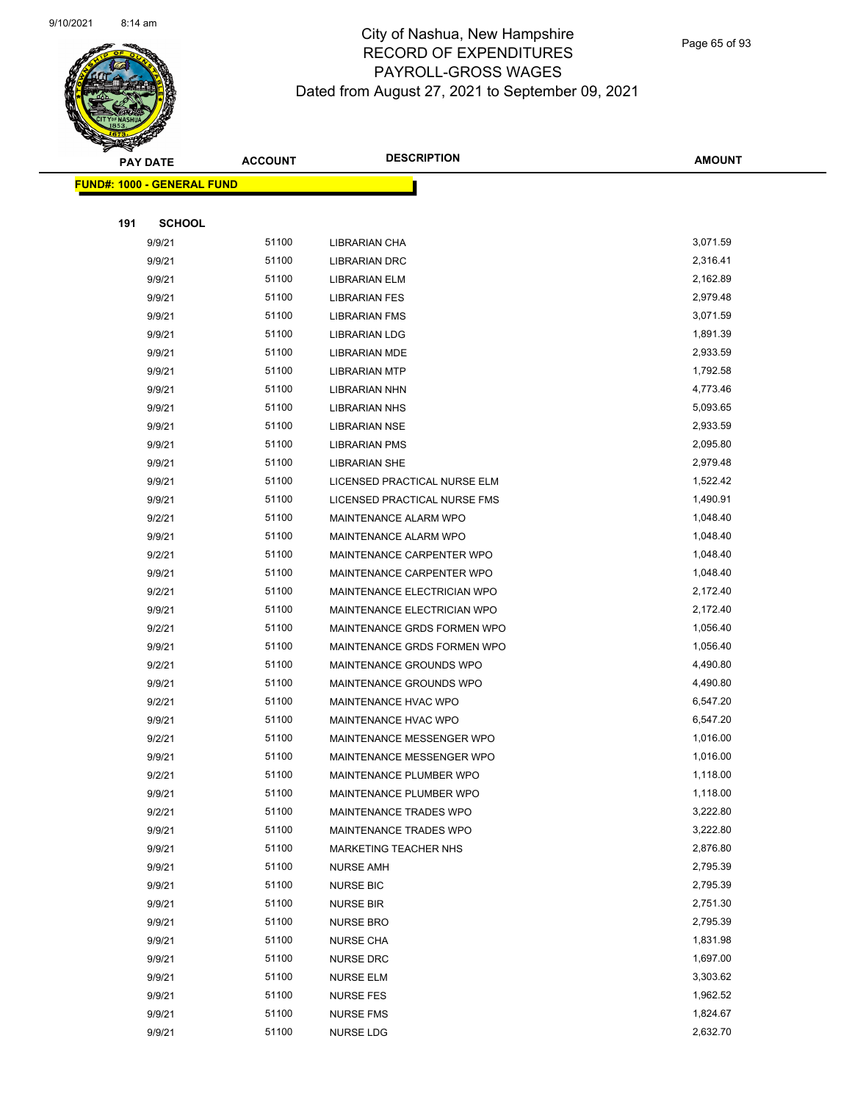

|     | <b>PAY DATE</b>                   | <b>ACCOUNT</b> | <b>DESCRIPTION</b>           | <b>AMOUNT</b> |
|-----|-----------------------------------|----------------|------------------------------|---------------|
|     | <b>FUND#: 1000 - GENERAL FUND</b> |                |                              |               |
|     |                                   |                |                              |               |
| 191 | <b>SCHOOL</b>                     |                |                              |               |
|     | 9/9/21                            | 51100          | <b>LIBRARIAN CHA</b>         | 3,071.59      |
|     | 9/9/21                            | 51100          | LIBRARIAN DRC                | 2,316.41      |
|     | 9/9/21                            | 51100          | <b>LIBRARIAN ELM</b>         | 2,162.89      |
|     | 9/9/21                            | 51100          | <b>LIBRARIAN FES</b>         | 2,979.48      |
|     | 9/9/21                            | 51100          | <b>LIBRARIAN FMS</b>         | 3,071.59      |
|     | 9/9/21                            | 51100          | <b>LIBRARIAN LDG</b>         | 1,891.39      |
|     | 9/9/21                            | 51100          | <b>LIBRARIAN MDE</b>         | 2,933.59      |
|     | 9/9/21                            | 51100          | <b>LIBRARIAN MTP</b>         | 1,792.58      |
|     | 9/9/21                            | 51100          | LIBRARIAN NHN                | 4,773.46      |
|     | 9/9/21                            | 51100          | <b>LIBRARIAN NHS</b>         | 5,093.65      |
|     | 9/9/21                            | 51100          | <b>LIBRARIAN NSE</b>         | 2,933.59      |
|     | 9/9/21                            | 51100          | <b>LIBRARIAN PMS</b>         | 2,095.80      |
|     | 9/9/21                            | 51100          | <b>LIBRARIAN SHE</b>         | 2,979.48      |
|     | 9/9/21                            | 51100          | LICENSED PRACTICAL NURSE ELM | 1,522.42      |
|     | 9/9/21                            | 51100          | LICENSED PRACTICAL NURSE FMS | 1,490.91      |
|     | 9/2/21                            | 51100          | MAINTENANCE ALARM WPO        | 1,048.40      |
|     | 9/9/21                            | 51100          | MAINTENANCE ALARM WPO        | 1,048.40      |
|     | 9/2/21                            | 51100          | MAINTENANCE CARPENTER WPO    | 1,048.40      |
|     | 9/9/21                            | 51100          | MAINTENANCE CARPENTER WPO    | 1,048.40      |
|     | 9/2/21                            | 51100          | MAINTENANCE ELECTRICIAN WPO  | 2,172.40      |
|     | 9/9/21                            | 51100          | MAINTENANCE ELECTRICIAN WPO  | 2,172.40      |
|     | 9/2/21                            | 51100          | MAINTENANCE GRDS FORMEN WPO  | 1,056.40      |
|     | 9/9/21                            | 51100          | MAINTENANCE GRDS FORMEN WPO  | 1,056.40      |
|     | 9/2/21                            | 51100          | MAINTENANCE GROUNDS WPO      | 4,490.80      |
|     | 9/9/21                            | 51100          | MAINTENANCE GROUNDS WPO      | 4,490.80      |
|     | 9/2/21                            | 51100          | MAINTENANCE HVAC WPO         | 6,547.20      |
|     | 9/9/21                            | 51100          | MAINTENANCE HVAC WPO         | 6,547.20      |
|     | 9/2/21                            | 51100          | MAINTENANCE MESSENGER WPO    | 1,016.00      |
|     | 9/9/21                            | 51100          | MAINTENANCE MESSENGER WPO    | 1,016.00      |
|     | 9/2/21                            | 51100          | MAINTENANCE PLUMBER WPO      | 1,118.00      |
|     | 9/9/21                            | 51100          | MAINTENANCE PLUMBER WPO      | 1,118.00      |
|     | 9/2/21                            | 51100          | MAINTENANCE TRADES WPO       | 3,222.80      |
|     | 9/9/21                            | 51100          | MAINTENANCE TRADES WPO       | 3,222.80      |
|     | 9/9/21                            | 51100          | MARKETING TEACHER NHS        | 2,876.80      |
|     | 9/9/21                            | 51100          | NURSE AMH                    | 2,795.39      |
|     | 9/9/21                            | 51100          | <b>NURSE BIC</b>             | 2,795.39      |
|     | 9/9/21                            | 51100          | <b>NURSE BIR</b>             | 2,751.30      |
|     | 9/9/21                            | 51100          | <b>NURSE BRO</b>             | 2,795.39      |
|     | 9/9/21                            | 51100          | NURSE CHA                    | 1,831.98      |
|     | 9/9/21                            | 51100          | <b>NURSE DRC</b>             | 1,697.00      |
|     | 9/9/21                            | 51100          | <b>NURSE ELM</b>             | 3,303.62      |
|     | 9/9/21                            | 51100          | <b>NURSE FES</b>             | 1,962.52      |
|     | 9/9/21                            | 51100          | <b>NURSE FMS</b>             | 1,824.67      |
|     | 9/9/21                            | 51100          | <b>NURSE LDG</b>             | 2,632.70      |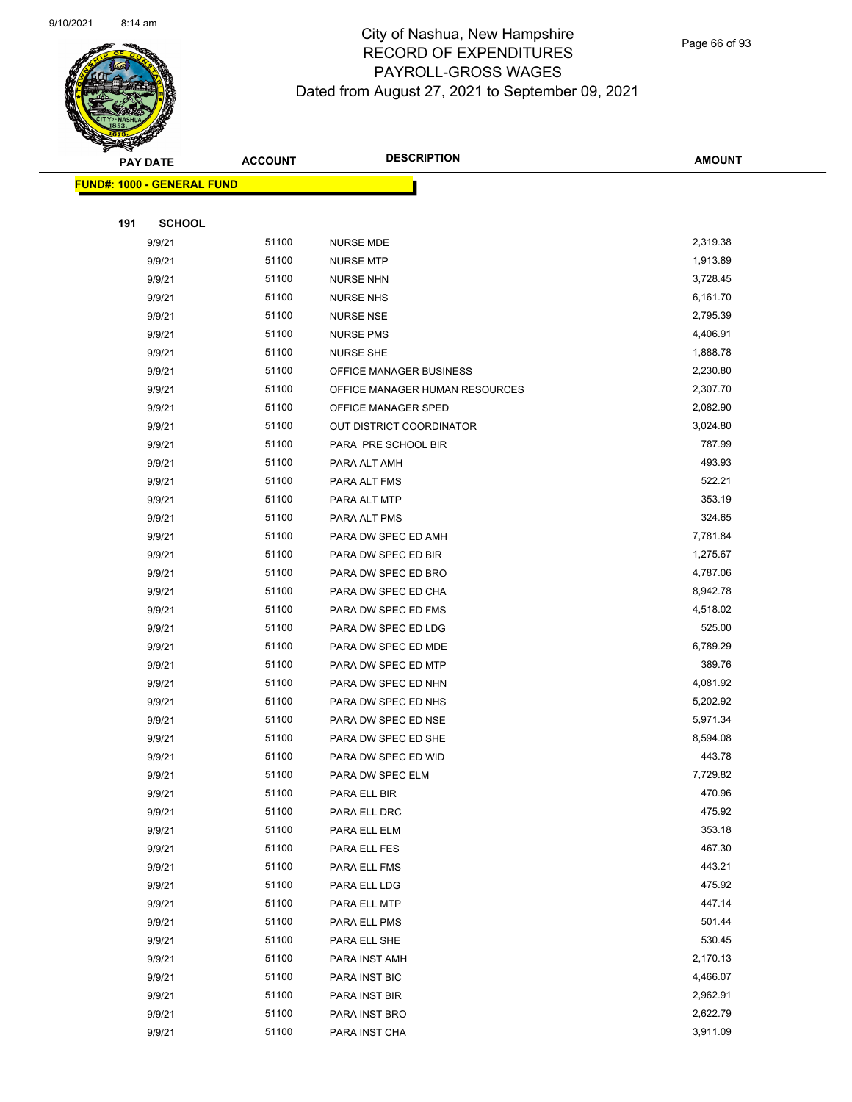

Page 66 of 93

|     | <b>PAY DATE</b>                   | <b>ACCOUNT</b> | <b>DESCRIPTION</b>             | <b>AMOUNT</b> |
|-----|-----------------------------------|----------------|--------------------------------|---------------|
|     | <b>FUND#: 1000 - GENERAL FUND</b> |                |                                |               |
|     |                                   |                |                                |               |
| 191 | <b>SCHOOL</b>                     |                |                                |               |
|     | 9/9/21                            | 51100          | NURSE MDE                      | 2,319.38      |
|     | 9/9/21                            | 51100          | <b>NURSE MTP</b>               | 1,913.89      |
|     | 9/9/21                            | 51100          | <b>NURSE NHN</b>               | 3,728.45      |
|     | 9/9/21                            | 51100          | <b>NURSE NHS</b>               | 6,161.70      |
|     | 9/9/21                            | 51100          | <b>NURSE NSE</b>               | 2,795.39      |
|     | 9/9/21                            | 51100          | <b>NURSE PMS</b>               | 4,406.91      |
|     | 9/9/21                            | 51100          | <b>NURSE SHE</b>               | 1,888.78      |
|     | 9/9/21                            | 51100          | OFFICE MANAGER BUSINESS        | 2,230.80      |
|     | 9/9/21                            | 51100          | OFFICE MANAGER HUMAN RESOURCES | 2,307.70      |
|     | 9/9/21                            | 51100          | OFFICE MANAGER SPED            | 2,082.90      |
|     | 9/9/21                            | 51100          | OUT DISTRICT COORDINATOR       | 3,024.80      |
|     | 9/9/21                            | 51100          | PARA PRE SCHOOL BIR            | 787.99        |
|     | 9/9/21                            | 51100          | PARA ALT AMH                   | 493.93        |
|     | 9/9/21                            | 51100          | PARA ALT FMS                   | 522.21        |
|     | 9/9/21                            | 51100          | PARA ALT MTP                   | 353.19        |
|     | 9/9/21                            | 51100          | PARA ALT PMS                   | 324.65        |
|     | 9/9/21                            | 51100          | PARA DW SPEC ED AMH            | 7,781.84      |
|     | 9/9/21                            | 51100          | PARA DW SPEC ED BIR            | 1,275.67      |
|     | 9/9/21                            | 51100          | PARA DW SPEC ED BRO            | 4,787.06      |
|     | 9/9/21                            | 51100          | PARA DW SPEC ED CHA            | 8,942.78      |
|     | 9/9/21                            | 51100          | PARA DW SPEC ED FMS            | 4,518.02      |
|     | 9/9/21                            | 51100          | PARA DW SPEC ED LDG            | 525.00        |
|     | 9/9/21                            | 51100          | PARA DW SPEC ED MDE            | 6,789.29      |
|     | 9/9/21                            | 51100          | PARA DW SPEC ED MTP            | 389.76        |
|     | 9/9/21                            | 51100          | PARA DW SPEC ED NHN            | 4,081.92      |
|     | 9/9/21                            | 51100          | PARA DW SPEC ED NHS            | 5,202.92      |
|     | 9/9/21                            | 51100          | PARA DW SPEC ED NSE            | 5,971.34      |
|     | 9/9/21                            | 51100          | PARA DW SPEC ED SHE            | 8,594.08      |
|     | 9/9/21                            | 51100          | PARA DW SPEC ED WID            | 443.78        |
|     | 9/9/21                            | 51100          | PARA DW SPEC ELM               | 7,729.82      |
|     | 9/9/21                            | 51100          | PARA ELL BIR                   | 470.96        |
|     | 9/9/21                            | 51100          | PARA ELL DRC                   | 475.92        |
|     | 9/9/21                            | 51100          | PARA ELL ELM                   | 353.18        |
|     | 9/9/21                            | 51100          | PARA ELL FES                   | 467.30        |
|     | 9/9/21                            | 51100          | PARA ELL FMS                   | 443.21        |
|     | 9/9/21                            | 51100          | PARA ELL LDG                   | 475.92        |
|     | 9/9/21                            | 51100          | PARA ELL MTP                   | 447.14        |
|     | 9/9/21                            | 51100          | PARA ELL PMS                   | 501.44        |
|     | 9/9/21                            | 51100          | PARA ELL SHE                   | 530.45        |
|     | 9/9/21                            | 51100          | PARA INST AMH                  | 2,170.13      |
|     | 9/9/21                            | 51100          | PARA INST BIC                  | 4,466.07      |
|     | 9/9/21                            | 51100          | PARA INST BIR                  | 2,962.91      |
|     | 9/9/21                            | 51100          | PARA INST BRO                  | 2,622.79      |
|     | 9/9/21                            | 51100          | PARA INST CHA                  | 3,911.09      |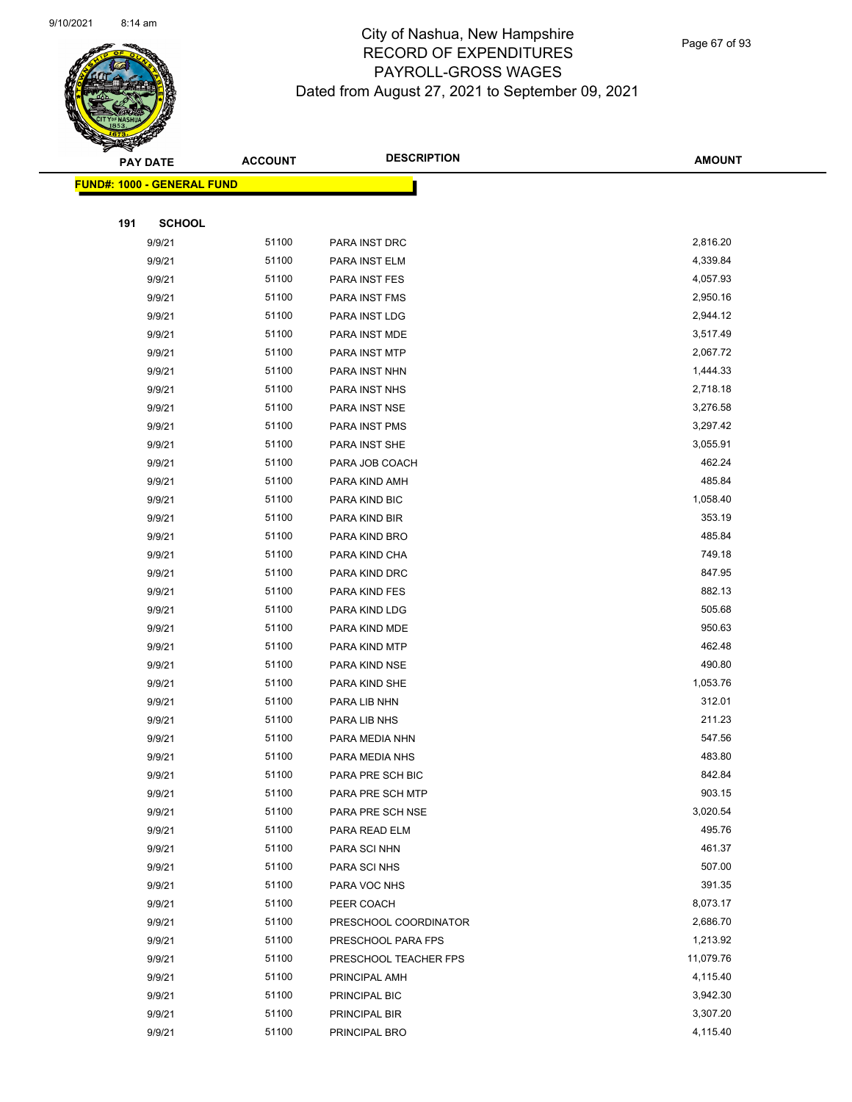

Page 67 of 93

|     | <b>PAY DATE</b>                    | <b>ACCOUNT</b> | <b>DESCRIPTION</b>    | <b>AMOUNT</b> |
|-----|------------------------------------|----------------|-----------------------|---------------|
|     | <u> FUND#: 1000 - GENERAL FUND</u> |                |                       |               |
|     |                                    |                |                       |               |
| 191 | <b>SCHOOL</b>                      |                |                       |               |
|     | 9/9/21                             | 51100          | PARA INST DRC         | 2,816.20      |
|     | 9/9/21                             | 51100          | PARA INST ELM         | 4,339.84      |
|     | 9/9/21                             | 51100          | PARA INST FES         | 4,057.93      |
|     | 9/9/21                             | 51100          | PARA INST FMS         | 2,950.16      |
|     | 9/9/21                             | 51100          | PARA INST LDG         | 2,944.12      |
|     | 9/9/21                             | 51100          | PARA INST MDE         | 3,517.49      |
|     | 9/9/21                             | 51100          | PARA INST MTP         | 2,067.72      |
|     | 9/9/21                             | 51100          | PARA INST NHN         | 1,444.33      |
|     | 9/9/21                             | 51100          | PARA INST NHS         | 2,718.18      |
|     | 9/9/21                             | 51100          | PARA INST NSE         | 3,276.58      |
|     | 9/9/21                             | 51100          | PARA INST PMS         | 3,297.42      |
|     | 9/9/21                             | 51100          | PARA INST SHE         | 3,055.91      |
|     | 9/9/21                             | 51100          | PARA JOB COACH        | 462.24        |
|     | 9/9/21                             | 51100          | PARA KIND AMH         | 485.84        |
|     | 9/9/21                             | 51100          | PARA KIND BIC         | 1,058.40      |
|     | 9/9/21                             | 51100          | PARA KIND BIR         | 353.19        |
|     | 9/9/21                             | 51100          | PARA KIND BRO         | 485.84        |
|     | 9/9/21                             | 51100          | PARA KIND CHA         | 749.18        |
|     | 9/9/21                             | 51100          | PARA KIND DRC         | 847.95        |
|     | 9/9/21                             | 51100          | PARA KIND FES         | 882.13        |
|     | 9/9/21                             | 51100          | PARA KIND LDG         | 505.68        |
|     | 9/9/21                             | 51100          | PARA KIND MDE         | 950.63        |
|     | 9/9/21                             | 51100          | PARA KIND MTP         | 462.48        |
|     | 9/9/21                             | 51100          | PARA KIND NSE         | 490.80        |
|     | 9/9/21                             | 51100          | PARA KIND SHE         | 1,053.76      |
|     | 9/9/21                             | 51100          | PARA LIB NHN          | 312.01        |
|     | 9/9/21                             | 51100          | PARA LIB NHS          | 211.23        |
|     | 9/9/21                             | 51100          | PARA MEDIA NHN        | 547.56        |
|     | 9/9/21                             | 51100          | PARA MEDIA NHS        | 483.80        |
|     | 9/9/21                             | 51100          | PARA PRE SCH BIC      | 842.84        |
|     | 9/9/21                             | 51100          | PARA PRE SCH MTP      | 903.15        |
|     | 9/9/21                             | 51100          | PARA PRE SCH NSE      | 3,020.54      |
|     | 9/9/21                             | 51100          | PARA READ ELM         | 495.76        |
|     | 9/9/21                             | 51100          | PARA SCI NHN          | 461.37        |
|     | 9/9/21                             | 51100          | PARA SCI NHS          | 507.00        |
|     | 9/9/21                             | 51100          | PARA VOC NHS          | 391.35        |
|     | 9/9/21                             | 51100          | PEER COACH            | 8,073.17      |
|     | 9/9/21                             | 51100          | PRESCHOOL COORDINATOR | 2,686.70      |
|     | 9/9/21                             | 51100          | PRESCHOOL PARA FPS    | 1,213.92      |
|     | 9/9/21                             | 51100          | PRESCHOOL TEACHER FPS | 11,079.76     |
|     | 9/9/21                             | 51100          | PRINCIPAL AMH         | 4,115.40      |
|     | 9/9/21                             | 51100          | PRINCIPAL BIC         | 3,942.30      |
|     | 9/9/21                             | 51100          | PRINCIPAL BIR         | 3,307.20      |
|     | 9/9/21                             | 51100          | PRINCIPAL BRO         | 4,115.40      |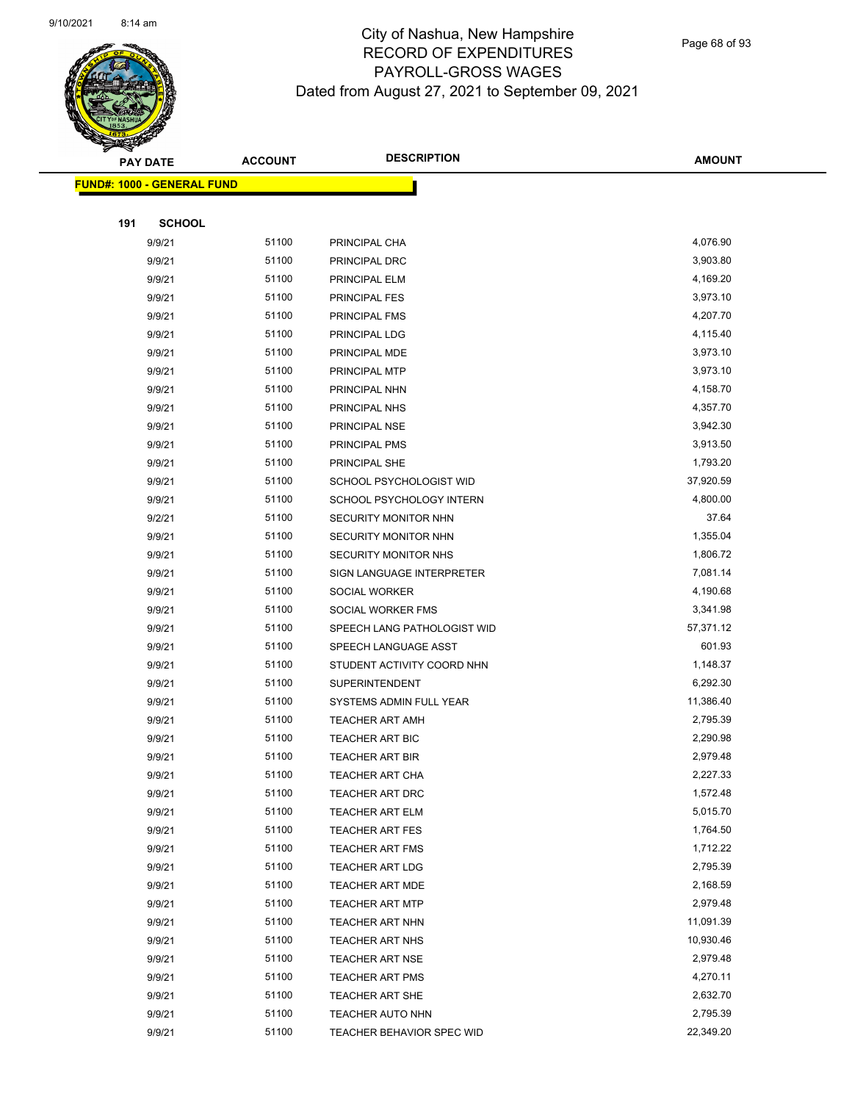

Page 68 of 93

|     | <b>PAY DATE</b>                    | <b>ACCOUNT</b> | <b>DESCRIPTION</b>               | AMOUNT    |  |
|-----|------------------------------------|----------------|----------------------------------|-----------|--|
|     | <u> FUND#: 1000 - GENERAL FUND</u> |                |                                  |           |  |
|     |                                    |                |                                  |           |  |
| 191 | <b>SCHOOL</b>                      |                |                                  |           |  |
|     | 9/9/21                             | 51100          | PRINCIPAL CHA                    | 4,076.90  |  |
|     | 9/9/21                             | 51100          | PRINCIPAL DRC                    | 3,903.80  |  |
|     | 9/9/21                             | 51100          | PRINCIPAL ELM                    | 4,169.20  |  |
|     | 9/9/21                             | 51100          | PRINCIPAL FES                    | 3,973.10  |  |
|     | 9/9/21                             | 51100          | PRINCIPAL FMS                    | 4,207.70  |  |
|     | 9/9/21                             | 51100          | PRINCIPAL LDG                    | 4,115.40  |  |
|     | 9/9/21                             | 51100          | PRINCIPAL MDE                    | 3,973.10  |  |
|     | 9/9/21                             | 51100          | PRINCIPAL MTP                    | 3,973.10  |  |
|     | 9/9/21                             | 51100          | PRINCIPAL NHN                    | 4,158.70  |  |
|     | 9/9/21                             | 51100          | PRINCIPAL NHS                    | 4,357.70  |  |
|     | 9/9/21                             | 51100          | PRINCIPAL NSE                    | 3,942.30  |  |
|     | 9/9/21                             | 51100          | PRINCIPAL PMS                    | 3,913.50  |  |
|     | 9/9/21                             | 51100          | PRINCIPAL SHE                    | 1,793.20  |  |
|     | 9/9/21                             | 51100          | SCHOOL PSYCHOLOGIST WID          | 37,920.59 |  |
|     | 9/9/21                             | 51100          | SCHOOL PSYCHOLOGY INTERN         | 4,800.00  |  |
|     | 9/2/21                             | 51100          | SECURITY MONITOR NHN             | 37.64     |  |
|     | 9/9/21                             | 51100          | SECURITY MONITOR NHN             | 1,355.04  |  |
|     | 9/9/21                             | 51100          | SECURITY MONITOR NHS             | 1,806.72  |  |
|     | 9/9/21                             | 51100          | SIGN LANGUAGE INTERPRETER        | 7,081.14  |  |
|     | 9/9/21                             | 51100          | SOCIAL WORKER                    | 4,190.68  |  |
|     | 9/9/21                             | 51100          | SOCIAL WORKER FMS                | 3,341.98  |  |
|     | 9/9/21                             | 51100          | SPEECH LANG PATHOLOGIST WID      | 57,371.12 |  |
|     | 9/9/21                             | 51100          | SPEECH LANGUAGE ASST             | 601.93    |  |
|     | 9/9/21                             | 51100          | STUDENT ACTIVITY COORD NHN       | 1,148.37  |  |
|     | 9/9/21                             | 51100          | <b>SUPERINTENDENT</b>            | 6,292.30  |  |
|     | 9/9/21                             | 51100          | SYSTEMS ADMIN FULL YEAR          | 11,386.40 |  |
|     | 9/9/21                             | 51100          | <b>TEACHER ART AMH</b>           | 2,795.39  |  |
|     | 9/9/21                             | 51100          | <b>TEACHER ART BIC</b>           | 2,290.98  |  |
|     | 9/9/21                             | 51100          | <b>TEACHER ART BIR</b>           | 2,979.48  |  |
|     | 9/9/21                             | 51100          | TEACHER ART CHA                  | 2,227.33  |  |
|     | 9/9/21                             | 51100          | TEACHER ART DRC                  | 1,572.48  |  |
|     | 9/9/21                             | 51100          | TEACHER ART ELM                  | 5,015.70  |  |
|     | 9/9/21                             | 51100          | TEACHER ART FES                  | 1,764.50  |  |
|     | 9/9/21                             | 51100          | <b>TEACHER ART FMS</b>           | 1,712.22  |  |
|     | 9/9/21                             | 51100          | <b>TEACHER ART LDG</b>           | 2,795.39  |  |
|     | 9/9/21                             | 51100          | <b>TEACHER ART MDE</b>           | 2,168.59  |  |
|     | 9/9/21                             | 51100          | <b>TEACHER ART MTP</b>           | 2,979.48  |  |
|     | 9/9/21                             | 51100          | TEACHER ART NHN                  | 11,091.39 |  |
|     | 9/9/21                             | 51100          | TEACHER ART NHS                  | 10,930.46 |  |
|     | 9/9/21                             | 51100          | <b>TEACHER ART NSE</b>           | 2,979.48  |  |
|     | 9/9/21                             | 51100          | <b>TEACHER ART PMS</b>           | 4,270.11  |  |
|     | 9/9/21                             | 51100          | <b>TEACHER ART SHE</b>           | 2,632.70  |  |
|     | 9/9/21                             | 51100          | TEACHER AUTO NHN                 | 2,795.39  |  |
|     | 9/9/21                             | 51100          | <b>TEACHER BEHAVIOR SPEC WID</b> | 22,349.20 |  |
|     |                                    |                |                                  |           |  |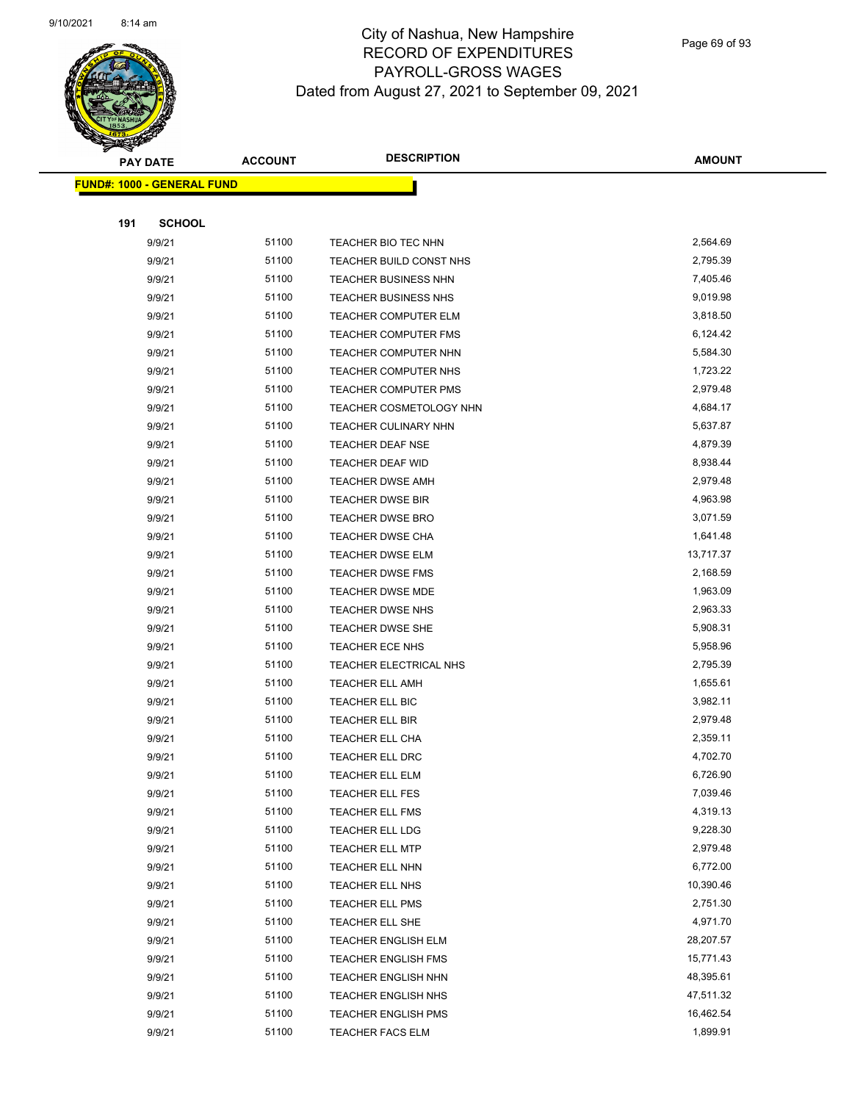

Page 69 of 93

|     | <b>PAY DATE</b>                   | <b>ACCOUNT</b> | <b>DESCRIPTION</b>          | <b>AMOUNT</b> |
|-----|-----------------------------------|----------------|-----------------------------|---------------|
|     | <b>FUND#: 1000 - GENERAL FUND</b> |                |                             |               |
|     |                                   |                |                             |               |
| 191 | <b>SCHOOL</b>                     |                |                             |               |
|     | 9/9/21                            | 51100          | TEACHER BIO TEC NHN         | 2,564.69      |
|     | 9/9/21                            | 51100          | TEACHER BUILD CONST NHS     | 2,795.39      |
|     | 9/9/21                            | 51100          | <b>TEACHER BUSINESS NHN</b> | 7,405.46      |
|     | 9/9/21                            | 51100          | <b>TEACHER BUSINESS NHS</b> | 9,019.98      |
|     | 9/9/21                            | 51100          | TEACHER COMPUTER ELM        | 3,818.50      |
|     | 9/9/21                            | 51100          | <b>TEACHER COMPUTER FMS</b> | 6,124.42      |
|     | 9/9/21                            | 51100          | TEACHER COMPUTER NHN        | 5,584.30      |
|     | 9/9/21                            | 51100          | <b>TEACHER COMPUTER NHS</b> | 1,723.22      |
|     | 9/9/21                            | 51100          | <b>TEACHER COMPUTER PMS</b> | 2,979.48      |
|     | 9/9/21                            | 51100          | TEACHER COSMETOLOGY NHN     | 4,684.17      |
|     | 9/9/21                            | 51100          | <b>TEACHER CULINARY NHN</b> | 5,637.87      |
|     | 9/9/21                            | 51100          | <b>TEACHER DEAF NSE</b>     | 4,879.39      |
|     | 9/9/21                            | 51100          | TEACHER DEAF WID            | 8,938.44      |
|     | 9/9/21                            | 51100          | <b>TEACHER DWSE AMH</b>     | 2,979.48      |
|     | 9/9/21                            | 51100          | <b>TEACHER DWSE BIR</b>     | 4,963.98      |
|     | 9/9/21                            | 51100          | <b>TEACHER DWSE BRO</b>     | 3,071.59      |
|     | 9/9/21                            | 51100          | <b>TEACHER DWSE CHA</b>     | 1,641.48      |
|     | 9/9/21                            | 51100          | <b>TEACHER DWSE ELM</b>     | 13,717.37     |
|     | 9/9/21                            | 51100          | <b>TEACHER DWSE FMS</b>     | 2,168.59      |
|     | 9/9/21                            | 51100          | <b>TEACHER DWSE MDE</b>     | 1,963.09      |
|     | 9/9/21                            | 51100          | <b>TEACHER DWSE NHS</b>     | 2,963.33      |
|     | 9/9/21                            | 51100          | <b>TEACHER DWSE SHE</b>     | 5,908.31      |
|     | 9/9/21                            | 51100          | <b>TEACHER ECE NHS</b>      | 5,958.96      |
|     | 9/9/21                            | 51100          | TEACHER ELECTRICAL NHS      | 2,795.39      |
|     | 9/9/21                            | 51100          | <b>TEACHER ELL AMH</b>      | 1,655.61      |
|     | 9/9/21                            | 51100          | TEACHER ELL BIC             | 3,982.11      |
|     | 9/9/21                            | 51100          | <b>TEACHER ELL BIR</b>      | 2,979.48      |
|     | 9/9/21                            | 51100          | <b>TEACHER ELL CHA</b>      | 2,359.11      |
|     | 9/9/21                            | 51100          | TEACHER ELL DRC             | 4,702.70      |
|     | 9/9/21                            | 51100          | <b>TEACHER ELL ELM</b>      | 6,726.90      |
|     | 9/9/21                            | 51100          | <b>TEACHER ELL FES</b>      | 7,039.46      |
|     | 9/9/21                            | 51100          | <b>TEACHER ELL FMS</b>      | 4,319.13      |
|     | 9/9/21                            | 51100          | <b>TEACHER ELL LDG</b>      | 9,228.30      |
|     | 9/9/21                            | 51100          | <b>TEACHER ELL MTP</b>      | 2,979.48      |
|     | 9/9/21                            | 51100          | TEACHER ELL NHN             | 6,772.00      |
|     | 9/9/21                            | 51100          | TEACHER ELL NHS             | 10,390.46     |
|     | 9/9/21                            | 51100          | <b>TEACHER ELL PMS</b>      | 2,751.30      |
|     | 9/9/21                            | 51100          | <b>TEACHER ELL SHE</b>      | 4,971.70      |
|     | 9/9/21                            | 51100          | TEACHER ENGLISH ELM         | 28,207.57     |
|     | 9/9/21                            | 51100          | <b>TEACHER ENGLISH FMS</b>  | 15,771.43     |
|     | 9/9/21                            | 51100          | <b>TEACHER ENGLISH NHN</b>  | 48,395.61     |
|     | 9/9/21                            | 51100          | <b>TEACHER ENGLISH NHS</b>  | 47,511.32     |
|     | 9/9/21                            | 51100          | <b>TEACHER ENGLISH PMS</b>  | 16,462.54     |
|     | 9/9/21                            | 51100          | <b>TEACHER FACS ELM</b>     | 1,899.91      |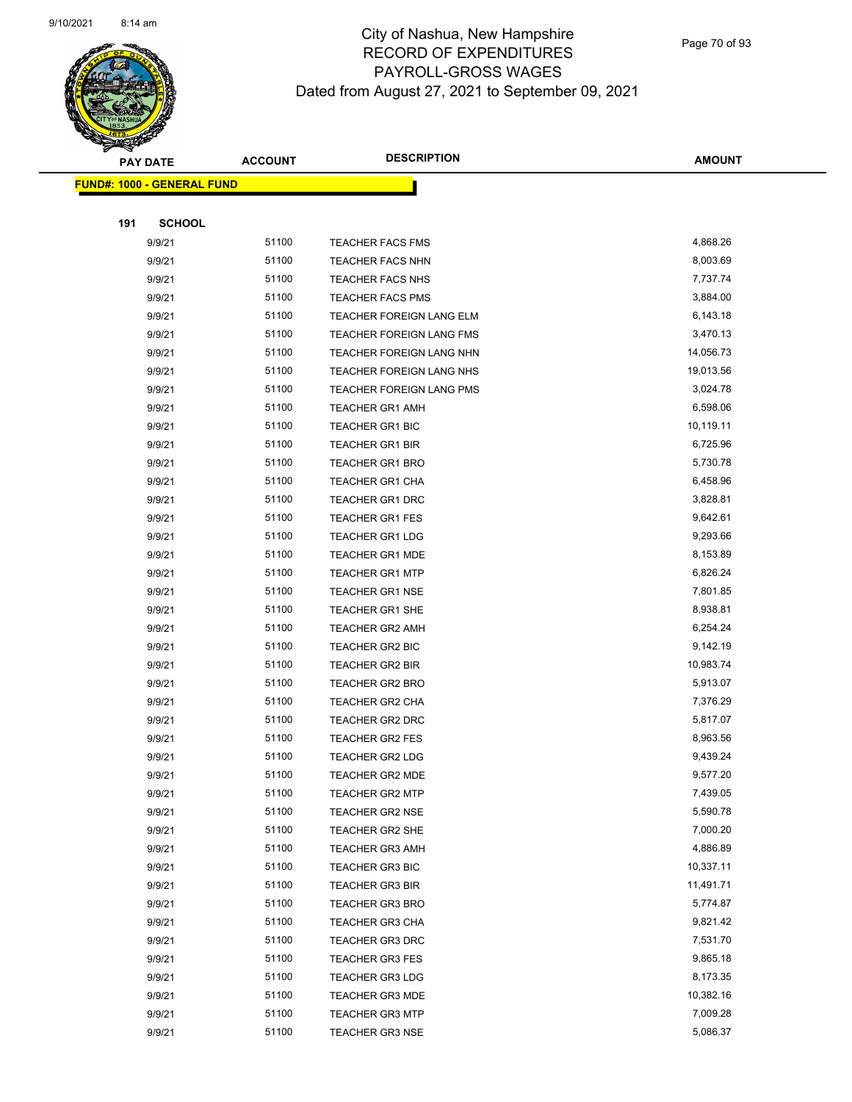

Page 70 of 93

|     | <b>PAY DATE</b>                    | <b>ACCOUNT</b> | <b>DESCRIPTION</b>              | <b>AMOUNT</b> |
|-----|------------------------------------|----------------|---------------------------------|---------------|
|     | <u> FUND#: 1000 - GENERAL FUND</u> |                |                                 |               |
|     |                                    |                |                                 |               |
| 191 | <b>SCHOOL</b>                      |                |                                 |               |
|     | 9/9/21                             | 51100          | <b>TEACHER FACS FMS</b>         | 4,868.26      |
|     | 9/9/21                             | 51100          | <b>TEACHER FACS NHN</b>         | 8,003.69      |
|     | 9/9/21                             | 51100          | <b>TEACHER FACS NHS</b>         | 7,737.74      |
|     | 9/9/21                             | 51100          | <b>TEACHER FACS PMS</b>         | 3,884.00      |
|     | 9/9/21                             | 51100          | TEACHER FOREIGN LANG ELM        | 6,143.18      |
|     | 9/9/21                             | 51100          | <b>TEACHER FOREIGN LANG FMS</b> | 3,470.13      |
|     | 9/9/21                             | 51100          | TEACHER FOREIGN LANG NHN        | 14,056.73     |
|     | 9/9/21                             | 51100          | TEACHER FOREIGN LANG NHS        | 19,013.56     |
|     | 9/9/21                             | 51100          | TEACHER FOREIGN LANG PMS        | 3,024.78      |
|     | 9/9/21                             | 51100          | <b>TEACHER GR1 AMH</b>          | 6,598.06      |
|     | 9/9/21                             | 51100          | <b>TEACHER GR1 BIC</b>          | 10,119.11     |
|     | 9/9/21                             | 51100          | <b>TEACHER GR1 BIR</b>          | 6,725.96      |
|     | 9/9/21                             | 51100          | <b>TEACHER GR1 BRO</b>          | 5,730.78      |
|     | 9/9/21                             | 51100          | <b>TEACHER GR1 CHA</b>          | 6,458.96      |
|     | 9/9/21                             | 51100          | <b>TEACHER GR1 DRC</b>          | 3,828.81      |
|     | 9/9/21                             | 51100          | <b>TEACHER GR1 FES</b>          | 9,642.61      |
|     | 9/9/21                             | 51100          | <b>TEACHER GR1 LDG</b>          | 9,293.66      |
|     | 9/9/21                             | 51100          | <b>TEACHER GR1 MDE</b>          | 8,153.89      |
|     | 9/9/21                             | 51100          | <b>TEACHER GR1 MTP</b>          | 6,826.24      |
|     | 9/9/21                             | 51100          | <b>TEACHER GR1 NSE</b>          | 7,801.85      |
|     | 9/9/21                             | 51100          | <b>TEACHER GR1 SHE</b>          | 8,938.81      |
|     | 9/9/21                             | 51100          | <b>TEACHER GR2 AMH</b>          | 6,254.24      |
|     | 9/9/21                             | 51100          | TEACHER GR2 BIC                 | 9,142.19      |
|     | 9/9/21                             | 51100          | <b>TEACHER GR2 BIR</b>          | 10,983.74     |
|     | 9/9/21                             | 51100          | <b>TEACHER GR2 BRO</b>          | 5,913.07      |
|     | 9/9/21                             | 51100          | <b>TEACHER GR2 CHA</b>          | 7,376.29      |
|     | 9/9/21                             | 51100          | <b>TEACHER GR2 DRC</b>          | 5,817.07      |
|     | 9/9/21                             | 51100          | <b>TEACHER GR2 FES</b>          | 8,963.56      |
|     | 9/9/21                             | 51100          | <b>TEACHER GR2 LDG</b>          | 9,439.24      |
|     | 9/9/21                             | 51100          | <b>TEACHER GR2 MDE</b>          | 9,577.20      |
|     | 9/9/21                             | 51100          | <b>TEACHER GR2 MTP</b>          | 7,439.05      |
|     | 9/9/21                             | 51100          | <b>TEACHER GR2 NSE</b>          | 5,590.78      |
|     | 9/9/21                             | 51100          | <b>TEACHER GR2 SHE</b>          | 7,000.20      |
|     | 9/9/21                             | 51100          | <b>TEACHER GR3 AMH</b>          | 4,886.89      |
|     | 9/9/21                             | 51100          | <b>TEACHER GR3 BIC</b>          | 10,337.11     |
|     | 9/9/21                             | 51100          | TEACHER GR3 BIR                 | 11,491.71     |
|     | 9/9/21                             | 51100          | <b>TEACHER GR3 BRO</b>          | 5,774.87      |
|     | 9/9/21                             | 51100          | <b>TEACHER GR3 CHA</b>          | 9,821.42      |
|     | 9/9/21                             | 51100          | <b>TEACHER GR3 DRC</b>          | 7,531.70      |
|     | 9/9/21                             | 51100          | <b>TEACHER GR3 FES</b>          | 9,865.18      |
|     | 9/9/21                             | 51100          | TEACHER GR3 LDG                 | 8,173.35      |
|     | 9/9/21                             | 51100          | <b>TEACHER GR3 MDE</b>          | 10,382.16     |
|     | 9/9/21                             | 51100          | <b>TEACHER GR3 MTP</b>          | 7,009.28      |
|     | 9/9/21                             | 51100          | <b>TEACHER GR3 NSE</b>          | 5,086.37      |
|     |                                    |                |                                 |               |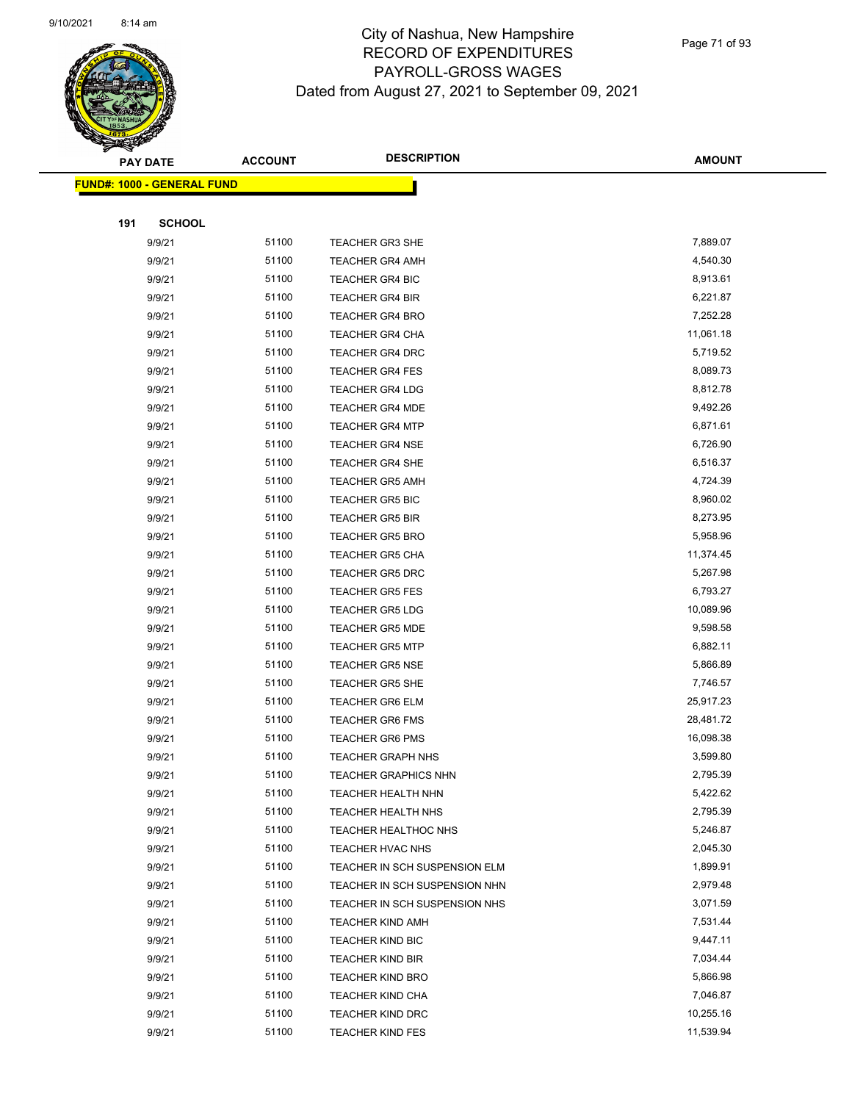

Page 71 of 93

|     | <b>PAY DATE</b>                    | <b>ACCOUNT</b> | <b>DESCRIPTION</b>            | <b>AMOUNT</b> |
|-----|------------------------------------|----------------|-------------------------------|---------------|
|     | <u> FUND#: 1000 - GENERAL FUND</u> |                |                               |               |
|     |                                    |                |                               |               |
| 191 | <b>SCHOOL</b>                      |                |                               |               |
|     | 9/9/21                             | 51100          | <b>TEACHER GR3 SHE</b>        | 7,889.07      |
|     | 9/9/21                             | 51100          | <b>TEACHER GR4 AMH</b>        | 4,540.30      |
|     | 9/9/21                             | 51100          | <b>TEACHER GR4 BIC</b>        | 8,913.61      |
|     | 9/9/21                             | 51100          | <b>TEACHER GR4 BIR</b>        | 6,221.87      |
|     | 9/9/21                             | 51100          | <b>TEACHER GR4 BRO</b>        | 7,252.28      |
|     | 9/9/21                             | 51100          | <b>TEACHER GR4 CHA</b>        | 11,061.18     |
|     | 9/9/21                             | 51100          | <b>TEACHER GR4 DRC</b>        | 5,719.52      |
|     | 9/9/21                             | 51100          | <b>TEACHER GR4 FES</b>        | 8,089.73      |
|     | 9/9/21                             | 51100          | <b>TEACHER GR4 LDG</b>        | 8,812.78      |
|     | 9/9/21                             | 51100          | <b>TEACHER GR4 MDE</b>        | 9,492.26      |
|     | 9/9/21                             | 51100          | <b>TEACHER GR4 MTP</b>        | 6,871.61      |
|     | 9/9/21                             | 51100          | <b>TEACHER GR4 NSE</b>        | 6,726.90      |
|     | 9/9/21                             | 51100          | <b>TEACHER GR4 SHE</b>        | 6,516.37      |
|     | 9/9/21                             | 51100          | <b>TEACHER GR5 AMH</b>        | 4,724.39      |
|     | 9/9/21                             | 51100          | <b>TEACHER GR5 BIC</b>        | 8,960.02      |
|     | 9/9/21                             | 51100          | <b>TEACHER GR5 BIR</b>        | 8,273.95      |
|     | 9/9/21                             | 51100          | <b>TEACHER GR5 BRO</b>        | 5,958.96      |
|     | 9/9/21                             | 51100          | <b>TEACHER GR5 CHA</b>        | 11,374.45     |
|     | 9/9/21                             | 51100          | <b>TEACHER GR5 DRC</b>        | 5,267.98      |
|     | 9/9/21                             | 51100          | <b>TEACHER GR5 FES</b>        | 6,793.27      |
|     | 9/9/21                             | 51100          | <b>TEACHER GR5 LDG</b>        | 10,089.96     |
|     | 9/9/21                             | 51100          | <b>TEACHER GR5 MDE</b>        | 9,598.58      |
|     | 9/9/21                             | 51100          | <b>TEACHER GR5 MTP</b>        | 6,882.11      |
|     | 9/9/21                             | 51100          | <b>TEACHER GR5 NSE</b>        | 5,866.89      |
|     | 9/9/21                             | 51100          | <b>TEACHER GR5 SHE</b>        | 7,746.57      |
|     | 9/9/21                             | 51100          | <b>TEACHER GR6 ELM</b>        | 25,917.23     |
|     | 9/9/21                             | 51100          | <b>TEACHER GR6 FMS</b>        | 28,481.72     |
|     | 9/9/21                             | 51100          | <b>TEACHER GR6 PMS</b>        | 16,098.38     |
|     | 9/9/21                             | 51100          | <b>TEACHER GRAPH NHS</b>      | 3,599.80      |
|     | 9/9/21                             | 51100          | TEACHER GRAPHICS NHN          | 2,795.39      |
|     | 9/9/21                             | 51100          | TEACHER HEALTH NHN            | 5,422.62      |
|     | 9/9/21                             | 51100          | TEACHER HEALTH NHS            | 2,795.39      |
|     | 9/9/21                             | 51100          | TEACHER HEALTHOC NHS          | 5,246.87      |
|     | 9/9/21                             | 51100          | TEACHER HVAC NHS              | 2,045.30      |
|     | 9/9/21                             | 51100          | TEACHER IN SCH SUSPENSION ELM | 1,899.91      |
|     | 9/9/21                             | 51100          | TEACHER IN SCH SUSPENSION NHN | 2,979.48      |
|     | 9/9/21                             | 51100          | TEACHER IN SCH SUSPENSION NHS | 3,071.59      |
|     | 9/9/21                             | 51100          | <b>TEACHER KIND AMH</b>       | 7,531.44      |
|     | 9/9/21                             | 51100          | <b>TEACHER KIND BIC</b>       | 9,447.11      |
|     | 9/9/21                             | 51100          | <b>TEACHER KIND BIR</b>       | 7,034.44      |
|     | 9/9/21                             | 51100          | <b>TEACHER KIND BRO</b>       | 5,866.98      |
|     | 9/9/21                             | 51100          | <b>TEACHER KIND CHA</b>       | 7,046.87      |
|     | 9/9/21                             | 51100          | <b>TEACHER KIND DRC</b>       | 10,255.16     |
|     | 9/9/21                             | 51100          | <b>TEACHER KIND FES</b>       | 11,539.94     |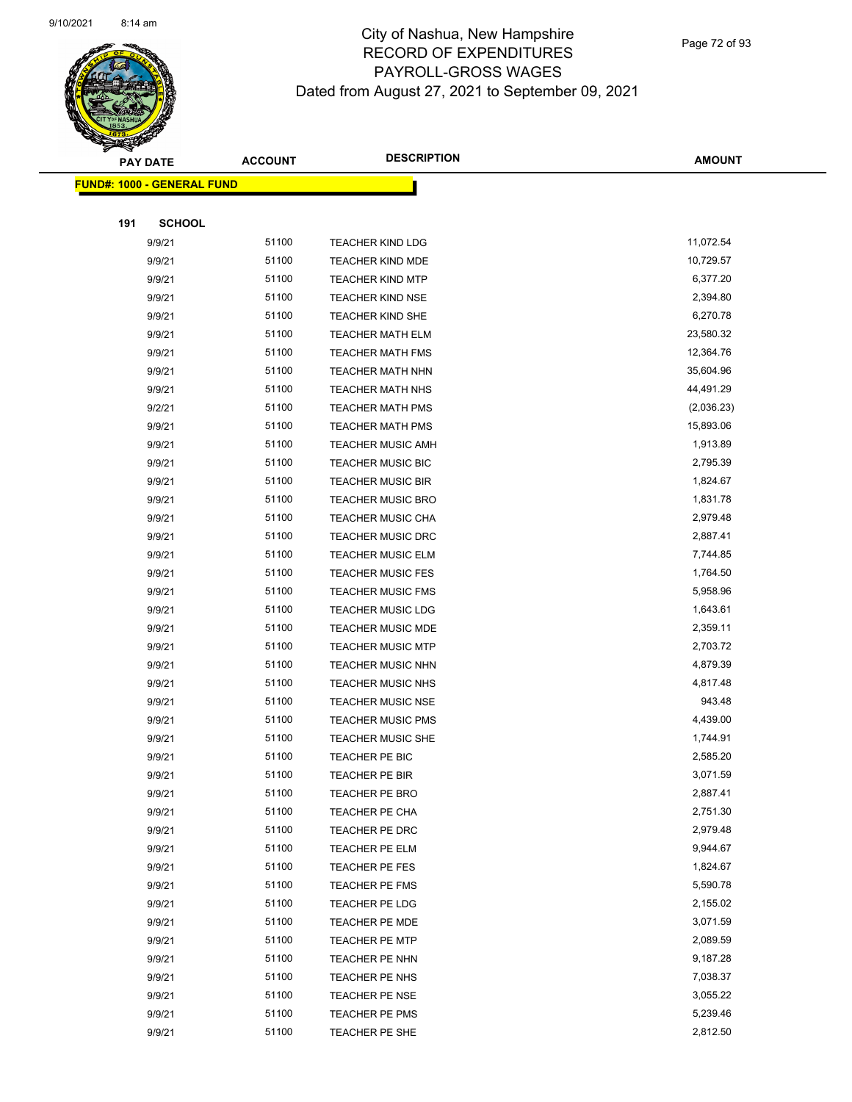

Page 72 of 93

|     | <b>PAY DATE</b>                    | <b>ACCOUNT</b> | <b>DESCRIPTION</b>       | <b>AMOUNT</b> |
|-----|------------------------------------|----------------|--------------------------|---------------|
|     | <u> FUND#: 1000 - GENERAL FUND</u> |                |                          |               |
|     |                                    |                |                          |               |
| 191 | <b>SCHOOL</b>                      |                |                          |               |
|     | 9/9/21                             | 51100          | <b>TEACHER KIND LDG</b>  | 11,072.54     |
|     | 9/9/21                             | 51100          | TEACHER KIND MDE         | 10,729.57     |
|     | 9/9/21                             | 51100          | <b>TEACHER KIND MTP</b>  | 6,377.20      |
|     | 9/9/21                             | 51100          | <b>TEACHER KIND NSE</b>  | 2,394.80      |
|     | 9/9/21                             | 51100          | TEACHER KIND SHE         | 6,270.78      |
|     | 9/9/21                             | 51100          | <b>TEACHER MATH ELM</b>  | 23,580.32     |
|     | 9/9/21                             | 51100          | <b>TEACHER MATH FMS</b>  | 12,364.76     |
|     | 9/9/21                             | 51100          | <b>TEACHER MATH NHN</b>  | 35,604.96     |
|     | 9/9/21                             | 51100          | <b>TEACHER MATH NHS</b>  | 44,491.29     |
|     | 9/2/21                             | 51100          | TEACHER MATH PMS         | (2,036.23)    |
|     | 9/9/21                             | 51100          | <b>TEACHER MATH PMS</b>  | 15,893.06     |
|     | 9/9/21                             | 51100          | <b>TEACHER MUSIC AMH</b> | 1,913.89      |
|     | 9/9/21                             | 51100          | <b>TEACHER MUSIC BIC</b> | 2,795.39      |
|     | 9/9/21                             | 51100          | <b>TEACHER MUSIC BIR</b> | 1,824.67      |
|     | 9/9/21                             | 51100          | <b>TEACHER MUSIC BRO</b> | 1,831.78      |
|     | 9/9/21                             | 51100          | <b>TEACHER MUSIC CHA</b> | 2,979.48      |
|     | 9/9/21                             | 51100          | <b>TEACHER MUSIC DRC</b> | 2,887.41      |
|     | 9/9/21                             | 51100          | <b>TEACHER MUSIC ELM</b> | 7,744.85      |
|     | 9/9/21                             | 51100          | <b>TEACHER MUSIC FES</b> | 1,764.50      |
|     | 9/9/21                             | 51100          | <b>TEACHER MUSIC FMS</b> | 5,958.96      |
|     | 9/9/21                             | 51100          | <b>TEACHER MUSIC LDG</b> | 1,643.61      |
|     | 9/9/21                             | 51100          | <b>TEACHER MUSIC MDE</b> | 2,359.11      |
|     | 9/9/21                             | 51100          | <b>TEACHER MUSIC MTP</b> | 2,703.72      |
|     | 9/9/21                             | 51100          | <b>TEACHER MUSIC NHN</b> | 4,879.39      |
|     | 9/9/21                             | 51100          | TEACHER MUSIC NHS        | 4,817.48      |
|     | 9/9/21                             | 51100          | <b>TEACHER MUSIC NSE</b> | 943.48        |
|     | 9/9/21                             | 51100          | <b>TEACHER MUSIC PMS</b> | 4,439.00      |
|     | 9/9/21                             | 51100          | <b>TEACHER MUSIC SHE</b> | 1,744.91      |
|     | 9/9/21                             | 51100          | TEACHER PE BIC           | 2,585.20      |
|     | 9/9/21                             | 51100          | TEACHER PE BIR           | 3,071.59      |
|     | 9/9/21                             | 51100          | TEACHER PE BRO           | 2,887.41      |
|     | 9/9/21                             | 51100          | TEACHER PE CHA           | 2,751.30      |
|     | 9/9/21                             | 51100          | TEACHER PE DRC           | 2,979.48      |
|     | 9/9/21                             | 51100          | TEACHER PE ELM           | 9,944.67      |
|     | 9/9/21                             | 51100          | TEACHER PE FES           | 1,824.67      |
|     | 9/9/21                             | 51100          | TEACHER PE FMS           | 5,590.78      |
|     | 9/9/21                             | 51100          | TEACHER PE LDG           | 2,155.02      |
|     | 9/9/21                             | 51100          | TEACHER PE MDE           | 3,071.59      |
|     | 9/9/21                             | 51100          | TEACHER PE MTP           | 2,089.59      |
|     | 9/9/21                             | 51100          | TEACHER PE NHN           | 9,187.28      |
|     | 9/9/21                             | 51100          | TEACHER PE NHS           | 7,038.37      |
|     | 9/9/21                             | 51100          | TEACHER PE NSE           | 3,055.22      |
|     | 9/9/21                             | 51100          | TEACHER PE PMS           | 5,239.46      |
|     | 9/9/21                             | 51100          | TEACHER PE SHE           | 2,812.50      |
|     |                                    |                |                          |               |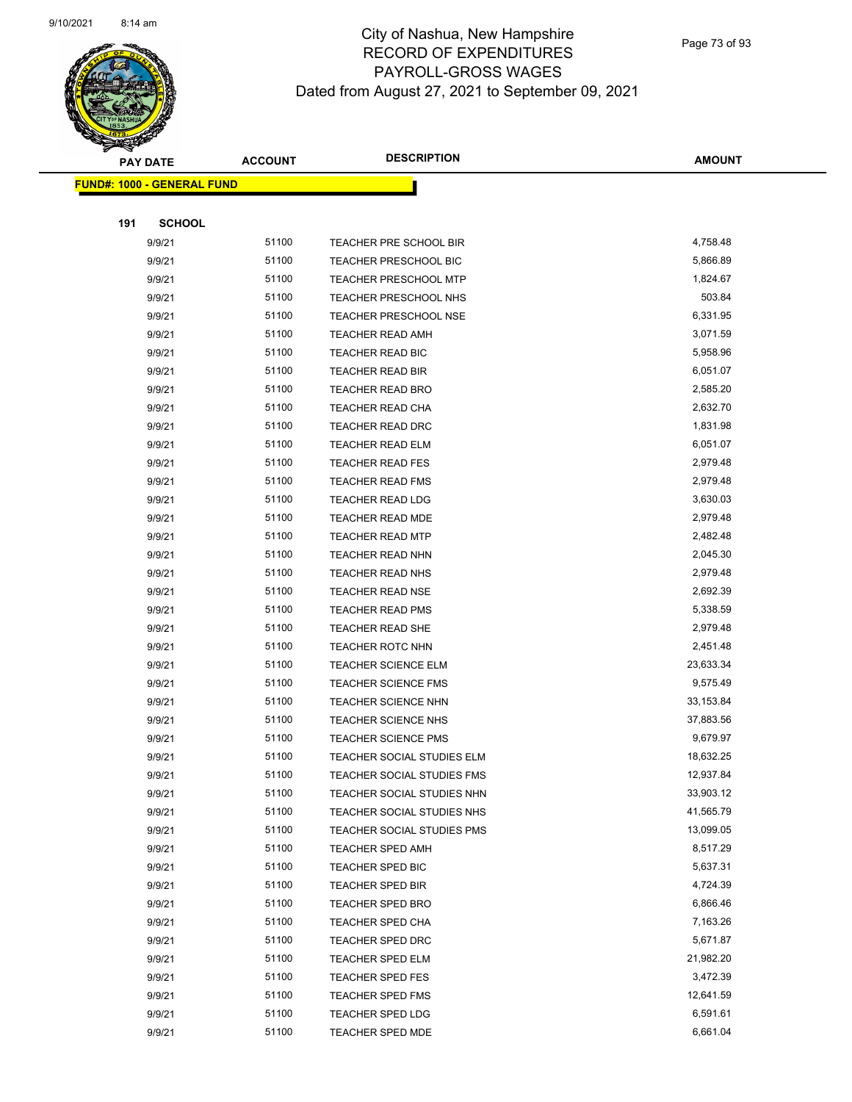

Page 73 of 93

|     | <b>PAY DATE</b>                   | <b>ACCOUNT</b> | <b>DESCRIPTION</b>           | <b>AMOUNT</b> |
|-----|-----------------------------------|----------------|------------------------------|---------------|
|     | <b>FUND#: 1000 - GENERAL FUND</b> |                |                              |               |
|     |                                   |                |                              |               |
| 191 | <b>SCHOOL</b>                     |                |                              |               |
|     | 9/9/21                            | 51100          | TEACHER PRE SCHOOL BIR       | 4,758.48      |
|     | 9/9/21                            | 51100          | <b>TEACHER PRESCHOOL BIC</b> | 5,866.89      |
|     | 9/9/21                            | 51100          | <b>TEACHER PRESCHOOL MTP</b> | 1,824.67      |
|     | 9/9/21                            | 51100          | <b>TEACHER PRESCHOOL NHS</b> | 503.84        |
|     | 9/9/21                            | 51100          | TEACHER PRESCHOOL NSE        | 6,331.95      |
|     | 9/9/21                            | 51100          | TEACHER READ AMH             | 3,071.59      |
|     | 9/9/21                            | 51100          | TEACHER READ BIC             | 5,958.96      |
|     | 9/9/21                            | 51100          | TEACHER READ BIR             | 6,051.07      |
|     | 9/9/21                            | 51100          | <b>TEACHER READ BRO</b>      | 2,585.20      |
|     | 9/9/21                            | 51100          | TEACHER READ CHA             | 2,632.70      |
|     | 9/9/21                            | 51100          | <b>TEACHER READ DRC</b>      | 1,831.98      |
|     | 9/9/21                            | 51100          | <b>TEACHER READ ELM</b>      | 6,051.07      |
|     | 9/9/21                            | 51100          | <b>TEACHER READ FES</b>      | 2,979.48      |
|     | 9/9/21                            | 51100          | <b>TEACHER READ FMS</b>      | 2,979.48      |
|     | 9/9/21                            | 51100          | <b>TEACHER READ LDG</b>      | 3,630.03      |
|     | 9/9/21                            | 51100          | TEACHER READ MDE             | 2,979.48      |
|     | 9/9/21                            | 51100          | <b>TEACHER READ MTP</b>      | 2,482.48      |
|     | 9/9/21                            | 51100          | <b>TEACHER READ NHN</b>      | 2,045.30      |
|     | 9/9/21                            | 51100          | <b>TEACHER READ NHS</b>      | 2,979.48      |
|     | 9/9/21                            | 51100          | <b>TEACHER READ NSE</b>      | 2,692.39      |
|     | 9/9/21                            | 51100          | <b>TEACHER READ PMS</b>      | 5,338.59      |
|     | 9/9/21                            | 51100          | <b>TEACHER READ SHE</b>      | 2,979.48      |
|     | 9/9/21                            | 51100          | <b>TEACHER ROTC NHN</b>      | 2,451.48      |
|     | 9/9/21                            | 51100          | <b>TEACHER SCIENCE ELM</b>   | 23,633.34     |
|     | 9/9/21                            | 51100          | <b>TEACHER SCIENCE FMS</b>   | 9,575.49      |
|     | 9/9/21                            | 51100          | TEACHER SCIENCE NHN          | 33,153.84     |
|     | 9/9/21                            | 51100          | <b>TEACHER SCIENCE NHS</b>   | 37,883.56     |
|     | 9/9/21                            | 51100          | <b>TEACHER SCIENCE PMS</b>   | 9,679.97      |
|     | 9/9/21                            | 51100          | TEACHER SOCIAL STUDIES ELM   | 18,632.25     |
|     | 9/9/21                            | 51100          | TEACHER SOCIAL STUDIES FMS   | 12,937.84     |
|     | 9/9/21                            | 51100          | TEACHER SOCIAL STUDIES NHN   | 33,903.12     |
|     | 9/9/21                            | 51100          | TEACHER SOCIAL STUDIES NHS   | 41,565.79     |
|     | 9/9/21                            | 51100          | TEACHER SOCIAL STUDIES PMS   | 13,099.05     |
|     | 9/9/21                            | 51100          | <b>TEACHER SPED AMH</b>      | 8,517.29      |
|     | 9/9/21                            | 51100          | <b>TEACHER SPED BIC</b>      | 5,637.31      |
|     | 9/9/21                            | 51100          | TEACHER SPED BIR             | 4,724.39      |
|     | 9/9/21                            | 51100          | <b>TEACHER SPED BRO</b>      | 6,866.46      |
|     | 9/9/21                            | 51100          | TEACHER SPED CHA             | 7,163.26      |
|     | 9/9/21                            | 51100          | <b>TEACHER SPED DRC</b>      | 5,671.87      |
|     | 9/9/21                            | 51100          | <b>TEACHER SPED ELM</b>      | 21,982.20     |
|     | 9/9/21                            | 51100          | <b>TEACHER SPED FES</b>      | 3,472.39      |
|     | 9/9/21                            | 51100          | <b>TEACHER SPED FMS</b>      | 12,641.59     |
|     | 9/9/21                            | 51100          | TEACHER SPED LDG             | 6,591.61      |
|     | 9/9/21                            | 51100          | TEACHER SPED MDE             | 6,661.04      |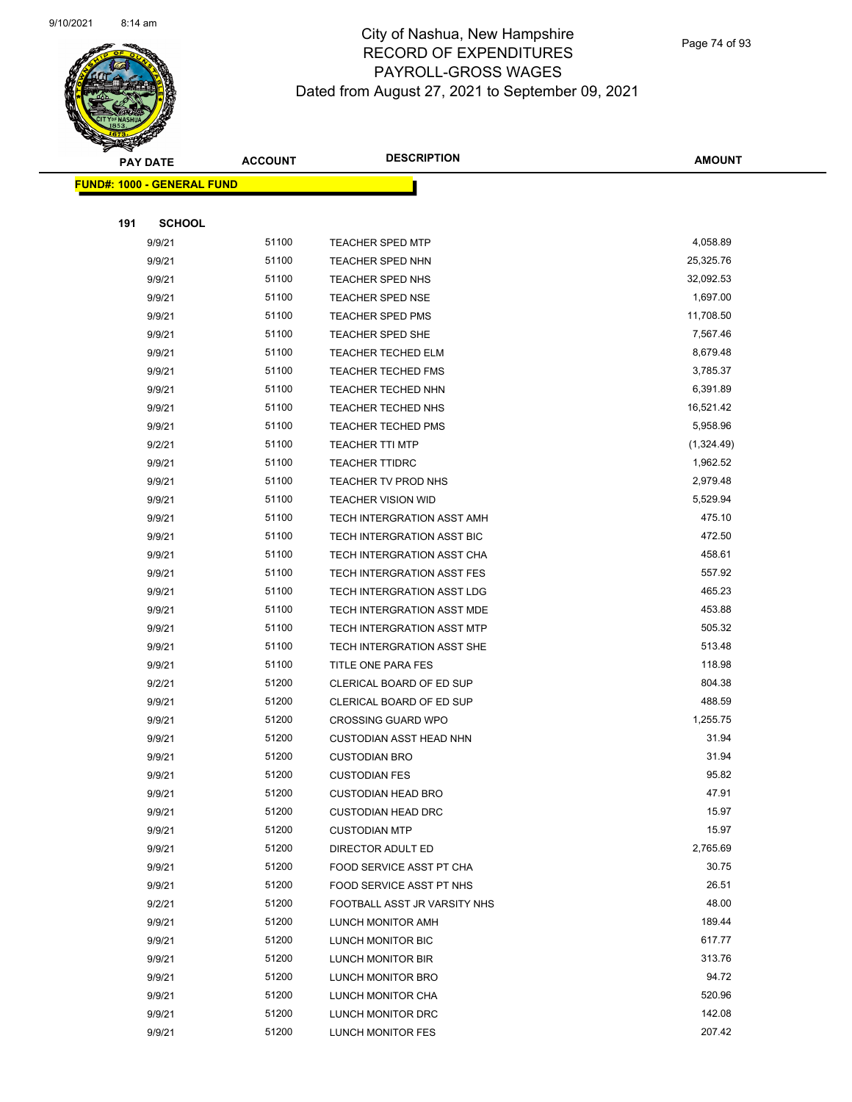

Page 74 of 93

|     | <b>PAY DATE</b>                   | <b>ACCOUNT</b> | <b>DESCRIPTION</b>             | <b>AMOUNT</b> |
|-----|-----------------------------------|----------------|--------------------------------|---------------|
|     | <b>FUND#: 1000 - GENERAL FUND</b> |                |                                |               |
|     |                                   |                |                                |               |
| 191 | <b>SCHOOL</b>                     |                |                                |               |
|     | 9/9/21                            | 51100          | <b>TEACHER SPED MTP</b>        | 4,058.89      |
|     | 9/9/21                            | 51100          | <b>TEACHER SPED NHN</b>        | 25,325.76     |
|     | 9/9/21                            | 51100          | TEACHER SPED NHS               | 32,092.53     |
|     | 9/9/21                            | 51100          | <b>TEACHER SPED NSE</b>        | 1,697.00      |
|     | 9/9/21                            | 51100          | <b>TEACHER SPED PMS</b>        | 11,708.50     |
|     | 9/9/21                            | 51100          | TEACHER SPED SHE               | 7,567.46      |
|     | 9/9/21                            | 51100          | <b>TEACHER TECHED ELM</b>      | 8,679.48      |
|     | 9/9/21                            | 51100          | <b>TEACHER TECHED FMS</b>      | 3,785.37      |
|     | 9/9/21                            | 51100          | TEACHER TECHED NHN             | 6,391.89      |
|     | 9/9/21                            | 51100          | <b>TEACHER TECHED NHS</b>      | 16,521.42     |
|     | 9/9/21                            | 51100          | <b>TEACHER TECHED PMS</b>      | 5,958.96      |
|     | 9/2/21                            | 51100          | <b>TEACHER TTI MTP</b>         | (1,324.49)    |
|     | 9/9/21                            | 51100          | <b>TEACHER TTIDRC</b>          | 1,962.52      |
|     | 9/9/21                            | 51100          | TEACHER TV PROD NHS            | 2,979.48      |
|     | 9/9/21                            | 51100          | <b>TEACHER VISION WID</b>      | 5,529.94      |
|     | 9/9/21                            | 51100          | TECH INTERGRATION ASST AMH     | 475.10        |
|     | 9/9/21                            | 51100          | TECH INTERGRATION ASST BIC     | 472.50        |
|     | 9/9/21                            | 51100          | TECH INTERGRATION ASST CHA     | 458.61        |
|     | 9/9/21                            | 51100          | TECH INTERGRATION ASST FES     | 557.92        |
|     | 9/9/21                            | 51100          | TECH INTERGRATION ASST LDG     | 465.23        |
|     | 9/9/21                            | 51100          | TECH INTERGRATION ASST MDE     | 453.88        |
|     | 9/9/21                            | 51100          | TECH INTERGRATION ASST MTP     | 505.32        |
|     | 9/9/21                            | 51100          | TECH INTERGRATION ASST SHE     | 513.48        |
|     | 9/9/21                            | 51100          | TITLE ONE PARA FES             | 118.98        |
|     | 9/2/21                            | 51200          | CLERICAL BOARD OF ED SUP       | 804.38        |
|     | 9/9/21                            | 51200          | CLERICAL BOARD OF ED SUP       | 488.59        |
|     | 9/9/21                            | 51200          | <b>CROSSING GUARD WPO</b>      | 1,255.75      |
|     | 9/9/21                            | 51200          | <b>CUSTODIAN ASST HEAD NHN</b> | 31.94         |
|     | 9/9/21                            | 51200          | <b>CUSTODIAN BRO</b>           | 31.94         |
|     | 9/9/21                            | 51200          | <b>CUSTODIAN FES</b>           | 95.82         |
|     | 9/9/21                            | 51200          | <b>CUSTODIAN HEAD BRO</b>      | 47.91         |
|     | 9/9/21                            | 51200          | <b>CUSTODIAN HEAD DRC</b>      | 15.97         |
|     | 9/9/21                            | 51200          | <b>CUSTODIAN MTP</b>           | 15.97         |
|     | 9/9/21                            | 51200          | DIRECTOR ADULT ED              | 2,765.69      |
|     | 9/9/21                            | 51200          | FOOD SERVICE ASST PT CHA       | 30.75         |
|     | 9/9/21                            | 51200          | FOOD SERVICE ASST PT NHS       | 26.51         |
|     | 9/2/21                            | 51200          | FOOTBALL ASST JR VARSITY NHS   | 48.00         |
|     | 9/9/21                            | 51200          | LUNCH MONITOR AMH              | 189.44        |
|     | 9/9/21                            | 51200          | LUNCH MONITOR BIC              | 617.77        |
|     | 9/9/21                            | 51200          | LUNCH MONITOR BIR              | 313.76        |
|     | 9/9/21                            | 51200          | LUNCH MONITOR BRO              | 94.72         |
|     | 9/9/21                            | 51200          | LUNCH MONITOR CHA              | 520.96        |
|     | 9/9/21                            | 51200          | LUNCH MONITOR DRC              | 142.08        |
|     | 9/9/21                            | 51200          | LUNCH MONITOR FES              | 207.42        |
|     |                                   |                |                                |               |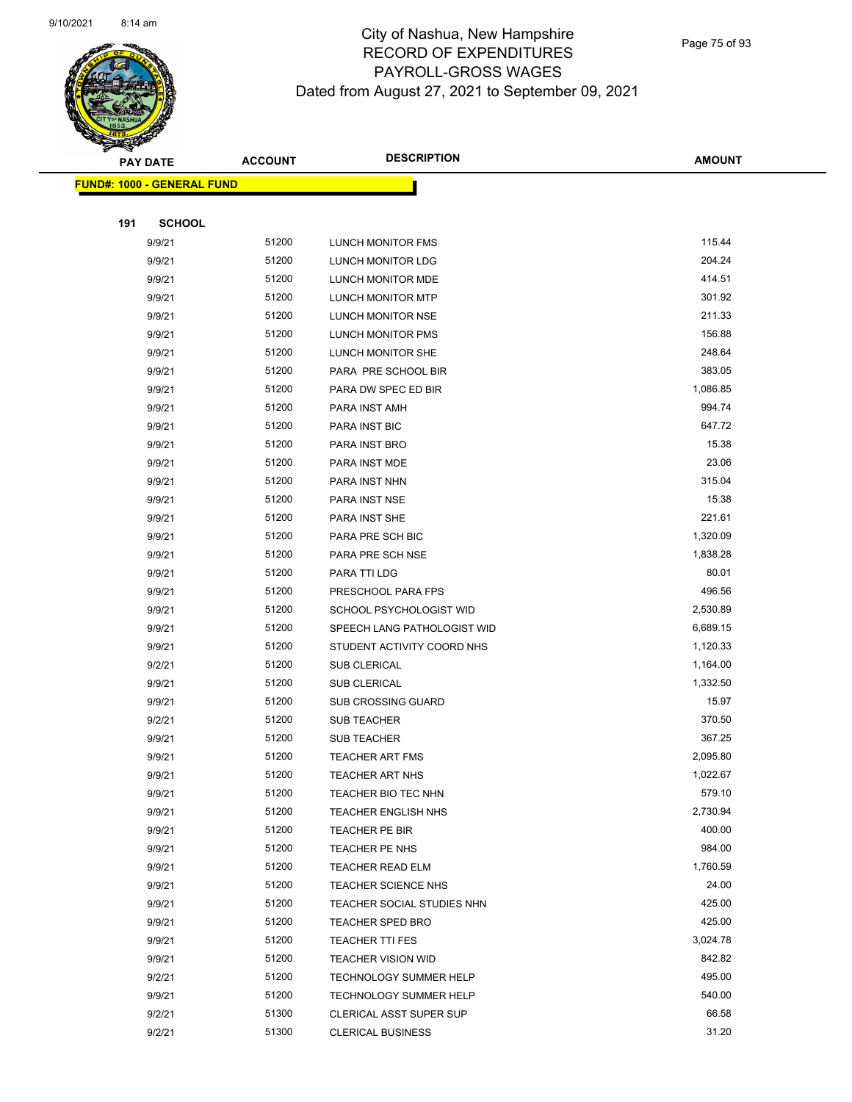

Page 75 of 93

|     | <b>PAY DATE</b>                    | <b>ACCOUNT</b> | <b>DESCRIPTION</b>             | <b>AMOUNT</b> |  |
|-----|------------------------------------|----------------|--------------------------------|---------------|--|
|     | <u> FUND#: 1000 - GENERAL FUND</u> |                |                                |               |  |
|     |                                    |                |                                |               |  |
| 191 | <b>SCHOOL</b>                      |                |                                |               |  |
|     | 9/9/21                             | 51200          | LUNCH MONITOR FMS              | 115.44        |  |
|     | 9/9/21                             | 51200          | LUNCH MONITOR LDG              | 204.24        |  |
|     | 9/9/21                             | 51200          | LUNCH MONITOR MDE              | 414.51        |  |
|     | 9/9/21                             | 51200          | <b>LUNCH MONITOR MTP</b>       | 301.92        |  |
|     | 9/9/21                             | 51200          | LUNCH MONITOR NSE              | 211.33        |  |
|     | 9/9/21                             | 51200          | <b>LUNCH MONITOR PMS</b>       | 156.88        |  |
|     | 9/9/21                             | 51200          | LUNCH MONITOR SHE              | 248.64        |  |
|     | 9/9/21                             | 51200          | PARA PRE SCHOOL BIR            | 383.05        |  |
|     | 9/9/21                             | 51200          | PARA DW SPEC ED BIR            | 1,086.85      |  |
|     | 9/9/21                             | 51200          | PARA INST AMH                  | 994.74        |  |
|     | 9/9/21                             | 51200          | <b>PARA INST BIC</b>           | 647.72        |  |
|     | 9/9/21                             | 51200          | PARA INST BRO                  | 15.38         |  |
|     | 9/9/21                             | 51200          | PARA INST MDE                  | 23.06         |  |
|     | 9/9/21                             | 51200          | PARA INST NHN                  | 315.04        |  |
|     | 9/9/21                             | 51200          | PARA INST NSE                  | 15.38         |  |
|     | 9/9/21                             | 51200          | PARA INST SHE                  | 221.61        |  |
|     | 9/9/21                             | 51200          | PARA PRE SCH BIC               | 1,320.09      |  |
|     | 9/9/21                             | 51200          | PARA PRE SCH NSE               | 1,838.28      |  |
|     | 9/9/21                             | 51200          | PARA TTI LDG                   | 80.01         |  |
|     | 9/9/21                             | 51200          | PRESCHOOL PARA FPS             | 496.56        |  |
|     | 9/9/21                             | 51200          | SCHOOL PSYCHOLOGIST WID        | 2,530.89      |  |
|     | 9/9/21                             | 51200          | SPEECH LANG PATHOLOGIST WID    | 6,689.15      |  |
|     | 9/9/21                             | 51200          | STUDENT ACTIVITY COORD NHS     | 1,120.33      |  |
|     | 9/2/21                             | 51200          | <b>SUB CLERICAL</b>            | 1,164.00      |  |
|     | 9/9/21                             | 51200          | <b>SUB CLERICAL</b>            | 1,332.50      |  |
|     | 9/9/21                             | 51200          | <b>SUB CROSSING GUARD</b>      | 15.97         |  |
|     | 9/2/21                             | 51200          | <b>SUB TEACHER</b>             | 370.50        |  |
|     | 9/9/21                             | 51200          | <b>SUB TEACHER</b>             | 367.25        |  |
|     | 9/9/21                             | 51200          | <b>TEACHER ART FMS</b>         | 2,095.80      |  |
|     | 9/9/21                             | 51200          | <b>TEACHER ART NHS</b>         | 1,022.67      |  |
|     | 9/9/21                             | 51200          | TEACHER BIO TEC NHN            | 579.10        |  |
|     | 9/9/21                             | 51200          | <b>TEACHER ENGLISH NHS</b>     | 2,730.94      |  |
|     | 9/9/21                             | 51200          | TEACHER PE BIR                 | 400.00        |  |
|     | 9/9/21                             | 51200          | TEACHER PE NHS                 | 984.00        |  |
|     | 9/9/21                             | 51200          | TEACHER READ ELM               | 1,760.59      |  |
|     | 9/9/21                             | 51200          | TEACHER SCIENCE NHS            | 24.00         |  |
|     | 9/9/21                             | 51200          | TEACHER SOCIAL STUDIES NHN     | 425.00        |  |
|     | 9/9/21                             | 51200          | <b>TEACHER SPED BRO</b>        | 425.00        |  |
|     | 9/9/21                             | 51200          | <b>TEACHER TTI FES</b>         | 3,024.78      |  |
|     | 9/9/21                             | 51200          | <b>TEACHER VISION WID</b>      | 842.82        |  |
|     | 9/2/21                             | 51200          | <b>TECHNOLOGY SUMMER HELP</b>  | 495.00        |  |
|     | 9/9/21                             | 51200          | TECHNOLOGY SUMMER HELP         | 540.00        |  |
|     | 9/2/21                             | 51300          | <b>CLERICAL ASST SUPER SUP</b> | 66.58         |  |
|     | 9/2/21                             | 51300          | <b>CLERICAL BUSINESS</b>       | 31.20         |  |
|     |                                    |                |                                |               |  |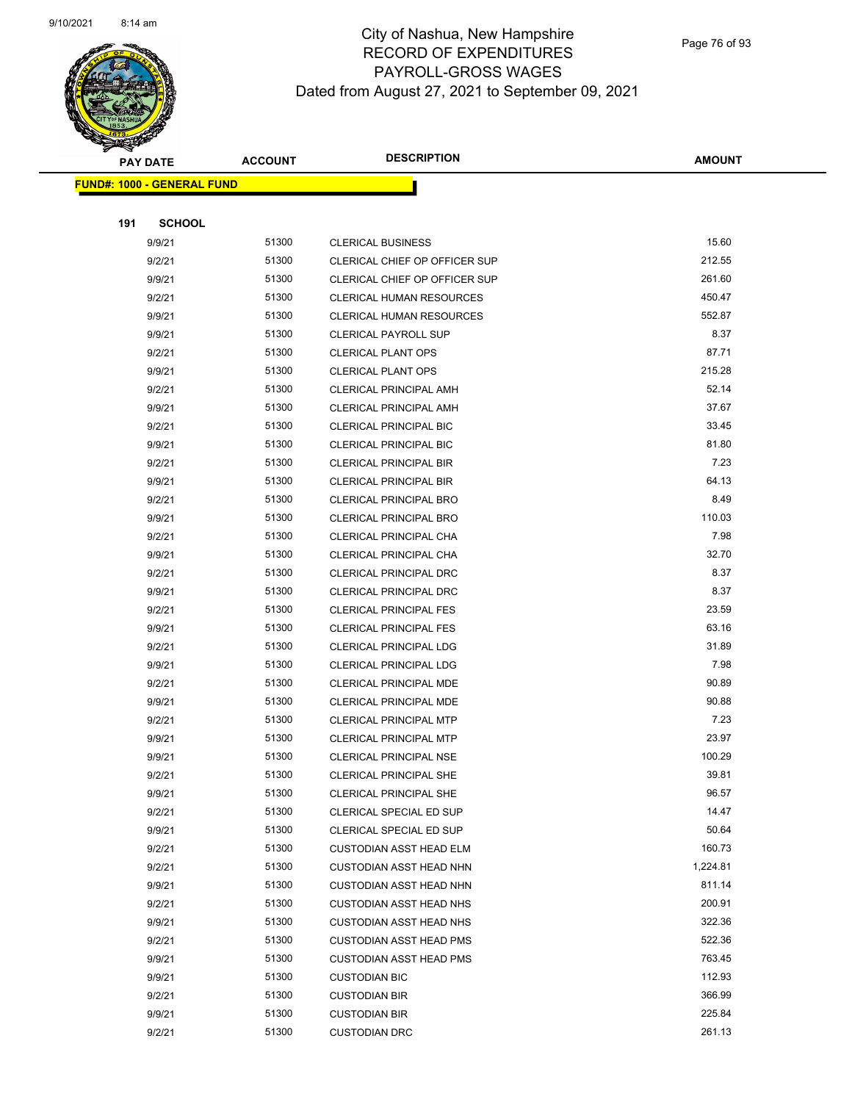

Page 76 of 93

|     | <b>PAY DATE</b>                    | <b>ACCOUNT</b> | <b>DESCRIPTION</b>                                        | <b>AMOUNT</b>  |
|-----|------------------------------------|----------------|-----------------------------------------------------------|----------------|
|     | <u> FUND#: 1000 - GENERAL FUND</u> |                |                                                           |                |
|     |                                    |                |                                                           |                |
| 191 | <b>SCHOOL</b>                      |                |                                                           |                |
|     | 9/9/21                             | 51300          | <b>CLERICAL BUSINESS</b>                                  | 15.60          |
|     | 9/2/21                             | 51300          | CLERICAL CHIEF OP OFFICER SUP                             | 212.55         |
|     | 9/9/21                             | 51300          | CLERICAL CHIEF OP OFFICER SUP                             | 261.60         |
|     | 9/2/21                             | 51300          | <b>CLERICAL HUMAN RESOURCES</b>                           | 450.47         |
|     | 9/9/21                             | 51300          | <b>CLERICAL HUMAN RESOURCES</b>                           | 552.87         |
|     | 9/9/21                             | 51300          | <b>CLERICAL PAYROLL SUP</b>                               | 8.37           |
|     | 9/2/21                             | 51300          | <b>CLERICAL PLANT OPS</b>                                 | 87.71          |
|     | 9/9/21                             | 51300          | <b>CLERICAL PLANT OPS</b>                                 | 215.28         |
|     | 9/2/21                             | 51300          | <b>CLERICAL PRINCIPAL AMH</b>                             | 52.14          |
|     | 9/9/21                             | 51300          | <b>CLERICAL PRINCIPAL AMH</b>                             | 37.67          |
|     | 9/2/21                             | 51300          | <b>CLERICAL PRINCIPAL BIC</b>                             | 33.45          |
|     | 9/9/21                             | 51300          | <b>CLERICAL PRINCIPAL BIC</b>                             | 81.80          |
|     | 9/2/21                             | 51300          | <b>CLERICAL PRINCIPAL BIR</b>                             | 7.23           |
|     | 9/9/21                             | 51300          | <b>CLERICAL PRINCIPAL BIR</b>                             | 64.13          |
|     | 9/2/21                             | 51300          | <b>CLERICAL PRINCIPAL BRO</b>                             | 8.49           |
|     | 9/9/21                             | 51300          | <b>CLERICAL PRINCIPAL BRO</b>                             | 110.03         |
|     | 9/2/21                             | 51300          | CLERICAL PRINCIPAL CHA                                    | 7.98           |
|     | 9/9/21                             | 51300          | CLERICAL PRINCIPAL CHA                                    | 32.70          |
|     | 9/2/21                             | 51300          | <b>CLERICAL PRINCIPAL DRC</b>                             | 8.37           |
|     | 9/9/21                             | 51300          | <b>CLERICAL PRINCIPAL DRC</b>                             | 8.37           |
|     | 9/2/21                             | 51300          | <b>CLERICAL PRINCIPAL FES</b>                             | 23.59          |
|     | 9/9/21                             | 51300          | <b>CLERICAL PRINCIPAL FES</b>                             | 63.16          |
|     | 9/2/21                             | 51300          | <b>CLERICAL PRINCIPAL LDG</b>                             | 31.89          |
|     | 9/9/21                             | 51300          | <b>CLERICAL PRINCIPAL LDG</b>                             | 7.98           |
|     | 9/2/21                             | 51300          | <b>CLERICAL PRINCIPAL MDE</b>                             | 90.89          |
|     | 9/9/21                             | 51300          | CLERICAL PRINCIPAL MDE                                    | 90.88          |
|     | 9/2/21                             | 51300          | <b>CLERICAL PRINCIPAL MTP</b>                             | 7.23           |
|     | 9/9/21                             | 51300          | <b>CLERICAL PRINCIPAL MTP</b>                             | 23.97          |
|     | 9/9/21                             | 51300          | CLERICAL PRINCIPAL NSE                                    | 100.29         |
|     | 9/2/21                             | 51300          | CLERICAL PRINCIPAL SHE                                    | 39.81          |
|     | 9/9/21                             | 51300<br>51300 | CLERICAL PRINCIPAL SHE                                    | 96.57<br>14.47 |
|     | 9/2/21                             | 51300          | CLERICAL SPECIAL ED SUP                                   | 50.64          |
|     | 9/9/21<br>9/2/21                   | 51300          | CLERICAL SPECIAL ED SUP<br><b>CUSTODIAN ASST HEAD ELM</b> | 160.73         |
|     | 9/2/21                             | 51300          | CUSTODIAN ASST HEAD NHN                                   | 1,224.81       |
|     | 9/9/21                             | 51300          | <b>CUSTODIAN ASST HEAD NHN</b>                            | 811.14         |
|     | 9/2/21                             | 51300          | <b>CUSTODIAN ASST HEAD NHS</b>                            | 200.91         |
|     | 9/9/21                             | 51300          | <b>CUSTODIAN ASST HEAD NHS</b>                            | 322.36         |
|     | 9/2/21                             | 51300          | <b>CUSTODIAN ASST HEAD PMS</b>                            | 522.36         |
|     | 9/9/21                             | 51300          | <b>CUSTODIAN ASST HEAD PMS</b>                            | 763.45         |
|     | 9/9/21                             | 51300          | <b>CUSTODIAN BIC</b>                                      | 112.93         |
|     | 9/2/21                             | 51300          | <b>CUSTODIAN BIR</b>                                      | 366.99         |
|     | 9/9/21                             | 51300          | <b>CUSTODIAN BIR</b>                                      | 225.84         |
|     | 9/2/21                             | 51300          | <b>CUSTODIAN DRC</b>                                      | 261.13         |
|     |                                    |                |                                                           |                |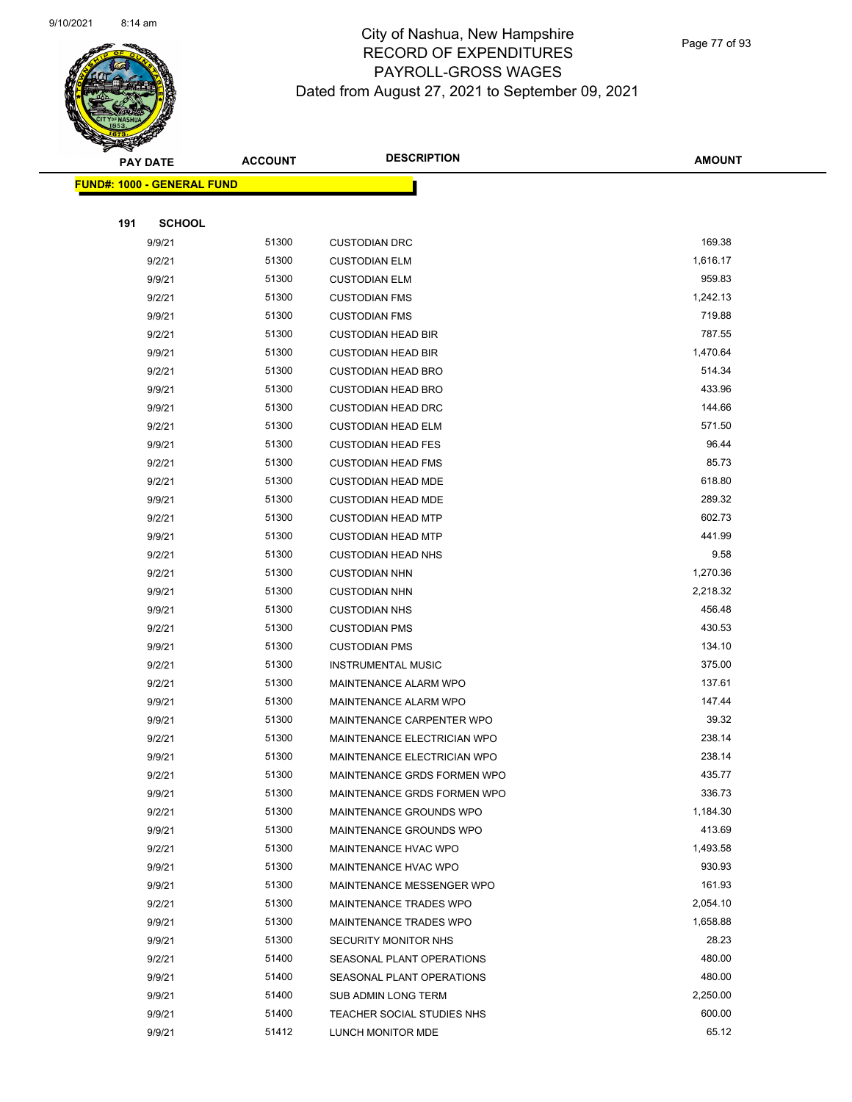

Page 77 of 93

| <b>PAY DATE</b>                   | <b>ACCOUNT</b> | <b>DESCRIPTION</b>          | <b>AMOUNT</b> |
|-----------------------------------|----------------|-----------------------------|---------------|
| <b>FUND#: 1000 - GENERAL FUND</b> |                |                             |               |
|                                   |                |                             |               |
| 191<br><b>SCHOOL</b>              |                |                             |               |
| 9/9/21                            | 51300          | <b>CUSTODIAN DRC</b>        | 169.38        |
| 9/2/21                            | 51300          | <b>CUSTODIAN ELM</b>        | 1,616.17      |
| 9/9/21                            | 51300          | <b>CUSTODIAN ELM</b>        | 959.83        |
| 9/2/21                            | 51300          | <b>CUSTODIAN FMS</b>        | 1,242.13      |
| 9/9/21                            | 51300          | <b>CUSTODIAN FMS</b>        | 719.88        |
| 9/2/21                            | 51300          | <b>CUSTODIAN HEAD BIR</b>   | 787.55        |
| 9/9/21                            | 51300          | <b>CUSTODIAN HEAD BIR</b>   | 1,470.64      |
| 9/2/21                            | 51300          | <b>CUSTODIAN HEAD BRO</b>   | 514.34        |
| 9/9/21                            | 51300          | <b>CUSTODIAN HEAD BRO</b>   | 433.96        |
| 9/9/21                            | 51300          | <b>CUSTODIAN HEAD DRC</b>   | 144.66        |
| 9/2/21                            | 51300          | <b>CUSTODIAN HEAD ELM</b>   | 571.50        |
| 9/9/21                            | 51300          | <b>CUSTODIAN HEAD FES</b>   | 96.44         |
| 9/2/21                            | 51300          | <b>CUSTODIAN HEAD FMS</b>   | 85.73         |
| 9/2/21                            | 51300          | <b>CUSTODIAN HEAD MDE</b>   | 618.80        |
| 9/9/21                            | 51300          | <b>CUSTODIAN HEAD MDE</b>   | 289.32        |
| 9/2/21                            | 51300          | <b>CUSTODIAN HEAD MTP</b>   | 602.73        |
| 9/9/21                            | 51300          | <b>CUSTODIAN HEAD MTP</b>   | 441.99        |
| 9/2/21                            | 51300          | <b>CUSTODIAN HEAD NHS</b>   | 9.58          |
| 9/2/21                            | 51300          | <b>CUSTODIAN NHN</b>        | 1,270.36      |
| 9/9/21                            | 51300          | <b>CUSTODIAN NHN</b>        | 2,218.32      |
| 9/9/21                            | 51300          | <b>CUSTODIAN NHS</b>        | 456.48        |
| 9/2/21                            | 51300          | <b>CUSTODIAN PMS</b>        | 430.53        |
| 9/9/21                            | 51300          | <b>CUSTODIAN PMS</b>        | 134.10        |
| 9/2/21                            | 51300          | <b>INSTRUMENTAL MUSIC</b>   | 375.00        |
| 9/2/21                            | 51300          | MAINTENANCE ALARM WPO       | 137.61        |
| 9/9/21                            | 51300          | MAINTENANCE ALARM WPO       | 147.44        |
| 9/9/21                            | 51300          | MAINTENANCE CARPENTER WPO   | 39.32         |
| 9/2/21                            | 51300          | MAINTENANCE ELECTRICIAN WPO | 238.14        |
| 9/9/21                            | 51300          | MAINTENANCE ELECTRICIAN WPO | 238.14        |
| 9/2/21                            | 51300          | MAINTENANCE GRDS FORMEN WPO | 435.77        |
| 9/9/21                            | 51300          | MAINTENANCE GRDS FORMEN WPO | 336.73        |
| 9/2/21                            | 51300          | MAINTENANCE GROUNDS WPO     | 1,184.30      |
| 9/9/21                            | 51300          | MAINTENANCE GROUNDS WPO     | 413.69        |
| 9/2/21                            | 51300          | MAINTENANCE HVAC WPO        | 1,493.58      |
| 9/9/21                            | 51300          | MAINTENANCE HVAC WPO        | 930.93        |
| 9/9/21                            | 51300          | MAINTENANCE MESSENGER WPO   | 161.93        |
| 9/2/21                            | 51300          | MAINTENANCE TRADES WPO      | 2,054.10      |
| 9/9/21                            | 51300          | MAINTENANCE TRADES WPO      | 1,658.88      |
| 9/9/21                            | 51300          | SECURITY MONITOR NHS        | 28.23         |
| 9/2/21                            | 51400          | SEASONAL PLANT OPERATIONS   | 480.00        |
| 9/9/21                            | 51400          | SEASONAL PLANT OPERATIONS   | 480.00        |
| 9/9/21                            | 51400          | SUB ADMIN LONG TERM         | 2,250.00      |
| 9/9/21                            | 51400          | TEACHER SOCIAL STUDIES NHS  | 600.00        |
| 9/9/21                            | 51412          | LUNCH MONITOR MDE           | 65.12         |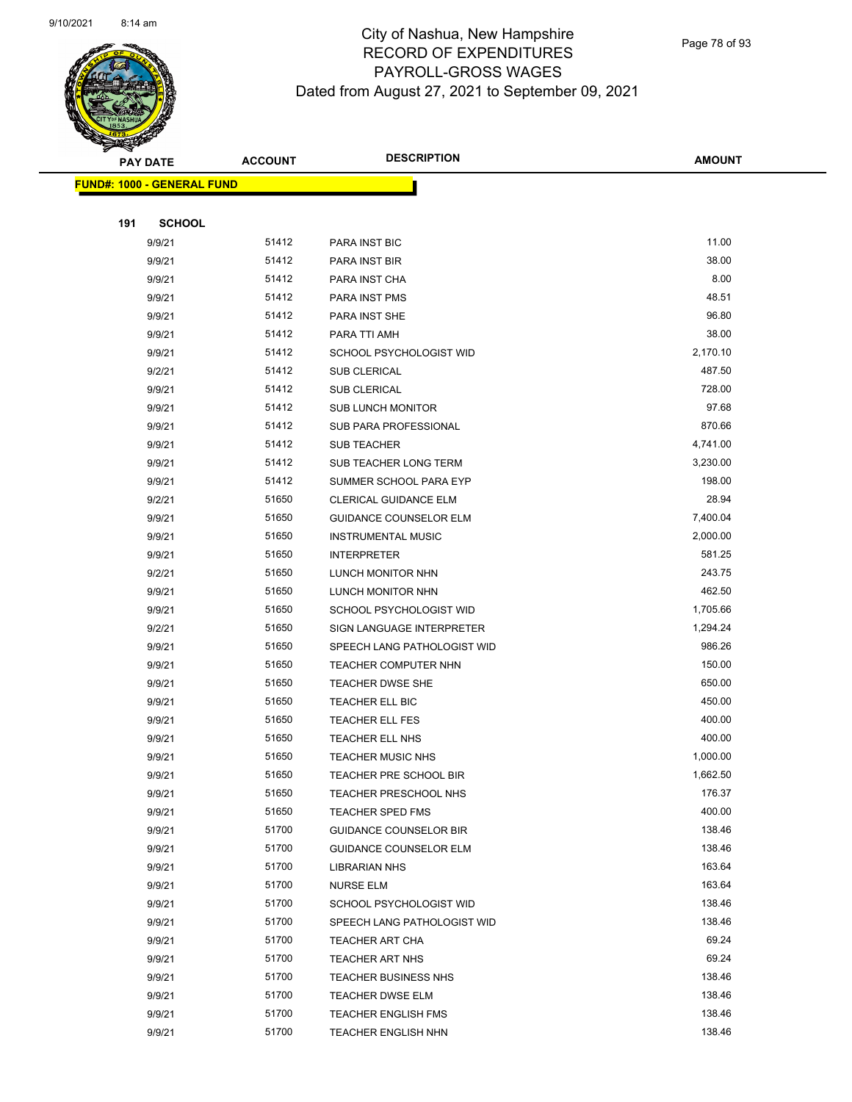

Page 78 of 93

| <b>PAY DATE</b>                   |               | <b>ACCOUNT</b> | <b>DESCRIPTION</b>             | <b>AMOUNT</b> |
|-----------------------------------|---------------|----------------|--------------------------------|---------------|
| <b>FUND#: 1000 - GENERAL FUND</b> |               |                |                                |               |
|                                   |               |                |                                |               |
| 191                               | <b>SCHOOL</b> |                |                                |               |
| 9/9/21                            |               | 51412          | PARA INST BIC                  | 11.00         |
| 9/9/21                            |               | 51412          | PARA INST BIR                  | 38.00         |
| 9/9/21                            |               | 51412          | PARA INST CHA                  | 8.00          |
| 9/9/21                            |               | 51412          | PARA INST PMS                  | 48.51         |
| 9/9/21                            |               | 51412          | PARA INST SHE                  | 96.80         |
| 9/9/21                            |               | 51412          | PARA TTI AMH                   | 38.00         |
| 9/9/21                            |               | 51412          | <b>SCHOOL PSYCHOLOGIST WID</b> | 2,170.10      |
| 9/2/21                            |               | 51412          | <b>SUB CLERICAL</b>            | 487.50        |
| 9/9/21                            |               | 51412          | <b>SUB CLERICAL</b>            | 728.00        |
| 9/9/21                            |               | 51412          | <b>SUB LUNCH MONITOR</b>       | 97.68         |
| 9/9/21                            |               | 51412          | SUB PARA PROFESSIONAL          | 870.66        |
| 9/9/21                            |               | 51412          | <b>SUB TEACHER</b>             | 4,741.00      |
| 9/9/21                            |               | 51412          | SUB TEACHER LONG TERM          | 3,230.00      |
| 9/9/21                            |               | 51412          | SUMMER SCHOOL PARA EYP         | 198.00        |
| 9/2/21                            |               | 51650          | <b>CLERICAL GUIDANCE ELM</b>   | 28.94         |
| 9/9/21                            |               | 51650          | <b>GUIDANCE COUNSELOR ELM</b>  | 7,400.04      |
| 9/9/21                            |               | 51650          | <b>INSTRUMENTAL MUSIC</b>      | 2,000.00      |
| 9/9/21                            |               | 51650          | <b>INTERPRETER</b>             | 581.25        |
| 9/2/21                            |               | 51650          | LUNCH MONITOR NHN              | 243.75        |
| 9/9/21                            |               | 51650          | LUNCH MONITOR NHN              | 462.50        |
| 9/9/21                            |               | 51650          | SCHOOL PSYCHOLOGIST WID        | 1,705.66      |
| 9/2/21                            |               | 51650          | SIGN LANGUAGE INTERPRETER      | 1,294.24      |
| 9/9/21                            |               | 51650          | SPEECH LANG PATHOLOGIST WID    | 986.26        |
| 9/9/21                            |               | 51650          | TEACHER COMPUTER NHN           | 150.00        |
| 9/9/21                            |               | 51650          | <b>TEACHER DWSE SHE</b>        | 650.00        |
| 9/9/21                            |               | 51650          | TEACHER ELL BIC                | 450.00        |
| 9/9/21                            |               | 51650          | <b>TEACHER ELL FES</b>         | 400.00        |
| 9/9/21                            |               | 51650          | <b>TEACHER ELL NHS</b>         | 400.00        |
| 9/9/21                            |               | 51650          | <b>TEACHER MUSIC NHS</b>       | 1,000.00      |
| 9/9/21                            |               | 51650          | <b>TEACHER PRE SCHOOL BIR</b>  | 1,662.50      |
| 9/9/21                            |               | 51650          | <b>TEACHER PRESCHOOL NHS</b>   | 176.37        |
| 9/9/21                            |               | 51650          | <b>TEACHER SPED FMS</b>        | 400.00        |
| 9/9/21                            |               | 51700          | <b>GUIDANCE COUNSELOR BIR</b>  | 138.46        |
| 9/9/21                            |               | 51700          | <b>GUIDANCE COUNSELOR ELM</b>  | 138.46        |
| 9/9/21                            |               | 51700          | <b>LIBRARIAN NHS</b>           | 163.64        |
| 9/9/21                            |               | 51700          | <b>NURSE ELM</b>               | 163.64        |
| 9/9/21                            |               | 51700          | SCHOOL PSYCHOLOGIST WID        | 138.46        |
| 9/9/21                            |               | 51700          | SPEECH LANG PATHOLOGIST WID    | 138.46        |
| 9/9/21                            |               | 51700          | TEACHER ART CHA                | 69.24         |
| 9/9/21                            |               | 51700          | <b>TEACHER ART NHS</b>         | 69.24         |
| 9/9/21                            |               | 51700          | <b>TEACHER BUSINESS NHS</b>    | 138.46        |
| 9/9/21                            |               | 51700          | <b>TEACHER DWSE ELM</b>        | 138.46        |
| 9/9/21                            |               | 51700          | <b>TEACHER ENGLISH FMS</b>     | 138.46        |
| 9/9/21                            |               | 51700          | <b>TEACHER ENGLISH NHN</b>     | 138.46        |
|                                   |               |                |                                |               |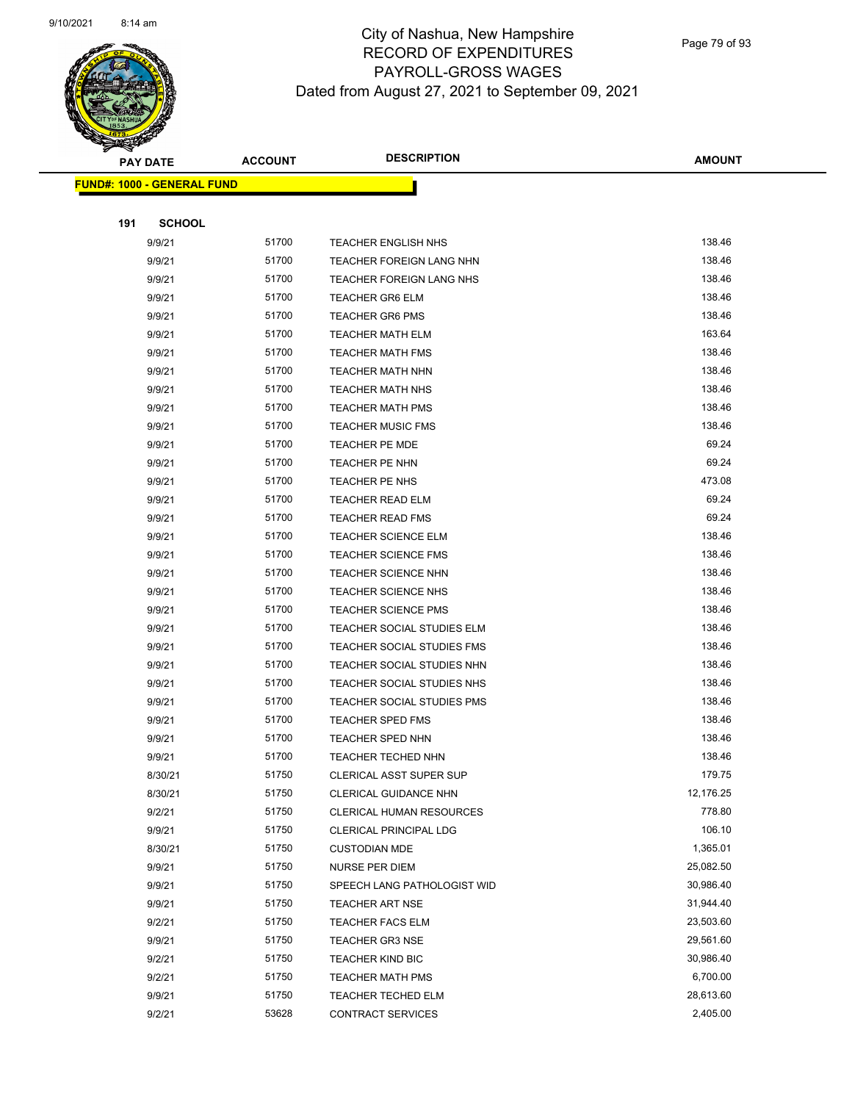

Page 79 of 93

|     | <b>PAY DATE</b>            | <b>ACCOUNT</b> | <b>DESCRIPTION</b>                | AMOUNT    |
|-----|----------------------------|----------------|-----------------------------------|-----------|
|     | FUND#: 1000 - GENERAL FUND |                |                                   |           |
|     |                            |                |                                   |           |
| 191 | <b>SCHOOL</b>              |                |                                   |           |
|     | 9/9/21                     | 51700          | <b>TEACHER ENGLISH NHS</b>        | 138.46    |
|     | 9/9/21                     | 51700          | TEACHER FOREIGN LANG NHN          | 138.46    |
|     | 9/9/21                     | 51700          | <b>TEACHER FOREIGN LANG NHS</b>   | 138.46    |
|     | 9/9/21                     | 51700          | <b>TEACHER GR6 ELM</b>            | 138.46    |
|     | 9/9/21                     | 51700          | <b>TEACHER GR6 PMS</b>            | 138.46    |
|     | 9/9/21                     | 51700          | <b>TEACHER MATH ELM</b>           | 163.64    |
|     | 9/9/21                     | 51700          | <b>TEACHER MATH FMS</b>           | 138.46    |
|     | 9/9/21                     | 51700          | <b>TEACHER MATH NHN</b>           | 138.46    |
|     | 9/9/21                     | 51700          | <b>TEACHER MATH NHS</b>           | 138.46    |
|     | 9/9/21                     | 51700          | <b>TEACHER MATH PMS</b>           | 138.46    |
|     | 9/9/21                     | 51700          | <b>TEACHER MUSIC FMS</b>          | 138.46    |
|     | 9/9/21                     | 51700          | <b>TEACHER PE MDE</b>             | 69.24     |
|     | 9/9/21                     | 51700          | <b>TEACHER PE NHN</b>             | 69.24     |
|     | 9/9/21                     | 51700          | TEACHER PE NHS                    | 473.08    |
|     | 9/9/21                     | 51700          | <b>TEACHER READ ELM</b>           | 69.24     |
|     | 9/9/21                     | 51700          | <b>TEACHER READ FMS</b>           | 69.24     |
|     | 9/9/21                     | 51700          | <b>TEACHER SCIENCE ELM</b>        | 138.46    |
|     | 9/9/21                     | 51700          | <b>TEACHER SCIENCE FMS</b>        | 138.46    |
|     | 9/9/21                     | 51700          | <b>TEACHER SCIENCE NHN</b>        | 138.46    |
|     | 9/9/21                     | 51700          | <b>TEACHER SCIENCE NHS</b>        | 138.46    |
|     | 9/9/21                     | 51700          | <b>TEACHER SCIENCE PMS</b>        | 138.46    |
|     | 9/9/21                     | 51700          | TEACHER SOCIAL STUDIES ELM        | 138.46    |
|     | 9/9/21                     | 51700          | TEACHER SOCIAL STUDIES FMS        | 138.46    |
|     | 9/9/21                     | 51700          | TEACHER SOCIAL STUDIES NHN        | 138.46    |
|     | 9/9/21                     | 51700          | TEACHER SOCIAL STUDIES NHS        | 138.46    |
|     | 9/9/21                     | 51700          | <b>TEACHER SOCIAL STUDIES PMS</b> | 138.46    |
|     | 9/9/21                     | 51700          | <b>TEACHER SPED FMS</b>           | 138.46    |
|     | 9/9/21                     | 51700          | <b>TEACHER SPED NHN</b>           | 138.46    |
|     | 9/9/21                     | 51700          | <b>TEACHER TECHED NHN</b>         | 138.46    |
|     | 8/30/21                    | 51750          | CLERICAL ASST SUPER SUP           | 179.75    |
|     | 8/30/21                    | 51750          | CLERICAL GUIDANCE NHN             | 12,176.25 |
|     | 9/2/21                     | 51750          | <b>CLERICAL HUMAN RESOURCES</b>   | 778.80    |
|     | 9/9/21                     | 51750          | CLERICAL PRINCIPAL LDG            | 106.10    |
|     | 8/30/21                    | 51750          | <b>CUSTODIAN MDE</b>              | 1,365.01  |
|     | 9/9/21                     | 51750          | NURSE PER DIEM                    | 25,082.50 |
|     | 9/9/21                     | 51750          | SPEECH LANG PATHOLOGIST WID       | 30,986.40 |
|     | 9/9/21                     | 51750          | <b>TEACHER ART NSE</b>            | 31,944.40 |
|     | 9/2/21                     | 51750          | <b>TEACHER FACS ELM</b>           | 23,503.60 |
|     | 9/9/21                     | 51750          | <b>TEACHER GR3 NSE</b>            | 29,561.60 |
|     | 9/2/21                     | 51750          | TEACHER KIND BIC                  | 30,986.40 |
|     | 9/2/21                     | 51750          | <b>TEACHER MATH PMS</b>           | 6,700.00  |
|     | 9/9/21                     | 51750          | <b>TEACHER TECHED ELM</b>         | 28,613.60 |
|     | 9/2/21                     | 53628          | CONTRACT SERVICES                 | 2,405.00  |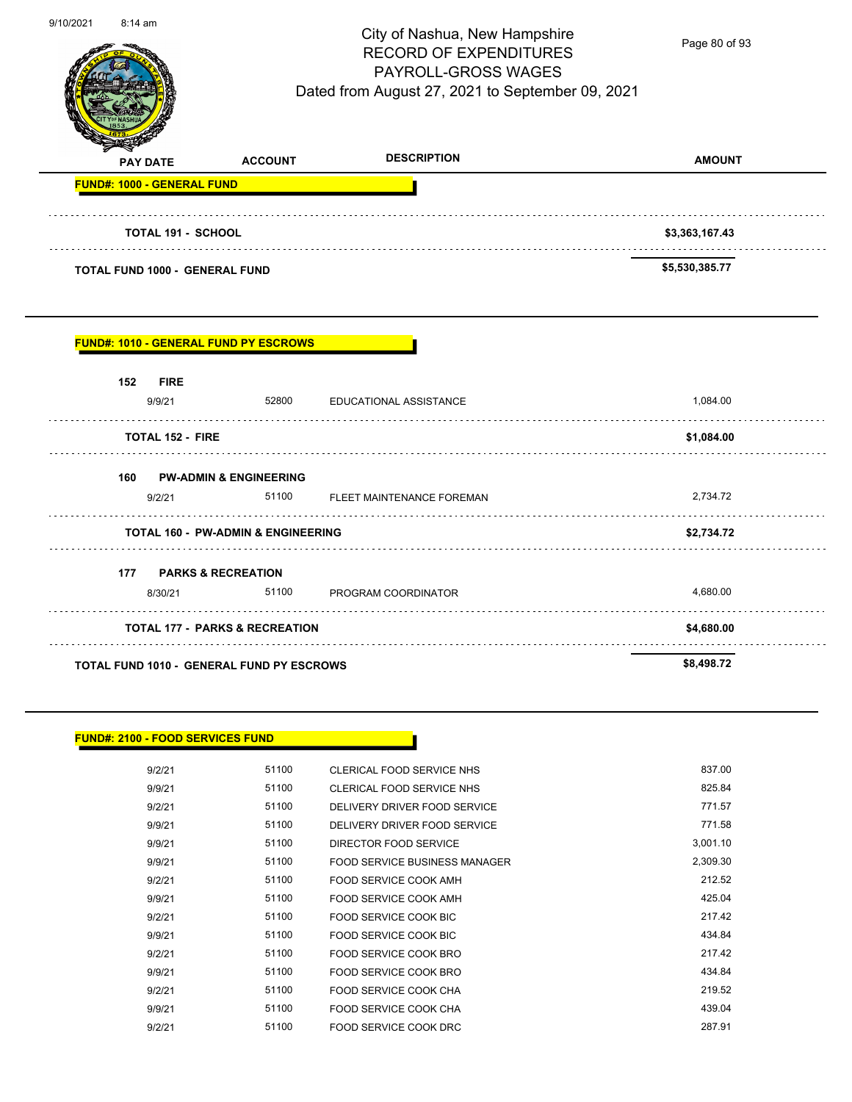| 9/10/2021<br>$8:14$ am            |                                               | City of Nashua, New Hampshire<br><b>RECORD OF EXPENDITURES</b><br>PAYROLL-GROSS WAGES<br>Dated from August 27, 2021 to September 09, 2021 | Page 80 of 93  |
|-----------------------------------|-----------------------------------------------|-------------------------------------------------------------------------------------------------------------------------------------------|----------------|
| <b>PAY DATE</b>                   | <b>ACCOUNT</b>                                | <b>DESCRIPTION</b>                                                                                                                        | <b>AMOUNT</b>  |
| <b>FUND#: 1000 - GENERAL FUND</b> |                                               |                                                                                                                                           |                |
| <b>TOTAL 191 - SCHOOL</b>         |                                               |                                                                                                                                           | \$3,363,167.43 |
| TOTAL FUND 1000 - GENERAL FUND    |                                               |                                                                                                                                           | \$5,530,385.77 |
| 152 FIRE<br>9/9/21                | 52800                                         | EDUCATIONAL ASSISTANCE                                                                                                                    | 1,084.00       |
| <b>TOTAL 152 - FIRE</b>           |                                               |                                                                                                                                           | \$1,084.00     |
|                                   | 160 PW-ADMIN & ENGINEERING                    |                                                                                                                                           |                |
| 9/2/21                            |                                               | 51100 FLEET MAINTENANCE FOREMAN                                                                                                           | 2.734.72       |
|                                   | <b>TOTAL 160 - PW-ADMIN &amp; ENGINEERING</b> |                                                                                                                                           | \$2,734.72     |
|                                   | 177 PARKS & RECREATION                        |                                                                                                                                           |                |
| 8/30/21                           |                                               | 51100 PROGRAM COORDINATOR                                                                                                                 | 4,680.00       |
|                                   | <b>TOTAL 177 - PARKS &amp; RECREATION</b>     |                                                                                                                                           | \$4,680.00     |
|                                   |                                               |                                                                                                                                           |                |

| <b>FUND#: 2100 - FOOD SERVICES FUND</b> |       |                                      |          |
|-----------------------------------------|-------|--------------------------------------|----------|
| 9/2/21                                  | 51100 | CLERICAL FOOD SERVICE NHS            | 837.00   |
| 9/9/21                                  | 51100 | <b>CLERICAL FOOD SERVICE NHS</b>     | 825.84   |
| 9/2/21                                  | 51100 | DELIVERY DRIVER FOOD SERVICE         | 771.57   |
| 9/9/21                                  | 51100 | DELIVERY DRIVER FOOD SERVICE         | 771.58   |
| 9/9/21                                  | 51100 | DIRECTOR FOOD SERVICE                | 3,001.10 |
| 9/9/21                                  | 51100 | <b>FOOD SERVICE BUSINESS MANAGER</b> | 2,309.30 |
| 9/2/21                                  | 51100 | <b>FOOD SERVICE COOK AMH</b>         | 212.52   |
| 9/9/21                                  | 51100 | FOOD SERVICE COOK AMH                | 425.04   |
| 9/2/21                                  | 51100 | FOOD SERVICE COOK BIC                | 217.42   |
| 9/9/21                                  | 51100 | FOOD SERVICE COOK BIC                | 434.84   |
| 9/2/21                                  | 51100 | FOOD SERVICE COOK BRO                | 217.42   |
| 9/9/21                                  | 51100 | FOOD SERVICE COOK BRO                | 434.84   |
| 9/2/21                                  | 51100 | <b>FOOD SERVICE COOK CHA</b>         | 219.52   |
| 9/9/21                                  | 51100 | <b>FOOD SERVICE COOK CHA</b>         | 439.04   |
| 9/2/21                                  | 51100 | <b>FOOD SERVICE COOK DRC</b>         | 287.91   |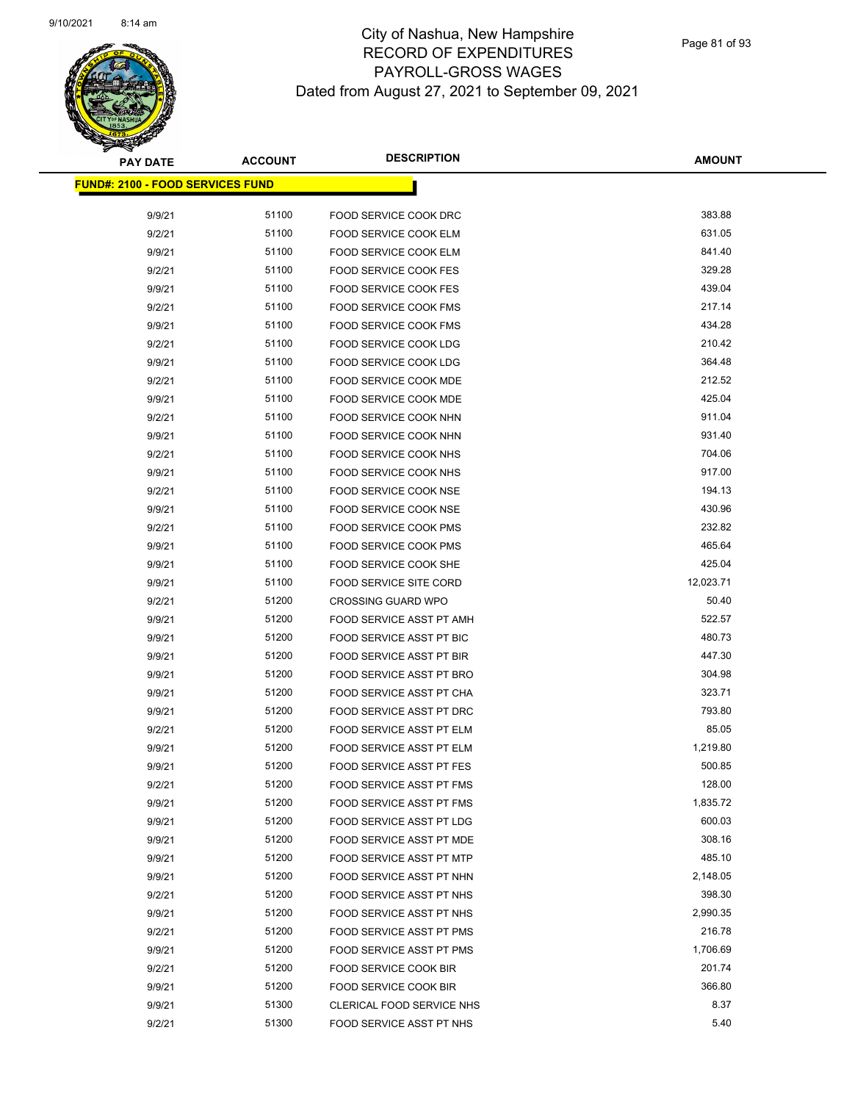

| <b>PAY DATE</b>                          | <b>ACCOUNT</b> | <b>DESCRIPTION</b>              | <b>AMOUNT</b> |
|------------------------------------------|----------------|---------------------------------|---------------|
| <u> FUND#: 2100 - FOOD SERVICES FUND</u> |                |                                 |               |
|                                          |                |                                 |               |
| 9/9/21                                   | 51100          | FOOD SERVICE COOK DRC           | 383.88        |
| 9/2/21                                   | 51100          | FOOD SERVICE COOK ELM           | 631.05        |
| 9/9/21                                   | 51100          | FOOD SERVICE COOK ELM           | 841.40        |
| 9/2/21                                   | 51100          | <b>FOOD SERVICE COOK FES</b>    | 329.28        |
| 9/9/21                                   | 51100          | <b>FOOD SERVICE COOK FES</b>    | 439.04        |
| 9/2/21                                   | 51100          | FOOD SERVICE COOK FMS           | 217.14        |
| 9/9/21                                   | 51100          | FOOD SERVICE COOK FMS           | 434.28        |
| 9/2/21                                   | 51100          | <b>FOOD SERVICE COOK LDG</b>    | 210.42        |
| 9/9/21                                   | 51100          | <b>FOOD SERVICE COOK LDG</b>    | 364.48        |
| 9/2/21                                   | 51100          | FOOD SERVICE COOK MDE           | 212.52        |
| 9/9/21                                   | 51100          | FOOD SERVICE COOK MDE           | 425.04        |
| 9/2/21                                   | 51100          | FOOD SERVICE COOK NHN           | 911.04        |
| 9/9/21                                   | 51100          | FOOD SERVICE COOK NHN           | 931.40        |
| 9/2/21                                   | 51100          | FOOD SERVICE COOK NHS           | 704.06        |
| 9/9/21                                   | 51100          | FOOD SERVICE COOK NHS           | 917.00        |
| 9/2/21                                   | 51100          | FOOD SERVICE COOK NSE           | 194.13        |
| 9/9/21                                   | 51100          | FOOD SERVICE COOK NSE           | 430.96        |
| 9/2/21                                   | 51100          | FOOD SERVICE COOK PMS           | 232.82        |
| 9/9/21                                   | 51100          | FOOD SERVICE COOK PMS           | 465.64        |
| 9/9/21                                   | 51100          | FOOD SERVICE COOK SHE           | 425.04        |
| 9/9/21                                   | 51100          | FOOD SERVICE SITE CORD          | 12,023.71     |
| 9/2/21                                   | 51200          | <b>CROSSING GUARD WPO</b>       | 50.40         |
| 9/9/21                                   | 51200          | FOOD SERVICE ASST PT AMH        | 522.57        |
| 9/9/21                                   | 51200          | FOOD SERVICE ASST PT BIC        | 480.73        |
| 9/9/21                                   | 51200          | FOOD SERVICE ASST PT BIR        | 447.30        |
| 9/9/21                                   | 51200          | FOOD SERVICE ASST PT BRO        | 304.98        |
| 9/9/21                                   | 51200          | <b>FOOD SERVICE ASST PT CHA</b> | 323.71        |
| 9/9/21                                   | 51200          | <b>FOOD SERVICE ASST PT DRC</b> | 793.80        |
| 9/2/21                                   | 51200          | FOOD SERVICE ASST PT ELM        | 85.05         |
| 9/9/21                                   | 51200          | <b>FOOD SERVICE ASST PT ELM</b> | 1,219.80      |
| 9/9/21                                   | 51200          | <b>FOOD SERVICE ASST PT FES</b> | 500.85        |
| 9/2/21                                   | 51200          | FOOD SERVICE ASST PT FMS        | 128.00        |
| 9/9/21                                   | 51200          | <b>FOOD SERVICE ASST PT FMS</b> | 1,835.72      |
| 9/9/21                                   | 51200          | FOOD SERVICE ASST PT LDG        | 600.03        |
| 9/9/21                                   | 51200          | FOOD SERVICE ASST PT MDE        | 308.16        |
| 9/9/21                                   | 51200          | FOOD SERVICE ASST PT MTP        | 485.10        |
| 9/9/21                                   | 51200          | FOOD SERVICE ASST PT NHN        | 2,148.05      |
| 9/2/21                                   | 51200          | FOOD SERVICE ASST PT NHS        | 398.30        |
| 9/9/21                                   | 51200          | FOOD SERVICE ASST PT NHS        | 2,990.35      |
| 9/2/21                                   | 51200          | FOOD SERVICE ASST PT PMS        | 216.78        |
| 9/9/21                                   | 51200          | FOOD SERVICE ASST PT PMS        | 1,706.69      |
| 9/2/21                                   | 51200          | FOOD SERVICE COOK BIR           | 201.74        |
| 9/9/21                                   | 51200          | FOOD SERVICE COOK BIR           | 366.80        |
| 9/9/21                                   | 51300          | CLERICAL FOOD SERVICE NHS       | 8.37          |
| 9/2/21                                   | 51300          | FOOD SERVICE ASST PT NHS        | 5.40          |
|                                          |                |                                 |               |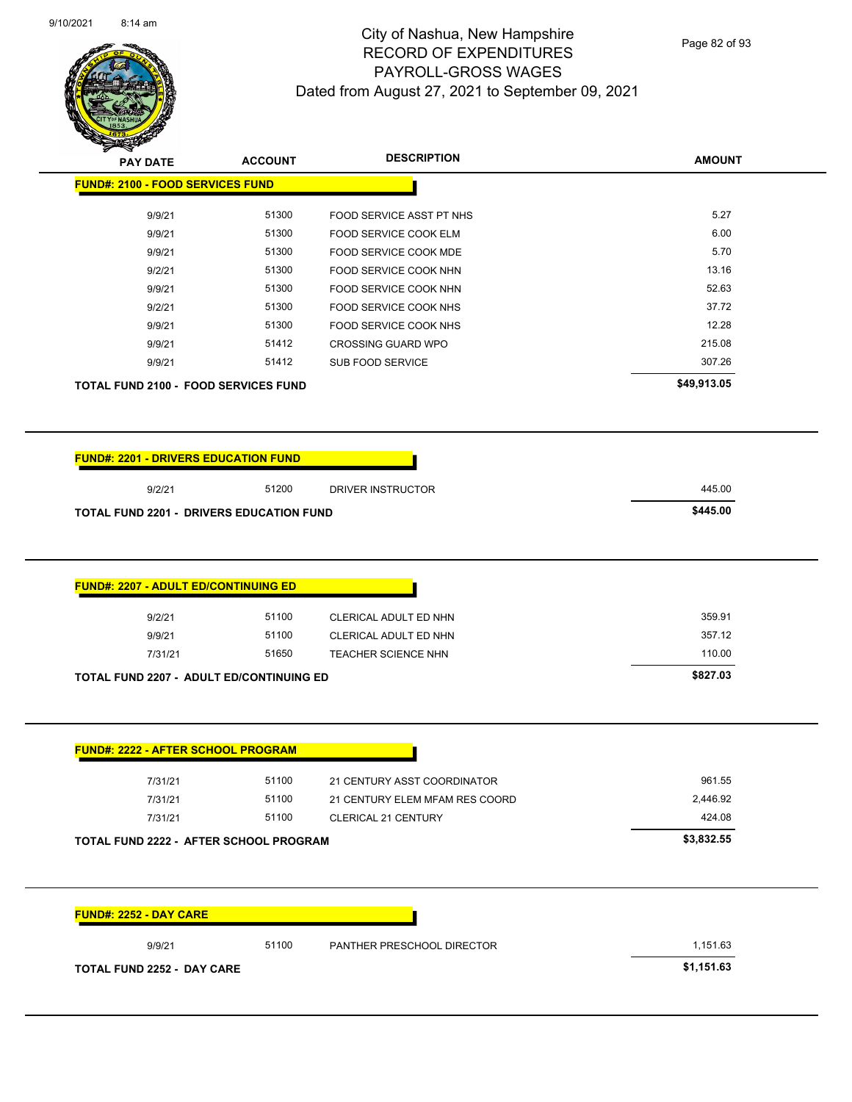# **PAY DATE ACCOUNT DESCRIPTION**

# City of Nashua, New Hampshire RECORD OF EXPENDITURES PAYROLL-GROSS WAGES Dated from August 27, 2021 to September 09, 2021

Page 82 of 93

**AMOUNT**

| 9/9/21                                                                                                                                                                                                                           | 51300 | FOOD SERVICE ASST PT NHS       | 5.27        |
|----------------------------------------------------------------------------------------------------------------------------------------------------------------------------------------------------------------------------------|-------|--------------------------------|-------------|
| 9/9/21                                                                                                                                                                                                                           | 51300 | FOOD SERVICE COOK ELM          | 6.00        |
| 9/9/21                                                                                                                                                                                                                           | 51300 | FOOD SERVICE COOK MDE          | 5.70        |
| 9/2/21                                                                                                                                                                                                                           | 51300 | FOOD SERVICE COOK NHN          | 13.16       |
| 9/9/21                                                                                                                                                                                                                           | 51300 | FOOD SERVICE COOK NHN          | 52.63       |
| 9/2/21                                                                                                                                                                                                                           | 51300 | FOOD SERVICE COOK NHS          | 37.72       |
| 9/9/21                                                                                                                                                                                                                           | 51300 | FOOD SERVICE COOK NHS          | 12.28       |
| 9/9/21                                                                                                                                                                                                                           | 51412 | <b>CROSSING GUARD WPO</b>      | 215.08      |
| 9/9/21                                                                                                                                                                                                                           | 51412 | SUB FOOD SERVICE               | 307.26      |
| <b>TOTAL FUND 2100 - FOOD SERVICES FUND</b>                                                                                                                                                                                      |       |                                | \$49,913.05 |
| <b>FUND#: 2201 - DRIVERS EDUCATION FUND</b>                                                                                                                                                                                      |       |                                |             |
| 9/2/21                                                                                                                                                                                                                           | 51200 | DRIVER INSTRUCTOR              | 445.00      |
| <b>TOTAL FUND 2201 - DRIVERS EDUCATION FUND</b>                                                                                                                                                                                  |       |                                | \$445.00    |
|                                                                                                                                                                                                                                  |       |                                |             |
|                                                                                                                                                                                                                                  |       |                                |             |
|                                                                                                                                                                                                                                  |       |                                |             |
| 9/2/21                                                                                                                                                                                                                           | 51100 | CLERICAL ADULT ED NHN          | 359.91      |
| 9/9/21                                                                                                                                                                                                                           | 51100 | CLERICAL ADULT ED NHN          | 357.12      |
| 7/31/21                                                                                                                                                                                                                          | 51650 | TEACHER SCIENCE NHN            | 110.00      |
|                                                                                                                                                                                                                                  |       |                                | \$827.03    |
|                                                                                                                                                                                                                                  |       |                                |             |
| 7/31/21                                                                                                                                                                                                                          | 51100 | 21 CENTURY ASST COORDINATOR    | 961.55      |
| 7/31/21                                                                                                                                                                                                                          | 51100 | 21 CENTURY ELEM MFAM RES COORD | 2,446.92    |
| 7/31/21                                                                                                                                                                                                                          | 51100 | CLERICAL 21 CENTURY            | 424.08      |
|                                                                                                                                                                                                                                  |       |                                | \$3,832.55  |
|                                                                                                                                                                                                                                  |       |                                |             |
| <b>FUND#: 2207 - ADULT ED/CONTINUING ED</b><br><b>TOTAL FUND 2207 - ADULT ED/CONTINUING ED</b><br><b>FUND#: 2222 - AFTER SCHOOL PROGRAM</b><br>TOTAL FUND 2222 - AFTER SCHOOL PROGRAM<br><b>FUND#: 2252 - DAY CARE</b><br>9/9/21 | 51100 | PANTHER PRESCHOOL DIRECTOR     | 1,151.63    |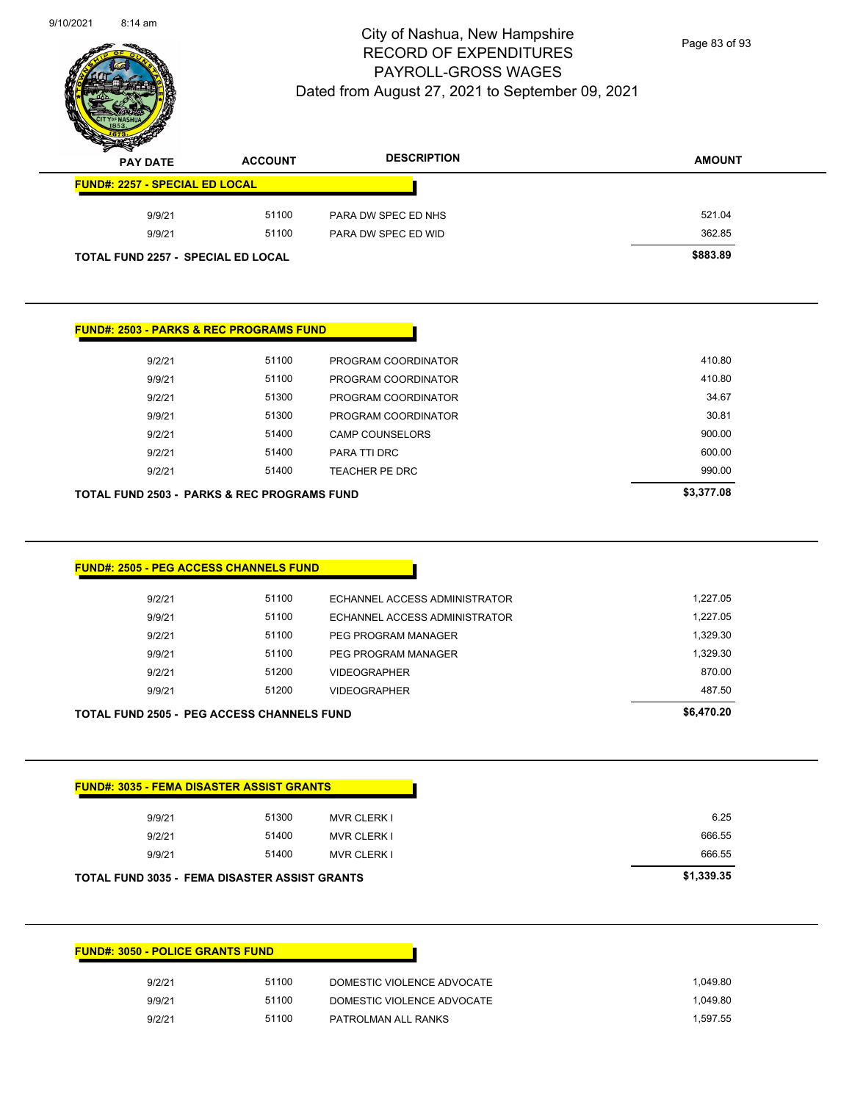

Page 83 of 93

| <b>PAY DATE</b>                                    | <b>ACCOUNT</b> | <b>DESCRIPTION</b>     | <b>AMOUNT</b> |
|----------------------------------------------------|----------------|------------------------|---------------|
| <b>FUND#: 2257 - SPECIAL ED LOCAL</b>              |                |                        |               |
| 9/9/21                                             | 51100          | PARA DW SPEC ED NHS    | 521.04        |
| 9/9/21                                             | 51100          | PARA DW SPEC ED WID    | 362.85        |
| <b>TOTAL FUND 2257 - SPECIAL ED LOCAL</b>          |                |                        | \$883.89      |
|                                                    |                |                        |               |
|                                                    |                |                        |               |
| <b>FUND#: 2503 - PARKS &amp; REC PROGRAMS FUND</b> |                |                        |               |
| 9/2/21                                             | 51100          | PROGRAM COORDINATOR    | 410.80        |
| 9/9/21                                             | 51100          | PROGRAM COORDINATOR    | 410.80        |
| 9/2/21                                             | 51300          | PROGRAM COORDINATOR    | 34.67         |
| 9/9/21                                             | 51300          | PROGRAM COORDINATOR    | 30.81         |
| 9/2/21                                             | 51400          | <b>CAMP COUNSELORS</b> | 900.00        |

| 990.00 |
|--------|
| 600.00 |
|        |

| <b>TOTAL FUND 2505 - PEG ACCESS CHANNELS FUND</b> | \$6,470.20 |                               |          |
|---------------------------------------------------|------------|-------------------------------|----------|
| 9/9/21                                            | 51200      | <b>VIDEOGRAPHER</b>           | 487.50   |
| 9/2/21                                            | 51200      | <b>VIDEOGRAPHER</b>           | 870.00   |
| 9/9/21                                            | 51100      | PEG PROGRAM MANAGER           | 1.329.30 |
| 9/2/21                                            | 51100      | PEG PROGRAM MANAGER           | 1,329.30 |
| 9/9/21                                            | 51100      | ECHANNEL ACCESS ADMINISTRATOR | 1,227.05 |
| 9/2/21                                            | 51100      | ECHANNEL ACCESS ADMINISTRATOR | 1.227.05 |
|                                                   |            |                               |          |

| <b>FUND#: 3035 - FEMA DISASTER ASSIST GRANTS</b>     |       |                    |            |
|------------------------------------------------------|-------|--------------------|------------|
| 9/9/21                                               | 51300 | <b>MVR CLERK I</b> | 6.25       |
| 9/2/21                                               | 51400 | <b>MVR CLERK I</b> | 666.55     |
| 9/9/21                                               | 51400 | <b>MVR CLERK I</b> | 666.55     |
| <b>TOTAL FUND 3035 - FEMA DISASTER ASSIST GRANTS</b> |       |                    | \$1,339.35 |

| <b>FUND#: 3050 - POLICE GRANTS FUND</b> |       |                            |          |
|-----------------------------------------|-------|----------------------------|----------|
| 9/2/21                                  | 51100 | DOMESTIC VIOLENCE ADVOCATE | 1.049.80 |
| 9/9/21                                  | 51100 | DOMESTIC VIOLENCE ADVOCATE | 1.049.80 |
| 9/2/21                                  | 51100 | PATROLMAN ALL RANKS        | 1.597.55 |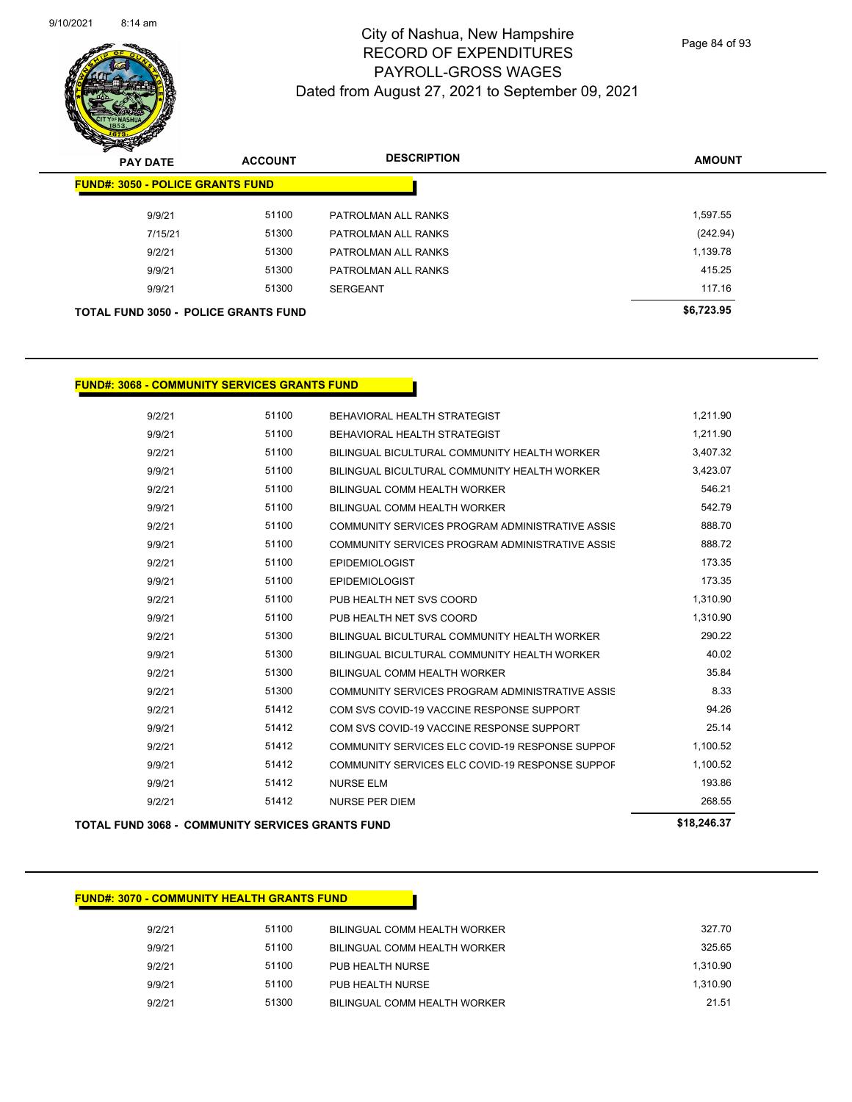

Page 84 of 93

| $\tilde{\phantom{a}}$<br><b>PAY DATE</b>    | <b>ACCOUNT</b> | <b>DESCRIPTION</b>  | <b>AMOUNT</b> |
|---------------------------------------------|----------------|---------------------|---------------|
| <b>FUND#: 3050 - POLICE GRANTS FUND</b>     |                |                     |               |
| 9/9/21                                      | 51100          | PATROLMAN ALL RANKS | 1,597.55      |
| 7/15/21                                     | 51300          | PATROLMAN ALL RANKS | (242.94)      |
| 9/2/21                                      | 51300          | PATROLMAN ALL RANKS | 1,139.78      |
| 9/9/21                                      | 51300          | PATROLMAN ALL RANKS | 415.25        |
| 9/9/21                                      | 51300          | <b>SERGEANT</b>     | 117.16        |
| <b>TOTAL FUND 3050 - POLICE GRANTS FUND</b> |                |                     | \$6,723.95    |

### **FUND#: 3068 - COMMUNITY SERVICES GRANTS FUND**

| 9/2/21 | 51100 | BEHAVIORAL HEALTH STRATEGIST                    | 1,211.90 |
|--------|-------|-------------------------------------------------|----------|
| 9/9/21 | 51100 | BEHAVIORAL HEALTH STRATEGIST                    | 1,211.90 |
| 9/2/21 | 51100 | BILINGUAL BICULTURAL COMMUNITY HEALTH WORKER    | 3,407.32 |
| 9/9/21 | 51100 | BILINGUAL BICULTURAL COMMUNITY HEALTH WORKER    | 3,423.07 |
| 9/2/21 | 51100 | BILINGUAL COMM HEALTH WORKER                    | 546.21   |
| 9/9/21 | 51100 | BILINGUAL COMM HEALTH WORKER                    | 542.79   |
| 9/2/21 | 51100 | COMMUNITY SERVICES PROGRAM ADMINISTRATIVE ASSIS | 888.70   |
| 9/9/21 | 51100 | COMMUNITY SERVICES PROGRAM ADMINISTRATIVE ASSIS | 888.72   |
| 9/2/21 | 51100 | <b>EPIDEMIOLOGIST</b>                           | 173.35   |
| 9/9/21 | 51100 | <b>EPIDEMIOLOGIST</b>                           | 173.35   |
| 9/2/21 | 51100 | PUB HEALTH NET SVS COORD                        | 1,310.90 |
| 9/9/21 | 51100 | PUB HEALTH NET SVS COORD                        | 1,310.90 |
| 9/2/21 | 51300 | BILINGUAL BICULTURAL COMMUNITY HEALTH WORKER    | 290.22   |
| 9/9/21 | 51300 | BILINGUAL BICULTURAL COMMUNITY HEALTH WORKER    | 40.02    |
| 9/2/21 | 51300 | BILINGUAL COMM HEALTH WORKER                    | 35.84    |
| 9/2/21 | 51300 | COMMUNITY SERVICES PROGRAM ADMINISTRATIVE ASSIS | 8.33     |
| 9/2/21 | 51412 | COM SVS COVID-19 VACCINE RESPONSE SUPPORT       | 94.26    |
| 9/9/21 | 51412 | COM SVS COVID-19 VACCINE RESPONSE SUPPORT       | 25.14    |
| 9/2/21 | 51412 | COMMUNITY SERVICES ELC COVID-19 RESPONSE SUPPOF | 1,100.52 |
| 9/9/21 | 51412 | COMMUNITY SERVICES ELC COVID-19 RESPONSE SUPPOF | 1,100.52 |
| 9/9/21 | 51412 | <b>NURSE ELM</b>                                | 193.86   |
| 9/2/21 | 51412 | <b>NURSE PER DIEM</b>                           | 268.55   |

**TOTAL FUND 3068 - COMMUNITY SERVICES GRANTS FUND \$18,246.37** 

### **FUND#: 3070 - COMMUNITY HEALTH GRANTS FUND**

| 9/2/21 | 51100 | BILINGUAL COMM HEALTH WORKER | 327.70   |
|--------|-------|------------------------------|----------|
| 9/9/21 | 51100 | BILINGUAL COMM HEALTH WORKER | 325.65   |
| 9/2/21 | 51100 | PUB HEALTH NURSE             | 1.310.90 |
| 9/9/21 | 51100 | PUB HEALTH NURSE             | 1.310.90 |
| 9/2/21 | 51300 | BILINGUAL COMM HEALTH WORKER | 21.51    |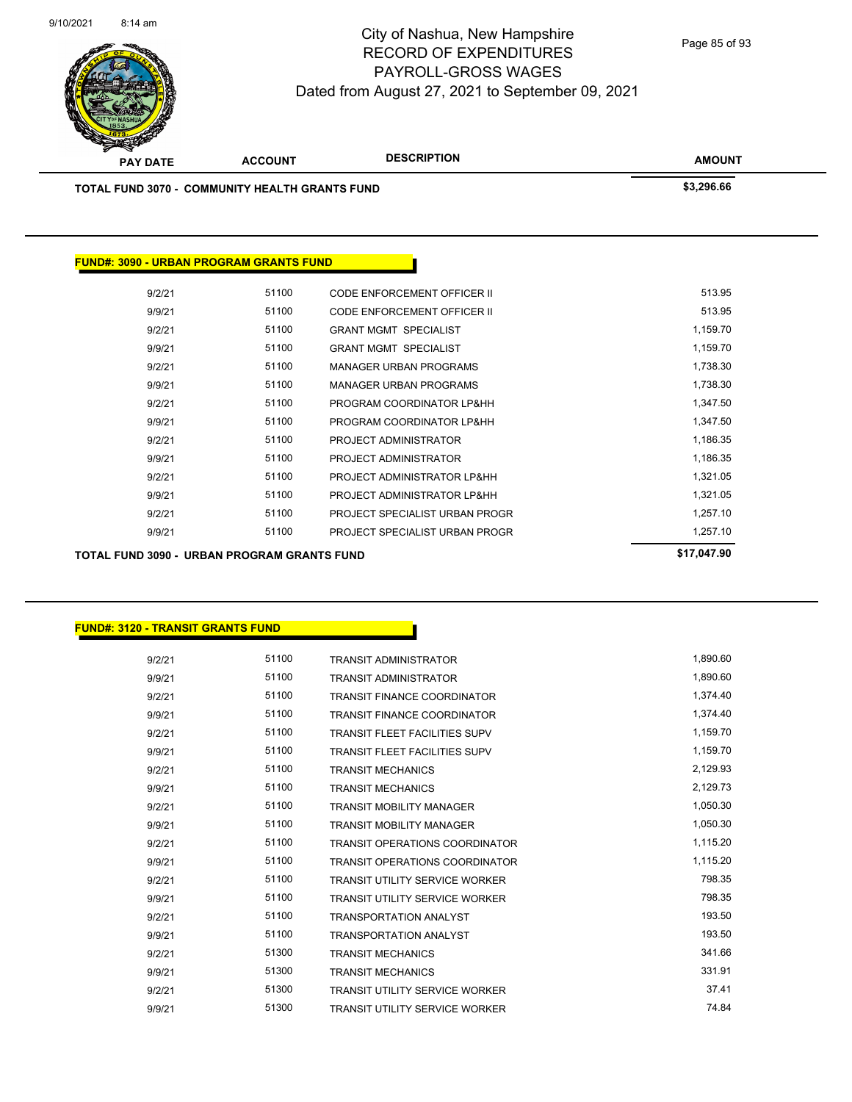

| <b>FUND#: 3090 - URBAN PROGRAM GRANTS FUND</b>     |       |                                    |             |
|----------------------------------------------------|-------|------------------------------------|-------------|
| 9/2/21                                             | 51100 | CODE ENFORCEMENT OFFICER II        | 513.95      |
| 9/9/21                                             | 51100 | <b>CODE ENFORCEMENT OFFICER II</b> | 513.95      |
| 9/2/21                                             | 51100 | <b>GRANT MGMT SPECIALIST</b>       | 1,159.70    |
| 9/9/21                                             | 51100 | <b>GRANT MGMT SPECIALIST</b>       | 1,159.70    |
| 9/2/21                                             | 51100 | <b>MANAGER URBAN PROGRAMS</b>      | 1,738.30    |
| 9/9/21                                             | 51100 | MANAGER URBAN PROGRAMS             | 1,738.30    |
| 9/2/21                                             | 51100 | PROGRAM COORDINATOR LP&HH          | 1,347.50    |
| 9/9/21                                             | 51100 | PROGRAM COORDINATOR LP&HH          | 1,347.50    |
| 9/2/21                                             | 51100 | PROJECT ADMINISTRATOR              | 1,186.35    |
| 9/9/21                                             | 51100 | PROJECT ADMINISTRATOR              | 1,186.35    |
| 9/2/21                                             | 51100 | PROJECT ADMINISTRATOR LP&HH        | 1,321.05    |
| 9/9/21                                             | 51100 | PROJECT ADMINISTRATOR LP&HH        | 1,321.05    |
| 9/2/21                                             | 51100 | PROJECT SPECIALIST URBAN PROGR     | 1,257.10    |
| 9/9/21                                             | 51100 | PROJECT SPECIALIST URBAN PROGR     | 1,257.10    |
| <b>TOTAL FUND 3090 - URBAN PROGRAM GRANTS FUND</b> |       |                                    | \$17,047.90 |

| 9/2/21 | 51100 | <b>TRANSIT ADMINISTRATOR</b>          | 1,890.60 |
|--------|-------|---------------------------------------|----------|
| 9/9/21 | 51100 | <b>TRANSIT ADMINISTRATOR</b>          | 1,890.60 |
| 9/2/21 | 51100 | <b>TRANSIT FINANCE COORDINATOR</b>    | 1,374.40 |
| 9/9/21 | 51100 | <b>TRANSIT FINANCE COORDINATOR</b>    | 1,374.40 |
| 9/2/21 | 51100 | <b>TRANSIT FLEET FACILITIES SUPV</b>  | 1,159.70 |
| 9/9/21 | 51100 | <b>TRANSIT FLEET FACILITIES SUPV</b>  | 1,159.70 |
| 9/2/21 | 51100 | <b>TRANSIT MECHANICS</b>              | 2,129.93 |
| 9/9/21 | 51100 | <b>TRANSIT MECHANICS</b>              | 2,129.73 |
| 9/2/21 | 51100 | <b>TRANSIT MOBILITY MANAGER</b>       | 1,050.30 |
| 9/9/21 | 51100 | <b>TRANSIT MOBILITY MANAGER</b>       | 1,050.30 |
| 9/2/21 | 51100 | <b>TRANSIT OPERATIONS COORDINATOR</b> | 1,115.20 |
| 9/9/21 | 51100 | <b>TRANSIT OPERATIONS COORDINATOR</b> | 1,115.20 |
| 9/2/21 | 51100 | <b>TRANSIT UTILITY SERVICE WORKER</b> | 798.35   |
| 9/9/21 | 51100 | <b>TRANSIT UTILITY SERVICE WORKER</b> | 798.35   |
| 9/2/21 | 51100 | <b>TRANSPORTATION ANALYST</b>         | 193.50   |
| 9/9/21 | 51100 | <b>TRANSPORTATION ANALYST</b>         | 193.50   |
| 9/2/21 | 51300 | <b>TRANSIT MECHANICS</b>              | 341.66   |
| 9/9/21 | 51300 | <b>TRANSIT MECHANICS</b>              | 331.91   |
| 9/2/21 | 51300 | <b>TRANSIT UTILITY SERVICE WORKER</b> | 37.41    |
| 9/9/21 | 51300 | <b>TRANSIT UTILITY SERVICE WORKER</b> | 74.84    |

Page 85 of 93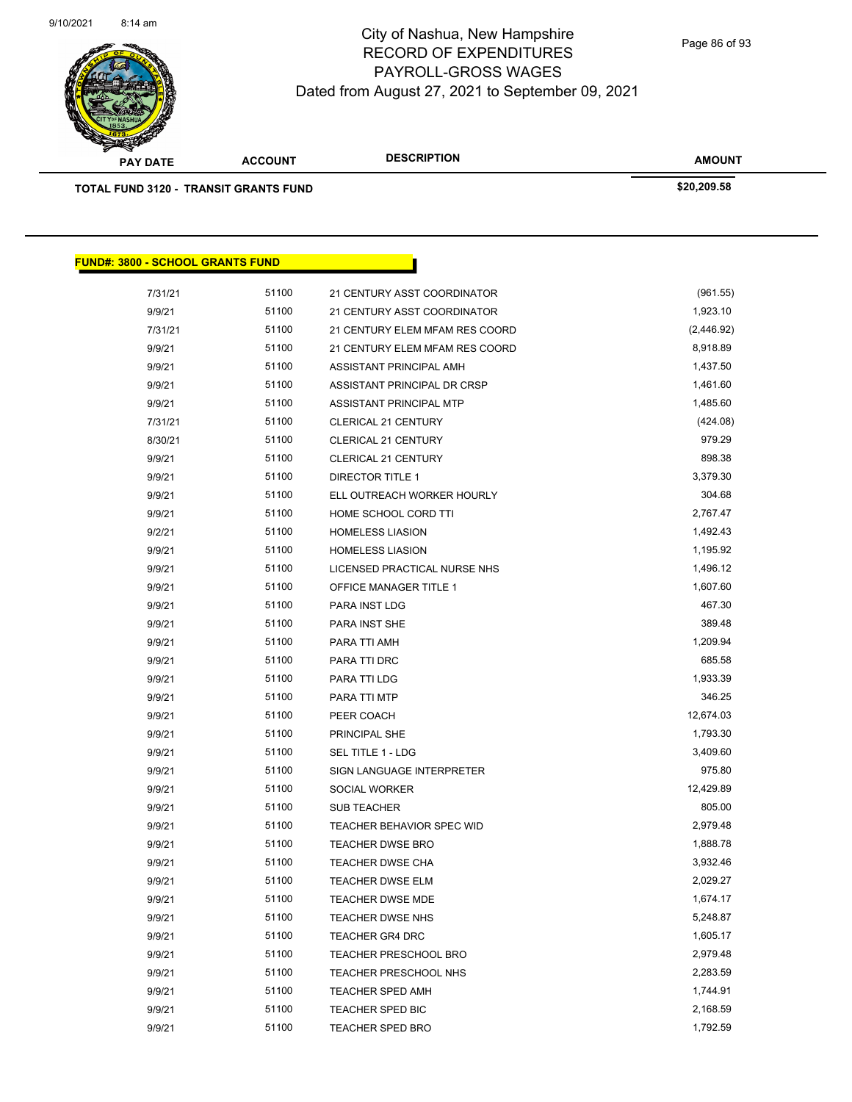

 $\overline{\phantom{0}}$ 

| <b>PAY DATE</b>                              | <b>ACCOUNT</b> | <b>DESCRIPTION</b>             | <b>AMOUNT</b> |
|----------------------------------------------|----------------|--------------------------------|---------------|
| <b>TOTAL FUND 3120 - TRANSIT GRANTS FUND</b> |                |                                | \$20,209.58   |
|                                              |                |                                |               |
|                                              |                |                                |               |
|                                              |                |                                |               |
| <b>FUND#: 3800 - SCHOOL GRANTS FUND</b>      |                |                                |               |
| 7/31/21                                      | 51100          | 21 CENTURY ASST COORDINATOR    | (961.55)      |
| 9/9/21                                       | 51100          | 21 CENTURY ASST COORDINATOR    | 1,923.10      |
| 7/31/21                                      | 51100          | 21 CENTURY ELEM MFAM RES COORD | (2,446.92)    |
| 9/9/21                                       | 51100          | 21 CENTURY ELEM MFAM RES COORD | 8,918.89      |
| 9/9/21                                       | 51100          | ASSISTANT PRINCIPAL AMH        | 1,437.50      |
| 9/9/21                                       | 51100          | ASSISTANT PRINCIPAL DR CRSP    | 1,461.60      |
| 9/9/21                                       | 51100          | ASSISTANT PRINCIPAL MTP        | 1,485.60      |
| 7/31/21                                      | 51100          | <b>CLERICAL 21 CENTURY</b>     | (424.08)      |
| 8/30/21                                      | 51100          | <b>CLERICAL 21 CENTURY</b>     | 979.29        |
| 9/9/21                                       | 51100          | <b>CLERICAL 21 CENTURY</b>     | 898.38        |
| 9/9/21                                       | 51100          | <b>DIRECTOR TITLE 1</b>        | 3,379.30      |
| 9/9/21                                       | 51100          | ELL OUTREACH WORKER HOURLY     | 304.68        |
| 9/9/21                                       | 51100          | HOME SCHOOL CORD TTI           | 2,767.47      |
| 9/2/21                                       | 51100          | <b>HOMELESS LIASION</b>        | 1,492.43      |
| 9/9/21                                       | 51100          | <b>HOMELESS LIASION</b>        | 1,195.92      |
| 9/9/21                                       | 51100          | LICENSED PRACTICAL NURSE NHS   | 1,496.12      |
| 9/9/21                                       | 51100          | OFFICE MANAGER TITLE 1         | 1,607.60      |
| 9/9/21                                       | 51100          | PARA INST LDG                  | 467.30        |
| 9/9/21                                       | 51100          | PARA INST SHE                  | 389.48        |
| 9/9/21                                       | 51100          | PARA TTI AMH                   | 1,209.94      |
| 9/9/21                                       | 51100          | PARA TTI DRC                   | 685.58        |
| 9/9/21                                       | 51100          | PARA TTI LDG                   | 1,933.39      |
| 9/9/21                                       | 51100          | PARA TTI MTP                   | 346.25        |
| 9/9/21                                       | 51100          | PEER COACH                     | 12,674.03     |
| 9/9/21                                       | 51100          | PRINCIPAL SHE                  | 1,793.30      |
| 9/9/21                                       | 51100          | <b>SEL TITLE 1 - LDG</b>       | 3,409.60      |
| 9/9/21                                       | 51100          | SIGN LANGUAGE INTERPRETER      | 975.80        |
| 9/9/21                                       | 51100          | SOCIAL WORKER                  | 12,429.89     |
| 9/9/21                                       | 51100          | SUB TEACHER                    | 805.00        |
| 9/9/21                                       | 51100          | TEACHER BEHAVIOR SPEC WID      | 2,979.48      |
| 9/9/21                                       | 51100          | <b>TEACHER DWSE BRO</b>        | 1,888.78      |
| 9/9/21                                       | 51100          | TEACHER DWSE CHA               | 3,932.46      |
| 9/9/21                                       | 51100          | <b>TEACHER DWSE ELM</b>        | 2,029.27      |
| 9/9/21                                       | 51100          | <b>TEACHER DWSE MDE</b>        | 1,674.17      |
| 9/9/21                                       | 51100          | TEACHER DWSE NHS               | 5,248.87      |
| 9/9/21                                       | 51100          | <b>TEACHER GR4 DRC</b>         | 1,605.17      |
| 9/9/21                                       | 51100          | TEACHER PRESCHOOL BRO          | 2,979.48      |
| 9/9/21                                       | 51100          | TEACHER PRESCHOOL NHS          | 2,283.59      |
| 9/9/21                                       | 51100          | <b>TEACHER SPED AMH</b>        | 1,744.91      |
| 9/9/21                                       | 51100          | TEACHER SPED BIC               | 2,168.59      |
| 9/9/21                                       | 51100          | <b>TEACHER SPED BRO</b>        | 1,792.59      |
|                                              |                |                                |               |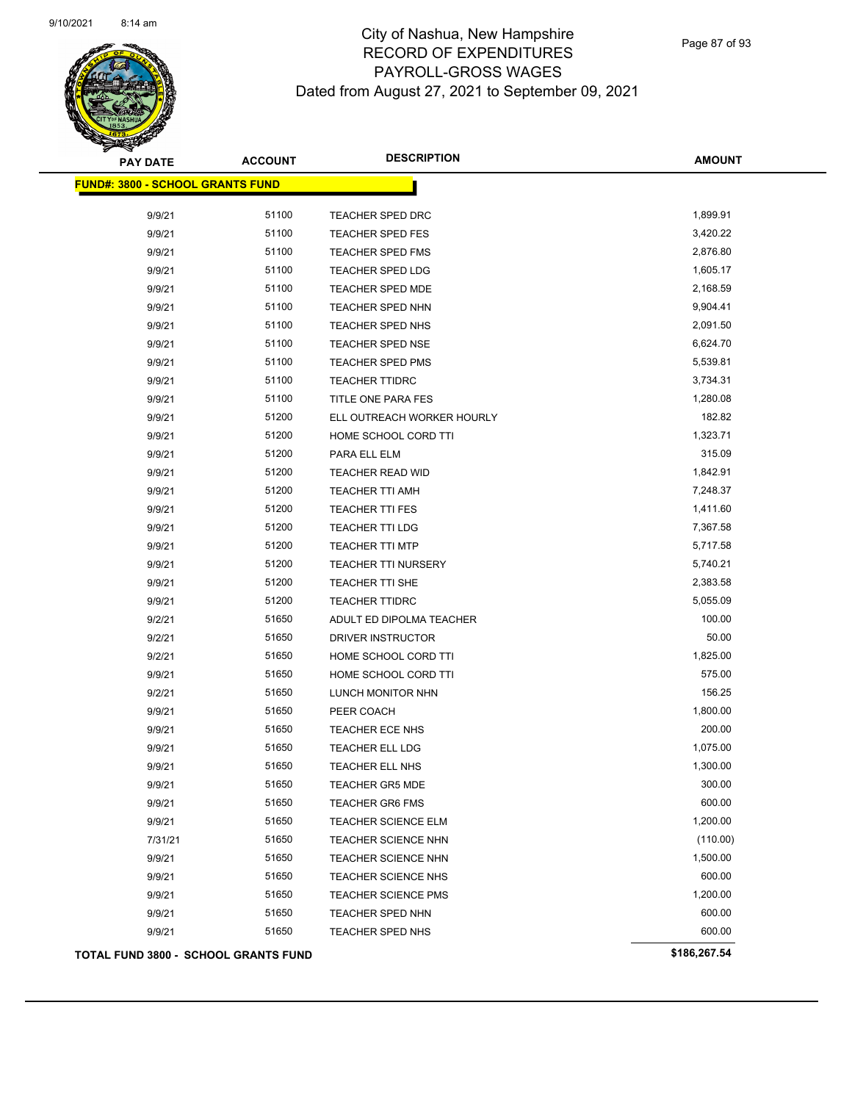

Page 87 of 93

| <b>PAY DATE</b>                             | <b>ACCOUNT</b> | <b>DESCRIPTION</b>         | <b>AMOUNT</b> |
|---------------------------------------------|----------------|----------------------------|---------------|
| <b>FUND#: 3800 - SCHOOL GRANTS FUND</b>     |                |                            |               |
| 9/9/21                                      | 51100          | <b>TEACHER SPED DRC</b>    | 1,899.91      |
| 9/9/21                                      | 51100          | <b>TEACHER SPED FES</b>    | 3,420.22      |
| 9/9/21                                      | 51100          | <b>TEACHER SPED FMS</b>    | 2,876.80      |
| 9/9/21                                      | 51100          | TEACHER SPED LDG           | 1,605.17      |
| 9/9/21                                      | 51100          | TEACHER SPED MDE           | 2,168.59      |
| 9/9/21                                      | 51100          | <b>TEACHER SPED NHN</b>    | 9,904.41      |
| 9/9/21                                      | 51100          | TEACHER SPED NHS           | 2,091.50      |
| 9/9/21                                      | 51100          | <b>TEACHER SPED NSE</b>    | 6,624.70      |
| 9/9/21                                      | 51100          | TEACHER SPED PMS           | 5,539.81      |
| 9/9/21                                      | 51100          | <b>TEACHER TTIDRC</b>      | 3,734.31      |
| 9/9/21                                      | 51100          | TITLE ONE PARA FES         | 1,280.08      |
| 9/9/21                                      | 51200          | ELL OUTREACH WORKER HOURLY | 182.82        |
| 9/9/21                                      | 51200          | HOME SCHOOL CORD TTI       | 1,323.71      |
| 9/9/21                                      | 51200          | PARA ELL ELM               | 315.09        |
| 9/9/21                                      | 51200          | <b>TEACHER READ WID</b>    | 1,842.91      |
| 9/9/21                                      | 51200          | <b>TEACHER TTI AMH</b>     | 7,248.37      |
| 9/9/21                                      | 51200          | <b>TEACHER TTI FES</b>     | 1,411.60      |
| 9/9/21                                      | 51200          | <b>TEACHER TTI LDG</b>     | 7,367.58      |
| 9/9/21                                      | 51200          | <b>TEACHER TTI MTP</b>     | 5,717.58      |
| 9/9/21                                      | 51200          | <b>TEACHER TTI NURSERY</b> | 5,740.21      |
| 9/9/21                                      | 51200          | <b>TEACHER TTI SHE</b>     | 2,383.58      |
| 9/9/21                                      | 51200          | <b>TEACHER TTIDRC</b>      | 5,055.09      |
| 9/2/21                                      | 51650          | ADULT ED DIPOLMA TEACHER   | 100.00        |
| 9/2/21                                      | 51650          | DRIVER INSTRUCTOR          | 50.00         |
| 9/2/21                                      | 51650          | HOME SCHOOL CORD TTI       | 1,825.00      |
| 9/9/21                                      | 51650          | HOME SCHOOL CORD TTI       | 575.00        |
| 9/2/21                                      | 51650          | LUNCH MONITOR NHN          | 156.25        |
| 9/9/21                                      | 51650          | PEER COACH                 | 1,800.00      |
| 9/9/21                                      | 51650          | TEACHER ECE NHS            | 200.00        |
| 9/9/21                                      | 51650          | <b>TEACHER ELL LDG</b>     | 1,075.00      |
| 9/9/21                                      | 51650          | <b>TEACHER ELL NHS</b>     | 1,300.00      |
| 9/9/21                                      | 51650          | <b>TEACHER GR5 MDE</b>     | 300.00        |
| 9/9/21                                      | 51650          | <b>TEACHER GR6 FMS</b>     | 600.00        |
| 9/9/21                                      | 51650          | <b>TEACHER SCIENCE ELM</b> | 1,200.00      |
| 7/31/21                                     | 51650          | <b>TEACHER SCIENCE NHN</b> | (110.00)      |
| 9/9/21                                      | 51650          | <b>TEACHER SCIENCE NHN</b> | 1,500.00      |
| 9/9/21                                      | 51650          | <b>TEACHER SCIENCE NHS</b> | 600.00        |
| 9/9/21                                      | 51650          | <b>TEACHER SCIENCE PMS</b> | 1,200.00      |
| 9/9/21                                      | 51650          | <b>TEACHER SPED NHN</b>    | 600.00        |
| 9/9/21                                      | 51650          | TEACHER SPED NHS           | 600.00        |
| <b>TOTAL FUND 3800 - SCHOOL GRANTS FUND</b> |                |                            | \$186,267.54  |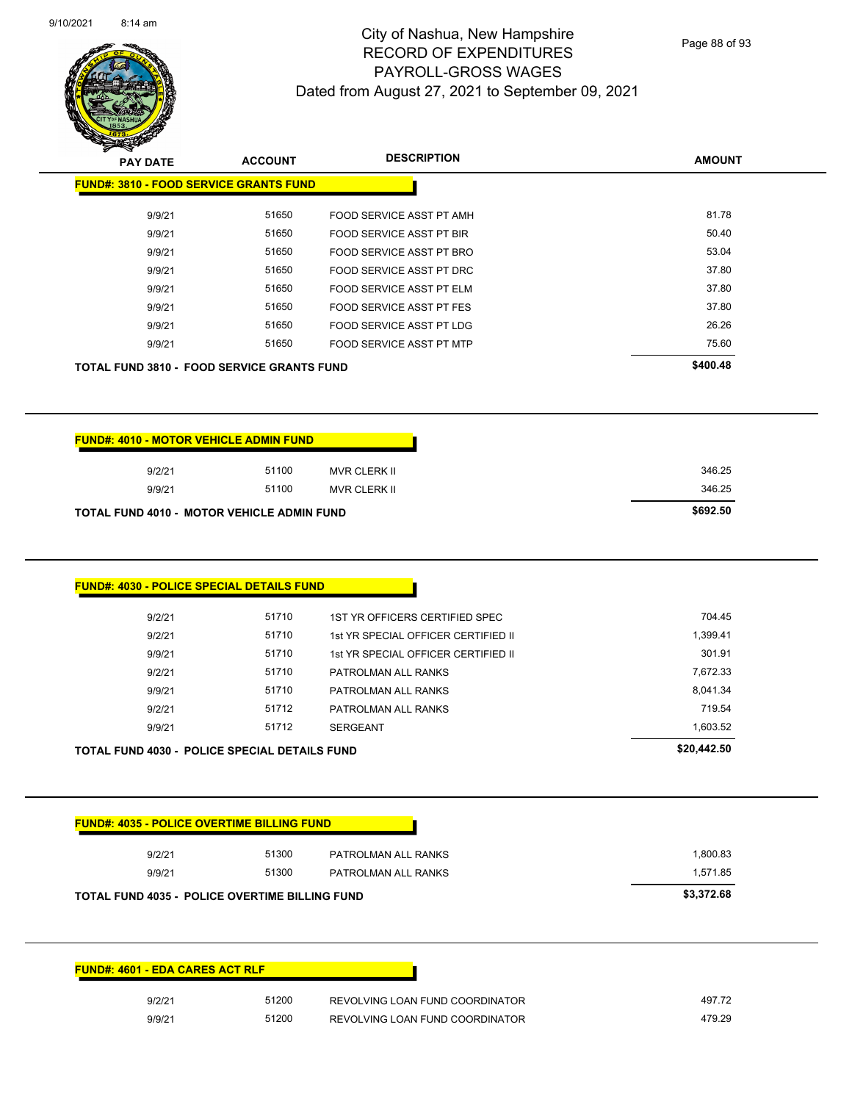

Page 88 of 93

| <b>FUND#: 3810 - FOOD SERVICE GRANTS FUND</b>     |       |                                     |          |
|---------------------------------------------------|-------|-------------------------------------|----------|
| 9/9/21                                            | 51650 | FOOD SERVICE ASST PT AMH            | 81.78    |
| 9/9/21                                            | 51650 | FOOD SERVICE ASST PT BIR            | 50.40    |
| 9/9/21                                            | 51650 | FOOD SERVICE ASST PT BRO            | 53.04    |
| 9/9/21                                            | 51650 | FOOD SERVICE ASST PT DRC            | 37.80    |
| 9/9/21                                            | 51650 | FOOD SERVICE ASST PT ELM            | 37.80    |
| 9/9/21                                            | 51650 | FOOD SERVICE ASST PT FES            | 37.80    |
| 9/9/21                                            | 51650 | <b>FOOD SERVICE ASST PT LDG</b>     | 26.26    |
| 9/9/21                                            | 51650 | FOOD SERVICE ASST PT MTP            | 75.60    |
| <b>TOTAL FUND 3810 - FOOD SERVICE GRANTS FUND</b> |       |                                     | \$400.48 |
| 9/2/21                                            | 51100 | <b>MVR CLERK II</b>                 | 346.25   |
| <b>FUND#: 4010 - MOTOR VEHICLE ADMIN FUND</b>     |       |                                     |          |
|                                                   |       |                                     |          |
|                                                   |       |                                     |          |
| 9/9/21                                            | 51100 | <b>MVR CLERK II</b>                 | 346.25   |
| TOTAL FUND 4010 - MOTOR VEHICLE ADMIN FUND        |       |                                     | \$692.50 |
| <b>FUND#: 4030 - POLICE SPECIAL DETAILS FUND</b>  |       |                                     |          |
| 9/2/21                                            | 51710 | 1ST YR OFFICERS CERTIFIED SPEC      | 704.45   |
| 9/2/21                                            | 51710 | 1st YR SPECIAL OFFICER CERTIFIED II | 1,399.41 |
| 9/9/21                                            | 51710 | 1st YR SPECIAL OFFICER CERTIFIED II | 301.91   |
| 9/2/21                                            | 51710 | PATROLMAN ALL RANKS                 | 7,672.33 |
| 9/9/21                                            | 51710 | PATROLMAN ALL RANKS                 | 8,041.34 |
| 9/2/21                                            | 51712 | PATROLMAN ALL RANKS                 | 719.54   |
| 9/9/21                                            | 51712 | <b>SERGEANT</b>                     | 1,603.52 |

| 9/2/21                                 | 51300                                                 | <b>PATROLMAN ALL RANKS</b> | 1,800.83   |
|----------------------------------------|-------------------------------------------------------|----------------------------|------------|
| 9/9/21                                 | 51300                                                 | PATROLMAN ALL RANKS        | 1,571.85   |
|                                        | <b>TOTAL FUND 4035 - POLICE OVERTIME BILLING FUND</b> |                            |            |
|                                        |                                                       |                            | \$3,372.68 |
|                                        |                                                       |                            |            |
|                                        |                                                       |                            |            |
|                                        |                                                       |                            |            |
|                                        |                                                       |                            |            |
| <b>FUND#: 4601 - EDA CARES ACT RLF</b> |                                                       |                            |            |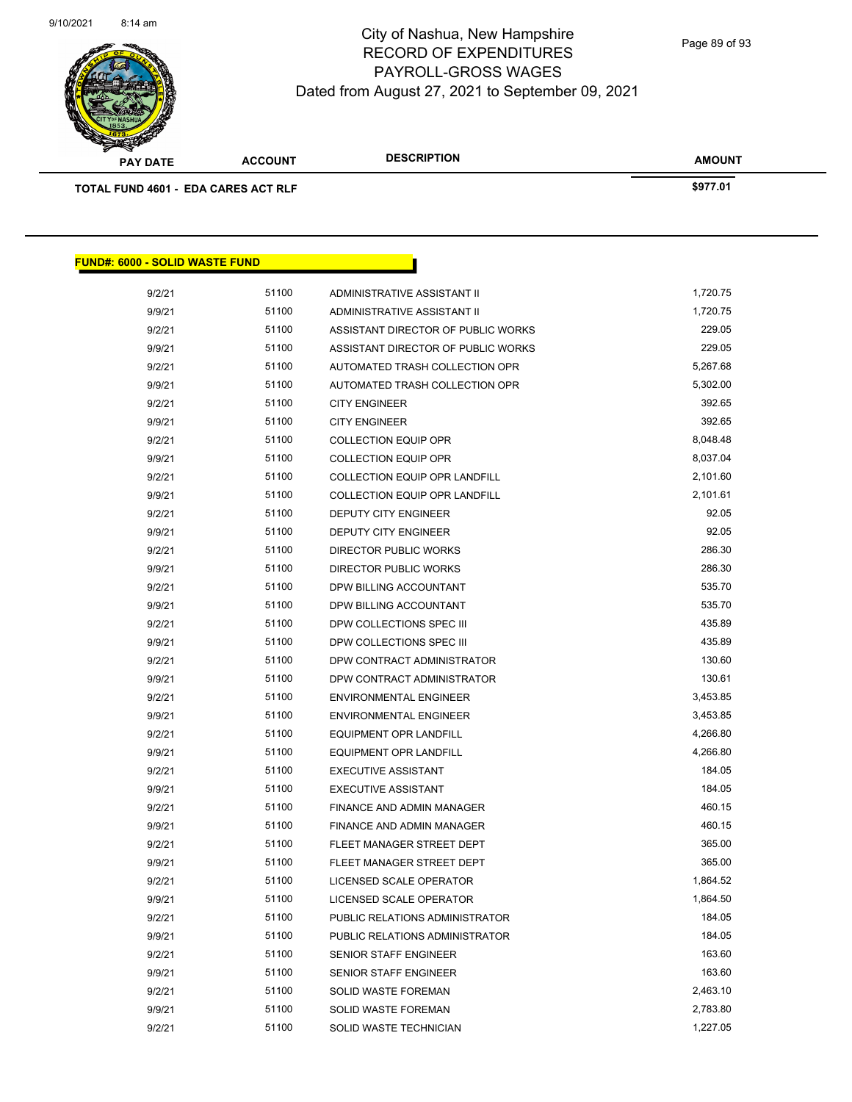

| <b>SHOW SHOW THAT A REPORT</b><br><b>PAY DATE</b> | <b>ACCOUNT</b>                             | <b>DESCRIPTION</b> | <b>AMOUNT</b> |
|---------------------------------------------------|--------------------------------------------|--------------------|---------------|
|                                                   | <b>TOTAL FUND 4601 - EDA CARES ACT RLF</b> |                    | \$977.01      |

| <u> FUND#: 6000 - SOLID WASTE FUND</u> |       |                                    |          |
|----------------------------------------|-------|------------------------------------|----------|
| 9/2/21                                 | 51100 | ADMINISTRATIVE ASSISTANT II        | 1,720.75 |
| 9/9/21                                 | 51100 | ADMINISTRATIVE ASSISTANT II        | 1,720.75 |
| 9/2/21                                 | 51100 | ASSISTANT DIRECTOR OF PUBLIC WORKS | 229.05   |
| 9/9/21                                 | 51100 | ASSISTANT DIRECTOR OF PUBLIC WORKS | 229.05   |
| 9/2/21                                 | 51100 | AUTOMATED TRASH COLLECTION OPR     | 5,267.68 |
| 9/9/21                                 | 51100 | AUTOMATED TRASH COLLECTION OPR     | 5,302.00 |
| 9/2/21                                 | 51100 | <b>CITY ENGINEER</b>               | 392.65   |
| 9/9/21                                 | 51100 | <b>CITY ENGINEER</b>               | 392.65   |
| 9/2/21                                 | 51100 | <b>COLLECTION EQUIP OPR</b>        | 8,048.48 |
| 9/9/21                                 | 51100 | <b>COLLECTION EQUIP OPR</b>        | 8,037.04 |
| 9/2/21                                 | 51100 | COLLECTION EQUIP OPR LANDFILL      | 2,101.60 |
| 9/9/21                                 | 51100 | COLLECTION EQUIP OPR LANDFILL      | 2,101.61 |
| 9/2/21                                 | 51100 | DEPUTY CITY ENGINEER               | 92.05    |
| 9/9/21                                 | 51100 | DEPUTY CITY ENGINEER               | 92.05    |
| 9/2/21                                 | 51100 | <b>DIRECTOR PUBLIC WORKS</b>       | 286.30   |
| 9/9/21                                 | 51100 | DIRECTOR PUBLIC WORKS              | 286.30   |
| 9/2/21                                 | 51100 | DPW BILLING ACCOUNTANT             | 535.70   |
| 9/9/21                                 | 51100 | DPW BILLING ACCOUNTANT             | 535.70   |
| 9/2/21                                 | 51100 | DPW COLLECTIONS SPEC III           | 435.89   |
| 9/9/21                                 | 51100 | DPW COLLECTIONS SPEC III           | 435.89   |
| 9/2/21                                 | 51100 | DPW CONTRACT ADMINISTRATOR         | 130.60   |
| 9/9/21                                 | 51100 | DPW CONTRACT ADMINISTRATOR         | 130.61   |
| 9/2/21                                 | 51100 | <b>ENVIRONMENTAL ENGINEER</b>      | 3,453.85 |
| 9/9/21                                 | 51100 | <b>ENVIRONMENTAL ENGINEER</b>      | 3,453.85 |
| 9/2/21                                 | 51100 | <b>EQUIPMENT OPR LANDFILL</b>      | 4,266.80 |
| 9/9/21                                 | 51100 | <b>EQUIPMENT OPR LANDFILL</b>      | 4,266.80 |
| 9/2/21                                 | 51100 | <b>EXECUTIVE ASSISTANT</b>         | 184.05   |
| 9/9/21                                 | 51100 | <b>EXECUTIVE ASSISTANT</b>         | 184.05   |
| 9/2/21                                 | 51100 | FINANCE AND ADMIN MANAGER          | 460.15   |
| 9/9/21                                 | 51100 | FINANCE AND ADMIN MANAGER          | 460.15   |
| 9/2/21                                 | 51100 | FLEET MANAGER STREET DEPT          | 365.00   |
| 9/9/21                                 | 51100 | FLEET MANAGER STREET DEPT          | 365.00   |
| 9/2/21                                 | 51100 | LICENSED SCALE OPERATOR            | 1,864.52 |
| 9/9/21                                 | 51100 | LICENSED SCALE OPERATOR            | 1,864.50 |
| 9/2/21                                 | 51100 | PUBLIC RELATIONS ADMINISTRATOR     | 184.05   |
| 9/9/21                                 | 51100 | PUBLIC RELATIONS ADMINISTRATOR     | 184.05   |
| 9/2/21                                 | 51100 | SENIOR STAFF ENGINEER              | 163.60   |
| 9/9/21                                 | 51100 | <b>SENIOR STAFF ENGINEER</b>       | 163.60   |
| 9/2/21                                 | 51100 | <b>SOLID WASTE FOREMAN</b>         | 2,463.10 |
| 9/9/21                                 | 51100 | <b>SOLID WASTE FOREMAN</b>         | 2,783.80 |
| 9/2/21                                 | 51100 | SOLID WASTE TECHNICIAN             | 1,227.05 |
|                                        |       |                                    |          |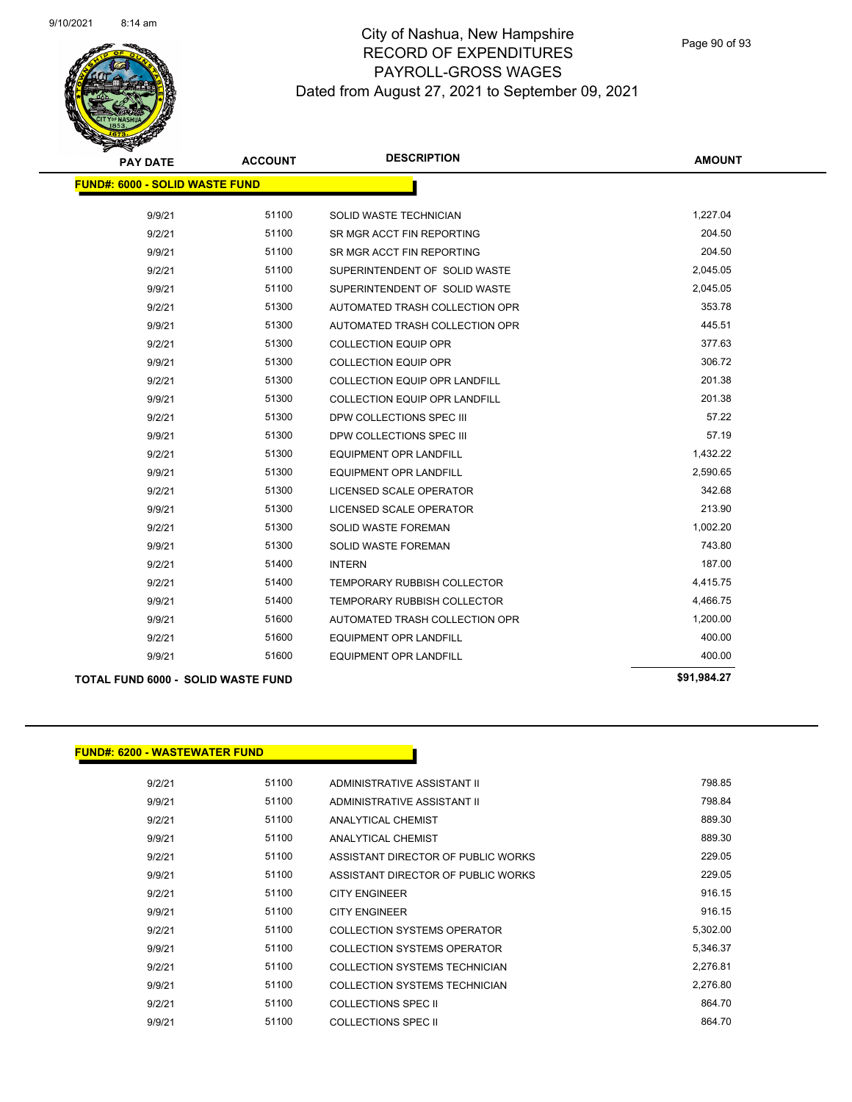

| <b>PAY DATE</b>                       | <b>ACCOUNT</b>                            | <b>DESCRIPTION</b>                 | <b>AMOUNT</b> |
|---------------------------------------|-------------------------------------------|------------------------------------|---------------|
| <b>FUND#: 6000 - SOLID WASTE FUND</b> |                                           |                                    |               |
|                                       |                                           |                                    |               |
| 9/9/21                                | 51100                                     | SOLID WASTE TECHNICIAN             | 1,227.04      |
| 9/2/21                                | 51100                                     | SR MGR ACCT FIN REPORTING          | 204.50        |
| 9/9/21                                | 51100                                     | SR MGR ACCT FIN REPORTING          | 204.50        |
| 9/2/21                                | 51100                                     | SUPERINTENDENT OF SOLID WASTE      | 2,045.05      |
| 9/9/21                                | 51100                                     | SUPERINTENDENT OF SOLID WASTE      | 2,045.05      |
| 9/2/21                                | 51300                                     | AUTOMATED TRASH COLLECTION OPR     | 353.78        |
| 9/9/21                                | 51300                                     | AUTOMATED TRASH COLLECTION OPR     | 445.51        |
| 9/2/21                                | 51300                                     | <b>COLLECTION EQUIP OPR</b>        | 377.63        |
| 9/9/21                                | 51300                                     | <b>COLLECTION EQUIP OPR</b>        | 306.72        |
| 9/2/21                                | 51300                                     | COLLECTION EQUIP OPR LANDFILL      | 201.38        |
| 9/9/21                                | 51300                                     | COLLECTION EQUIP OPR LANDFILL      | 201.38        |
| 9/2/21                                | 51300                                     | DPW COLLECTIONS SPEC III           | 57.22         |
| 9/9/21                                | 51300                                     | DPW COLLECTIONS SPEC III           | 57.19         |
| 9/2/21                                | 51300                                     | <b>EQUIPMENT OPR LANDFILL</b>      | 1,432.22      |
| 9/9/21                                | 51300                                     | <b>EQUIPMENT OPR LANDFILL</b>      | 2,590.65      |
| 9/2/21                                | 51300                                     | LICENSED SCALE OPERATOR            | 342.68        |
| 9/9/21                                | 51300                                     | LICENSED SCALE OPERATOR            | 213.90        |
| 9/2/21                                | 51300                                     | <b>SOLID WASTE FOREMAN</b>         | 1,002.20      |
| 9/9/21                                | 51300                                     | SOLID WASTE FOREMAN                | 743.80        |
| 9/2/21                                | 51400                                     | <b>INTERN</b>                      | 187.00        |
| 9/2/21                                | 51400                                     | <b>TEMPORARY RUBBISH COLLECTOR</b> | 4,415.75      |
| 9/9/21                                | 51400                                     | TEMPORARY RUBBISH COLLECTOR        | 4,466.75      |
| 9/9/21                                | 51600                                     | AUTOMATED TRASH COLLECTION OPR     | 1,200.00      |
| 9/2/21                                | 51600                                     | EQUIPMENT OPR LANDFILL             | 400.00        |
| 9/9/21                                | 51600                                     | <b>EQUIPMENT OPR LANDFILL</b>      | 400.00        |
|                                       | <b>TOTAL FUND 6000 - SOLID WASTE FUND</b> |                                    | \$91,984.27   |

### **FUND#: 6200 - WASTEWATER FUND**

| 9/2/21 | 51100 | ADMINISTRATIVE ASSISTANT II        | 798.85   |
|--------|-------|------------------------------------|----------|
| 9/9/21 | 51100 | ADMINISTRATIVE ASSISTANT II        | 798.84   |
| 9/2/21 | 51100 | ANALYTICAL CHEMIST                 | 889.30   |
| 9/9/21 | 51100 | <b>ANALYTICAL CHEMIST</b>          | 889.30   |
| 9/2/21 | 51100 | ASSISTANT DIRECTOR OF PUBLIC WORKS | 229.05   |
| 9/9/21 | 51100 | ASSISTANT DIRECTOR OF PUBLIC WORKS | 229.05   |
| 9/2/21 | 51100 | <b>CITY ENGINEER</b>               | 916.15   |
| 9/9/21 | 51100 | <b>CITY ENGINEER</b>               | 916.15   |
| 9/2/21 | 51100 | <b>COLLECTION SYSTEMS OPERATOR</b> | 5,302.00 |
| 9/9/21 | 51100 | <b>COLLECTION SYSTEMS OPERATOR</b> | 5,346.37 |
| 9/2/21 | 51100 | COLLECTION SYSTEMS TECHNICIAN      | 2.276.81 |
| 9/9/21 | 51100 | COLLECTION SYSTEMS TECHNICIAN      | 2.276.80 |
| 9/2/21 | 51100 | COLLECTIONS SPEC II                | 864.70   |
| 9/9/21 | 51100 | COLLECTIONS SPEC II                | 864.70   |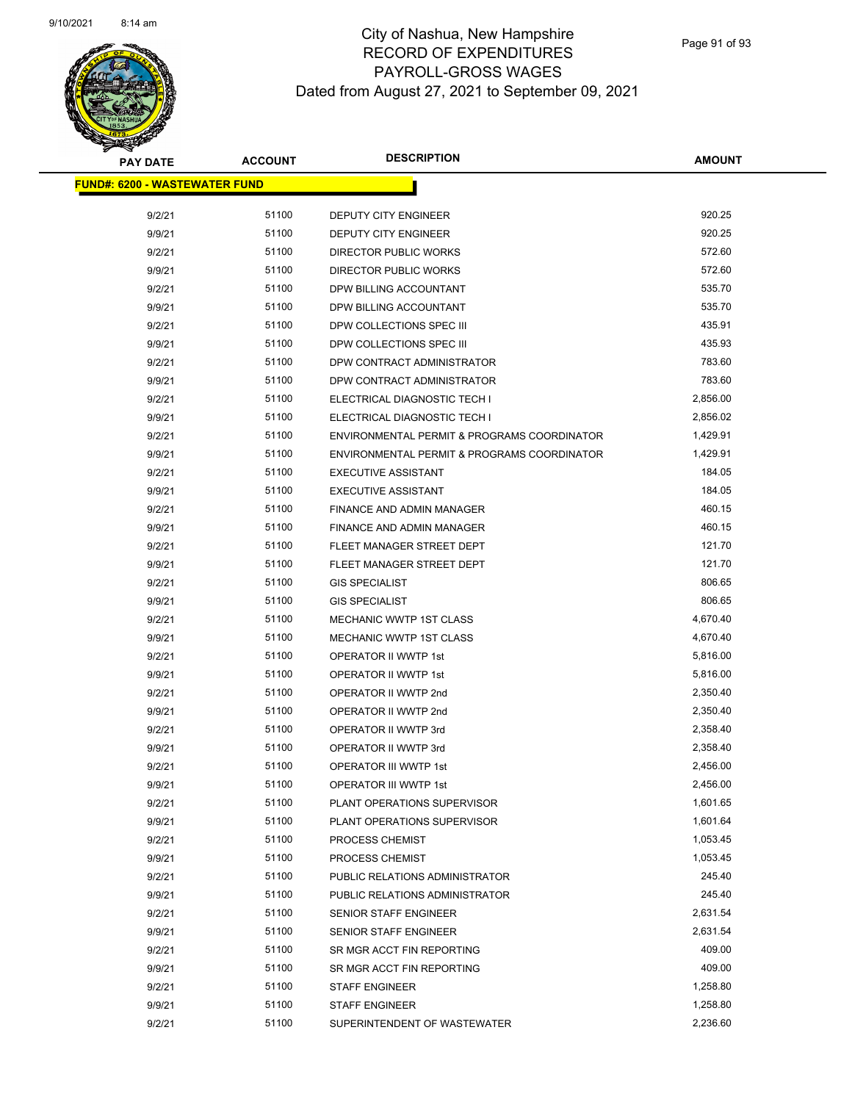

| <b>PAY DATE</b>                       | <b>ACCOUNT</b> | <b>DESCRIPTION</b>                          | AMOUNT   |
|---------------------------------------|----------------|---------------------------------------------|----------|
| <u> FUND#: 6200 - WASTEWATER FUND</u> |                |                                             |          |
|                                       |                |                                             |          |
| 9/2/21                                | 51100          | DEPUTY CITY ENGINEER                        | 920.25   |
| 9/9/21                                | 51100          | DEPUTY CITY ENGINEER                        | 920.25   |
| 9/2/21                                | 51100          | <b>DIRECTOR PUBLIC WORKS</b>                | 572.60   |
| 9/9/21                                | 51100          | <b>DIRECTOR PUBLIC WORKS</b>                | 572.60   |
| 9/2/21                                | 51100          | DPW BILLING ACCOUNTANT                      | 535.70   |
| 9/9/21                                | 51100          | DPW BILLING ACCOUNTANT                      | 535.70   |
| 9/2/21                                | 51100          | DPW COLLECTIONS SPEC III                    | 435.91   |
| 9/9/21                                | 51100          | DPW COLLECTIONS SPEC III                    | 435.93   |
| 9/2/21                                | 51100          | DPW CONTRACT ADMINISTRATOR                  | 783.60   |
| 9/9/21                                | 51100          | DPW CONTRACT ADMINISTRATOR                  | 783.60   |
| 9/2/21                                | 51100          | ELECTRICAL DIAGNOSTIC TECH I                | 2,856.00 |
| 9/9/21                                | 51100          | ELECTRICAL DIAGNOSTIC TECH I                | 2,856.02 |
| 9/2/21                                | 51100          | ENVIRONMENTAL PERMIT & PROGRAMS COORDINATOR | 1,429.91 |
| 9/9/21                                | 51100          | ENVIRONMENTAL PERMIT & PROGRAMS COORDINATOR | 1,429.91 |
| 9/2/21                                | 51100          | <b>EXECUTIVE ASSISTANT</b>                  | 184.05   |
| 9/9/21                                | 51100          | <b>EXECUTIVE ASSISTANT</b>                  | 184.05   |
| 9/2/21                                | 51100          | FINANCE AND ADMIN MANAGER                   | 460.15   |
| 9/9/21                                | 51100          | FINANCE AND ADMIN MANAGER                   | 460.15   |
| 9/2/21                                | 51100          | FLEET MANAGER STREET DEPT                   | 121.70   |
| 9/9/21                                | 51100          | FLEET MANAGER STREET DEPT                   | 121.70   |
| 9/2/21                                | 51100          | <b>GIS SPECIALIST</b>                       | 806.65   |
| 9/9/21                                | 51100          | <b>GIS SPECIALIST</b>                       | 806.65   |
| 9/2/21                                | 51100          | MECHANIC WWTP 1ST CLASS                     | 4,670.40 |
| 9/9/21                                | 51100          | MECHANIC WWTP 1ST CLASS                     | 4,670.40 |
| 9/2/21                                | 51100          | OPERATOR II WWTP 1st                        | 5,816.00 |
| 9/9/21                                | 51100          | OPERATOR II WWTP 1st                        | 5,816.00 |
| 9/2/21                                | 51100          | OPERATOR II WWTP 2nd                        | 2,350.40 |
| 9/9/21                                | 51100          | OPERATOR II WWTP 2nd                        | 2,350.40 |
| 9/2/21                                | 51100          | OPERATOR II WWTP 3rd                        | 2,358.40 |
| 9/9/21                                | 51100          | OPERATOR II WWTP 3rd                        | 2,358.40 |
| 9/2/21                                | 51100          | OPERATOR III WWTP 1st                       | 2,456.00 |
| 9/9/21                                | 51100          | OPERATOR III WWTP 1st                       | 2,456.00 |
| 9/2/21                                | 51100          | PLANT OPERATIONS SUPERVISOR                 | 1,601.65 |
| 9/9/21                                | 51100          | PLANT OPERATIONS SUPERVISOR                 | 1,601.64 |
| 9/2/21                                | 51100          | PROCESS CHEMIST                             | 1,053.45 |
| 9/9/21                                | 51100          | PROCESS CHEMIST                             | 1,053.45 |
| 9/2/21                                | 51100          | PUBLIC RELATIONS ADMINISTRATOR              | 245.40   |
| 9/9/21                                | 51100          | PUBLIC RELATIONS ADMINISTRATOR              | 245.40   |
| 9/2/21                                | 51100          | <b>SENIOR STAFF ENGINEER</b>                | 2,631.54 |
| 9/9/21                                | 51100          | SENIOR STAFF ENGINEER                       | 2,631.54 |
| 9/2/21                                | 51100          | SR MGR ACCT FIN REPORTING                   | 409.00   |
| 9/9/21                                | 51100          | SR MGR ACCT FIN REPORTING                   | 409.00   |
| 9/2/21                                | 51100          | <b>STAFF ENGINEER</b>                       | 1,258.80 |
| 9/9/21                                | 51100          | <b>STAFF ENGINEER</b>                       | 1,258.80 |
| 9/2/21                                | 51100          | SUPERINTENDENT OF WASTEWATER                | 2,236.60 |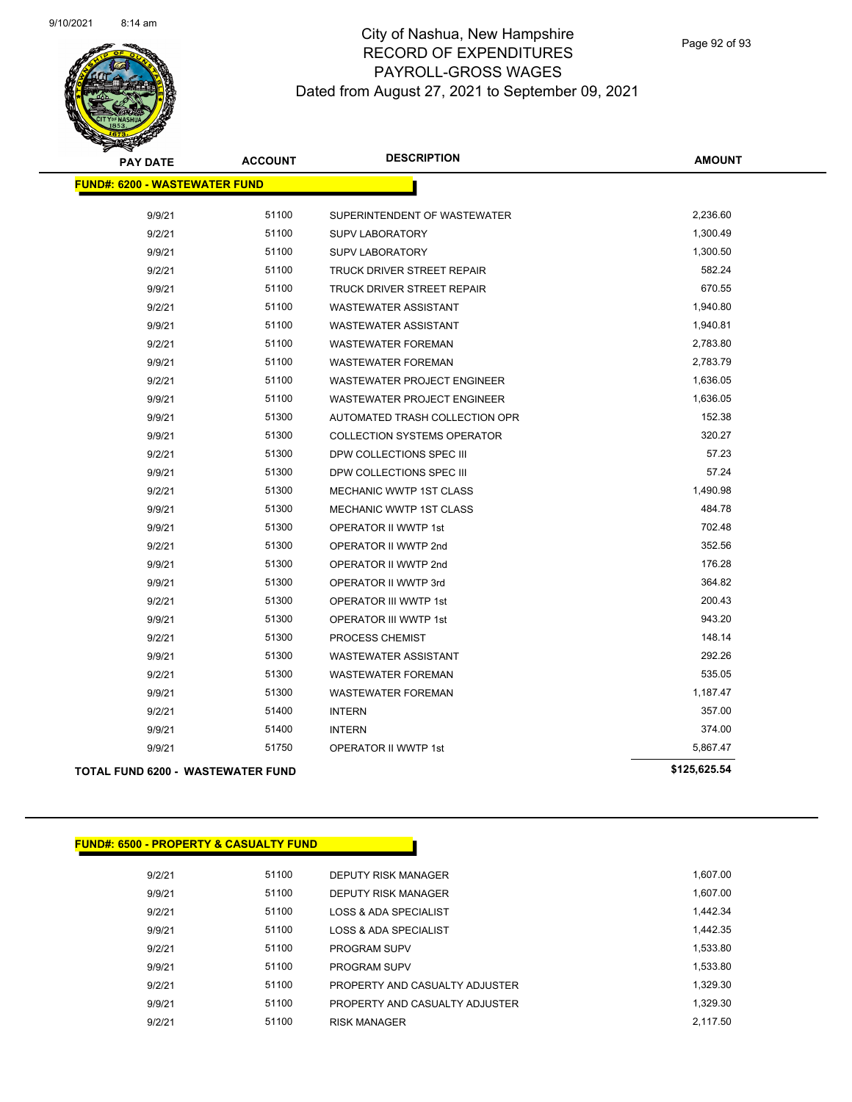

| <b>PAY DATE</b>                      | <b>ACCOUNT</b>                    | <b>DESCRIPTION</b>                 | <b>AMOUNT</b> |
|--------------------------------------|-----------------------------------|------------------------------------|---------------|
| <b>FUND#: 6200 - WASTEWATER FUND</b> |                                   |                                    |               |
| 9/9/21                               | 51100                             | SUPERINTENDENT OF WASTEWATER       | 2,236.60      |
| 9/2/21                               | 51100                             | <b>SUPV LABORATORY</b>             | 1,300.49      |
| 9/9/21                               | 51100                             | <b>SUPV LABORATORY</b>             | 1,300.50      |
| 9/2/21                               | 51100                             | <b>TRUCK DRIVER STREET REPAIR</b>  | 582.24        |
| 9/9/21                               | 51100                             | <b>TRUCK DRIVER STREET REPAIR</b>  | 670.55        |
| 9/2/21                               | 51100                             | <b>WASTEWATER ASSISTANT</b>        | 1,940.80      |
| 9/9/21                               | 51100                             | <b>WASTEWATER ASSISTANT</b>        | 1,940.81      |
| 9/2/21                               | 51100                             | <b>WASTEWATER FOREMAN</b>          | 2,783.80      |
| 9/9/21                               | 51100                             | <b>WASTEWATER FOREMAN</b>          | 2,783.79      |
| 9/2/21                               | 51100                             | <b>WASTEWATER PROJECT ENGINEER</b> | 1,636.05      |
| 9/9/21                               | 51100                             | WASTEWATER PROJECT ENGINEER        | 1,636.05      |
| 9/9/21                               | 51300                             | AUTOMATED TRASH COLLECTION OPR     | 152.38        |
| 9/9/21                               | 51300                             | <b>COLLECTION SYSTEMS OPERATOR</b> | 320.27        |
| 9/2/21                               | 51300                             | DPW COLLECTIONS SPEC III           | 57.23         |
| 9/9/21                               | 51300                             | DPW COLLECTIONS SPEC III           | 57.24         |
| 9/2/21                               | 51300                             | MECHANIC WWTP 1ST CLASS            | 1,490.98      |
| 9/9/21                               | 51300                             | <b>MECHANIC WWTP 1ST CLASS</b>     | 484.78        |
| 9/9/21                               | 51300                             | <b>OPERATOR II WWTP 1st</b>        | 702.48        |
| 9/2/21                               | 51300                             | OPERATOR II WWTP 2nd               | 352.56        |
| 9/9/21                               | 51300                             | OPERATOR II WWTP 2nd               | 176.28        |
| 9/9/21                               | 51300                             | OPERATOR II WWTP 3rd               | 364.82        |
| 9/2/21                               | 51300                             | <b>OPERATOR III WWTP 1st</b>       | 200.43        |
| 9/9/21                               | 51300                             | OPERATOR III WWTP 1st              | 943.20        |
| 9/2/21                               | 51300                             | PROCESS CHEMIST                    | 148.14        |
| 9/9/21                               | 51300                             | <b>WASTEWATER ASSISTANT</b>        | 292.26        |
| 9/2/21                               | 51300                             | <b>WASTEWATER FOREMAN</b>          | 535.05        |
| 9/9/21                               | 51300                             | <b>WASTEWATER FOREMAN</b>          | 1,187.47      |
| 9/2/21                               | 51400                             | <b>INTERN</b>                      | 357.00        |
| 9/9/21                               | 51400                             | <b>INTERN</b>                      | 374.00        |
| 9/9/21                               | 51750                             | OPERATOR II WWTP 1st               | 5,867.47      |
|                                      | TOTAL FUND 6200 - WASTEWATER FUND |                                    | \$125,625.54  |

| <b>FUND#: 6500 - PROPERTY &amp; CASUALTY FUND</b> |       |                                  |          |
|---------------------------------------------------|-------|----------------------------------|----------|
| 9/2/21                                            | 51100 | DEPUTY RISK MANAGER              | 1.607.00 |
| 9/9/21                                            | 51100 | <b>DEPUTY RISK MANAGER</b>       | 1,607.00 |
| 9/2/21                                            | 51100 | <b>LOSS &amp; ADA SPECIALIST</b> | 1,442.34 |
| 9/9/21                                            | 51100 | <b>LOSS &amp; ADA SPECIALIST</b> | 1.442.35 |
| 9/2/21                                            | 51100 | <b>PROGRAM SUPV</b>              | 1,533.80 |
| 9/9/21                                            | 51100 | <b>PROGRAM SUPV</b>              | 1,533.80 |
| 9/2/21                                            | 51100 | PROPERTY AND CASUALTY ADJUSTER   | 1,329.30 |
| 9/9/21                                            | 51100 | PROPERTY AND CASUALTY ADJUSTER   | 1.329.30 |
| 9/2/21                                            | 51100 | <b>RISK MANAGER</b>              | 2.117.50 |